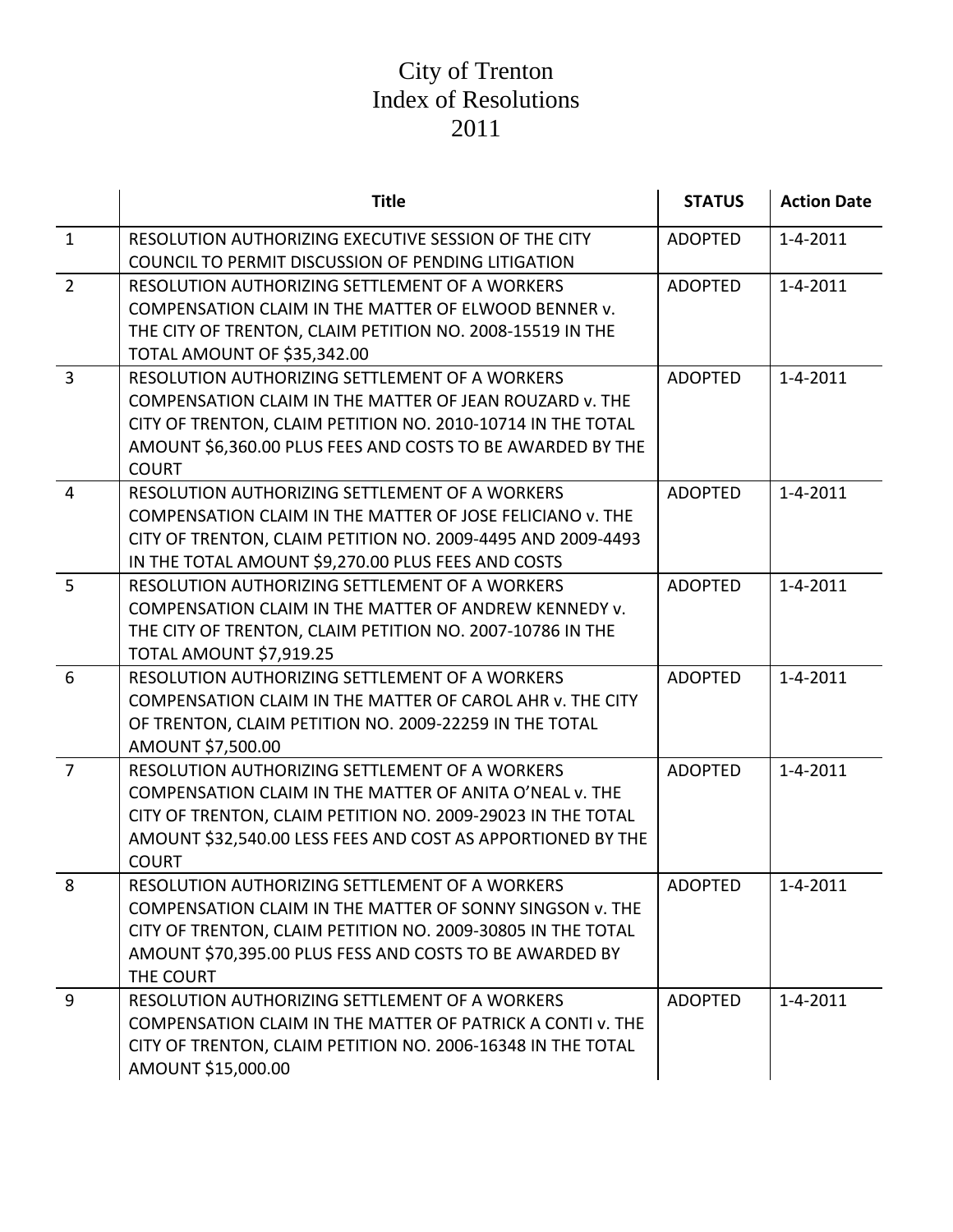|                | <b>Title</b>                                                | <b>STATUS</b>  | <b>Action Date</b> |
|----------------|-------------------------------------------------------------|----------------|--------------------|
| $\mathbf{1}$   | RESOLUTION AUTHORIZING EXECUTIVE SESSION OF THE CITY        | <b>ADOPTED</b> | $1 - 4 - 2011$     |
|                | COUNCIL TO PERMIT DISCUSSION OF PENDING LITIGATION          |                |                    |
| $\overline{2}$ | RESOLUTION AUTHORIZING SETTLEMENT OF A WORKERS              | <b>ADOPTED</b> | $1 - 4 - 2011$     |
|                | COMPENSATION CLAIM IN THE MATTER OF ELWOOD BENNER v.        |                |                    |
|                | THE CITY OF TRENTON, CLAIM PETITION NO. 2008-15519 IN THE   |                |                    |
|                | TOTAL AMOUNT OF \$35,342.00                                 |                |                    |
| $\overline{3}$ | RESOLUTION AUTHORIZING SETTLEMENT OF A WORKERS              | <b>ADOPTED</b> | $1 - 4 - 2011$     |
|                | COMPENSATION CLAIM IN THE MATTER OF JEAN ROUZARD v. THE     |                |                    |
|                | CITY OF TRENTON, CLAIM PETITION NO. 2010-10714 IN THE TOTAL |                |                    |
|                | AMOUNT \$6,360.00 PLUS FEES AND COSTS TO BE AWARDED BY THE  |                |                    |
|                | <b>COURT</b>                                                |                |                    |
| $\overline{4}$ | RESOLUTION AUTHORIZING SETTLEMENT OF A WORKERS              | <b>ADOPTED</b> | $1 - 4 - 2011$     |
|                | COMPENSATION CLAIM IN THE MATTER OF JOSE FELICIANO v. THE   |                |                    |
|                | CITY OF TRENTON, CLAIM PETITION NO. 2009-4495 AND 2009-4493 |                |                    |
|                | IN THE TOTAL AMOUNT \$9,270.00 PLUS FEES AND COSTS          |                |                    |
| 5              | RESOLUTION AUTHORIZING SETTLEMENT OF A WORKERS              | <b>ADOPTED</b> | $1 - 4 - 2011$     |
|                | COMPENSATION CLAIM IN THE MATTER OF ANDREW KENNEDY v.       |                |                    |
|                | THE CITY OF TRENTON, CLAIM PETITION NO. 2007-10786 IN THE   |                |                    |
|                | TOTAL AMOUNT \$7,919.25                                     |                |                    |
| 6              | RESOLUTION AUTHORIZING SETTLEMENT OF A WORKERS              | <b>ADOPTED</b> | $1 - 4 - 2011$     |
|                | COMPENSATION CLAIM IN THE MATTER OF CAROL AHR v. THE CITY   |                |                    |
|                | OF TRENTON, CLAIM PETITION NO. 2009-22259 IN THE TOTAL      |                |                    |
|                | AMOUNT \$7,500.00                                           |                |                    |
| $\overline{7}$ | RESOLUTION AUTHORIZING SETTLEMENT OF A WORKERS              | <b>ADOPTED</b> | $1 - 4 - 2011$     |
|                | COMPENSATION CLAIM IN THE MATTER OF ANITA O'NEAL v. THE     |                |                    |
|                | CITY OF TRENTON, CLAIM PETITION NO. 2009-29023 IN THE TOTAL |                |                    |
|                | AMOUNT \$32,540.00 LESS FEES AND COST AS APPORTIONED BY THE |                |                    |
|                | <b>COURT</b>                                                |                |                    |
| 8              | RESOLUTION AUTHORIZING SETTLEMENT OF A WORKERS              | <b>ADOPTED</b> | $1 - 4 - 2011$     |
|                | COMPENSATION CLAIM IN THE MATTER OF SONNY SINGSON V. THE    |                |                    |
|                | CITY OF TRENTON, CLAIM PETITION NO. 2009-30805 IN THE TOTAL |                |                    |
|                | AMOUNT \$70,395.00 PLUS FESS AND COSTS TO BE AWARDED BY     |                |                    |
| 9              | THE COURT<br>RESOLUTION AUTHORIZING SETTLEMENT OF A WORKERS | <b>ADOPTED</b> | $1 - 4 - 2011$     |
|                | COMPENSATION CLAIM IN THE MATTER OF PATRICK A CONTI V. THE  |                |                    |
|                | CITY OF TRENTON, CLAIM PETITION NO. 2006-16348 IN THE TOTAL |                |                    |
|                | AMOUNT \$15,000.00                                          |                |                    |
|                |                                                             |                |                    |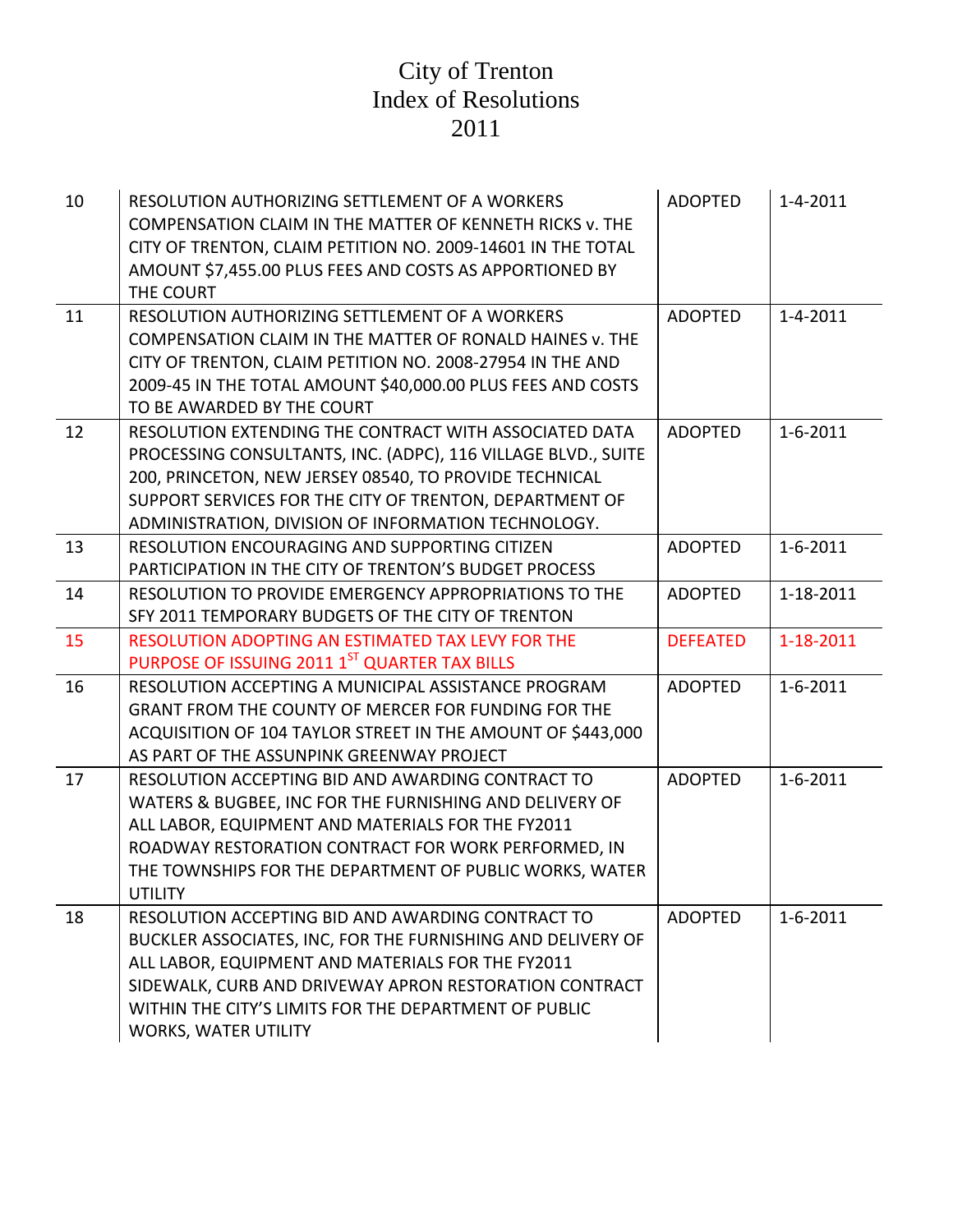| 10 | RESOLUTION AUTHORIZING SETTLEMENT OF A WORKERS<br>COMPENSATION CLAIM IN THE MATTER OF KENNETH RICKS v. THE<br>CITY OF TRENTON, CLAIM PETITION NO. 2009-14601 IN THE TOTAL<br>AMOUNT \$7,455.00 PLUS FEES AND COSTS AS APPORTIONED BY<br>THE COURT                                                                       | <b>ADOPTED</b>  | $1 - 4 - 2011$ |
|----|-------------------------------------------------------------------------------------------------------------------------------------------------------------------------------------------------------------------------------------------------------------------------------------------------------------------------|-----------------|----------------|
| 11 | RESOLUTION AUTHORIZING SETTLEMENT OF A WORKERS<br>COMPENSATION CLAIM IN THE MATTER OF RONALD HAINES v. THE<br>CITY OF TRENTON, CLAIM PETITION NO. 2008-27954 IN THE AND<br>2009-45 IN THE TOTAL AMOUNT \$40,000.00 PLUS FEES AND COSTS<br>TO BE AWARDED BY THE COURT                                                    | <b>ADOPTED</b>  | $1 - 4 - 2011$ |
| 12 | RESOLUTION EXTENDING THE CONTRACT WITH ASSOCIATED DATA<br>PROCESSING CONSULTANTS, INC. (ADPC), 116 VILLAGE BLVD., SUITE<br>200, PRINCETON, NEW JERSEY 08540, TO PROVIDE TECHNICAL<br>SUPPORT SERVICES FOR THE CITY OF TRENTON, DEPARTMENT OF<br>ADMINISTRATION, DIVISION OF INFORMATION TECHNOLOGY.                     | <b>ADOPTED</b>  | $1 - 6 - 2011$ |
| 13 | RESOLUTION ENCOURAGING AND SUPPORTING CITIZEN<br>PARTICIPATION IN THE CITY OF TRENTON'S BUDGET PROCESS                                                                                                                                                                                                                  | <b>ADOPTED</b>  | $1 - 6 - 2011$ |
| 14 | RESOLUTION TO PROVIDE EMERGENCY APPROPRIATIONS TO THE<br>SFY 2011 TEMPORARY BUDGETS OF THE CITY OF TRENTON                                                                                                                                                                                                              | <b>ADOPTED</b>  | 1-18-2011      |
| 15 | RESOLUTION ADOPTING AN ESTIMATED TAX LEVY FOR THE<br>PURPOSE OF ISSUING 2011 1ST QUARTER TAX BILLS                                                                                                                                                                                                                      | <b>DEFEATED</b> | 1-18-2011      |
| 16 | RESOLUTION ACCEPTING A MUNICIPAL ASSISTANCE PROGRAM<br>GRANT FROM THE COUNTY OF MERCER FOR FUNDING FOR THE<br>ACQUISITION OF 104 TAYLOR STREET IN THE AMOUNT OF \$443,000<br>AS PART OF THE ASSUNPINK GREENWAY PROJECT                                                                                                  | <b>ADOPTED</b>  | $1 - 6 - 2011$ |
| 17 | RESOLUTION ACCEPTING BID AND AWARDING CONTRACT TO<br>WATERS & BUGBEE, INC FOR THE FURNISHING AND DELIVERY OF<br>ALL LABOR, EQUIPMENT AND MATERIALS FOR THE FY2011<br>ROADWAY RESTORATION CONTRACT FOR WORK PERFORMED, IN<br>THE TOWNSHIPS FOR THE DEPARTMENT OF PUBLIC WORKS, WATER<br><b>UTILITY</b>                   | <b>ADOPTED</b>  | $1 - 6 - 2011$ |
| 18 | RESOLUTION ACCEPTING BID AND AWARDING CONTRACT TO<br>BUCKLER ASSOCIATES, INC, FOR THE FURNISHING AND DELIVERY OF<br>ALL LABOR, EQUIPMENT AND MATERIALS FOR THE FY2011<br>SIDEWALK, CURB AND DRIVEWAY APRON RESTORATION CONTRACT<br>WITHIN THE CITY'S LIMITS FOR THE DEPARTMENT OF PUBLIC<br><b>WORKS, WATER UTILITY</b> | <b>ADOPTED</b>  | $1 - 6 - 2011$ |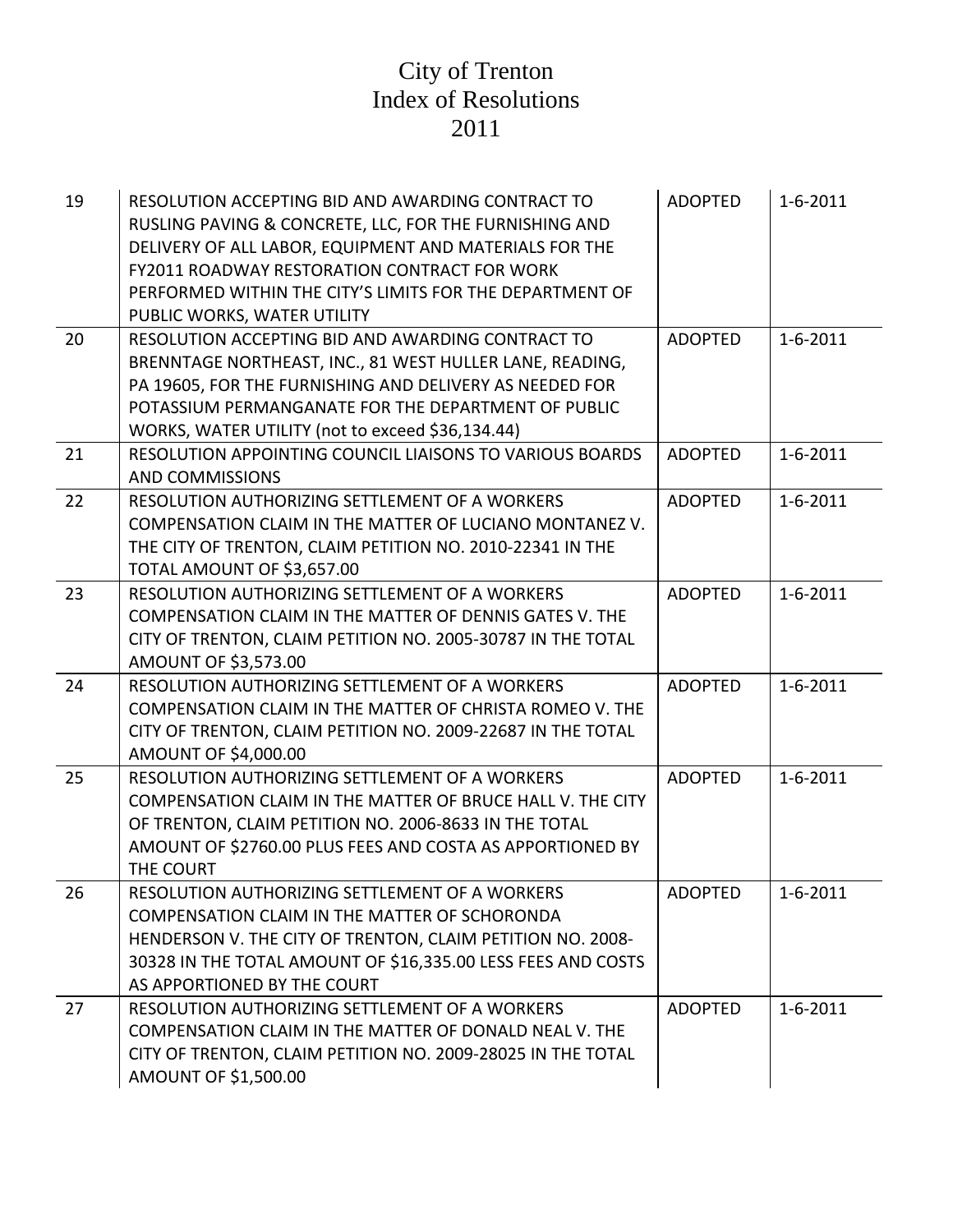| 19 | RESOLUTION ACCEPTING BID AND AWARDING CONTRACT TO<br>RUSLING PAVING & CONCRETE, LLC, FOR THE FURNISHING AND<br>DELIVERY OF ALL LABOR, EQUIPMENT AND MATERIALS FOR THE<br><b>FY2011 ROADWAY RESTORATION CONTRACT FOR WORK</b><br>PERFORMED WITHIN THE CITY'S LIMITS FOR THE DEPARTMENT OF<br>PUBLIC WORKS, WATER UTILITY | <b>ADOPTED</b> | $1 - 6 - 2011$ |
|----|-------------------------------------------------------------------------------------------------------------------------------------------------------------------------------------------------------------------------------------------------------------------------------------------------------------------------|----------------|----------------|
| 20 | RESOLUTION ACCEPTING BID AND AWARDING CONTRACT TO<br>BRENNTAGE NORTHEAST, INC., 81 WEST HULLER LANE, READING,<br>PA 19605, FOR THE FURNISHING AND DELIVERY AS NEEDED FOR<br>POTASSIUM PERMANGANATE FOR THE DEPARTMENT OF PUBLIC<br>WORKS, WATER UTILITY (not to exceed \$36,134.44)                                     | <b>ADOPTED</b> | $1 - 6 - 2011$ |
| 21 | RESOLUTION APPOINTING COUNCIL LIAISONS TO VARIOUS BOARDS<br><b>AND COMMISSIONS</b>                                                                                                                                                                                                                                      | <b>ADOPTED</b> | $1 - 6 - 2011$ |
| 22 | RESOLUTION AUTHORIZING SETTLEMENT OF A WORKERS<br>COMPENSATION CLAIM IN THE MATTER OF LUCIANO MONTANEZ V.<br>THE CITY OF TRENTON, CLAIM PETITION NO. 2010-22341 IN THE<br>TOTAL AMOUNT OF \$3,657.00                                                                                                                    | <b>ADOPTED</b> | $1 - 6 - 2011$ |
| 23 | RESOLUTION AUTHORIZING SETTLEMENT OF A WORKERS<br>COMPENSATION CLAIM IN THE MATTER OF DENNIS GATES V. THE<br>CITY OF TRENTON, CLAIM PETITION NO. 2005-30787 IN THE TOTAL<br>AMOUNT OF \$3,573.00                                                                                                                        | <b>ADOPTED</b> | $1 - 6 - 2011$ |
| 24 | RESOLUTION AUTHORIZING SETTLEMENT OF A WORKERS<br>COMPENSATION CLAIM IN THE MATTER OF CHRISTA ROMEO V. THE<br>CITY OF TRENTON, CLAIM PETITION NO. 2009-22687 IN THE TOTAL<br>AMOUNT OF \$4,000.00                                                                                                                       | <b>ADOPTED</b> | $1 - 6 - 2011$ |
| 25 | RESOLUTION AUTHORIZING SETTLEMENT OF A WORKERS<br>COMPENSATION CLAIM IN THE MATTER OF BRUCE HALL V. THE CITY<br>OF TRENTON, CLAIM PETITION NO. 2006-8633 IN THE TOTAL<br>AMOUNT OF \$2760.00 PLUS FEES AND COSTA AS APPORTIONED BY<br>THE COURT                                                                         | <b>ADOPTED</b> | $1 - 6 - 2011$ |
| 26 | RESOLUTION AUTHORIZING SETTLEMENT OF A WORKERS<br>COMPENSATION CLAIM IN THE MATTER OF SCHORONDA<br>HENDERSON V. THE CITY OF TRENTON, CLAIM PETITION NO. 2008-<br>30328 IN THE TOTAL AMOUNT OF \$16,335.00 LESS FEES AND COSTS<br>AS APPORTIONED BY THE COURT                                                            | <b>ADOPTED</b> | $1 - 6 - 2011$ |
| 27 | RESOLUTION AUTHORIZING SETTLEMENT OF A WORKERS<br>COMPENSATION CLAIM IN THE MATTER OF DONALD NEAL V. THE<br>CITY OF TRENTON, CLAIM PETITION NO. 2009-28025 IN THE TOTAL<br>AMOUNT OF \$1,500.00                                                                                                                         | <b>ADOPTED</b> | $1 - 6 - 2011$ |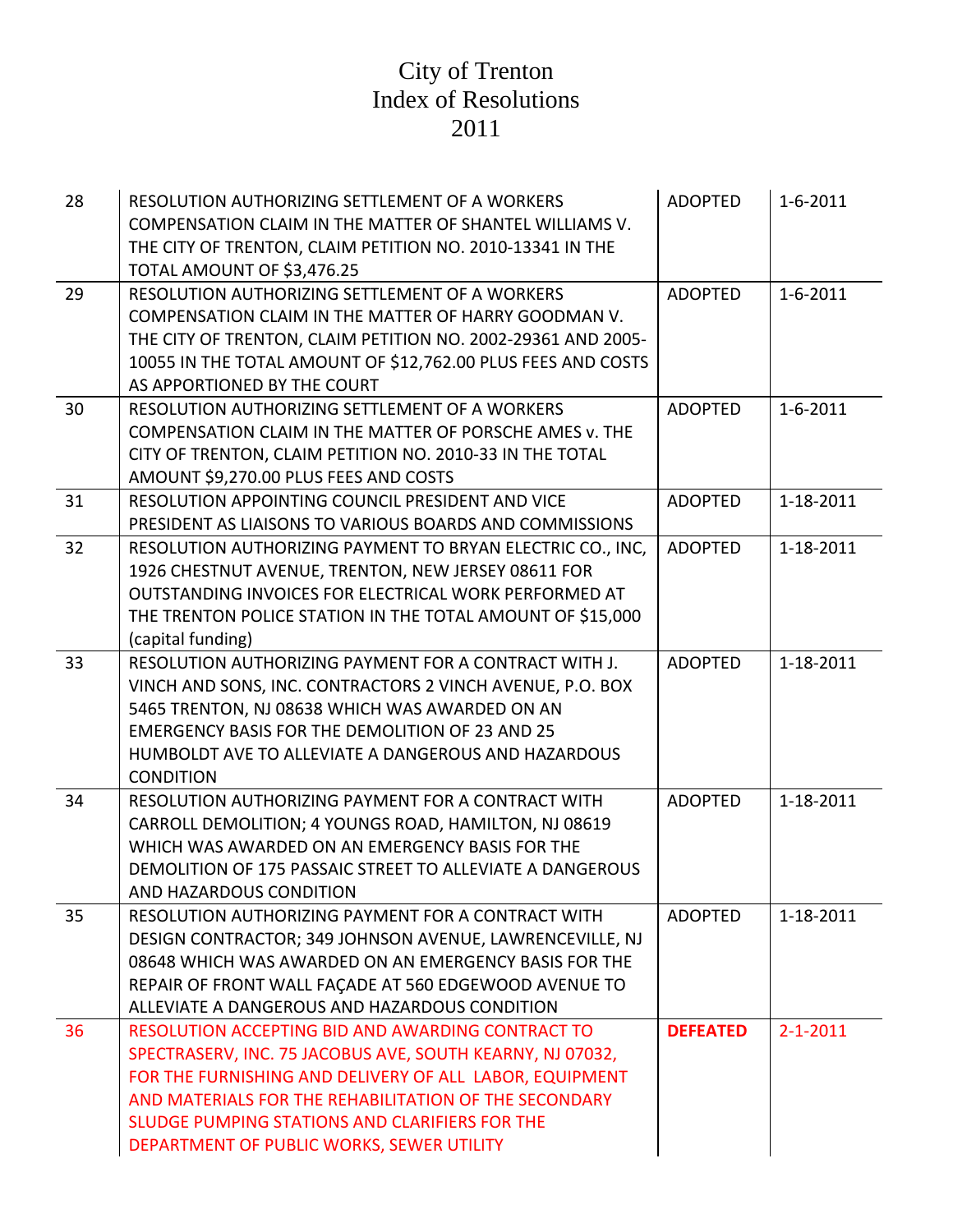| 28 | RESOLUTION AUTHORIZING SETTLEMENT OF A WORKERS<br>COMPENSATION CLAIM IN THE MATTER OF SHANTEL WILLIAMS V.<br>THE CITY OF TRENTON, CLAIM PETITION NO. 2010-13341 IN THE<br>TOTAL AMOUNT OF \$3,476.25                                                                                                                              | <b>ADOPTED</b>  | $1 - 6 - 2011$ |
|----|-----------------------------------------------------------------------------------------------------------------------------------------------------------------------------------------------------------------------------------------------------------------------------------------------------------------------------------|-----------------|----------------|
| 29 | RESOLUTION AUTHORIZING SETTLEMENT OF A WORKERS<br>COMPENSATION CLAIM IN THE MATTER OF HARRY GOODMAN V.<br>THE CITY OF TRENTON, CLAIM PETITION NO. 2002-29361 AND 2005-<br>10055 IN THE TOTAL AMOUNT OF \$12,762.00 PLUS FEES AND COSTS<br>AS APPORTIONED BY THE COURT                                                             | <b>ADOPTED</b>  | $1 - 6 - 2011$ |
| 30 | RESOLUTION AUTHORIZING SETTLEMENT OF A WORKERS<br>COMPENSATION CLAIM IN THE MATTER OF PORSCHE AMES v. THE<br>CITY OF TRENTON, CLAIM PETITION NO. 2010-33 IN THE TOTAL<br>AMOUNT \$9,270.00 PLUS FEES AND COSTS                                                                                                                    | <b>ADOPTED</b>  | $1 - 6 - 2011$ |
| 31 | RESOLUTION APPOINTING COUNCIL PRESIDENT AND VICE<br>PRESIDENT AS LIAISONS TO VARIOUS BOARDS AND COMMISSIONS                                                                                                                                                                                                                       | <b>ADOPTED</b>  | 1-18-2011      |
| 32 | RESOLUTION AUTHORIZING PAYMENT TO BRYAN ELECTRIC CO., INC,<br>1926 CHESTNUT AVENUE, TRENTON, NEW JERSEY 08611 FOR<br>OUTSTANDING INVOICES FOR ELECTRICAL WORK PERFORMED AT<br>THE TRENTON POLICE STATION IN THE TOTAL AMOUNT OF \$15,000<br>(capital funding)                                                                     | <b>ADOPTED</b>  | 1-18-2011      |
| 33 | RESOLUTION AUTHORIZING PAYMENT FOR A CONTRACT WITH J.<br>VINCH AND SONS, INC. CONTRACTORS 2 VINCH AVENUE, P.O. BOX<br>5465 TRENTON, NJ 08638 WHICH WAS AWARDED ON AN<br><b>EMERGENCY BASIS FOR THE DEMOLITION OF 23 AND 25</b><br>HUMBOLDT AVE TO ALLEVIATE A DANGEROUS AND HAZARDOUS<br><b>CONDITION</b>                         | <b>ADOPTED</b>  | 1-18-2011      |
| 34 | RESOLUTION AUTHORIZING PAYMENT FOR A CONTRACT WITH<br>CARROLL DEMOLITION; 4 YOUNGS ROAD, HAMILTON, NJ 08619<br>WHICH WAS AWARDED ON AN EMERGENCY BASIS FOR THE<br>DEMOLITION OF 175 PASSAIC STREET TO ALLEVIATE A DANGEROUS<br>AND HAZARDOUS CONDITION                                                                            | <b>ADOPTED</b>  | 1-18-2011      |
| 35 | RESOLUTION AUTHORIZING PAYMENT FOR A CONTRACT WITH<br>DESIGN CONTRACTOR; 349 JOHNSON AVENUE, LAWRENCEVILLE, NJ<br>08648 WHICH WAS AWARDED ON AN EMERGENCY BASIS FOR THE<br>REPAIR OF FRONT WALL FAÇADE AT 560 EDGEWOOD AVENUE TO<br>ALLEVIATE A DANGEROUS AND HAZARDOUS CONDITION                                                 | <b>ADOPTED</b>  | 1-18-2011      |
| 36 | RESOLUTION ACCEPTING BID AND AWARDING CONTRACT TO<br>SPECTRASERV, INC. 75 JACOBUS AVE, SOUTH KEARNY, NJ 07032,<br>FOR THE FURNISHING AND DELIVERY OF ALL LABOR, EQUIPMENT<br>AND MATERIALS FOR THE REHABILITATION OF THE SECONDARY<br>SLUDGE PUMPING STATIONS AND CLARIFIERS FOR THE<br>DEPARTMENT OF PUBLIC WORKS, SEWER UTILITY | <b>DEFEATED</b> | $2 - 1 - 2011$ |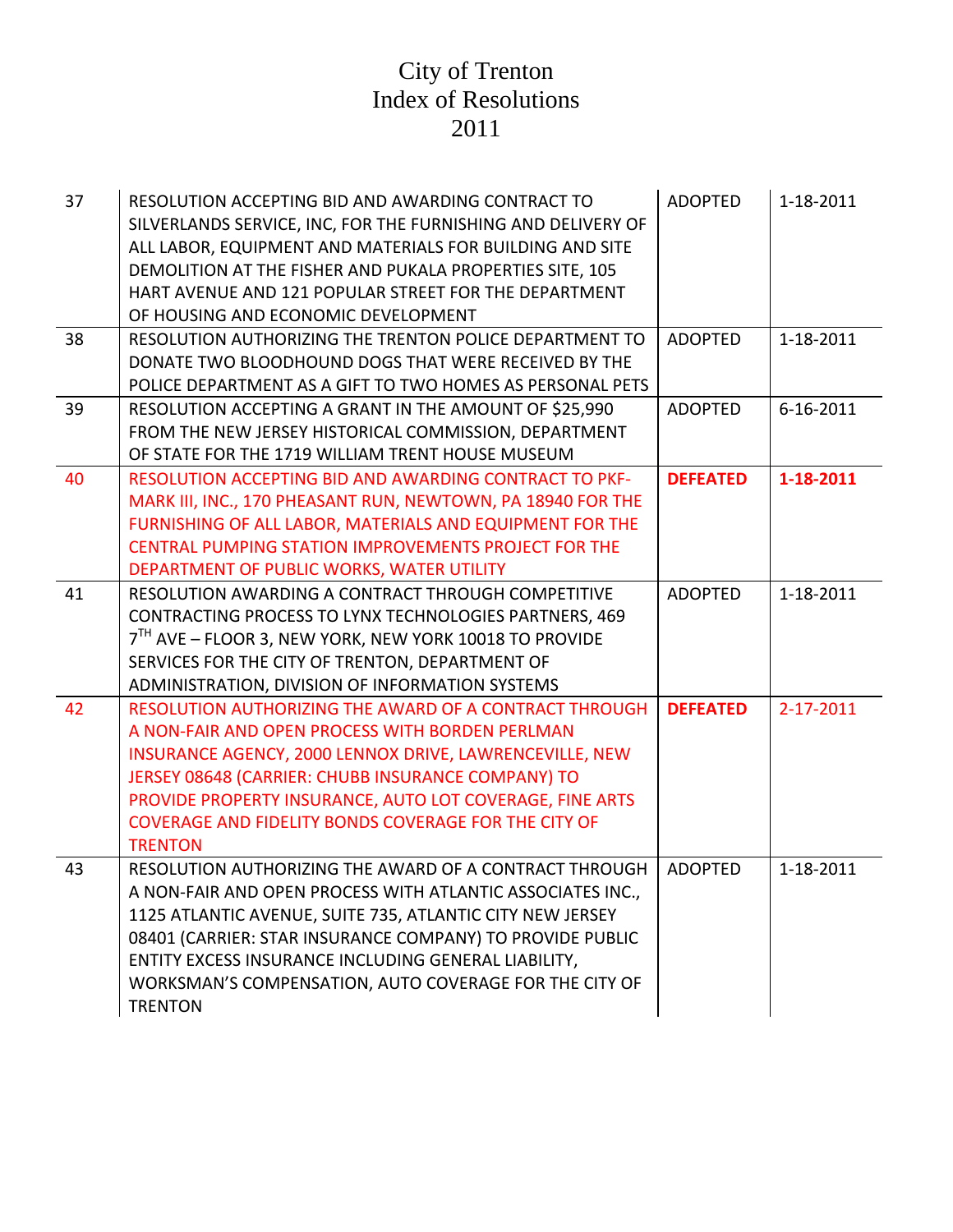| 37 | RESOLUTION ACCEPTING BID AND AWARDING CONTRACT TO<br>SILVERLANDS SERVICE, INC, FOR THE FURNISHING AND DELIVERY OF<br>ALL LABOR, EQUIPMENT AND MATERIALS FOR BUILDING AND SITE<br>DEMOLITION AT THE FISHER AND PUKALA PROPERTIES SITE, 105<br>HART AVENUE AND 121 POPULAR STREET FOR THE DEPARTMENT<br>OF HOUSING AND ECONOMIC DEVELOPMENT | <b>ADOPTED</b>  | 1-18-2011 |
|----|-------------------------------------------------------------------------------------------------------------------------------------------------------------------------------------------------------------------------------------------------------------------------------------------------------------------------------------------|-----------------|-----------|
| 38 | RESOLUTION AUTHORIZING THE TRENTON POLICE DEPARTMENT TO                                                                                                                                                                                                                                                                                   | <b>ADOPTED</b>  | 1-18-2011 |
|    | DONATE TWO BLOODHOUND DOGS THAT WERE RECEIVED BY THE                                                                                                                                                                                                                                                                                      |                 |           |
|    | POLICE DEPARTMENT AS A GIFT TO TWO HOMES AS PERSONAL PETS                                                                                                                                                                                                                                                                                 |                 |           |
| 39 | RESOLUTION ACCEPTING A GRANT IN THE AMOUNT OF \$25,990                                                                                                                                                                                                                                                                                    | <b>ADOPTED</b>  | 6-16-2011 |
|    | FROM THE NEW JERSEY HISTORICAL COMMISSION, DEPARTMENT                                                                                                                                                                                                                                                                                     |                 |           |
|    | OF STATE FOR THE 1719 WILLIAM TRENT HOUSE MUSEUM                                                                                                                                                                                                                                                                                          |                 |           |
| 40 | <b>RESOLUTION ACCEPTING BID AND AWARDING CONTRACT TO PKF-</b>                                                                                                                                                                                                                                                                             | <b>DEFEATED</b> | 1-18-2011 |
|    | MARK III, INC., 170 PHEASANT RUN, NEWTOWN, PA 18940 FOR THE                                                                                                                                                                                                                                                                               |                 |           |
|    | FURNISHING OF ALL LABOR, MATERIALS AND EQUIPMENT FOR THE                                                                                                                                                                                                                                                                                  |                 |           |
|    | CENTRAL PUMPING STATION IMPROVEMENTS PROJECT FOR THE                                                                                                                                                                                                                                                                                      |                 |           |
|    | DEPARTMENT OF PUBLIC WORKS, WATER UTILITY                                                                                                                                                                                                                                                                                                 |                 |           |
| 41 | RESOLUTION AWARDING A CONTRACT THROUGH COMPETITIVE                                                                                                                                                                                                                                                                                        | <b>ADOPTED</b>  | 1-18-2011 |
|    | CONTRACTING PROCESS TO LYNX TECHNOLOGIES PARTNERS, 469                                                                                                                                                                                                                                                                                    |                 |           |
|    | 7 <sup>TH</sup> AVE - FLOOR 3, NEW YORK, NEW YORK 10018 TO PROVIDE                                                                                                                                                                                                                                                                        |                 |           |
|    | SERVICES FOR THE CITY OF TRENTON, DEPARTMENT OF                                                                                                                                                                                                                                                                                           |                 |           |
|    | ADMINISTRATION, DIVISION OF INFORMATION SYSTEMS                                                                                                                                                                                                                                                                                           |                 |           |
| 42 | RESOLUTION AUTHORIZING THE AWARD OF A CONTRACT THROUGH                                                                                                                                                                                                                                                                                    | <b>DEFEATED</b> | 2-17-2011 |
|    | A NON-FAIR AND OPEN PROCESS WITH BORDEN PERLMAN                                                                                                                                                                                                                                                                                           |                 |           |
|    | INSURANCE AGENCY, 2000 LENNOX DRIVE, LAWRENCEVILLE, NEW                                                                                                                                                                                                                                                                                   |                 |           |
|    | JERSEY 08648 (CARRIER: CHUBB INSURANCE COMPANY) TO                                                                                                                                                                                                                                                                                        |                 |           |
|    | PROVIDE PROPERTY INSURANCE, AUTO LOT COVERAGE, FINE ARTS                                                                                                                                                                                                                                                                                  |                 |           |
|    | <b>COVERAGE AND FIDELITY BONDS COVERAGE FOR THE CITY OF</b>                                                                                                                                                                                                                                                                               |                 |           |
|    | <b>TRENTON</b>                                                                                                                                                                                                                                                                                                                            |                 |           |
| 43 | RESOLUTION AUTHORIZING THE AWARD OF A CONTRACT THROUGH                                                                                                                                                                                                                                                                                    | <b>ADOPTED</b>  | 1-18-2011 |
|    | A NON-FAIR AND OPEN PROCESS WITH ATLANTIC ASSOCIATES INC.,                                                                                                                                                                                                                                                                                |                 |           |
|    | 1125 ATLANTIC AVENUE, SUITE 735, ATLANTIC CITY NEW JERSEY                                                                                                                                                                                                                                                                                 |                 |           |
|    | 08401 (CARRIER: STAR INSURANCE COMPANY) TO PROVIDE PUBLIC                                                                                                                                                                                                                                                                                 |                 |           |
|    | ENTITY EXCESS INSURANCE INCLUDING GENERAL LIABILITY,                                                                                                                                                                                                                                                                                      |                 |           |
|    | WORKSMAN'S COMPENSATION, AUTO COVERAGE FOR THE CITY OF                                                                                                                                                                                                                                                                                    |                 |           |
|    | <b>TRENTON</b>                                                                                                                                                                                                                                                                                                                            |                 |           |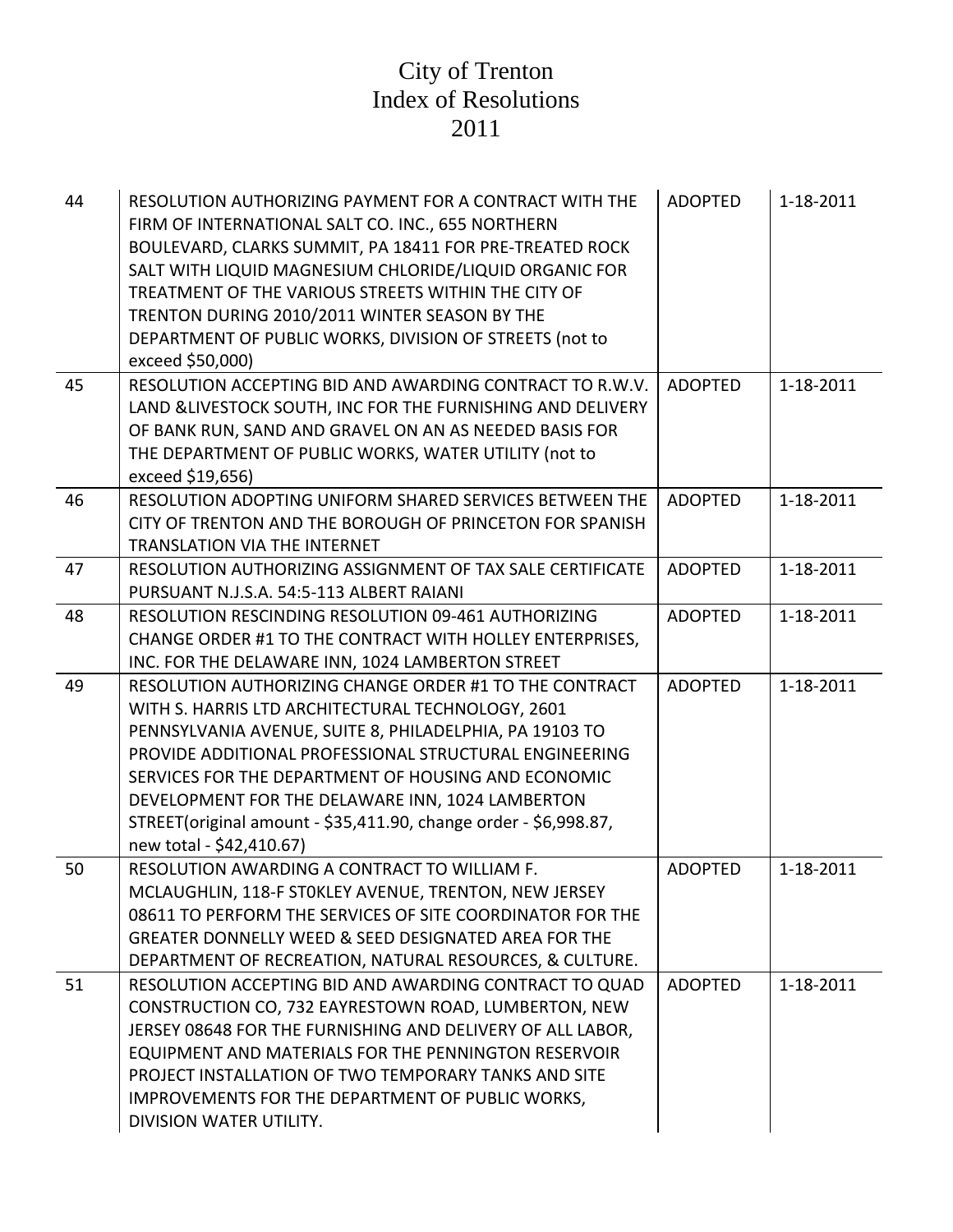| 44 | RESOLUTION AUTHORIZING PAYMENT FOR A CONTRACT WITH THE<br>FIRM OF INTERNATIONAL SALT CO. INC., 655 NORTHERN<br>BOULEVARD, CLARKS SUMMIT, PA 18411 FOR PRE-TREATED ROCK<br>SALT WITH LIQUID MAGNESIUM CHLORIDE/LIQUID ORGANIC FOR<br>TREATMENT OF THE VARIOUS STREETS WITHIN THE CITY OF<br>TRENTON DURING 2010/2011 WINTER SEASON BY THE<br>DEPARTMENT OF PUBLIC WORKS, DIVISION OF STREETS (not to<br>exceed \$50,000)                     | <b>ADOPTED</b> | 1-18-2011 |
|----|---------------------------------------------------------------------------------------------------------------------------------------------------------------------------------------------------------------------------------------------------------------------------------------------------------------------------------------------------------------------------------------------------------------------------------------------|----------------|-----------|
| 45 | RESOLUTION ACCEPTING BID AND AWARDING CONTRACT TO R.W.V.<br>LAND & LIVESTOCK SOUTH, INC FOR THE FURNISHING AND DELIVERY<br>OF BANK RUN, SAND AND GRAVEL ON AN AS NEEDED BASIS FOR<br>THE DEPARTMENT OF PUBLIC WORKS, WATER UTILITY (not to<br>exceed \$19,656)                                                                                                                                                                              | <b>ADOPTED</b> | 1-18-2011 |
| 46 | RESOLUTION ADOPTING UNIFORM SHARED SERVICES BETWEEN THE<br>CITY OF TRENTON AND THE BOROUGH OF PRINCETON FOR SPANISH<br><b>TRANSLATION VIA THE INTERNET</b>                                                                                                                                                                                                                                                                                  | <b>ADOPTED</b> | 1-18-2011 |
| 47 | RESOLUTION AUTHORIZING ASSIGNMENT OF TAX SALE CERTIFICATE<br>PURSUANT N.J.S.A. 54:5-113 ALBERT RAIANI                                                                                                                                                                                                                                                                                                                                       | <b>ADOPTED</b> | 1-18-2011 |
| 48 | RESOLUTION RESCINDING RESOLUTION 09-461 AUTHORIZING<br>CHANGE ORDER #1 TO THE CONTRACT WITH HOLLEY ENTERPRISES,<br>INC. FOR THE DELAWARE INN, 1024 LAMBERTON STREET                                                                                                                                                                                                                                                                         | <b>ADOPTED</b> | 1-18-2011 |
| 49 | RESOLUTION AUTHORIZING CHANGE ORDER #1 TO THE CONTRACT<br>WITH S. HARRIS LTD ARCHITECTURAL TECHNOLOGY, 2601<br>PENNSYLVANIA AVENUE, SUITE 8, PHILADELPHIA, PA 19103 TO<br>PROVIDE ADDITIONAL PROFESSIONAL STRUCTURAL ENGINEERING<br>SERVICES FOR THE DEPARTMENT OF HOUSING AND ECONOMIC<br>DEVELOPMENT FOR THE DELAWARE INN, 1024 LAMBERTON<br>STREET(original amount - \$35,411.90, change order - \$6,998.87,<br>new total - \$42,410.67) | <b>ADOPTED</b> | 1-18-2011 |
| 50 | RESOLUTION AWARDING A CONTRACT TO WILLIAM F.<br>MCLAUGHLIN, 118-F STOKLEY AVENUE, TRENTON, NEW JERSEY<br>08611 TO PERFORM THE SERVICES OF SITE COORDINATOR FOR THE<br>GREATER DONNELLY WEED & SEED DESIGNATED AREA FOR THE<br>DEPARTMENT OF RECREATION, NATURAL RESOURCES, & CULTURE.                                                                                                                                                       | <b>ADOPTED</b> | 1-18-2011 |
| 51 | RESOLUTION ACCEPTING BID AND AWARDING CONTRACT TO QUAD<br>CONSTRUCTION CO, 732 EAYRESTOWN ROAD, LUMBERTON, NEW<br>JERSEY 08648 FOR THE FURNISHING AND DELIVERY OF ALL LABOR,<br>EQUIPMENT AND MATERIALS FOR THE PENNINGTON RESERVOIR<br>PROJECT INSTALLATION OF TWO TEMPORARY TANKS AND SITE<br>IMPROVEMENTS FOR THE DEPARTMENT OF PUBLIC WORKS,<br>DIVISION WATER UTILITY.                                                                 | <b>ADOPTED</b> | 1-18-2011 |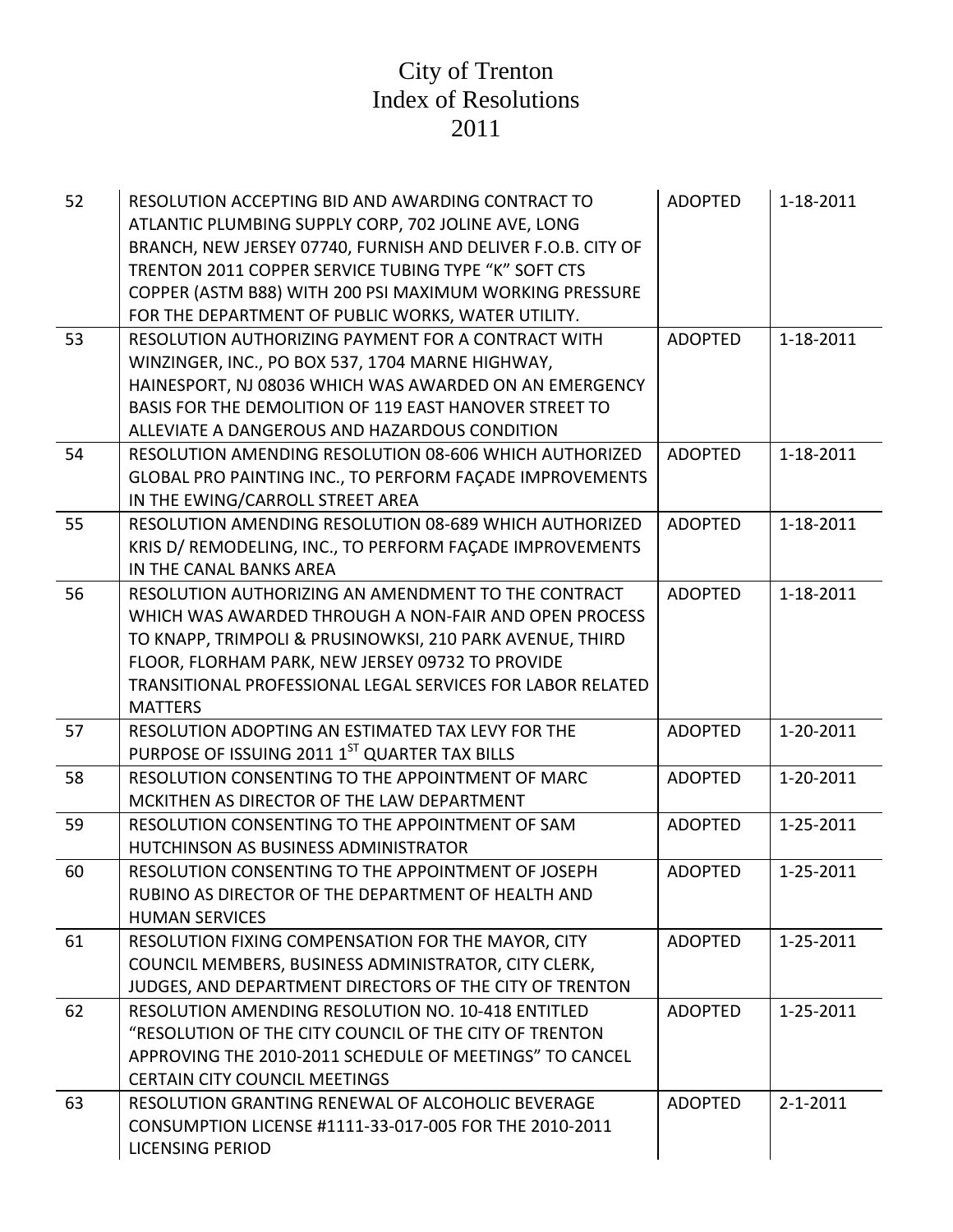| 52 | RESOLUTION ACCEPTING BID AND AWARDING CONTRACT TO             | <b>ADOPTED</b> | 1-18-2011      |
|----|---------------------------------------------------------------|----------------|----------------|
|    | ATLANTIC PLUMBING SUPPLY CORP, 702 JOLINE AVE, LONG           |                |                |
|    | BRANCH, NEW JERSEY 07740, FURNISH AND DELIVER F.O.B. CITY OF  |                |                |
|    | TRENTON 2011 COPPER SERVICE TUBING TYPE "K" SOFT CTS          |                |                |
|    | COPPER (ASTM B88) WITH 200 PSI MAXIMUM WORKING PRESSURE       |                |                |
|    | FOR THE DEPARTMENT OF PUBLIC WORKS, WATER UTILITY.            |                |                |
| 53 | RESOLUTION AUTHORIZING PAYMENT FOR A CONTRACT WITH            | <b>ADOPTED</b> | 1-18-2011      |
|    | WINZINGER, INC., PO BOX 537, 1704 MARNE HIGHWAY,              |                |                |
|    | HAINESPORT, NJ 08036 WHICH WAS AWARDED ON AN EMERGENCY        |                |                |
|    | BASIS FOR THE DEMOLITION OF 119 EAST HANOVER STREET TO        |                |                |
|    | ALLEVIATE A DANGEROUS AND HAZARDOUS CONDITION                 |                |                |
| 54 | RESOLUTION AMENDING RESOLUTION 08-606 WHICH AUTHORIZED        | <b>ADOPTED</b> | 1-18-2011      |
|    | GLOBAL PRO PAINTING INC., TO PERFORM FAÇADE IMPROVEMENTS      |                |                |
|    | IN THE EWING/CARROLL STREET AREA                              |                |                |
| 55 | <b>RESOLUTION AMENDING RESOLUTION 08-689 WHICH AUTHORIZED</b> | <b>ADOPTED</b> | 1-18-2011      |
|    | KRIS D/ REMODELING, INC., TO PERFORM FACADE IMPROVEMENTS      |                |                |
|    | IN THE CANAL BANKS AREA                                       |                |                |
| 56 | RESOLUTION AUTHORIZING AN AMENDMENT TO THE CONTRACT           | <b>ADOPTED</b> | 1-18-2011      |
|    | WHICH WAS AWARDED THROUGH A NON-FAIR AND OPEN PROCESS         |                |                |
|    | TO KNAPP, TRIMPOLI & PRUSINOWKSI, 210 PARK AVENUE, THIRD      |                |                |
|    | FLOOR, FLORHAM PARK, NEW JERSEY 09732 TO PROVIDE              |                |                |
|    | TRANSITIONAL PROFESSIONAL LEGAL SERVICES FOR LABOR RELATED    |                |                |
|    | <b>MATTERS</b>                                                |                |                |
| 57 | RESOLUTION ADOPTING AN ESTIMATED TAX LEVY FOR THE             | <b>ADOPTED</b> | 1-20-2011      |
|    | PURPOSE OF ISSUING 2011 1ST QUARTER TAX BILLS                 |                |                |
| 58 | RESOLUTION CONSENTING TO THE APPOINTMENT OF MARC              | <b>ADOPTED</b> | 1-20-2011      |
|    | MCKITHEN AS DIRECTOR OF THE LAW DEPARTMENT                    |                |                |
| 59 | RESOLUTION CONSENTING TO THE APPOINTMENT OF SAM               | <b>ADOPTED</b> | 1-25-2011      |
|    | HUTCHINSON AS BUSINESS ADMINISTRATOR                          |                |                |
| 60 | RESOLUTION CONSENTING TO THE APPOINTMENT OF JOSEPH            | <b>ADOPTED</b> | 1-25-2011      |
|    | RUBINO AS DIRECTOR OF THE DEPARTMENT OF HEALTH AND            |                |                |
|    | <b>HUMAN SERVICES</b>                                         |                |                |
| 61 | RESOLUTION FIXING COMPENSATION FOR THE MAYOR, CITY            | <b>ADOPTED</b> | 1-25-2011      |
|    | COUNCIL MEMBERS, BUSINESS ADMINISTRATOR, CITY CLERK,          |                |                |
|    | JUDGES, AND DEPARTMENT DIRECTORS OF THE CITY OF TRENTON       |                |                |
| 62 | RESOLUTION AMENDING RESOLUTION NO. 10-418 ENTITLED            | <b>ADOPTED</b> | 1-25-2011      |
|    | "RESOLUTION OF THE CITY COUNCIL OF THE CITY OF TRENTON        |                |                |
|    | APPROVING THE 2010-2011 SCHEDULE OF MEETINGS" TO CANCEL       |                |                |
|    | <b>CERTAIN CITY COUNCIL MEETINGS</b>                          |                |                |
| 63 | RESOLUTION GRANTING RENEWAL OF ALCOHOLIC BEVERAGE             | <b>ADOPTED</b> | $2 - 1 - 2011$ |
|    | CONSUMPTION LICENSE #1111-33-017-005 FOR THE 2010-2011        |                |                |
|    | <b>LICENSING PERIOD</b>                                       |                |                |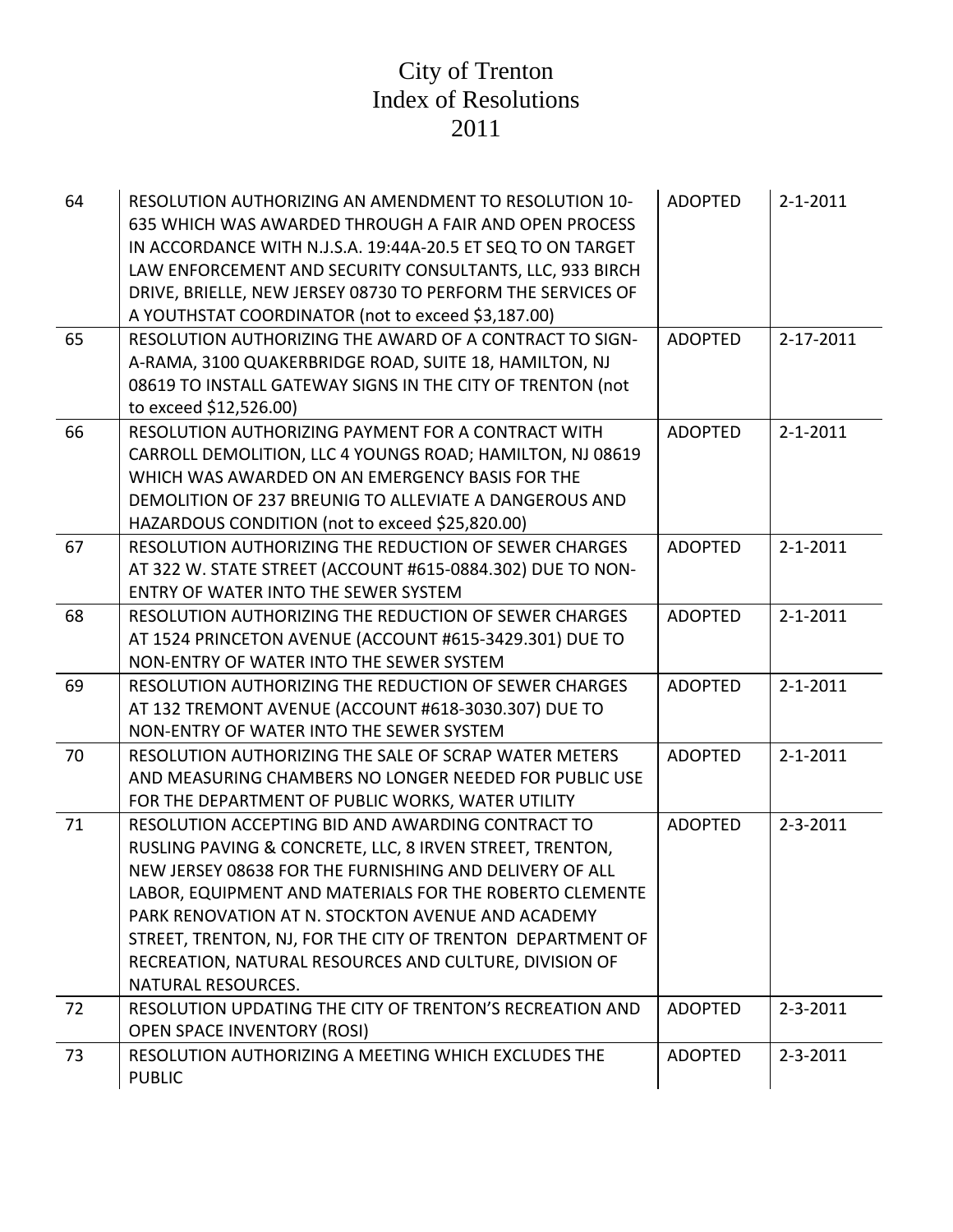| 64 | RESOLUTION AUTHORIZING AN AMENDMENT TO RESOLUTION 10-<br>635 WHICH WAS AWARDED THROUGH A FAIR AND OPEN PROCESS<br>IN ACCORDANCE WITH N.J.S.A. 19:44A-20.5 ET SEQ TO ON TARGET<br>LAW ENFORCEMENT AND SECURITY CONSULTANTS, LLC, 933 BIRCH<br>DRIVE, BRIELLE, NEW JERSEY 08730 TO PERFORM THE SERVICES OF<br>A YOUTHSTAT COORDINATOR (not to exceed \$3,187.00)                                                                         | <b>ADOPTED</b> | $2 - 1 - 2011$ |
|----|----------------------------------------------------------------------------------------------------------------------------------------------------------------------------------------------------------------------------------------------------------------------------------------------------------------------------------------------------------------------------------------------------------------------------------------|----------------|----------------|
| 65 | RESOLUTION AUTHORIZING THE AWARD OF A CONTRACT TO SIGN-<br>A-RAMA, 3100 QUAKERBRIDGE ROAD, SUITE 18, HAMILTON, NJ<br>08619 TO INSTALL GATEWAY SIGNS IN THE CITY OF TRENTON (not<br>to exceed \$12,526.00)                                                                                                                                                                                                                              | <b>ADOPTED</b> | 2-17-2011      |
| 66 | RESOLUTION AUTHORIZING PAYMENT FOR A CONTRACT WITH<br>CARROLL DEMOLITION, LLC 4 YOUNGS ROAD; HAMILTON, NJ 08619<br>WHICH WAS AWARDED ON AN EMERGENCY BASIS FOR THE<br>DEMOLITION OF 237 BREUNIG TO ALLEVIATE A DANGEROUS AND<br>HAZARDOUS CONDITION (not to exceed \$25,820.00)                                                                                                                                                        | <b>ADOPTED</b> | $2 - 1 - 2011$ |
| 67 | RESOLUTION AUTHORIZING THE REDUCTION OF SEWER CHARGES<br>AT 322 W. STATE STREET (ACCOUNT #615-0884.302) DUE TO NON-<br>ENTRY OF WATER INTO THE SEWER SYSTEM                                                                                                                                                                                                                                                                            | <b>ADOPTED</b> | $2 - 1 - 2011$ |
| 68 | RESOLUTION AUTHORIZING THE REDUCTION OF SEWER CHARGES<br>AT 1524 PRINCETON AVENUE (ACCOUNT #615-3429.301) DUE TO<br>NON-ENTRY OF WATER INTO THE SEWER SYSTEM                                                                                                                                                                                                                                                                           | <b>ADOPTED</b> | $2 - 1 - 2011$ |
| 69 | RESOLUTION AUTHORIZING THE REDUCTION OF SEWER CHARGES<br>AT 132 TREMONT AVENUE (ACCOUNT #618-3030.307) DUE TO<br>NON-ENTRY OF WATER INTO THE SEWER SYSTEM                                                                                                                                                                                                                                                                              | <b>ADOPTED</b> | $2 - 1 - 2011$ |
| 70 | RESOLUTION AUTHORIZING THE SALE OF SCRAP WATER METERS<br>AND MEASURING CHAMBERS NO LONGER NEEDED FOR PUBLIC USE<br>FOR THE DEPARTMENT OF PUBLIC WORKS, WATER UTILITY                                                                                                                                                                                                                                                                   | <b>ADOPTED</b> | $2 - 1 - 2011$ |
| 71 | RESOLUTION ACCEPTING BID AND AWARDING CONTRACT TO<br>RUSLING PAVING & CONCRETE, LLC, 8 IRVEN STREET, TRENTON,<br>NEW JERSEY 08638 FOR THE FURNISHING AND DELIVERY OF ALL<br>LABOR, EQUIPMENT AND MATERIALS FOR THE ROBERTO CLEMENTE<br>PARK RENOVATION AT N. STOCKTON AVENUE AND ACADEMY<br>STREET, TRENTON, NJ, FOR THE CITY OF TRENTON DEPARTMENT OF<br>RECREATION, NATURAL RESOURCES AND CULTURE, DIVISION OF<br>NATURAL RESOURCES. | <b>ADOPTED</b> | $2 - 3 - 2011$ |
| 72 | RESOLUTION UPDATING THE CITY OF TRENTON'S RECREATION AND<br><b>OPEN SPACE INVENTORY (ROSI)</b>                                                                                                                                                                                                                                                                                                                                         | <b>ADOPTED</b> | $2 - 3 - 2011$ |
| 73 | RESOLUTION AUTHORIZING A MEETING WHICH EXCLUDES THE<br><b>PUBLIC</b>                                                                                                                                                                                                                                                                                                                                                                   | <b>ADOPTED</b> | $2 - 3 - 2011$ |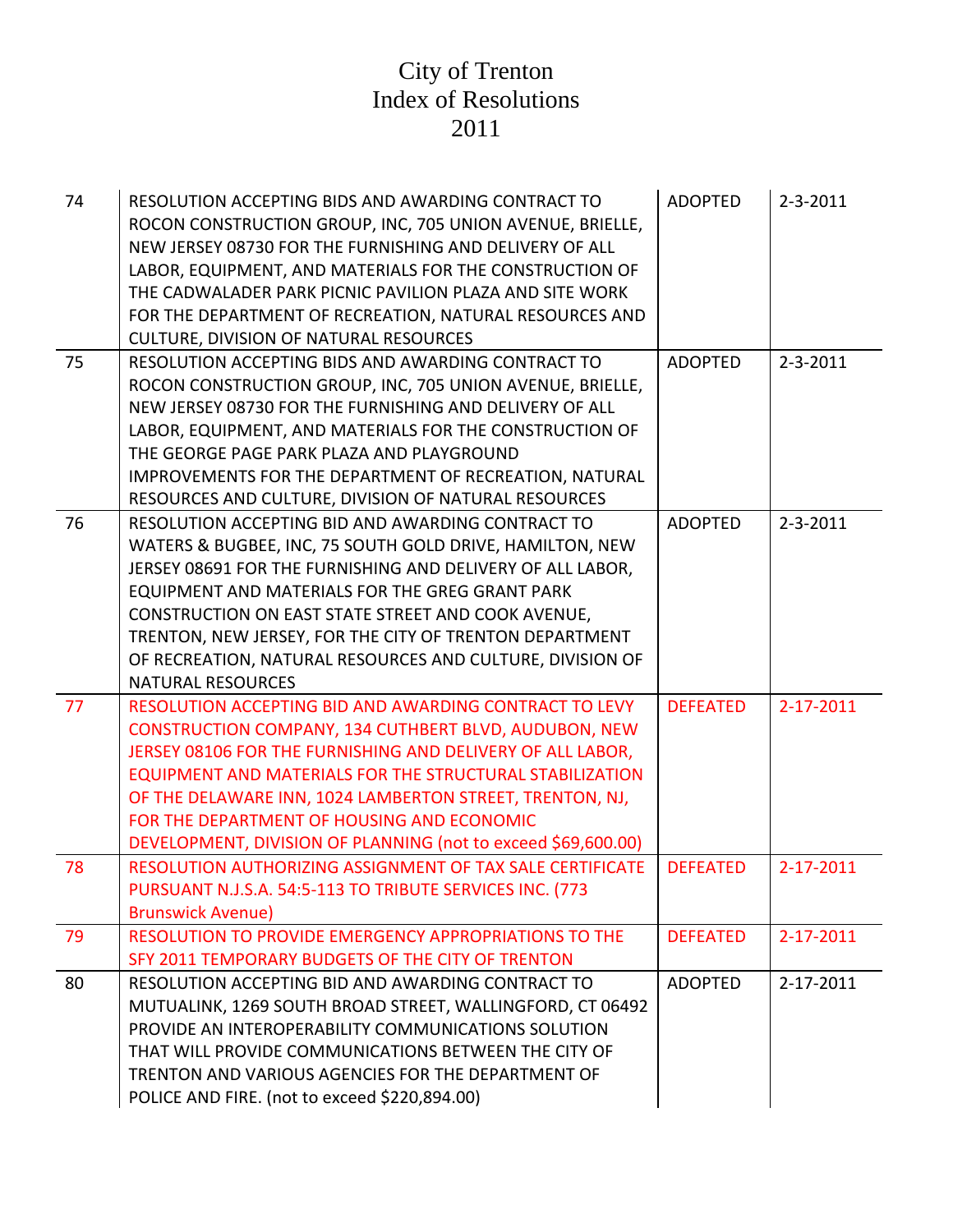| 74 | RESOLUTION ACCEPTING BIDS AND AWARDING CONTRACT TO<br>ROCON CONSTRUCTION GROUP, INC, 705 UNION AVENUE, BRIELLE,<br>NEW JERSEY 08730 FOR THE FURNISHING AND DELIVERY OF ALL<br>LABOR, EQUIPMENT, AND MATERIALS FOR THE CONSTRUCTION OF<br>THE CADWALADER PARK PICNIC PAVILION PLAZA AND SITE WORK<br>FOR THE DEPARTMENT OF RECREATION, NATURAL RESOURCES AND<br><b>CULTURE, DIVISION OF NATURAL RESOURCES</b>                             | <b>ADOPTED</b>  | $2 - 3 - 2011$ |
|----|------------------------------------------------------------------------------------------------------------------------------------------------------------------------------------------------------------------------------------------------------------------------------------------------------------------------------------------------------------------------------------------------------------------------------------------|-----------------|----------------|
| 75 | RESOLUTION ACCEPTING BIDS AND AWARDING CONTRACT TO<br>ROCON CONSTRUCTION GROUP, INC, 705 UNION AVENUE, BRIELLE,<br>NEW JERSEY 08730 FOR THE FURNISHING AND DELIVERY OF ALL<br>LABOR, EQUIPMENT, AND MATERIALS FOR THE CONSTRUCTION OF<br>THE GEORGE PAGE PARK PLAZA AND PLAYGROUND<br>IMPROVEMENTS FOR THE DEPARTMENT OF RECREATION, NATURAL<br>RESOURCES AND CULTURE, DIVISION OF NATURAL RESOURCES                                     | <b>ADOPTED</b>  | $2 - 3 - 2011$ |
| 76 | RESOLUTION ACCEPTING BID AND AWARDING CONTRACT TO<br>WATERS & BUGBEE, INC, 75 SOUTH GOLD DRIVE, HAMILTON, NEW<br>JERSEY 08691 FOR THE FURNISHING AND DELIVERY OF ALL LABOR,<br>EQUIPMENT AND MATERIALS FOR THE GREG GRANT PARK<br>CONSTRUCTION ON EAST STATE STREET AND COOK AVENUE,<br>TRENTON, NEW JERSEY, FOR THE CITY OF TRENTON DEPARTMENT<br>OF RECREATION, NATURAL RESOURCES AND CULTURE, DIVISION OF<br><b>NATURAL RESOURCES</b> | <b>ADOPTED</b>  | $2 - 3 - 2011$ |
| 77 | <b>RESOLUTION ACCEPTING BID AND AWARDING CONTRACT TO LEVY</b><br>CONSTRUCTION COMPANY, 134 CUTHBERT BLVD, AUDUBON, NEW<br>JERSEY 08106 FOR THE FURNISHING AND DELIVERY OF ALL LABOR,<br>EQUIPMENT AND MATERIALS FOR THE STRUCTURAL STABILIZATION<br>OF THE DELAWARE INN, 1024 LAMBERTON STREET, TRENTON, NJ,<br>FOR THE DEPARTMENT OF HOUSING AND ECONOMIC<br>DEVELOPMENT, DIVISION OF PLANNING (not to exceed \$69,600.00)              | <b>DEFEATED</b> | 2-17-2011      |
| 78 | RESOLUTION AUTHORIZING ASSIGNMENT OF TAX SALE CERTIFICATE<br>PURSUANT N.J.S.A. 54:5-113 TO TRIBUTE SERVICES INC. (773<br><b>Brunswick Avenue)</b>                                                                                                                                                                                                                                                                                        | <b>DEFEATED</b> | 2-17-2011      |
| 79 | RESOLUTION TO PROVIDE EMERGENCY APPROPRIATIONS TO THE<br>SFY 2011 TEMPORARY BUDGETS OF THE CITY OF TRENTON                                                                                                                                                                                                                                                                                                                               | <b>DEFEATED</b> | 2-17-2011      |
| 80 | RESOLUTION ACCEPTING BID AND AWARDING CONTRACT TO<br>MUTUALINK, 1269 SOUTH BROAD STREET, WALLINGFORD, CT 06492<br>PROVIDE AN INTEROPERABILITY COMMUNICATIONS SOLUTION<br>THAT WILL PROVIDE COMMUNICATIONS BETWEEN THE CITY OF<br>TRENTON AND VARIOUS AGENCIES FOR THE DEPARTMENT OF<br>POLICE AND FIRE. (not to exceed \$220,894.00)                                                                                                     | <b>ADOPTED</b>  | 2-17-2011      |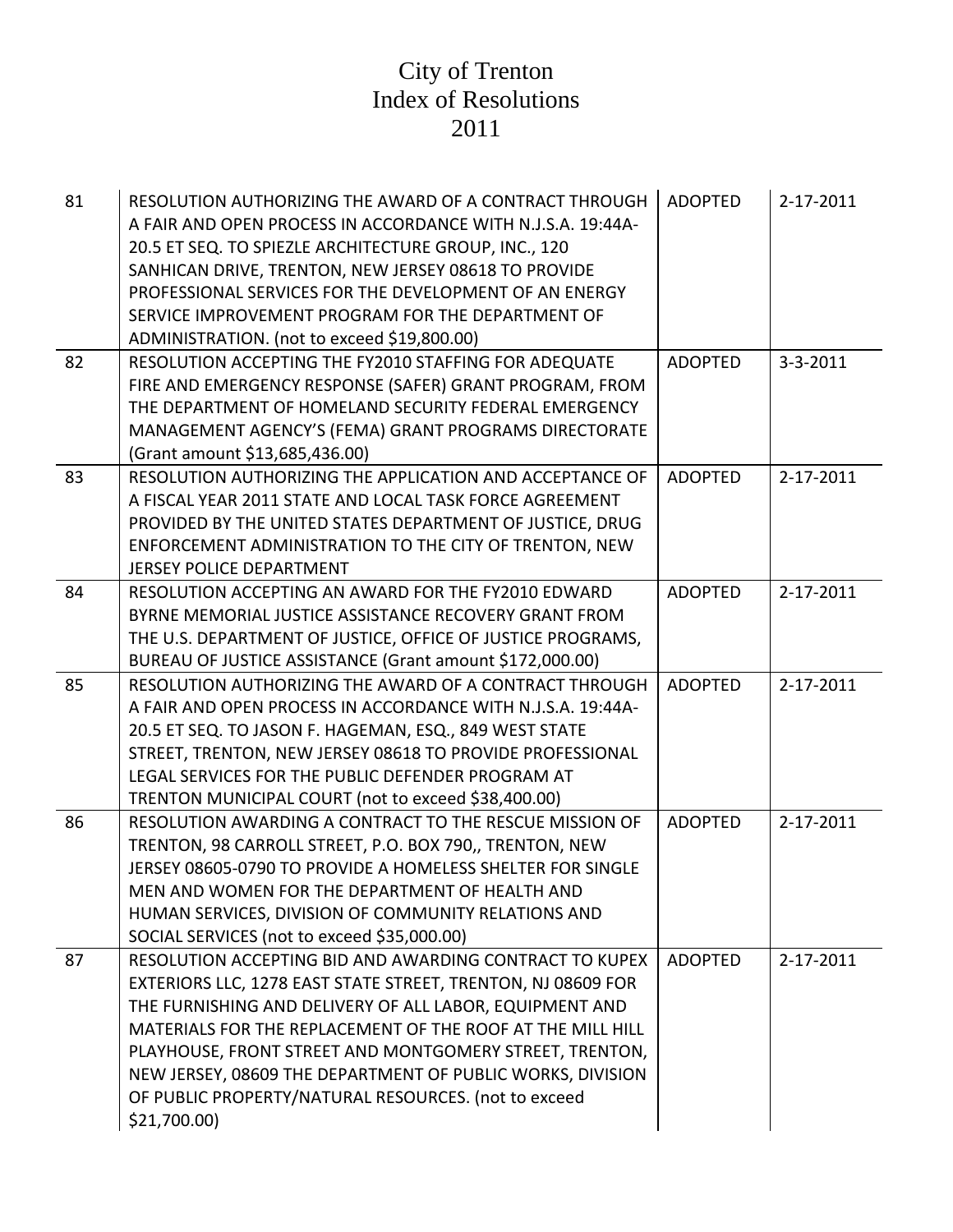| 81 | RESOLUTION AUTHORIZING THE AWARD OF A CONTRACT THROUGH<br>A FAIR AND OPEN PROCESS IN ACCORDANCE WITH N.J.S.A. 19:44A-<br>20.5 ET SEQ. TO SPIEZLE ARCHITECTURE GROUP, INC., 120<br>SANHICAN DRIVE, TRENTON, NEW JERSEY 08618 TO PROVIDE<br>PROFESSIONAL SERVICES FOR THE DEVELOPMENT OF AN ENERGY<br>SERVICE IMPROVEMENT PROGRAM FOR THE DEPARTMENT OF<br>ADMINISTRATION. (not to exceed \$19,800.00)                                                | <b>ADOPTED</b> | 2-17-2011      |
|----|-----------------------------------------------------------------------------------------------------------------------------------------------------------------------------------------------------------------------------------------------------------------------------------------------------------------------------------------------------------------------------------------------------------------------------------------------------|----------------|----------------|
| 82 | RESOLUTION ACCEPTING THE FY2010 STAFFING FOR ADEQUATE<br>FIRE AND EMERGENCY RESPONSE (SAFER) GRANT PROGRAM, FROM<br>THE DEPARTMENT OF HOMELAND SECURITY FEDERAL EMERGENCY<br>MANAGEMENT AGENCY'S (FEMA) GRANT PROGRAMS DIRECTORATE<br>(Grant amount \$13,685,436.00)                                                                                                                                                                                | <b>ADOPTED</b> | $3 - 3 - 2011$ |
| 83 | RESOLUTION AUTHORIZING THE APPLICATION AND ACCEPTANCE OF<br>A FISCAL YEAR 2011 STATE AND LOCAL TASK FORCE AGREEMENT<br>PROVIDED BY THE UNITED STATES DEPARTMENT OF JUSTICE, DRUG<br>ENFORCEMENT ADMINISTRATION TO THE CITY OF TRENTON, NEW<br><b>JERSEY POLICE DEPARTMENT</b>                                                                                                                                                                       | <b>ADOPTED</b> | 2-17-2011      |
| 84 | RESOLUTION ACCEPTING AN AWARD FOR THE FY2010 EDWARD<br>BYRNE MEMORIAL JUSTICE ASSISTANCE RECOVERY GRANT FROM<br>THE U.S. DEPARTMENT OF JUSTICE, OFFICE OF JUSTICE PROGRAMS,<br>BUREAU OF JUSTICE ASSISTANCE (Grant amount \$172,000.00)                                                                                                                                                                                                             | <b>ADOPTED</b> | 2-17-2011      |
| 85 | RESOLUTION AUTHORIZING THE AWARD OF A CONTRACT THROUGH<br>A FAIR AND OPEN PROCESS IN ACCORDANCE WITH N.J.S.A. 19:44A-<br>20.5 ET SEQ. TO JASON F. HAGEMAN, ESQ., 849 WEST STATE<br>STREET, TRENTON, NEW JERSEY 08618 TO PROVIDE PROFESSIONAL<br>LEGAL SERVICES FOR THE PUBLIC DEFENDER PROGRAM AT<br>TRENTON MUNICIPAL COURT (not to exceed \$38,400.00)                                                                                            | <b>ADOPTED</b> | 2-17-2011      |
| 86 | RESOLUTION AWARDING A CONTRACT TO THE RESCUE MISSION OF<br>TRENTON, 98 CARROLL STREET, P.O. BOX 790,, TRENTON, NEW<br>JERSEY 08605-0790 TO PROVIDE A HOMELESS SHELTER FOR SINGLE<br>MEN AND WOMEN FOR THE DEPARTMENT OF HEALTH AND<br>HUMAN SERVICES, DIVISION OF COMMUNITY RELATIONS AND<br>SOCIAL SERVICES (not to exceed \$35,000.00)                                                                                                            | <b>ADOPTED</b> | 2-17-2011      |
| 87 | RESOLUTION ACCEPTING BID AND AWARDING CONTRACT TO KUPEX<br>EXTERIORS LLC, 1278 EAST STATE STREET, TRENTON, NJ 08609 FOR<br>THE FURNISHING AND DELIVERY OF ALL LABOR, EQUIPMENT AND<br>MATERIALS FOR THE REPLACEMENT OF THE ROOF AT THE MILL HILL<br>PLAYHOUSE, FRONT STREET AND MONTGOMERY STREET, TRENTON,<br>NEW JERSEY, 08609 THE DEPARTMENT OF PUBLIC WORKS, DIVISION<br>OF PUBLIC PROPERTY/NATURAL RESOURCES. (not to exceed<br>$$21,700.00$ ) | <b>ADOPTED</b> | 2-17-2011      |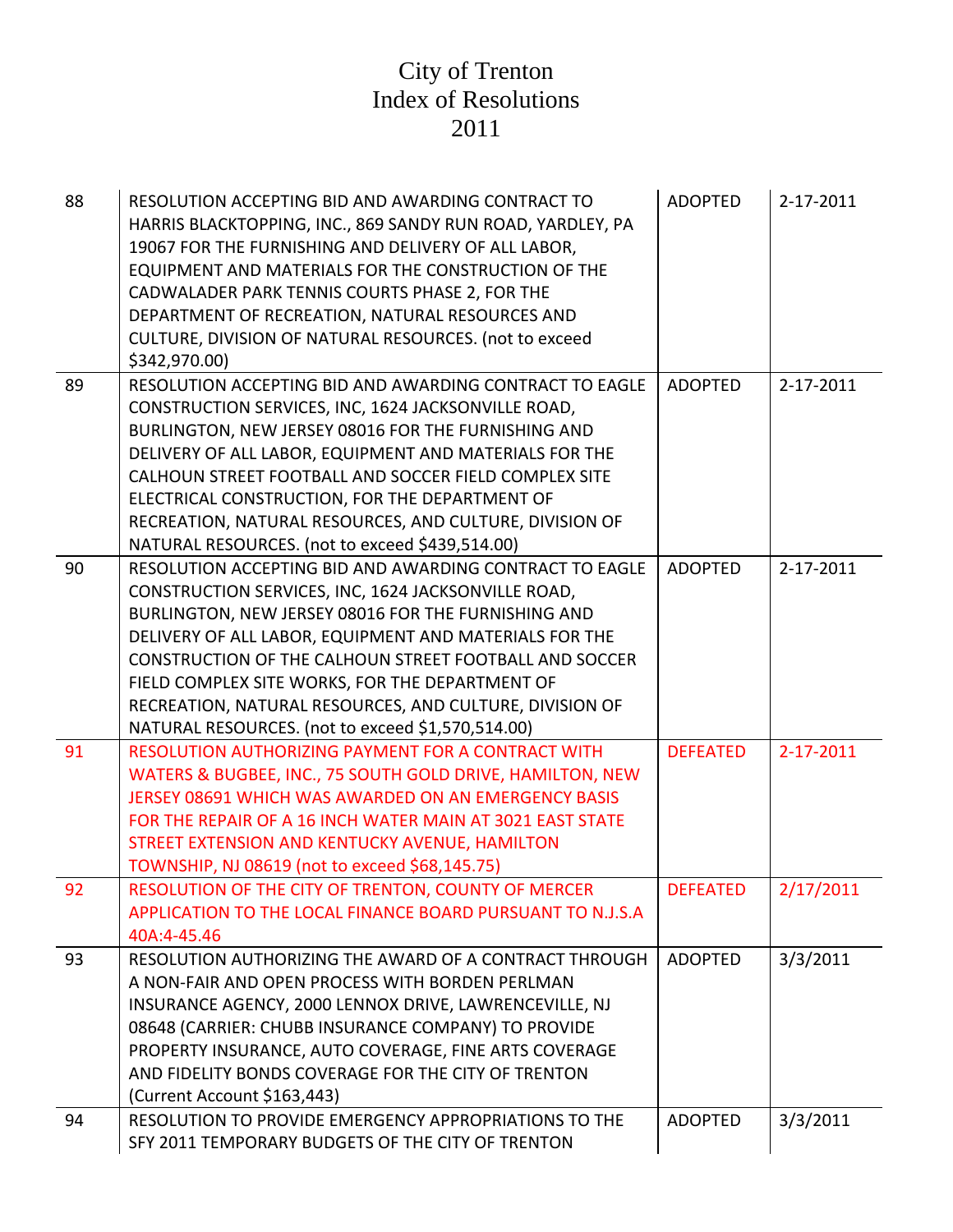| 88 | RESOLUTION ACCEPTING BID AND AWARDING CONTRACT TO<br>HARRIS BLACKTOPPING, INC., 869 SANDY RUN ROAD, YARDLEY, PA<br>19067 FOR THE FURNISHING AND DELIVERY OF ALL LABOR,<br>EQUIPMENT AND MATERIALS FOR THE CONSTRUCTION OF THE<br>CADWALADER PARK TENNIS COURTS PHASE 2, FOR THE<br>DEPARTMENT OF RECREATION, NATURAL RESOURCES AND<br>CULTURE, DIVISION OF NATURAL RESOURCES. (not to exceed<br>\$342,970.00) | <b>ADOPTED</b>  | 2-17-2011 |
|----|---------------------------------------------------------------------------------------------------------------------------------------------------------------------------------------------------------------------------------------------------------------------------------------------------------------------------------------------------------------------------------------------------------------|-----------------|-----------|
| 89 | RESOLUTION ACCEPTING BID AND AWARDING CONTRACT TO EAGLE                                                                                                                                                                                                                                                                                                                                                       | <b>ADOPTED</b>  | 2-17-2011 |
|    | CONSTRUCTION SERVICES, INC, 1624 JACKSONVILLE ROAD,                                                                                                                                                                                                                                                                                                                                                           |                 |           |
|    | BURLINGTON, NEW JERSEY 08016 FOR THE FURNISHING AND                                                                                                                                                                                                                                                                                                                                                           |                 |           |
|    | DELIVERY OF ALL LABOR, EQUIPMENT AND MATERIALS FOR THE                                                                                                                                                                                                                                                                                                                                                        |                 |           |
|    | CALHOUN STREET FOOTBALL AND SOCCER FIELD COMPLEX SITE<br>ELECTRICAL CONSTRUCTION, FOR THE DEPARTMENT OF                                                                                                                                                                                                                                                                                                       |                 |           |
|    | RECREATION, NATURAL RESOURCES, AND CULTURE, DIVISION OF                                                                                                                                                                                                                                                                                                                                                       |                 |           |
|    | NATURAL RESOURCES. (not to exceed \$439,514.00)                                                                                                                                                                                                                                                                                                                                                               |                 |           |
| 90 | RESOLUTION ACCEPTING BID AND AWARDING CONTRACT TO EAGLE                                                                                                                                                                                                                                                                                                                                                       | <b>ADOPTED</b>  | 2-17-2011 |
|    | CONSTRUCTION SERVICES, INC, 1624 JACKSONVILLE ROAD,                                                                                                                                                                                                                                                                                                                                                           |                 |           |
|    | BURLINGTON, NEW JERSEY 08016 FOR THE FURNISHING AND                                                                                                                                                                                                                                                                                                                                                           |                 |           |
|    | DELIVERY OF ALL LABOR, EQUIPMENT AND MATERIALS FOR THE                                                                                                                                                                                                                                                                                                                                                        |                 |           |
|    | CONSTRUCTION OF THE CALHOUN STREET FOOTBALL AND SOCCER                                                                                                                                                                                                                                                                                                                                                        |                 |           |
|    | FIELD COMPLEX SITE WORKS, FOR THE DEPARTMENT OF                                                                                                                                                                                                                                                                                                                                                               |                 |           |
|    | RECREATION, NATURAL RESOURCES, AND CULTURE, DIVISION OF                                                                                                                                                                                                                                                                                                                                                       |                 |           |
|    | NATURAL RESOURCES. (not to exceed \$1,570,514.00)                                                                                                                                                                                                                                                                                                                                                             |                 |           |
| 91 | RESOLUTION AUTHORIZING PAYMENT FOR A CONTRACT WITH                                                                                                                                                                                                                                                                                                                                                            | <b>DEFEATED</b> | 2-17-2011 |
|    | WATERS & BUGBEE, INC., 75 SOUTH GOLD DRIVE, HAMILTON, NEW                                                                                                                                                                                                                                                                                                                                                     |                 |           |
|    | JERSEY 08691 WHICH WAS AWARDED ON AN EMERGENCY BASIS                                                                                                                                                                                                                                                                                                                                                          |                 |           |
|    | FOR THE REPAIR OF A 16 INCH WATER MAIN AT 3021 EAST STATE                                                                                                                                                                                                                                                                                                                                                     |                 |           |
|    | STREET EXTENSION AND KENTUCKY AVENUE, HAMILTON                                                                                                                                                                                                                                                                                                                                                                |                 |           |
|    | TOWNSHIP, NJ 08619 (not to exceed \$68,145.75)                                                                                                                                                                                                                                                                                                                                                                |                 |           |
| 92 | RESOLUTION OF THE CITY OF TRENTON, COUNTY OF MERCER<br>APPLICATION TO THE LOCAL FINANCE BOARD PURSUANT TO N.J.S.A                                                                                                                                                                                                                                                                                             | <b>DEFEATED</b> | 2/17/2011 |
|    | 40A:4-45.46                                                                                                                                                                                                                                                                                                                                                                                                   |                 |           |
| 93 | RESOLUTION AUTHORIZING THE AWARD OF A CONTRACT THROUGH                                                                                                                                                                                                                                                                                                                                                        | <b>ADOPTED</b>  | 3/3/2011  |
|    | A NON-FAIR AND OPEN PROCESS WITH BORDEN PERLMAN                                                                                                                                                                                                                                                                                                                                                               |                 |           |
|    | INSURANCE AGENCY, 2000 LENNOX DRIVE, LAWRENCEVILLE, NJ                                                                                                                                                                                                                                                                                                                                                        |                 |           |
|    | 08648 (CARRIER: CHUBB INSURANCE COMPANY) TO PROVIDE                                                                                                                                                                                                                                                                                                                                                           |                 |           |
|    | PROPERTY INSURANCE, AUTO COVERAGE, FINE ARTS COVERAGE                                                                                                                                                                                                                                                                                                                                                         |                 |           |
|    | AND FIDELITY BONDS COVERAGE FOR THE CITY OF TRENTON                                                                                                                                                                                                                                                                                                                                                           |                 |           |
|    | (Current Account \$163,443)                                                                                                                                                                                                                                                                                                                                                                                   |                 |           |
| 94 | RESOLUTION TO PROVIDE EMERGENCY APPROPRIATIONS TO THE                                                                                                                                                                                                                                                                                                                                                         | <b>ADOPTED</b>  | 3/3/2011  |
|    | SFY 2011 TEMPORARY BUDGETS OF THE CITY OF TRENTON                                                                                                                                                                                                                                                                                                                                                             |                 |           |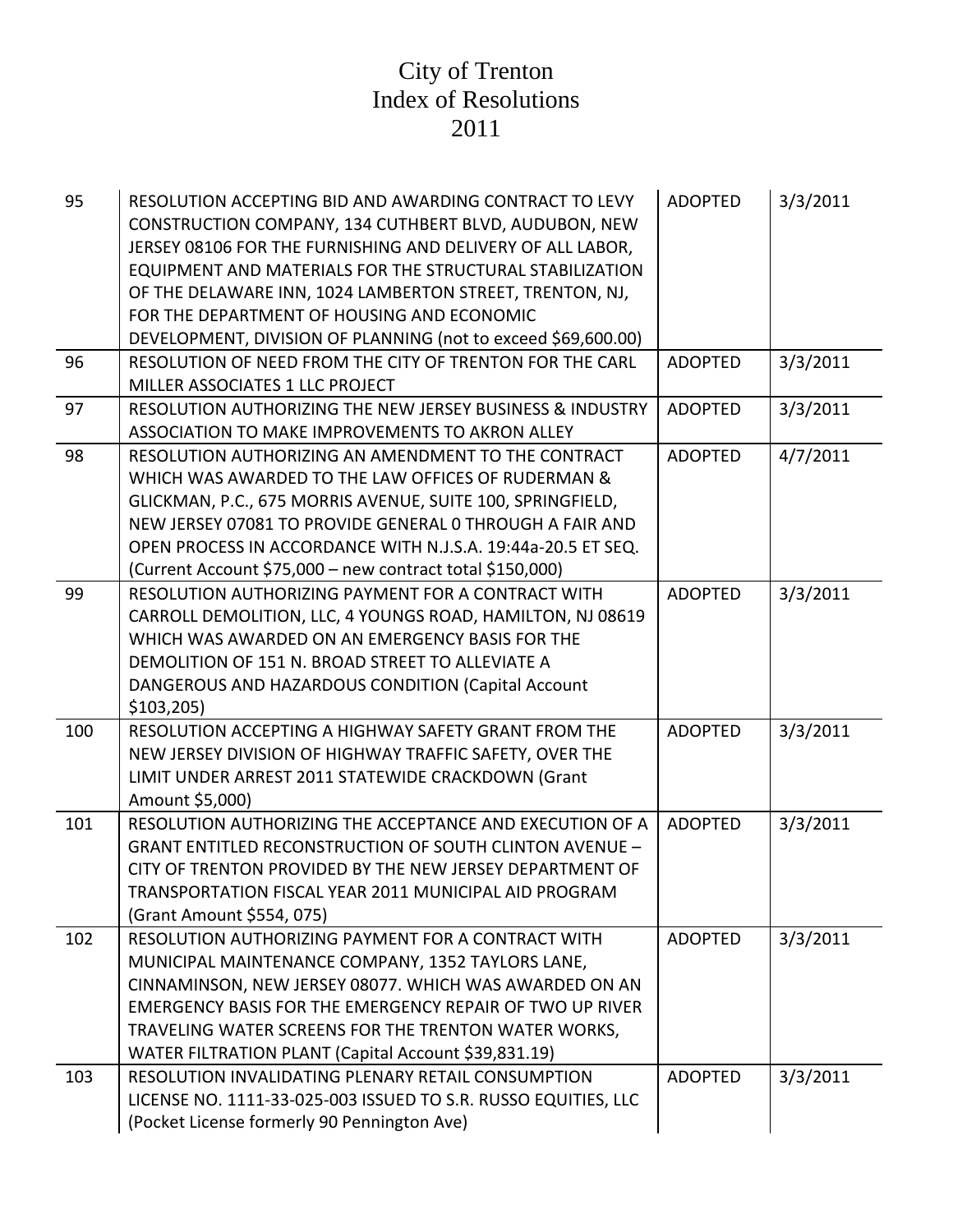| 95  | RESOLUTION ACCEPTING BID AND AWARDING CONTRACT TO LEVY<br>CONSTRUCTION COMPANY, 134 CUTHBERT BLVD, AUDUBON, NEW<br>JERSEY 08106 FOR THE FURNISHING AND DELIVERY OF ALL LABOR,<br>EQUIPMENT AND MATERIALS FOR THE STRUCTURAL STABILIZATION<br>OF THE DELAWARE INN, 1024 LAMBERTON STREET, TRENTON, NJ,<br>FOR THE DEPARTMENT OF HOUSING AND ECONOMIC<br>DEVELOPMENT, DIVISION OF PLANNING (not to exceed \$69,600.00) | <b>ADOPTED</b> | 3/3/2011 |
|-----|----------------------------------------------------------------------------------------------------------------------------------------------------------------------------------------------------------------------------------------------------------------------------------------------------------------------------------------------------------------------------------------------------------------------|----------------|----------|
| 96  | RESOLUTION OF NEED FROM THE CITY OF TRENTON FOR THE CARL<br>MILLER ASSOCIATES 1 LLC PROJECT                                                                                                                                                                                                                                                                                                                          | <b>ADOPTED</b> | 3/3/2011 |
| 97  | RESOLUTION AUTHORIZING THE NEW JERSEY BUSINESS & INDUSTRY<br>ASSOCIATION TO MAKE IMPROVEMENTS TO AKRON ALLEY                                                                                                                                                                                                                                                                                                         | <b>ADOPTED</b> | 3/3/2011 |
| 98  | RESOLUTION AUTHORIZING AN AMENDMENT TO THE CONTRACT<br>WHICH WAS AWARDED TO THE LAW OFFICES OF RUDERMAN &<br>GLICKMAN, P.C., 675 MORRIS AVENUE, SUITE 100, SPRINGFIELD,<br>NEW JERSEY 07081 TO PROVIDE GENERAL 0 THROUGH A FAIR AND<br>OPEN PROCESS IN ACCORDANCE WITH N.J.S.A. 19:44a-20.5 ET SEQ.<br>(Current Account \$75,000 - new contract total \$150,000)                                                     | <b>ADOPTED</b> | 4/7/2011 |
| 99  | RESOLUTION AUTHORIZING PAYMENT FOR A CONTRACT WITH<br>CARROLL DEMOLITION, LLC, 4 YOUNGS ROAD, HAMILTON, NJ 08619<br>WHICH WAS AWARDED ON AN EMERGENCY BASIS FOR THE<br>DEMOLITION OF 151 N. BROAD STREET TO ALLEVIATE A<br>DANGEROUS AND HAZARDOUS CONDITION (Capital Account<br>\$103,205                                                                                                                           | <b>ADOPTED</b> | 3/3/2011 |
| 100 | RESOLUTION ACCEPTING A HIGHWAY SAFETY GRANT FROM THE<br>NEW JERSEY DIVISION OF HIGHWAY TRAFFIC SAFETY, OVER THE<br>LIMIT UNDER ARREST 2011 STATEWIDE CRACKDOWN (Grant<br>Amount \$5,000)                                                                                                                                                                                                                             | <b>ADOPTED</b> | 3/3/2011 |
| 101 | RESOLUTION AUTHORIZING THE ACCEPTANCE AND EXECUTION OF A<br><b>GRANT ENTITLED RECONSTRUCTION OF SOUTH CLINTON AVENUE -</b><br>CITY OF TRENTON PROVIDED BY THE NEW JERSEY DEPARTMENT OF<br>TRANSPORTATION FISCAL YEAR 2011 MUNICIPAL AID PROGRAM<br>(Grant Amount \$554, 075)                                                                                                                                         | <b>ADOPTED</b> | 3/3/2011 |
| 102 | RESOLUTION AUTHORIZING PAYMENT FOR A CONTRACT WITH<br>MUNICIPAL MAINTENANCE COMPANY, 1352 TAYLORS LANE,<br>CINNAMINSON, NEW JERSEY 08077. WHICH WAS AWARDED ON AN<br>EMERGENCY BASIS FOR THE EMERGENCY REPAIR OF TWO UP RIVER<br>TRAVELING WATER SCREENS FOR THE TRENTON WATER WORKS,<br>WATER FILTRATION PLANT (Capital Account \$39,831.19)                                                                        | <b>ADOPTED</b> | 3/3/2011 |
| 103 | RESOLUTION INVALIDATING PLENARY RETAIL CONSUMPTION<br>LICENSE NO. 1111-33-025-003 ISSUED TO S.R. RUSSO EQUITIES, LLC<br>(Pocket License formerly 90 Pennington Ave)                                                                                                                                                                                                                                                  | <b>ADOPTED</b> | 3/3/2011 |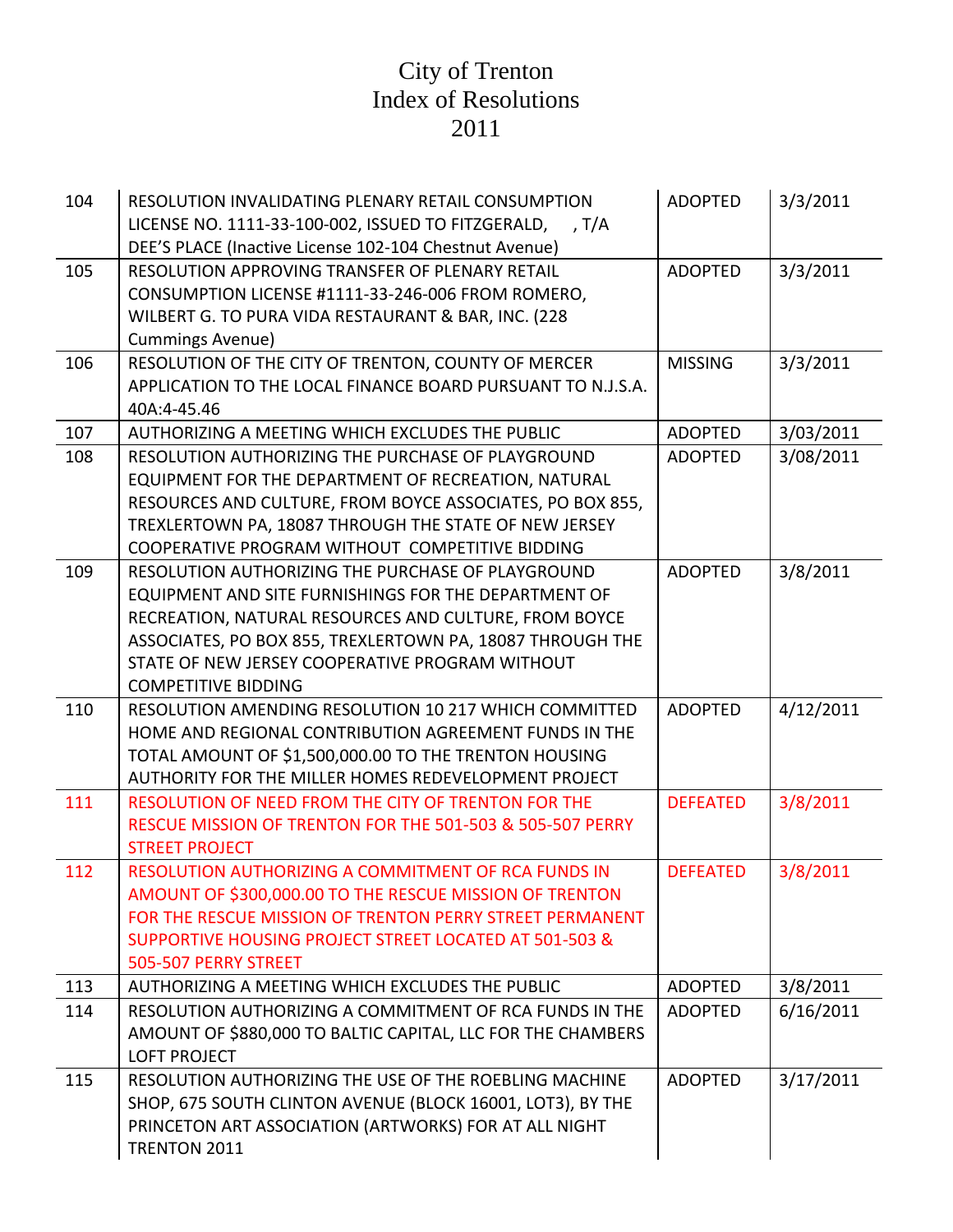| 104 | RESOLUTION INVALIDATING PLENARY RETAIL CONSUMPTION<br>LICENSE NO. 1111-33-100-002, ISSUED TO FITZGERALD,<br>, T/A<br>DEE'S PLACE (Inactive License 102-104 Chestnut Avenue)                                                                                                                                      | <b>ADOPTED</b>  | 3/3/2011  |
|-----|------------------------------------------------------------------------------------------------------------------------------------------------------------------------------------------------------------------------------------------------------------------------------------------------------------------|-----------------|-----------|
| 105 | RESOLUTION APPROVING TRANSFER OF PLENARY RETAIL<br>CONSUMPTION LICENSE #1111-33-246-006 FROM ROMERO,<br>WILBERT G. TO PURA VIDA RESTAURANT & BAR, INC. (228)<br><b>Cummings Avenue)</b>                                                                                                                          | <b>ADOPTED</b>  | 3/3/2011  |
| 106 | RESOLUTION OF THE CITY OF TRENTON, COUNTY OF MERCER<br>APPLICATION TO THE LOCAL FINANCE BOARD PURSUANT TO N.J.S.A.<br>40A:4-45.46                                                                                                                                                                                | <b>MISSING</b>  | 3/3/2011  |
| 107 | AUTHORIZING A MEETING WHICH EXCLUDES THE PUBLIC                                                                                                                                                                                                                                                                  | <b>ADOPTED</b>  | 3/03/2011 |
| 108 | RESOLUTION AUTHORIZING THE PURCHASE OF PLAYGROUND<br>EQUIPMENT FOR THE DEPARTMENT OF RECREATION, NATURAL<br>RESOURCES AND CULTURE, FROM BOYCE ASSOCIATES, PO BOX 855,<br>TREXLERTOWN PA, 18087 THROUGH THE STATE OF NEW JERSEY<br>COOPERATIVE PROGRAM WITHOUT COMPETITIVE BIDDING                                | <b>ADOPTED</b>  | 3/08/2011 |
| 109 | RESOLUTION AUTHORIZING THE PURCHASE OF PLAYGROUND<br>EQUIPMENT AND SITE FURNISHINGS FOR THE DEPARTMENT OF<br>RECREATION, NATURAL RESOURCES AND CULTURE, FROM BOYCE<br>ASSOCIATES, PO BOX 855, TREXLERTOWN PA, 18087 THROUGH THE<br>STATE OF NEW JERSEY COOPERATIVE PROGRAM WITHOUT<br><b>COMPETITIVE BIDDING</b> | <b>ADOPTED</b>  | 3/8/2011  |
| 110 | RESOLUTION AMENDING RESOLUTION 10 217 WHICH COMMITTED<br>HOME AND REGIONAL CONTRIBUTION AGREEMENT FUNDS IN THE<br>TOTAL AMOUNT OF \$1,500,000.00 TO THE TRENTON HOUSING<br>AUTHORITY FOR THE MILLER HOMES REDEVELOPMENT PROJECT                                                                                  | <b>ADOPTED</b>  | 4/12/2011 |
| 111 | RESOLUTION OF NEED FROM THE CITY OF TRENTON FOR THE<br>RESCUE MISSION OF TRENTON FOR THE 501-503 & 505-507 PERRY<br><b>STREET PROJECT</b>                                                                                                                                                                        | <b>DEFEATED</b> | 3/8/2011  |
| 112 | RESOLUTION AUTHORIZING A COMMITMENT OF RCA FUNDS IN<br>AMOUNT OF \$300,000.00 TO THE RESCUE MISSION OF TRENTON<br>FOR THE RESCUE MISSION OF TRENTON PERRY STREET PERMANENT<br>SUPPORTIVE HOUSING PROJECT STREET LOCATED AT 501-503 &<br>505-507 PERRY STREET                                                     | <b>DEFEATED</b> | 3/8/2011  |
| 113 | AUTHORIZING A MEETING WHICH EXCLUDES THE PUBLIC                                                                                                                                                                                                                                                                  | <b>ADOPTED</b>  | 3/8/2011  |
| 114 | RESOLUTION AUTHORIZING A COMMITMENT OF RCA FUNDS IN THE<br>AMOUNT OF \$880,000 TO BALTIC CAPITAL, LLC FOR THE CHAMBERS<br><b>LOFT PROJECT</b>                                                                                                                                                                    | <b>ADOPTED</b>  | 6/16/2011 |
| 115 | RESOLUTION AUTHORIZING THE USE OF THE ROEBLING MACHINE<br>SHOP, 675 SOUTH CLINTON AVENUE (BLOCK 16001, LOT3), BY THE<br>PRINCETON ART ASSOCIATION (ARTWORKS) FOR AT ALL NIGHT<br>TRENTON 2011                                                                                                                    | <b>ADOPTED</b>  | 3/17/2011 |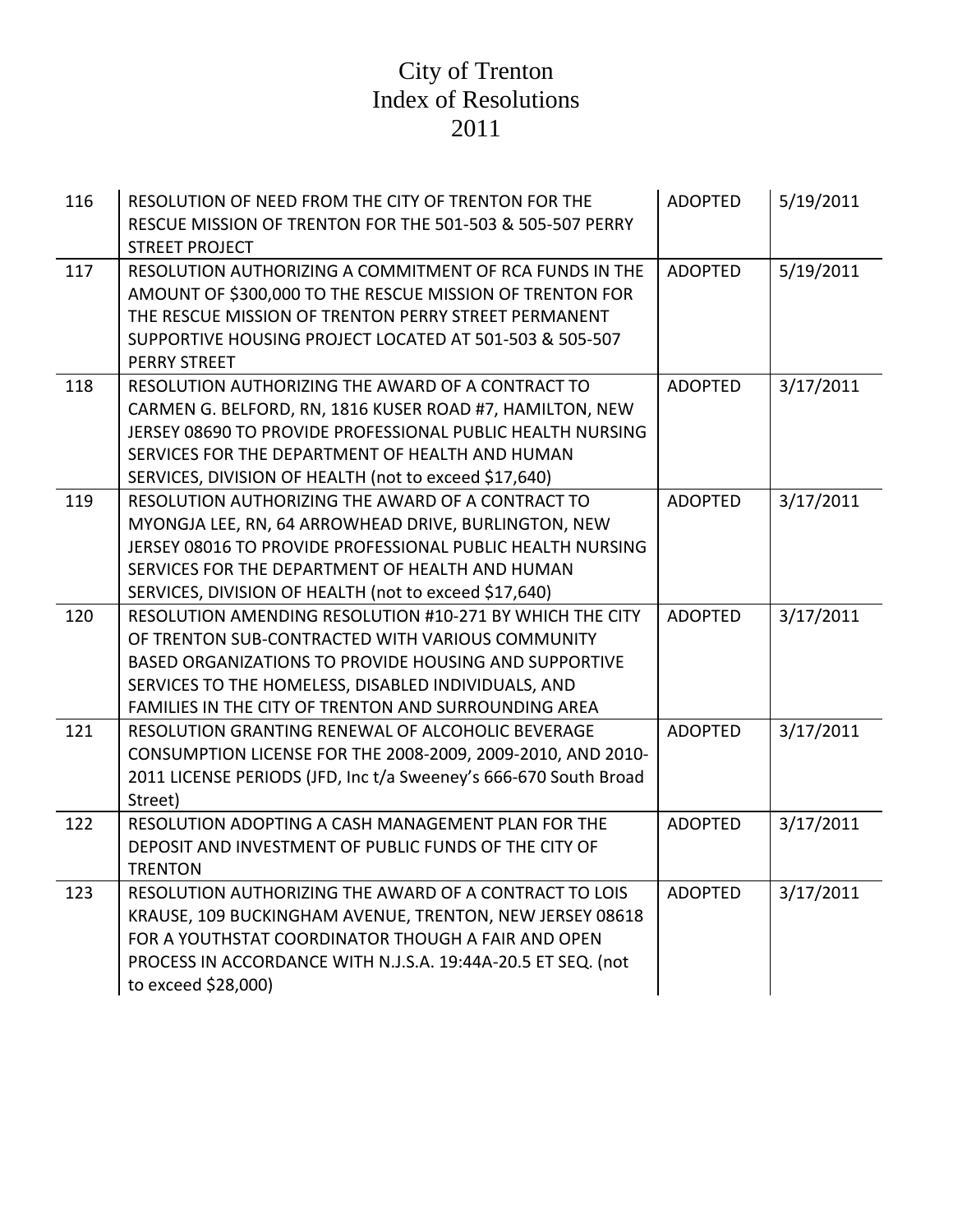| 116 | RESOLUTION OF NEED FROM THE CITY OF TRENTON FOR THE<br>RESCUE MISSION OF TRENTON FOR THE 501-503 & 505-507 PERRY<br><b>STREET PROJECT</b>                                                                                                                                               | <b>ADOPTED</b> | 5/19/2011 |
|-----|-----------------------------------------------------------------------------------------------------------------------------------------------------------------------------------------------------------------------------------------------------------------------------------------|----------------|-----------|
| 117 | RESOLUTION AUTHORIZING A COMMITMENT OF RCA FUNDS IN THE<br>AMOUNT OF \$300,000 TO THE RESCUE MISSION OF TRENTON FOR<br>THE RESCUE MISSION OF TRENTON PERRY STREET PERMANENT<br>SUPPORTIVE HOUSING PROJECT LOCATED AT 501-503 & 505-507<br><b>PERRY STREET</b>                           | <b>ADOPTED</b> | 5/19/2011 |
| 118 | RESOLUTION AUTHORIZING THE AWARD OF A CONTRACT TO<br>CARMEN G. BELFORD, RN, 1816 KUSER ROAD #7, HAMILTON, NEW<br>JERSEY 08690 TO PROVIDE PROFESSIONAL PUBLIC HEALTH NURSING<br>SERVICES FOR THE DEPARTMENT OF HEALTH AND HUMAN<br>SERVICES, DIVISION OF HEALTH (not to exceed \$17,640) | <b>ADOPTED</b> | 3/17/2011 |
| 119 | RESOLUTION AUTHORIZING THE AWARD OF A CONTRACT TO<br>MYONGJA LEE, RN, 64 ARROWHEAD DRIVE, BURLINGTON, NEW<br>JERSEY 08016 TO PROVIDE PROFESSIONAL PUBLIC HEALTH NURSING<br>SERVICES FOR THE DEPARTMENT OF HEALTH AND HUMAN<br>SERVICES, DIVISION OF HEALTH (not to exceed \$17,640)     | <b>ADOPTED</b> | 3/17/2011 |
| 120 | RESOLUTION AMENDING RESOLUTION #10-271 BY WHICH THE CITY<br>OF TRENTON SUB-CONTRACTED WITH VARIOUS COMMUNITY<br>BASED ORGANIZATIONS TO PROVIDE HOUSING AND SUPPORTIVE<br>SERVICES TO THE HOMELESS, DISABLED INDIVIDUALS, AND<br>FAMILIES IN THE CITY OF TRENTON AND SURROUNDING AREA    | <b>ADOPTED</b> | 3/17/2011 |
| 121 | RESOLUTION GRANTING RENEWAL OF ALCOHOLIC BEVERAGE<br>CONSUMPTION LICENSE FOR THE 2008-2009, 2009-2010, AND 2010-<br>2011 LICENSE PERIODS (JFD, Inc t/a Sweeney's 666-670 South Broad<br>Street)                                                                                         | <b>ADOPTED</b> | 3/17/2011 |
| 122 | RESOLUTION ADOPTING A CASH MANAGEMENT PLAN FOR THE<br>DEPOSIT AND INVESTMENT OF PUBLIC FUNDS OF THE CITY OF<br><b>TRENTON</b>                                                                                                                                                           | <b>ADOPTED</b> | 3/17/2011 |
| 123 | RESOLUTION AUTHORIZING THE AWARD OF A CONTRACT TO LOIS<br>KRAUSE, 109 BUCKINGHAM AVENUE, TRENTON, NEW JERSEY 08618<br>FOR A YOUTHSTAT COORDINATOR THOUGH A FAIR AND OPEN<br>PROCESS IN ACCORDANCE WITH N.J.S.A. 19:44A-20.5 ET SEQ. (not<br>to exceed \$28,000)                         | <b>ADOPTED</b> | 3/17/2011 |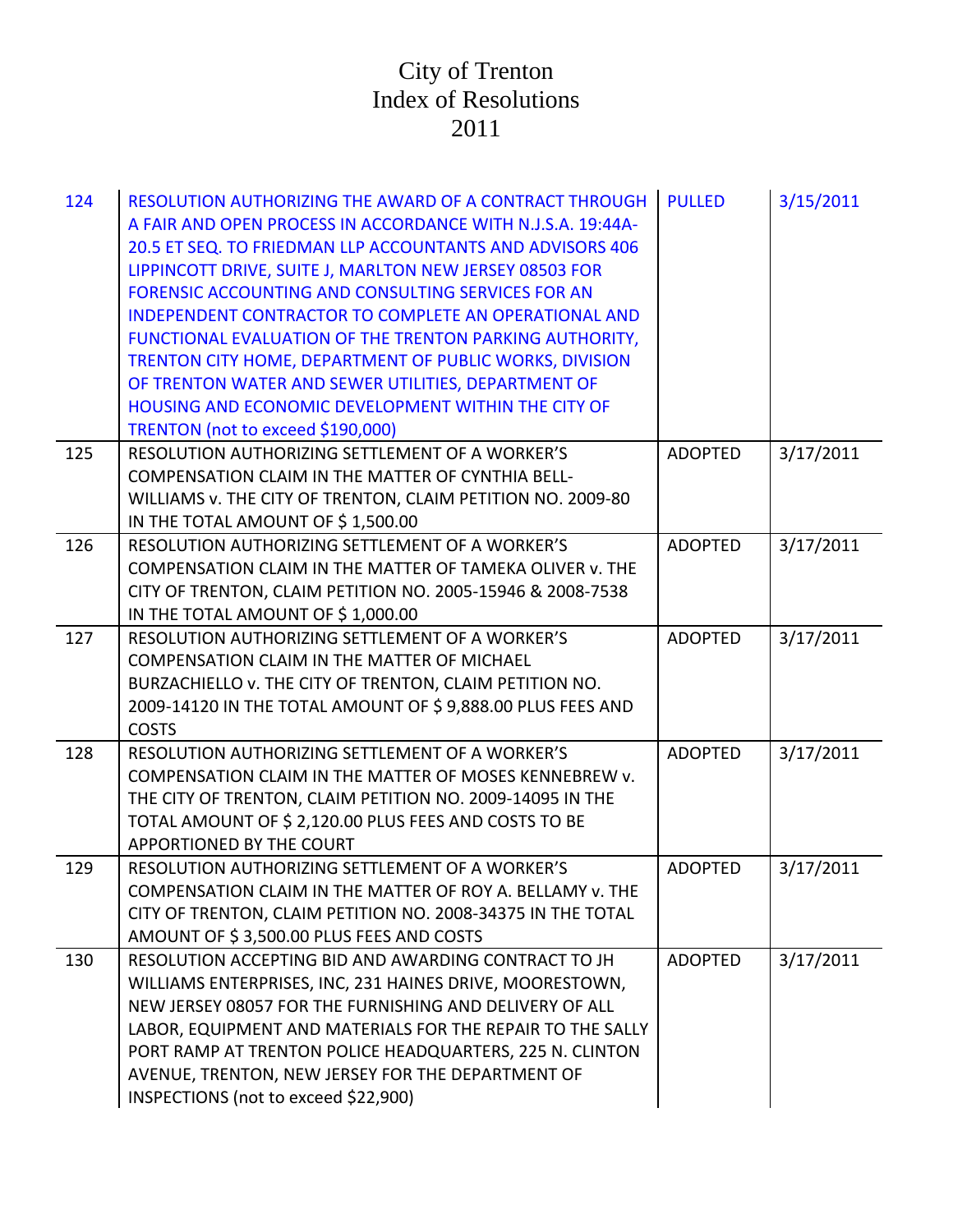| 124 | RESOLUTION AUTHORIZING THE AWARD OF A CONTRACT THROUGH<br>A FAIR AND OPEN PROCESS IN ACCORDANCE WITH N.J.S.A. 19:44A-<br>20.5 ET SEQ. TO FRIEDMAN LLP ACCOUNTANTS AND ADVISORS 406<br>LIPPINCOTT DRIVE, SUITE J, MARLTON NEW JERSEY 08503 FOR<br>FORENSIC ACCOUNTING AND CONSULTING SERVICES FOR AN<br>INDEPENDENT CONTRACTOR TO COMPLETE AN OPERATIONAL AND<br>FUNCTIONAL EVALUATION OF THE TRENTON PARKING AUTHORITY,<br>TRENTON CITY HOME, DEPARTMENT OF PUBLIC WORKS, DIVISION<br>OF TRENTON WATER AND SEWER UTILITIES, DEPARTMENT OF<br>HOUSING AND ECONOMIC DEVELOPMENT WITHIN THE CITY OF<br>TRENTON (not to exceed \$190,000) | <b>PULLED</b>  | 3/15/2011 |
|-----|---------------------------------------------------------------------------------------------------------------------------------------------------------------------------------------------------------------------------------------------------------------------------------------------------------------------------------------------------------------------------------------------------------------------------------------------------------------------------------------------------------------------------------------------------------------------------------------------------------------------------------------|----------------|-----------|
| 125 | RESOLUTION AUTHORIZING SETTLEMENT OF A WORKER'S<br>COMPENSATION CLAIM IN THE MATTER OF CYNTHIA BELL-<br>WILLIAMS v. THE CITY OF TRENTON, CLAIM PETITION NO. 2009-80<br>IN THE TOTAL AMOUNT OF \$1,500.00                                                                                                                                                                                                                                                                                                                                                                                                                              | <b>ADOPTED</b> | 3/17/2011 |
| 126 | RESOLUTION AUTHORIZING SETTLEMENT OF A WORKER'S<br>COMPENSATION CLAIM IN THE MATTER OF TAMEKA OLIVER v. THE<br>CITY OF TRENTON, CLAIM PETITION NO. 2005-15946 & 2008-7538<br>IN THE TOTAL AMOUNT OF \$1,000.00                                                                                                                                                                                                                                                                                                                                                                                                                        | <b>ADOPTED</b> | 3/17/2011 |
| 127 | RESOLUTION AUTHORIZING SETTLEMENT OF A WORKER'S<br>COMPENSATION CLAIM IN THE MATTER OF MICHAEL<br>BURZACHIELLO v. THE CITY OF TRENTON, CLAIM PETITION NO.<br>2009-14120 IN THE TOTAL AMOUNT OF \$9,888.00 PLUS FEES AND<br><b>COSTS</b>                                                                                                                                                                                                                                                                                                                                                                                               | <b>ADOPTED</b> | 3/17/2011 |
| 128 | RESOLUTION AUTHORIZING SETTLEMENT OF A WORKER'S<br>COMPENSATION CLAIM IN THE MATTER OF MOSES KENNEBREW v.<br>THE CITY OF TRENTON, CLAIM PETITION NO. 2009-14095 IN THE<br>TOTAL AMOUNT OF \$ 2,120.00 PLUS FEES AND COSTS TO BE<br>APPORTIONED BY THE COURT                                                                                                                                                                                                                                                                                                                                                                           | <b>ADOPTED</b> | 3/17/2011 |
| 129 | RESOLUTION AUTHORIZING SETTLEMENT OF A WORKER'S<br>COMPENSATION CLAIM IN THE MATTER OF ROY A. BELLAMY v. THE<br>CITY OF TRENTON, CLAIM PETITION NO. 2008-34375 IN THE TOTAL<br>AMOUNT OF \$3,500.00 PLUS FEES AND COSTS                                                                                                                                                                                                                                                                                                                                                                                                               | <b>ADOPTED</b> | 3/17/2011 |
| 130 | RESOLUTION ACCEPTING BID AND AWARDING CONTRACT TO JH<br>WILLIAMS ENTERPRISES, INC, 231 HAINES DRIVE, MOORESTOWN,<br>NEW JERSEY 08057 FOR THE FURNISHING AND DELIVERY OF ALL<br>LABOR, EQUIPMENT AND MATERIALS FOR THE REPAIR TO THE SALLY<br>PORT RAMP AT TRENTON POLICE HEADQUARTERS, 225 N. CLINTON<br>AVENUE, TRENTON, NEW JERSEY FOR THE DEPARTMENT OF<br>INSPECTIONS (not to exceed \$22,900)                                                                                                                                                                                                                                    | <b>ADOPTED</b> | 3/17/2011 |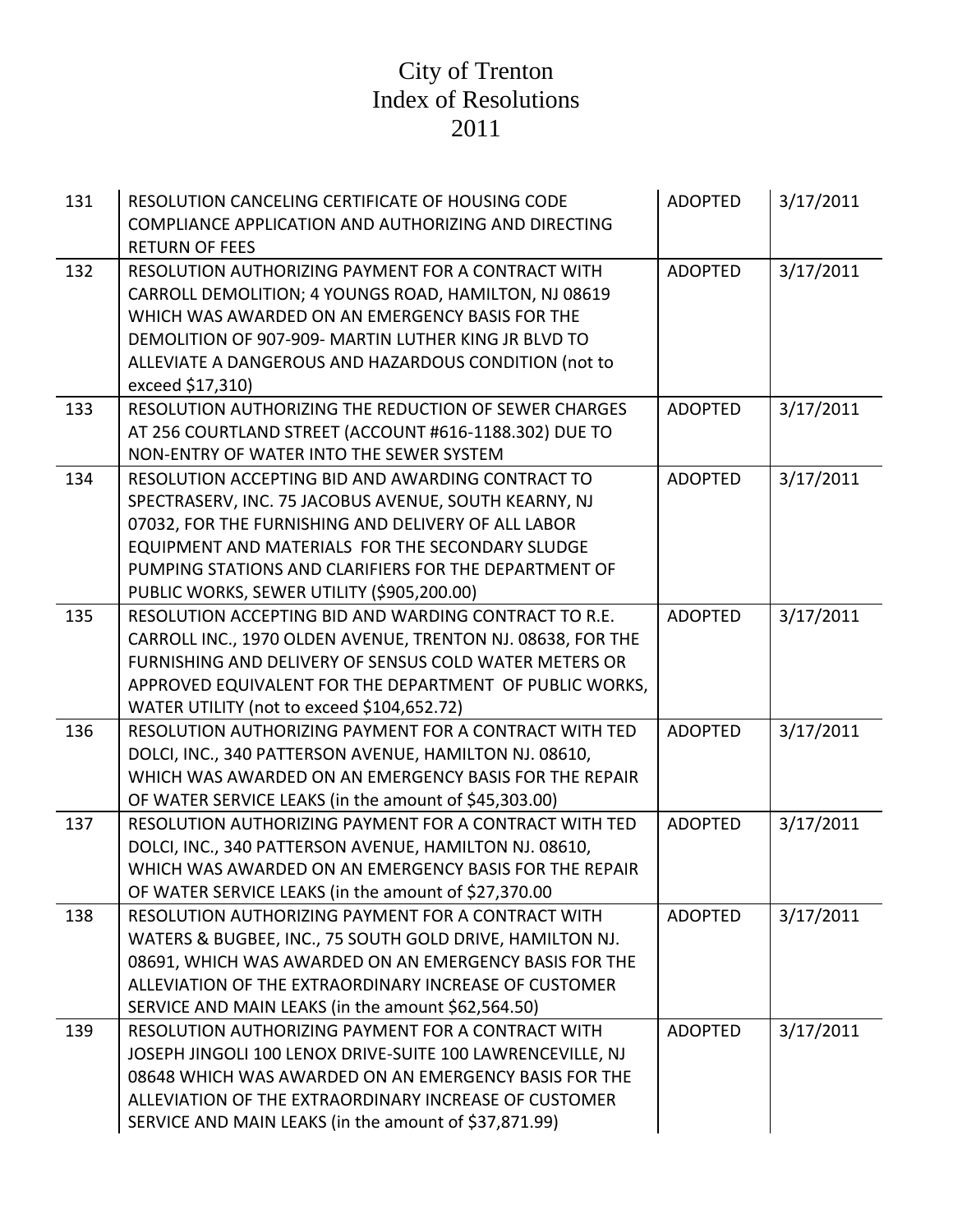| 131 | RESOLUTION CANCELING CERTIFICATE OF HOUSING CODE<br>COMPLIANCE APPLICATION AND AUTHORIZING AND DIRECTING<br><b>RETURN OF FEES</b>                                                                                                                                                                                            | <b>ADOPTED</b> | 3/17/2011 |
|-----|------------------------------------------------------------------------------------------------------------------------------------------------------------------------------------------------------------------------------------------------------------------------------------------------------------------------------|----------------|-----------|
| 132 | RESOLUTION AUTHORIZING PAYMENT FOR A CONTRACT WITH<br>CARROLL DEMOLITION; 4 YOUNGS ROAD, HAMILTON, NJ 08619<br>WHICH WAS AWARDED ON AN EMERGENCY BASIS FOR THE<br>DEMOLITION OF 907-909- MARTIN LUTHER KING JR BLVD TO<br>ALLEVIATE A DANGEROUS AND HAZARDOUS CONDITION (not to<br>exceed \$17,310)                          | <b>ADOPTED</b> | 3/17/2011 |
| 133 | RESOLUTION AUTHORIZING THE REDUCTION OF SEWER CHARGES<br>AT 256 COURTLAND STREET (ACCOUNT #616-1188.302) DUE TO<br>NON-ENTRY OF WATER INTO THE SEWER SYSTEM                                                                                                                                                                  | <b>ADOPTED</b> | 3/17/2011 |
| 134 | RESOLUTION ACCEPTING BID AND AWARDING CONTRACT TO<br>SPECTRASERV, INC. 75 JACOBUS AVENUE, SOUTH KEARNY, NJ<br>07032, FOR THE FURNISHING AND DELIVERY OF ALL LABOR<br>EQUIPMENT AND MATERIALS FOR THE SECONDARY SLUDGE<br>PUMPING STATIONS AND CLARIFIERS FOR THE DEPARTMENT OF<br>PUBLIC WORKS, SEWER UTILITY (\$905,200.00) | <b>ADOPTED</b> | 3/17/2011 |
| 135 | RESOLUTION ACCEPTING BID AND WARDING CONTRACT TO R.E.<br>CARROLL INC., 1970 OLDEN AVENUE, TRENTON NJ. 08638, FOR THE<br>FURNISHING AND DELIVERY OF SENSUS COLD WATER METERS OR<br>APPROVED EQUIVALENT FOR THE DEPARTMENT OF PUBLIC WORKS,<br>WATER UTILITY (not to exceed \$104,652.72)                                      | <b>ADOPTED</b> | 3/17/2011 |
| 136 | RESOLUTION AUTHORIZING PAYMENT FOR A CONTRACT WITH TED<br>DOLCI, INC., 340 PATTERSON AVENUE, HAMILTON NJ. 08610,<br>WHICH WAS AWARDED ON AN EMERGENCY BASIS FOR THE REPAIR<br>OF WATER SERVICE LEAKS (in the amount of \$45,303.00)                                                                                          | <b>ADOPTED</b> | 3/17/2011 |
| 137 | RESOLUTION AUTHORIZING PAYMENT FOR A CONTRACT WITH TED<br>DOLCI, INC., 340 PATTERSON AVENUE, HAMILTON NJ. 08610,<br>WHICH WAS AWARDED ON AN EMERGENCY BASIS FOR THE REPAIR<br>OF WATER SERVICE LEAKS (in the amount of \$27,370.00                                                                                           | <b>ADOPTED</b> | 3/17/2011 |
| 138 | RESOLUTION AUTHORIZING PAYMENT FOR A CONTRACT WITH<br>WATERS & BUGBEE, INC., 75 SOUTH GOLD DRIVE, HAMILTON NJ.<br>08691, WHICH WAS AWARDED ON AN EMERGENCY BASIS FOR THE<br>ALLEVIATION OF THE EXTRAORDINARY INCREASE OF CUSTOMER<br>SERVICE AND MAIN LEAKS (in the amount \$62,564.50)                                      | <b>ADOPTED</b> | 3/17/2011 |
| 139 | RESOLUTION AUTHORIZING PAYMENT FOR A CONTRACT WITH<br>JOSEPH JINGOLI 100 LENOX DRIVE-SUITE 100 LAWRENCEVILLE, NJ<br>08648 WHICH WAS AWARDED ON AN EMERGENCY BASIS FOR THE<br>ALLEVIATION OF THE EXTRAORDINARY INCREASE OF CUSTOMER<br>SERVICE AND MAIN LEAKS (in the amount of \$37,871.99)                                  | <b>ADOPTED</b> | 3/17/2011 |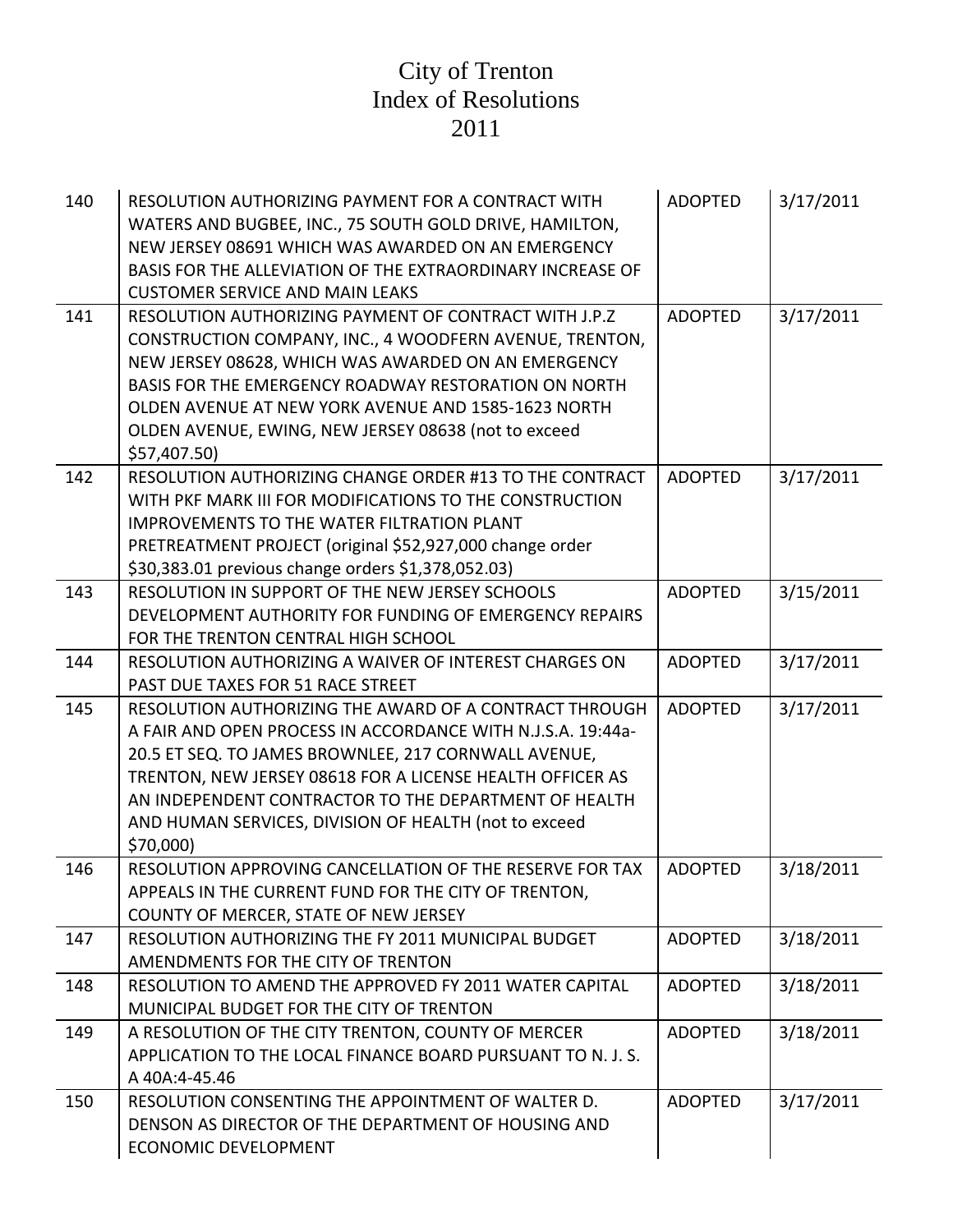| 140 | RESOLUTION AUTHORIZING PAYMENT FOR A CONTRACT WITH<br>WATERS AND BUGBEE, INC., 75 SOUTH GOLD DRIVE, HAMILTON,<br>NEW JERSEY 08691 WHICH WAS AWARDED ON AN EMERGENCY<br>BASIS FOR THE ALLEVIATION OF THE EXTRAORDINARY INCREASE OF<br><b>CUSTOMER SERVICE AND MAIN LEAKS</b>                                                                                               | <b>ADOPTED</b> | 3/17/2011 |
|-----|---------------------------------------------------------------------------------------------------------------------------------------------------------------------------------------------------------------------------------------------------------------------------------------------------------------------------------------------------------------------------|----------------|-----------|
| 141 | RESOLUTION AUTHORIZING PAYMENT OF CONTRACT WITH J.P.Z<br>CONSTRUCTION COMPANY, INC., 4 WOODFERN AVENUE, TRENTON,<br>NEW JERSEY 08628, WHICH WAS AWARDED ON AN EMERGENCY<br>BASIS FOR THE EMERGENCY ROADWAY RESTORATION ON NORTH<br>OLDEN AVENUE AT NEW YORK AVENUE AND 1585-1623 NORTH<br>OLDEN AVENUE, EWING, NEW JERSEY 08638 (not to exceed<br>\$57,407.50)            | <b>ADOPTED</b> | 3/17/2011 |
| 142 | RESOLUTION AUTHORIZING CHANGE ORDER #13 TO THE CONTRACT<br>WITH PKF MARK III FOR MODIFICATIONS TO THE CONSTRUCTION<br><b>IMPROVEMENTS TO THE WATER FILTRATION PLANT</b><br>PRETREATMENT PROJECT (original \$52,927,000 change order<br>\$30,383.01 previous change orders \$1,378,052.03)                                                                                 | <b>ADOPTED</b> | 3/17/2011 |
| 143 | RESOLUTION IN SUPPORT OF THE NEW JERSEY SCHOOLS<br>DEVELOPMENT AUTHORITY FOR FUNDING OF EMERGENCY REPAIRS<br>FOR THE TRENTON CENTRAL HIGH SCHOOL                                                                                                                                                                                                                          | <b>ADOPTED</b> | 3/15/2011 |
| 144 | RESOLUTION AUTHORIZING A WAIVER OF INTEREST CHARGES ON<br>PAST DUE TAXES FOR 51 RACE STREET                                                                                                                                                                                                                                                                               | <b>ADOPTED</b> | 3/17/2011 |
| 145 | RESOLUTION AUTHORIZING THE AWARD OF A CONTRACT THROUGH<br>A FAIR AND OPEN PROCESS IN ACCORDANCE WITH N.J.S.A. 19:44a-<br>20.5 ET SEQ. TO JAMES BROWNLEE, 217 CORNWALL AVENUE,<br>TRENTON, NEW JERSEY 08618 FOR A LICENSE HEALTH OFFICER AS<br>AN INDEPENDENT CONTRACTOR TO THE DEPARTMENT OF HEALTH<br>AND HUMAN SERVICES, DIVISION OF HEALTH (not to exceed<br>\$70,000) | <b>ADOPTED</b> | 3/17/2011 |
| 146 | RESOLUTION APPROVING CANCELLATION OF THE RESERVE FOR TAX<br>APPEALS IN THE CURRENT FUND FOR THE CITY OF TRENTON,<br>COUNTY OF MERCER, STATE OF NEW JERSEY                                                                                                                                                                                                                 | <b>ADOPTED</b> | 3/18/2011 |
| 147 | RESOLUTION AUTHORIZING THE FY 2011 MUNICIPAL BUDGET<br>AMENDMENTS FOR THE CITY OF TRENTON                                                                                                                                                                                                                                                                                 | <b>ADOPTED</b> | 3/18/2011 |
| 148 | RESOLUTION TO AMEND THE APPROVED FY 2011 WATER CAPITAL<br>MUNICIPAL BUDGET FOR THE CITY OF TRENTON                                                                                                                                                                                                                                                                        | <b>ADOPTED</b> | 3/18/2011 |
| 149 | A RESOLUTION OF THE CITY TRENTON, COUNTY OF MERCER<br>APPLICATION TO THE LOCAL FINANCE BOARD PURSUANT TO N. J. S.<br>A 40A:4-45.46                                                                                                                                                                                                                                        | <b>ADOPTED</b> | 3/18/2011 |
| 150 | RESOLUTION CONSENTING THE APPOINTMENT OF WALTER D.<br>DENSON AS DIRECTOR OF THE DEPARTMENT OF HOUSING AND<br><b>ECONOMIC DEVELOPMENT</b>                                                                                                                                                                                                                                  | <b>ADOPTED</b> | 3/17/2011 |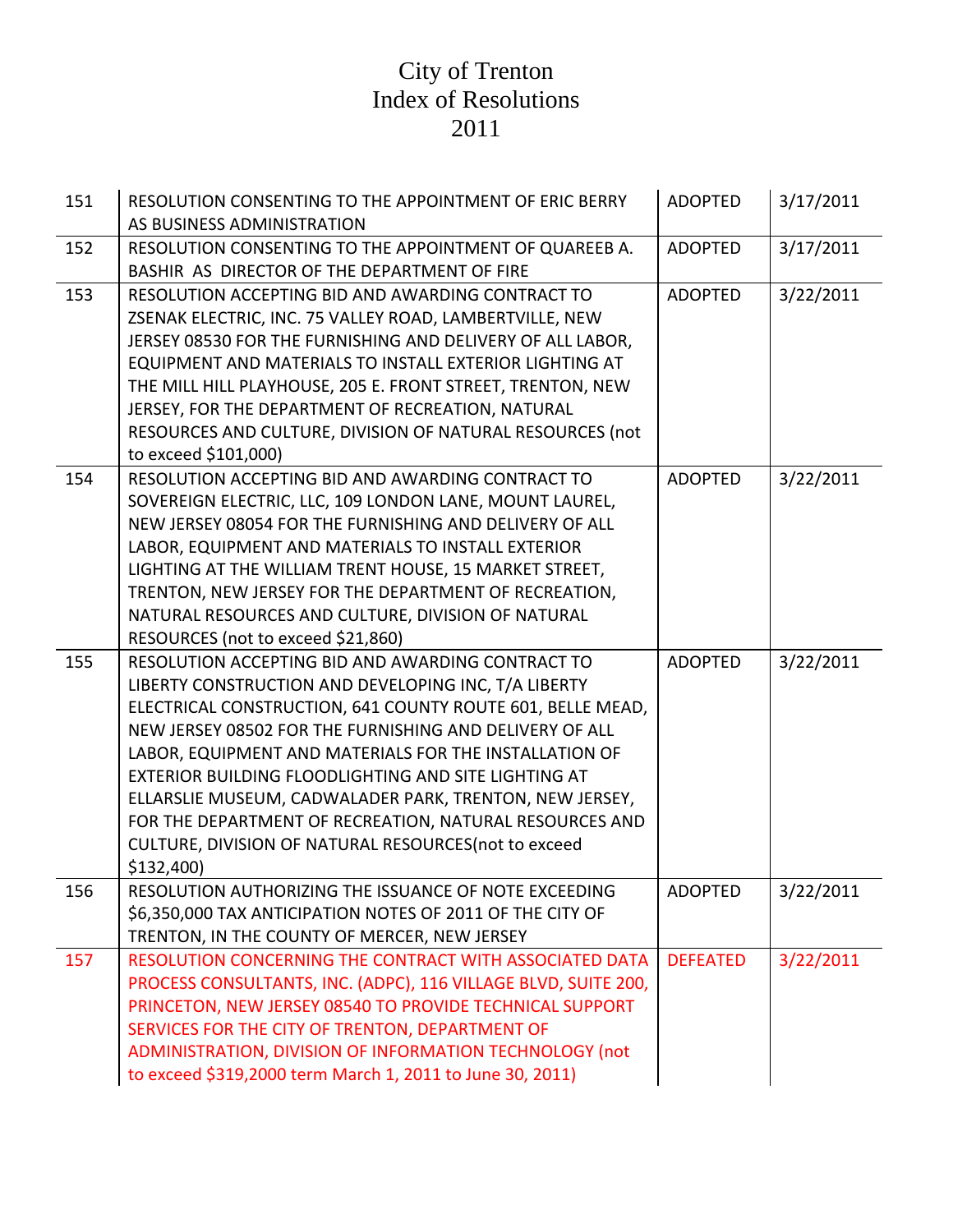| 151 | RESOLUTION CONSENTING TO THE APPOINTMENT OF ERIC BERRY<br>AS BUSINESS ADMINISTRATION                                                                                                                                                                                                                                                                                                                                                                                                                                                            | <b>ADOPTED</b>  | 3/17/2011 |
|-----|-------------------------------------------------------------------------------------------------------------------------------------------------------------------------------------------------------------------------------------------------------------------------------------------------------------------------------------------------------------------------------------------------------------------------------------------------------------------------------------------------------------------------------------------------|-----------------|-----------|
| 152 | RESOLUTION CONSENTING TO THE APPOINTMENT OF QUAREEB A.<br>BASHIR AS DIRECTOR OF THE DEPARTMENT OF FIRE                                                                                                                                                                                                                                                                                                                                                                                                                                          | <b>ADOPTED</b>  | 3/17/2011 |
| 153 | RESOLUTION ACCEPTING BID AND AWARDING CONTRACT TO<br>ZSENAK ELECTRIC, INC. 75 VALLEY ROAD, LAMBERTVILLE, NEW<br>JERSEY 08530 FOR THE FURNISHING AND DELIVERY OF ALL LABOR,<br>EQUIPMENT AND MATERIALS TO INSTALL EXTERIOR LIGHTING AT<br>THE MILL HILL PLAYHOUSE, 205 E. FRONT STREET, TRENTON, NEW<br>JERSEY, FOR THE DEPARTMENT OF RECREATION, NATURAL<br>RESOURCES AND CULTURE, DIVISION OF NATURAL RESOURCES (not<br>to exceed \$101,000)                                                                                                   | <b>ADOPTED</b>  | 3/22/2011 |
| 154 | RESOLUTION ACCEPTING BID AND AWARDING CONTRACT TO<br>SOVEREIGN ELECTRIC, LLC, 109 LONDON LANE, MOUNT LAUREL,<br>NEW JERSEY 08054 FOR THE FURNISHING AND DELIVERY OF ALL<br>LABOR, EQUIPMENT AND MATERIALS TO INSTALL EXTERIOR<br>LIGHTING AT THE WILLIAM TRENT HOUSE, 15 MARKET STREET,<br>TRENTON, NEW JERSEY FOR THE DEPARTMENT OF RECREATION,<br>NATURAL RESOURCES AND CULTURE, DIVISION OF NATURAL<br>RESOURCES (not to exceed \$21,860)                                                                                                    | <b>ADOPTED</b>  | 3/22/2011 |
| 155 | RESOLUTION ACCEPTING BID AND AWARDING CONTRACT TO<br>LIBERTY CONSTRUCTION AND DEVELOPING INC, T/A LIBERTY<br>ELECTRICAL CONSTRUCTION, 641 COUNTY ROUTE 601, BELLE MEAD,<br>NEW JERSEY 08502 FOR THE FURNISHING AND DELIVERY OF ALL<br>LABOR, EQUIPMENT AND MATERIALS FOR THE INSTALLATION OF<br>EXTERIOR BUILDING FLOODLIGHTING AND SITE LIGHTING AT<br>ELLARSLIE MUSEUM, CADWALADER PARK, TRENTON, NEW JERSEY,<br>FOR THE DEPARTMENT OF RECREATION, NATURAL RESOURCES AND<br>CULTURE, DIVISION OF NATURAL RESOURCES(not to exceed<br>\$132,400 | <b>ADOPTED</b>  | 3/22/2011 |
| 156 | RESOLUTION AUTHORIZING THE ISSUANCE OF NOTE EXCEEDING<br>\$6,350,000 TAX ANTICIPATION NOTES OF 2011 OF THE CITY OF<br>TRENTON, IN THE COUNTY OF MERCER, NEW JERSEY                                                                                                                                                                                                                                                                                                                                                                              | ADOPTED         | 3/22/2011 |
| 157 | RESOLUTION CONCERNING THE CONTRACT WITH ASSOCIATED DATA<br>PROCESS CONSULTANTS, INC. (ADPC), 116 VILLAGE BLVD, SUITE 200,<br>PRINCETON, NEW JERSEY 08540 TO PROVIDE TECHNICAL SUPPORT<br>SERVICES FOR THE CITY OF TRENTON, DEPARTMENT OF<br>ADMINISTRATION, DIVISION OF INFORMATION TECHNOLOGY (not<br>to exceed \$319,2000 term March 1, 2011 to June 30, 2011)                                                                                                                                                                                | <b>DEFEATED</b> | 3/22/2011 |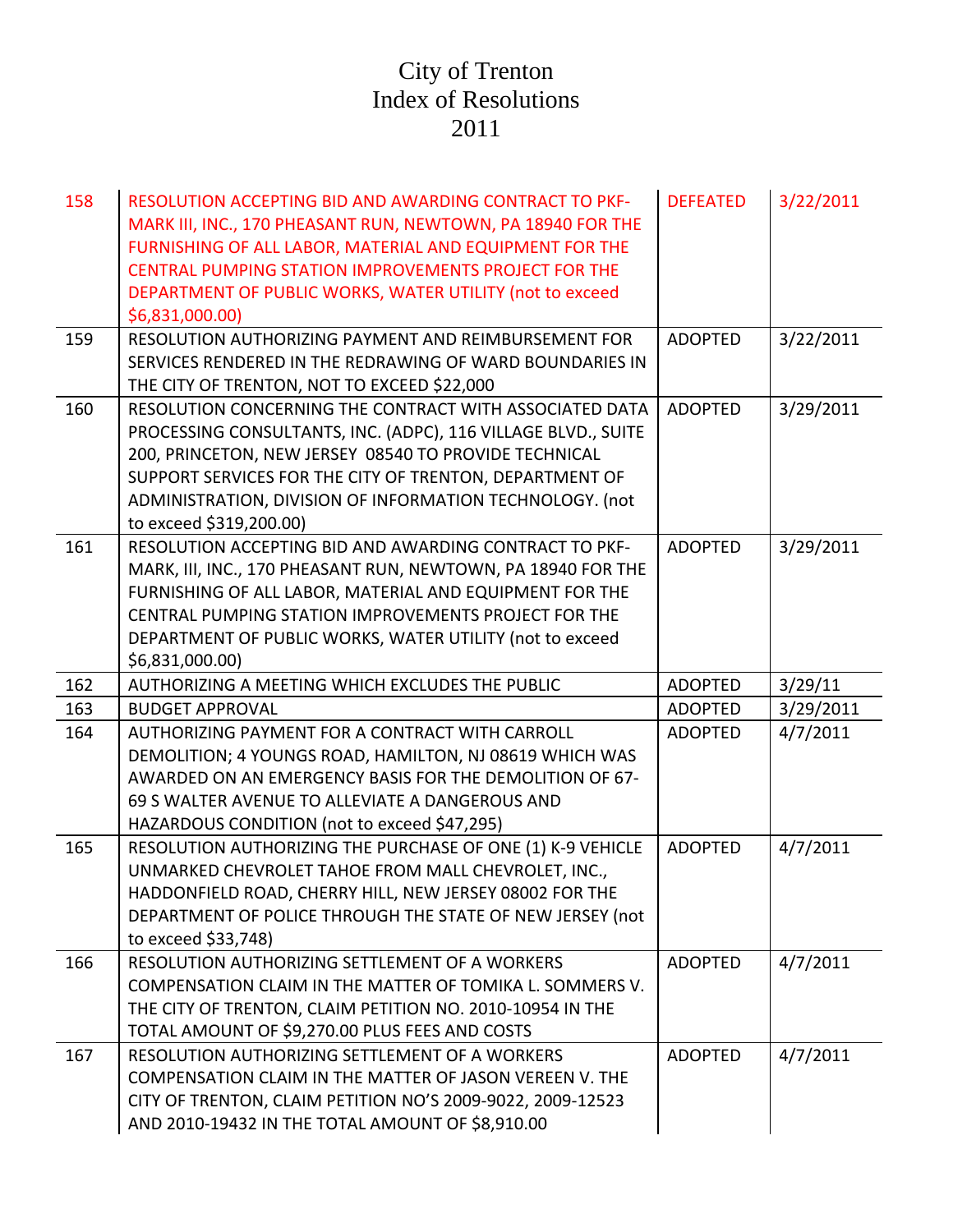| 158 | <b>RESOLUTION ACCEPTING BID AND AWARDING CONTRACT TO PKF-</b><br>MARK III, INC., 170 PHEASANT RUN, NEWTOWN, PA 18940 FOR THE<br>FURNISHING OF ALL LABOR, MATERIAL AND EQUIPMENT FOR THE<br>CENTRAL PUMPING STATION IMPROVEMENTS PROJECT FOR THE<br>DEPARTMENT OF PUBLIC WORKS, WATER UTILITY (not to exceed<br>\$6,831,000.00)      | <b>DEFEATED</b> | 3/22/2011 |
|-----|-------------------------------------------------------------------------------------------------------------------------------------------------------------------------------------------------------------------------------------------------------------------------------------------------------------------------------------|-----------------|-----------|
| 159 | RESOLUTION AUTHORIZING PAYMENT AND REIMBURSEMENT FOR<br>SERVICES RENDERED IN THE REDRAWING OF WARD BOUNDARIES IN<br>THE CITY OF TRENTON, NOT TO EXCEED \$22,000                                                                                                                                                                     | <b>ADOPTED</b>  | 3/22/2011 |
| 160 | RESOLUTION CONCERNING THE CONTRACT WITH ASSOCIATED DATA<br>PROCESSING CONSULTANTS, INC. (ADPC), 116 VILLAGE BLVD., SUITE<br>200, PRINCETON, NEW JERSEY 08540 TO PROVIDE TECHNICAL<br>SUPPORT SERVICES FOR THE CITY OF TRENTON, DEPARTMENT OF<br>ADMINISTRATION, DIVISION OF INFORMATION TECHNOLOGY. (not<br>to exceed \$319,200.00) | <b>ADOPTED</b>  | 3/29/2011 |
| 161 | RESOLUTION ACCEPTING BID AND AWARDING CONTRACT TO PKF-<br>MARK, III, INC., 170 PHEASANT RUN, NEWTOWN, PA 18940 FOR THE<br>FURNISHING OF ALL LABOR, MATERIAL AND EQUIPMENT FOR THE<br>CENTRAL PUMPING STATION IMPROVEMENTS PROJECT FOR THE<br>DEPARTMENT OF PUBLIC WORKS, WATER UTILITY (not to exceed<br>\$6,831,000.00)            | <b>ADOPTED</b>  | 3/29/2011 |
| 162 | AUTHORIZING A MEETING WHICH EXCLUDES THE PUBLIC                                                                                                                                                                                                                                                                                     | <b>ADOPTED</b>  | 3/29/11   |
| 163 | <b>BUDGET APPROVAL</b>                                                                                                                                                                                                                                                                                                              | <b>ADOPTED</b>  | 3/29/2011 |
| 164 | AUTHORIZING PAYMENT FOR A CONTRACT WITH CARROLL<br>DEMOLITION; 4 YOUNGS ROAD, HAMILTON, NJ 08619 WHICH WAS<br>AWARDED ON AN EMERGENCY BASIS FOR THE DEMOLITION OF 67-<br>69 S WALTER AVENUE TO ALLEVIATE A DANGEROUS AND<br>HAZARDOUS CONDITION (not to exceed \$47,295)                                                            | <b>ADOPTED</b>  | 4/7/2011  |
| 165 | RESOLUTION AUTHORIZING THE PURCHASE OF ONE (1) K-9 VEHICLE<br>UNMARKED CHEVROLET TAHOE FROM MALL CHEVROLET, INC.,<br>HADDONFIELD ROAD, CHERRY HILL, NEW JERSEY 08002 FOR THE<br>DEPARTMENT OF POLICE THROUGH THE STATE OF NEW JERSEY (not<br>to exceed \$33,748)                                                                    | <b>ADOPTED</b>  | 4/7/2011  |
| 166 | RESOLUTION AUTHORIZING SETTLEMENT OF A WORKERS<br>COMPENSATION CLAIM IN THE MATTER OF TOMIKA L. SOMMERS V.<br>THE CITY OF TRENTON, CLAIM PETITION NO. 2010-10954 IN THE<br>TOTAL AMOUNT OF \$9,270.00 PLUS FEES AND COSTS                                                                                                           | <b>ADOPTED</b>  | 4/7/2011  |
| 167 | RESOLUTION AUTHORIZING SETTLEMENT OF A WORKERS<br>COMPENSATION CLAIM IN THE MATTER OF JASON VEREEN V. THE<br>CITY OF TRENTON, CLAIM PETITION NO'S 2009-9022, 2009-12523<br>AND 2010-19432 IN THE TOTAL AMOUNT OF \$8,910.00                                                                                                         | <b>ADOPTED</b>  | 4/7/2011  |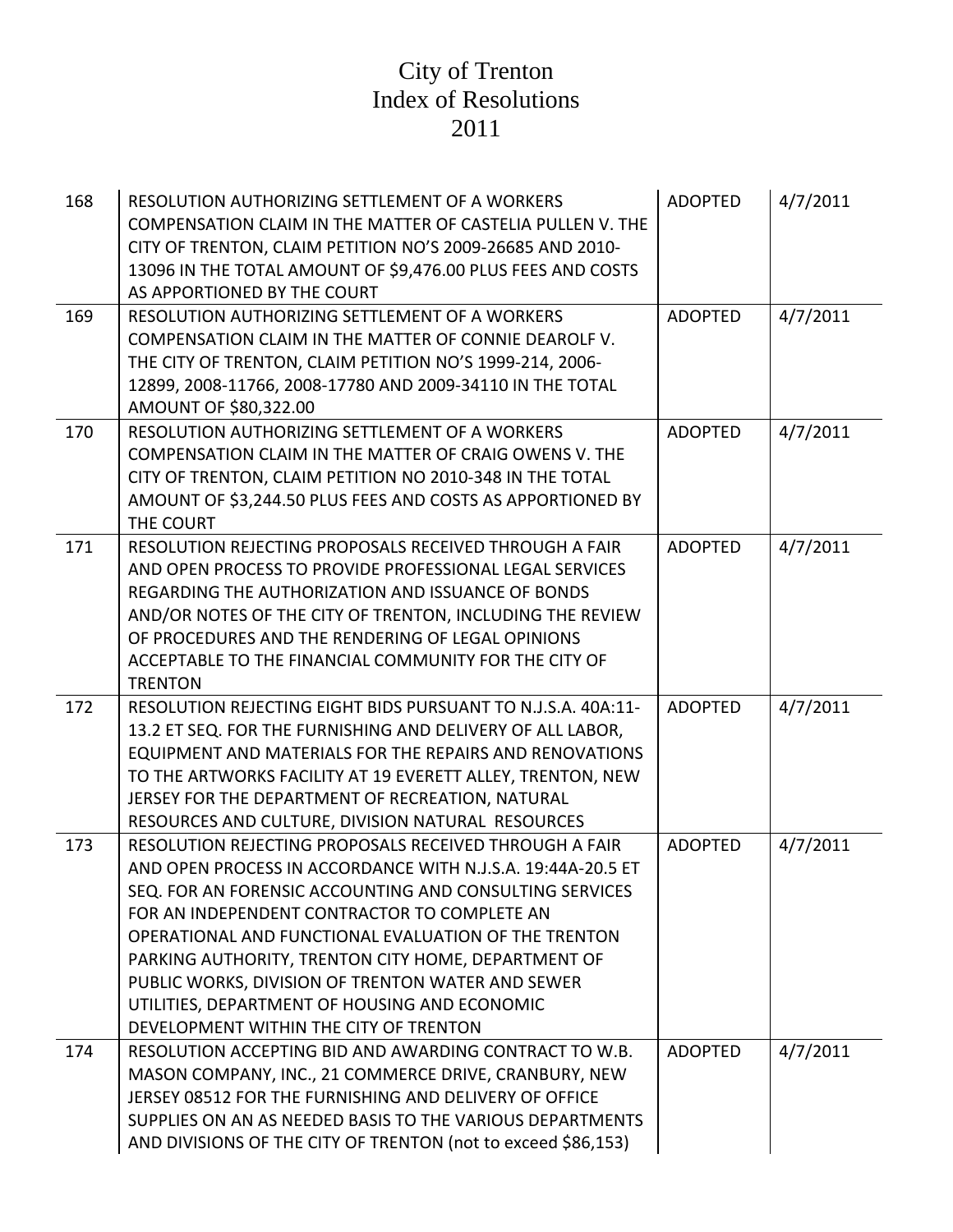| 168 | RESOLUTION AUTHORIZING SETTLEMENT OF A WORKERS<br>COMPENSATION CLAIM IN THE MATTER OF CASTELIA PULLEN V. THE<br>CITY OF TRENTON, CLAIM PETITION NO'S 2009-26685 AND 2010-<br>13096 IN THE TOTAL AMOUNT OF \$9,476.00 PLUS FEES AND COSTS<br>AS APPORTIONED BY THE COURT                                                                                                                                                                                                                         | <b>ADOPTED</b> | 4/7/2011 |
|-----|-------------------------------------------------------------------------------------------------------------------------------------------------------------------------------------------------------------------------------------------------------------------------------------------------------------------------------------------------------------------------------------------------------------------------------------------------------------------------------------------------|----------------|----------|
| 169 | RESOLUTION AUTHORIZING SETTLEMENT OF A WORKERS<br>COMPENSATION CLAIM IN THE MATTER OF CONNIE DEAROLF V.<br>THE CITY OF TRENTON, CLAIM PETITION NO'S 1999-214, 2006-<br>12899, 2008-11766, 2008-17780 AND 2009-34110 IN THE TOTAL<br>AMOUNT OF \$80,322.00                                                                                                                                                                                                                                       | <b>ADOPTED</b> | 4/7/2011 |
| 170 | RESOLUTION AUTHORIZING SETTLEMENT OF A WORKERS<br>COMPENSATION CLAIM IN THE MATTER OF CRAIG OWENS V. THE<br>CITY OF TRENTON, CLAIM PETITION NO 2010-348 IN THE TOTAL<br>AMOUNT OF \$3,244.50 PLUS FEES AND COSTS AS APPORTIONED BY<br>THE COURT                                                                                                                                                                                                                                                 | <b>ADOPTED</b> | 4/7/2011 |
| 171 | RESOLUTION REJECTING PROPOSALS RECEIVED THROUGH A FAIR<br>AND OPEN PROCESS TO PROVIDE PROFESSIONAL LEGAL SERVICES<br>REGARDING THE AUTHORIZATION AND ISSUANCE OF BONDS<br>AND/OR NOTES OF THE CITY OF TRENTON, INCLUDING THE REVIEW<br>OF PROCEDURES AND THE RENDERING OF LEGAL OPINIONS<br>ACCEPTABLE TO THE FINANCIAL COMMUNITY FOR THE CITY OF<br><b>TRENTON</b>                                                                                                                             | <b>ADOPTED</b> | 4/7/2011 |
| 172 | RESOLUTION REJECTING EIGHT BIDS PURSUANT TO N.J.S.A. 40A:11-<br>13.2 ET SEQ. FOR THE FURNISHING AND DELIVERY OF ALL LABOR,<br>EQUIPMENT AND MATERIALS FOR THE REPAIRS AND RENOVATIONS<br>TO THE ARTWORKS FACILITY AT 19 EVERETT ALLEY, TRENTON, NEW<br>JERSEY FOR THE DEPARTMENT OF RECREATION, NATURAL<br>RESOURCES AND CULTURE, DIVISION NATURAL RESOURCES                                                                                                                                    | <b>ADOPTED</b> | 4/7/2011 |
| 173 | RESOLUTION REJECTING PROPOSALS RECEIVED THROUGH A FAIR<br>AND OPEN PROCESS IN ACCORDANCE WITH N.J.S.A. 19:44A-20.5 ET<br>SEQ. FOR AN FORENSIC ACCOUNTING AND CONSULTING SERVICES<br>FOR AN INDEPENDENT CONTRACTOR TO COMPLETE AN<br>OPERATIONAL AND FUNCTIONAL EVALUATION OF THE TRENTON<br>PARKING AUTHORITY, TRENTON CITY HOME, DEPARTMENT OF<br>PUBLIC WORKS, DIVISION OF TRENTON WATER AND SEWER<br>UTILITIES, DEPARTMENT OF HOUSING AND ECONOMIC<br>DEVELOPMENT WITHIN THE CITY OF TRENTON | <b>ADOPTED</b> | 4/7/2011 |
| 174 | RESOLUTION ACCEPTING BID AND AWARDING CONTRACT TO W.B.<br>MASON COMPANY, INC., 21 COMMERCE DRIVE, CRANBURY, NEW<br>JERSEY 08512 FOR THE FURNISHING AND DELIVERY OF OFFICE<br>SUPPLIES ON AN AS NEEDED BASIS TO THE VARIOUS DEPARTMENTS<br>AND DIVISIONS OF THE CITY OF TRENTON (not to exceed \$86,153)                                                                                                                                                                                         | <b>ADOPTED</b> | 4/7/2011 |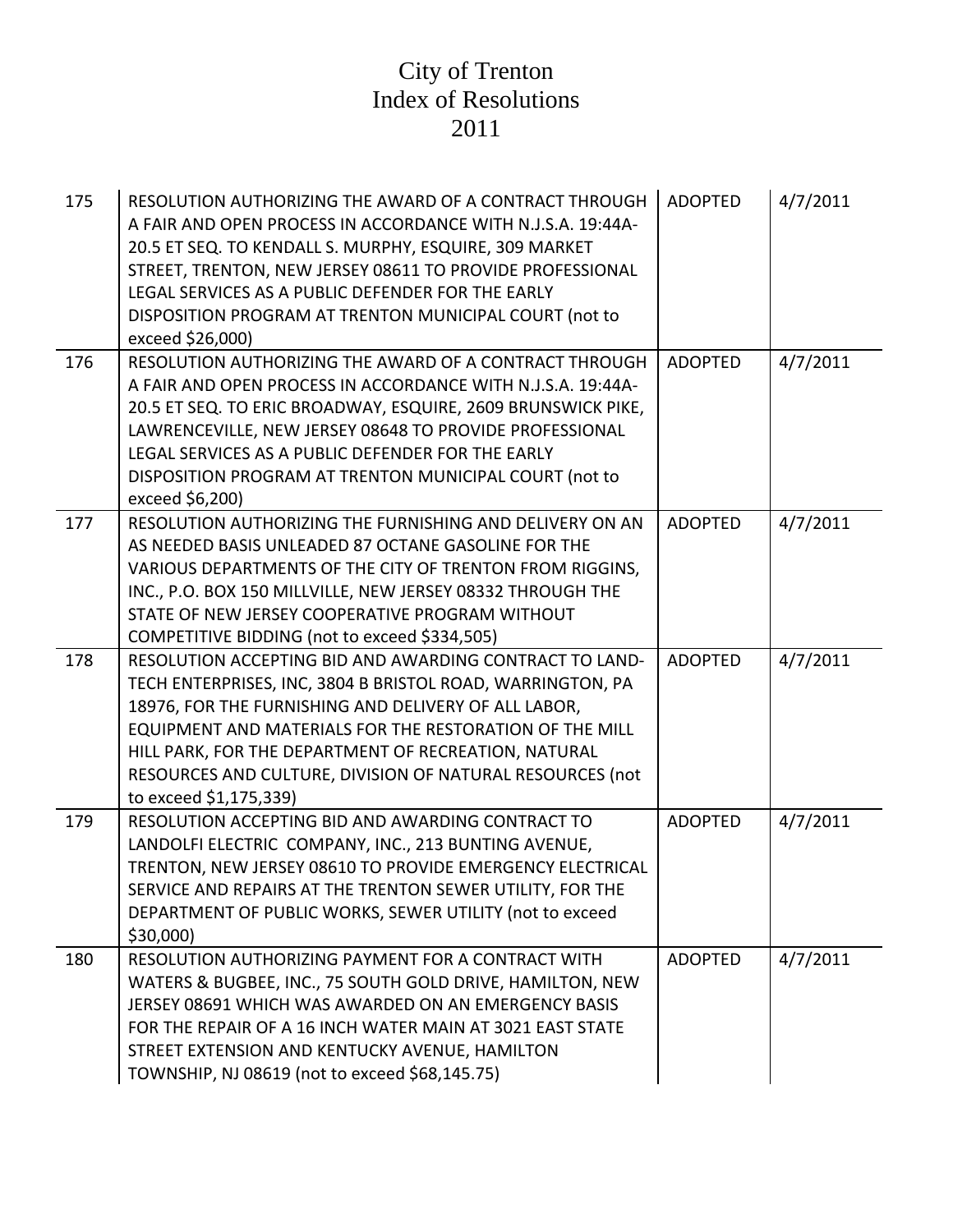| 175 | RESOLUTION AUTHORIZING THE AWARD OF A CONTRACT THROUGH<br>A FAIR AND OPEN PROCESS IN ACCORDANCE WITH N.J.S.A. 19:44A-<br>20.5 ET SEQ. TO KENDALL S. MURPHY, ESQUIRE, 309 MARKET<br>STREET, TRENTON, NEW JERSEY 08611 TO PROVIDE PROFESSIONAL<br>LEGAL SERVICES AS A PUBLIC DEFENDER FOR THE EARLY<br>DISPOSITION PROGRAM AT TRENTON MUNICIPAL COURT (not to<br>exceed \$26,000)         | <b>ADOPTED</b> | 4/7/2011 |
|-----|-----------------------------------------------------------------------------------------------------------------------------------------------------------------------------------------------------------------------------------------------------------------------------------------------------------------------------------------------------------------------------------------|----------------|----------|
| 176 | RESOLUTION AUTHORIZING THE AWARD OF A CONTRACT THROUGH<br>A FAIR AND OPEN PROCESS IN ACCORDANCE WITH N.J.S.A. 19:44A-<br>20.5 ET SEQ. TO ERIC BROADWAY, ESQUIRE, 2609 BRUNSWICK PIKE,<br>LAWRENCEVILLE, NEW JERSEY 08648 TO PROVIDE PROFESSIONAL<br>LEGAL SERVICES AS A PUBLIC DEFENDER FOR THE EARLY<br>DISPOSITION PROGRAM AT TRENTON MUNICIPAL COURT (not to<br>exceed \$6,200)      | <b>ADOPTED</b> | 4/7/2011 |
| 177 | RESOLUTION AUTHORIZING THE FURNISHING AND DELIVERY ON AN<br>AS NEEDED BASIS UNLEADED 87 OCTANE GASOLINE FOR THE<br>VARIOUS DEPARTMENTS OF THE CITY OF TRENTON FROM RIGGINS,<br>INC., P.O. BOX 150 MILLVILLE, NEW JERSEY 08332 THROUGH THE<br>STATE OF NEW JERSEY COOPERATIVE PROGRAM WITHOUT<br>COMPETITIVE BIDDING (not to exceed \$334,505)                                           | <b>ADOPTED</b> | 4/7/2011 |
| 178 | RESOLUTION ACCEPTING BID AND AWARDING CONTRACT TO LAND-<br>TECH ENTERPRISES, INC, 3804 B BRISTOL ROAD, WARRINGTON, PA<br>18976, FOR THE FURNISHING AND DELIVERY OF ALL LABOR,<br>EQUIPMENT AND MATERIALS FOR THE RESTORATION OF THE MILL<br>HILL PARK, FOR THE DEPARTMENT OF RECREATION, NATURAL<br>RESOURCES AND CULTURE, DIVISION OF NATURAL RESOURCES (not<br>to exceed \$1,175,339) | <b>ADOPTED</b> | 4/7/2011 |
| 179 | RESOLUTION ACCEPTING BID AND AWARDING CONTRACT TO<br>LANDOLFI ELECTRIC COMPANY, INC., 213 BUNTING AVENUE,<br>TRENTON, NEW JERSEY 08610 TO PROVIDE EMERGENCY ELECTRICAL<br>SERVICE AND REPAIRS AT THE TRENTON SEWER UTILITY, FOR THE<br>DEPARTMENT OF PUBLIC WORKS, SEWER UTILITY (not to exceed<br>\$30,000)                                                                            | <b>ADOPTED</b> | 4/7/2011 |
| 180 | RESOLUTION AUTHORIZING PAYMENT FOR A CONTRACT WITH<br>WATERS & BUGBEE, INC., 75 SOUTH GOLD DRIVE, HAMILTON, NEW<br>JERSEY 08691 WHICH WAS AWARDED ON AN EMERGENCY BASIS<br>FOR THE REPAIR OF A 16 INCH WATER MAIN AT 3021 EAST STATE<br>STREET EXTENSION AND KENTUCKY AVENUE, HAMILTON<br>TOWNSHIP, NJ 08619 (not to exceed \$68,145.75)                                                | <b>ADOPTED</b> | 4/7/2011 |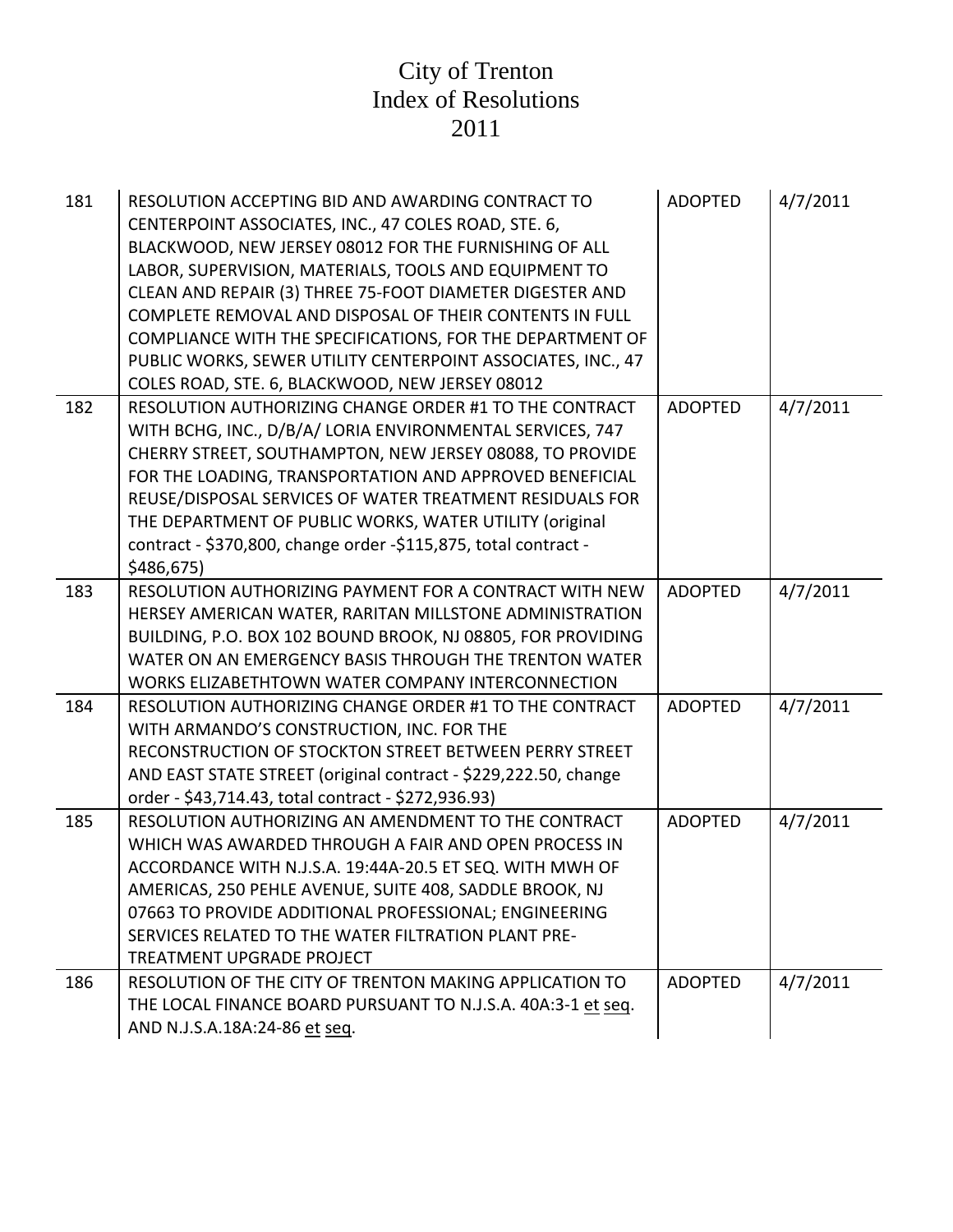| 181 | RESOLUTION ACCEPTING BID AND AWARDING CONTRACT TO<br>CENTERPOINT ASSOCIATES, INC., 47 COLES ROAD, STE. 6,<br>BLACKWOOD, NEW JERSEY 08012 FOR THE FURNISHING OF ALL<br>LABOR, SUPERVISION, MATERIALS, TOOLS AND EQUIPMENT TO<br>CLEAN AND REPAIR (3) THREE 75-FOOT DIAMETER DIGESTER AND<br>COMPLETE REMOVAL AND DISPOSAL OF THEIR CONTENTS IN FULL<br>COMPLIANCE WITH THE SPECIFICATIONS, FOR THE DEPARTMENT OF<br>PUBLIC WORKS, SEWER UTILITY CENTERPOINT ASSOCIATES, INC., 47<br>COLES ROAD, STE. 6, BLACKWOOD, NEW JERSEY 08012 | <b>ADOPTED</b> | 4/7/2011 |
|-----|------------------------------------------------------------------------------------------------------------------------------------------------------------------------------------------------------------------------------------------------------------------------------------------------------------------------------------------------------------------------------------------------------------------------------------------------------------------------------------------------------------------------------------|----------------|----------|
| 182 | RESOLUTION AUTHORIZING CHANGE ORDER #1 TO THE CONTRACT<br>WITH BCHG, INC., D/B/A/ LORIA ENVIRONMENTAL SERVICES, 747<br>CHERRY STREET, SOUTHAMPTON, NEW JERSEY 08088, TO PROVIDE<br>FOR THE LOADING, TRANSPORTATION AND APPROVED BENEFICIAL<br>REUSE/DISPOSAL SERVICES OF WATER TREATMENT RESIDUALS FOR<br>THE DEPARTMENT OF PUBLIC WORKS, WATER UTILITY (original<br>contract - \$370,800, change order -\$115,875, total contract -<br>\$486,675)                                                                                 | <b>ADOPTED</b> | 4/7/2011 |
| 183 | RESOLUTION AUTHORIZING PAYMENT FOR A CONTRACT WITH NEW<br>HERSEY AMERICAN WATER, RARITAN MILLSTONE ADMINISTRATION<br>BUILDING, P.O. BOX 102 BOUND BROOK, NJ 08805, FOR PROVIDING<br>WATER ON AN EMERGENCY BASIS THROUGH THE TRENTON WATER<br>WORKS ELIZABETHTOWN WATER COMPANY INTERCONNECTION                                                                                                                                                                                                                                     | <b>ADOPTED</b> | 4/7/2011 |
| 184 | RESOLUTION AUTHORIZING CHANGE ORDER #1 TO THE CONTRACT<br>WITH ARMANDO'S CONSTRUCTION, INC. FOR THE<br>RECONSTRUCTION OF STOCKTON STREET BETWEEN PERRY STREET<br>AND EAST STATE STREET (original contract - \$229,222.50, change<br>order - \$43,714.43, total contract - \$272,936.93)                                                                                                                                                                                                                                            | <b>ADOPTED</b> | 4/7/2011 |
| 185 | RESOLUTION AUTHORIZING AN AMENDMENT TO THE CONTRACT<br>WHICH WAS AWARDED THROUGH A FAIR AND OPEN PROCESS IN<br>ACCORDANCE WITH N.J.S.A. 19:44A-20.5 ET SEQ. WITH MWH OF<br>AMERICAS, 250 PEHLE AVENUE, SUITE 408, SADDLE BROOK, NJ<br>07663 TO PROVIDE ADDITIONAL PROFESSIONAL; ENGINEERING<br>SERVICES RELATED TO THE WATER FILTRATION PLANT PRE-<br>TREATMENT UPGRADE PROJECT                                                                                                                                                    | <b>ADOPTED</b> | 4/7/2011 |
| 186 | RESOLUTION OF THE CITY OF TRENTON MAKING APPLICATION TO<br>THE LOCAL FINANCE BOARD PURSUANT TO N.J.S.A. 40A:3-1 et seg.<br>AND N.J.S.A.18A:24-86 et seq.                                                                                                                                                                                                                                                                                                                                                                           | <b>ADOPTED</b> | 4/7/2011 |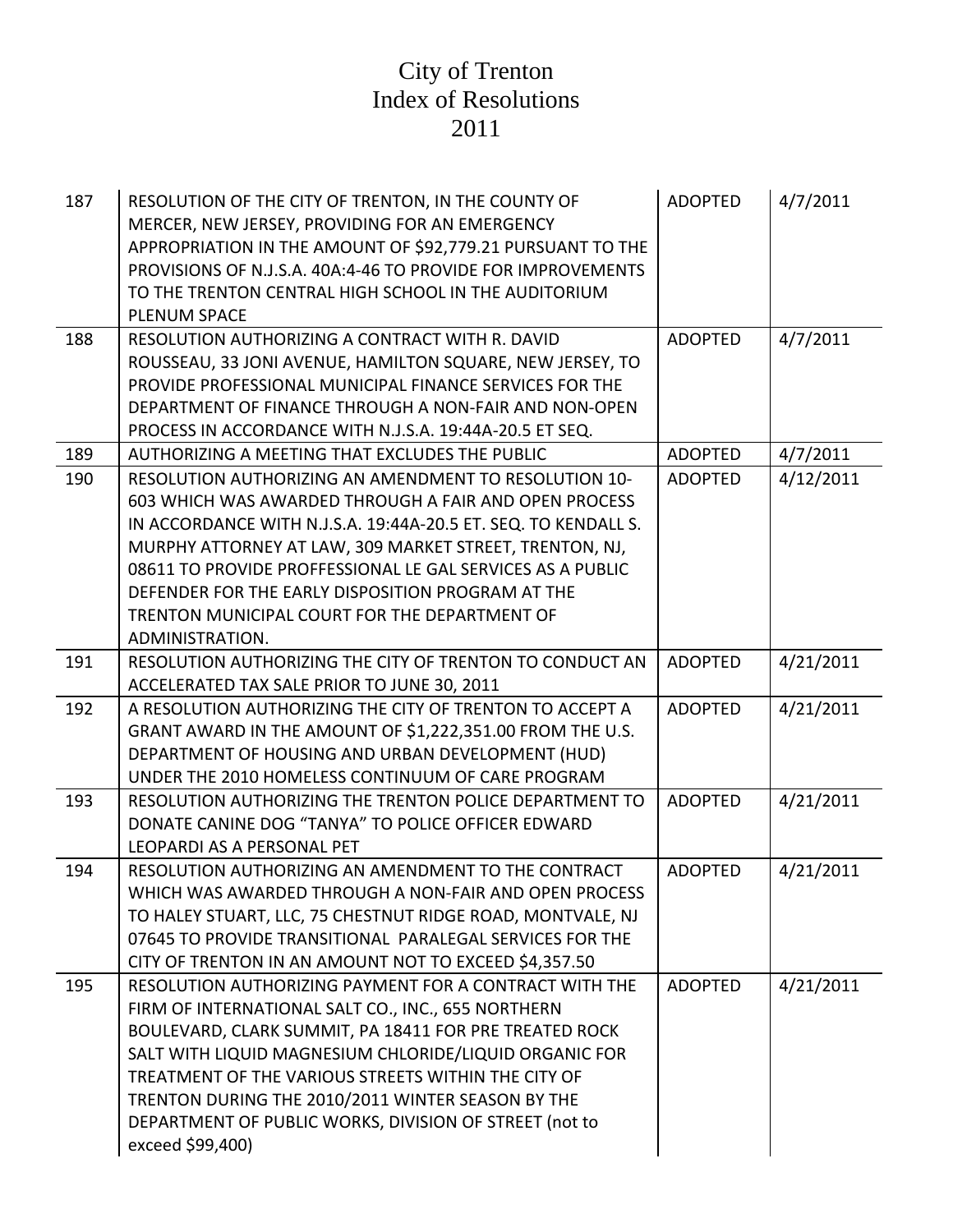| 187 | RESOLUTION OF THE CITY OF TRENTON, IN THE COUNTY OF<br>MERCER, NEW JERSEY, PROVIDING FOR AN EMERGENCY<br>APPROPRIATION IN THE AMOUNT OF \$92,779.21 PURSUANT TO THE<br>PROVISIONS OF N.J.S.A. 40A:4-46 TO PROVIDE FOR IMPROVEMENTS<br>TO THE TRENTON CENTRAL HIGH SCHOOL IN THE AUDITORIUM<br><b>PLENUM SPACE</b>                                                                                                                  | <b>ADOPTED</b> | 4/7/2011  |
|-----|------------------------------------------------------------------------------------------------------------------------------------------------------------------------------------------------------------------------------------------------------------------------------------------------------------------------------------------------------------------------------------------------------------------------------------|----------------|-----------|
| 188 | RESOLUTION AUTHORIZING A CONTRACT WITH R. DAVID<br>ROUSSEAU, 33 JONI AVENUE, HAMILTON SQUARE, NEW JERSEY, TO<br>PROVIDE PROFESSIONAL MUNICIPAL FINANCE SERVICES FOR THE<br>DEPARTMENT OF FINANCE THROUGH A NON-FAIR AND NON-OPEN<br>PROCESS IN ACCORDANCE WITH N.J.S.A. 19:44A-20.5 ET SEQ.                                                                                                                                        | <b>ADOPTED</b> | 4/7/2011  |
| 189 | AUTHORIZING A MEETING THAT EXCLUDES THE PUBLIC                                                                                                                                                                                                                                                                                                                                                                                     | <b>ADOPTED</b> | 4/7/2011  |
| 190 | RESOLUTION AUTHORIZING AN AMENDMENT TO RESOLUTION 10-<br>603 WHICH WAS AWARDED THROUGH A FAIR AND OPEN PROCESS<br>IN ACCORDANCE WITH N.J.S.A. 19:44A-20.5 ET. SEQ. TO KENDALL S.<br>MURPHY ATTORNEY AT LAW, 309 MARKET STREET, TRENTON, NJ,<br>08611 TO PROVIDE PROFFESSIONAL LE GAL SERVICES AS A PUBLIC<br>DEFENDER FOR THE EARLY DISPOSITION PROGRAM AT THE<br>TRENTON MUNICIPAL COURT FOR THE DEPARTMENT OF<br>ADMINISTRATION. | <b>ADOPTED</b> | 4/12/2011 |
| 191 | RESOLUTION AUTHORIZING THE CITY OF TRENTON TO CONDUCT AN<br>ACCELERATED TAX SALE PRIOR TO JUNE 30, 2011                                                                                                                                                                                                                                                                                                                            | <b>ADOPTED</b> | 4/21/2011 |
| 192 | A RESOLUTION AUTHORIZING THE CITY OF TRENTON TO ACCEPT A<br>GRANT AWARD IN THE AMOUNT OF \$1,222,351.00 FROM THE U.S.<br>DEPARTMENT OF HOUSING AND URBAN DEVELOPMENT (HUD)<br>UNDER THE 2010 HOMELESS CONTINUUM OF CARE PROGRAM                                                                                                                                                                                                    | <b>ADOPTED</b> | 4/21/2011 |
| 193 | RESOLUTION AUTHORIZING THE TRENTON POLICE DEPARTMENT TO<br>DONATE CANINE DOG "TANYA" TO POLICE OFFICER EDWARD<br>LEOPARDI AS A PERSONAL PET                                                                                                                                                                                                                                                                                        | <b>ADOPTED</b> | 4/21/2011 |
| 194 | RESOLUTION AUTHORIZING AN AMENDMENT TO THE CONTRACT<br>WHICH WAS AWARDED THROUGH A NON-FAIR AND OPEN PROCESS<br>TO HALEY STUART, LLC, 75 CHESTNUT RIDGE ROAD, MONTVALE, NJ<br>07645 TO PROVIDE TRANSITIONAL PARALEGAL SERVICES FOR THE<br>CITY OF TRENTON IN AN AMOUNT NOT TO EXCEED \$4,357.50                                                                                                                                    | <b>ADOPTED</b> | 4/21/2011 |
| 195 | RESOLUTION AUTHORIZING PAYMENT FOR A CONTRACT WITH THE<br>FIRM OF INTERNATIONAL SALT CO., INC., 655 NORTHERN<br>BOULEVARD, CLARK SUMMIT, PA 18411 FOR PRE TREATED ROCK<br>SALT WITH LIQUID MAGNESIUM CHLORIDE/LIQUID ORGANIC FOR<br>TREATMENT OF THE VARIOUS STREETS WITHIN THE CITY OF<br>TRENTON DURING THE 2010/2011 WINTER SEASON BY THE<br>DEPARTMENT OF PUBLIC WORKS, DIVISION OF STREET (not to<br>exceed \$99,400)         | <b>ADOPTED</b> | 4/21/2011 |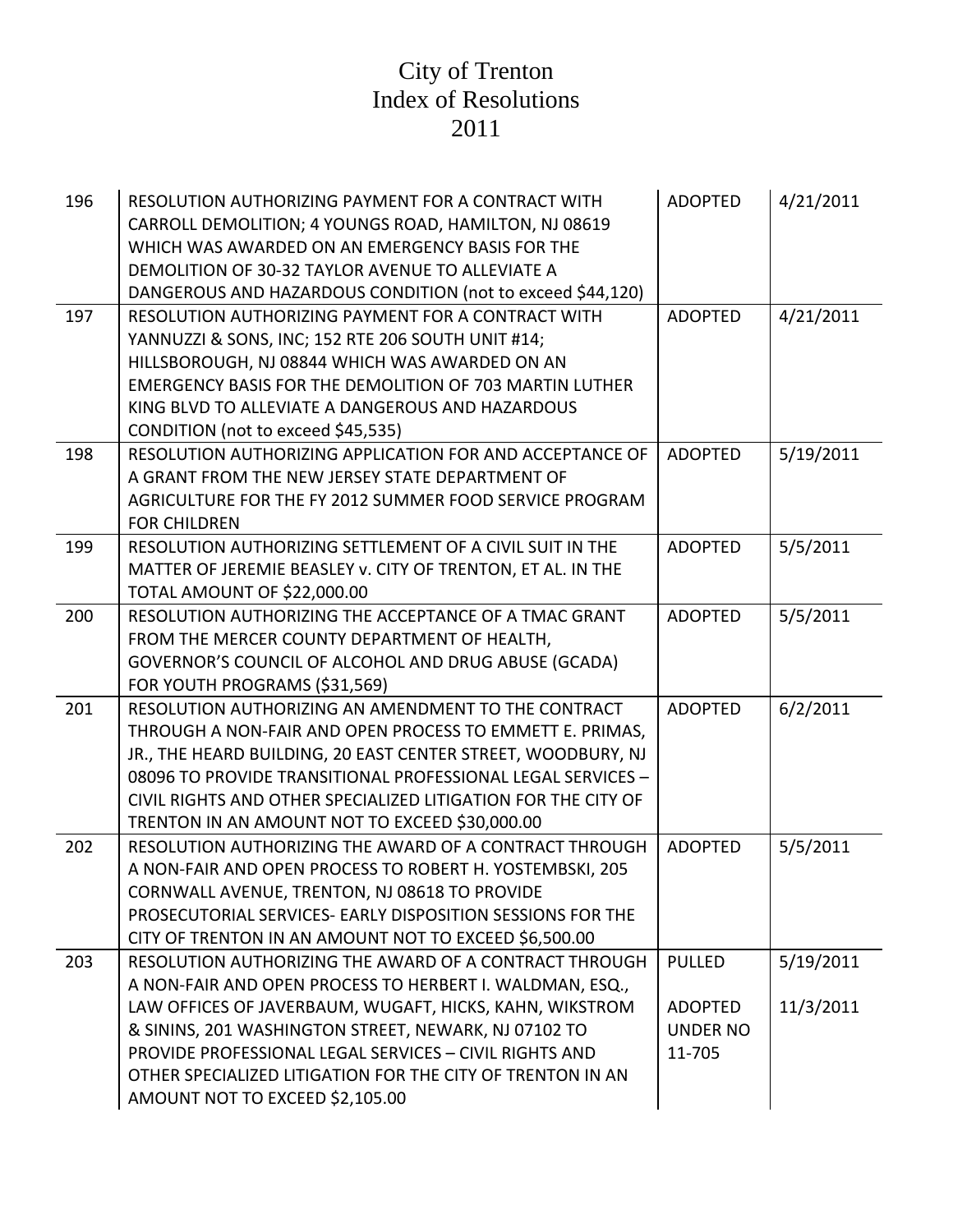| 196 | RESOLUTION AUTHORIZING PAYMENT FOR A CONTRACT WITH<br>CARROLL DEMOLITION; 4 YOUNGS ROAD, HAMILTON, NJ 08619<br>WHICH WAS AWARDED ON AN EMERGENCY BASIS FOR THE<br>DEMOLITION OF 30-32 TAYLOR AVENUE TO ALLEVIATE A<br>DANGEROUS AND HAZARDOUS CONDITION (not to exceed \$44,120)                                                                                                                 | <b>ADOPTED</b>                                               | 4/21/2011              |
|-----|--------------------------------------------------------------------------------------------------------------------------------------------------------------------------------------------------------------------------------------------------------------------------------------------------------------------------------------------------------------------------------------------------|--------------------------------------------------------------|------------------------|
| 197 | RESOLUTION AUTHORIZING PAYMENT FOR A CONTRACT WITH<br>YANNUZZI & SONS, INC; 152 RTE 206 SOUTH UNIT #14;<br>HILLSBOROUGH, NJ 08844 WHICH WAS AWARDED ON AN<br>EMERGENCY BASIS FOR THE DEMOLITION OF 703 MARTIN LUTHER<br>KING BLVD TO ALLEVIATE A DANGEROUS AND HAZARDOUS<br>CONDITION (not to exceed \$45,535)                                                                                   | <b>ADOPTED</b>                                               | 4/21/2011              |
| 198 | RESOLUTION AUTHORIZING APPLICATION FOR AND ACCEPTANCE OF<br>A GRANT FROM THE NEW JERSEY STATE DEPARTMENT OF<br>AGRICULTURE FOR THE FY 2012 SUMMER FOOD SERVICE PROGRAM<br><b>FOR CHILDREN</b>                                                                                                                                                                                                    | <b>ADOPTED</b>                                               | 5/19/2011              |
| 199 | RESOLUTION AUTHORIZING SETTLEMENT OF A CIVIL SUIT IN THE<br>MATTER OF JEREMIE BEASLEY v. CITY OF TRENTON, ET AL. IN THE<br>TOTAL AMOUNT OF \$22,000.00                                                                                                                                                                                                                                           | <b>ADOPTED</b>                                               | 5/5/2011               |
| 200 | RESOLUTION AUTHORIZING THE ACCEPTANCE OF A TMAC GRANT<br>FROM THE MERCER COUNTY DEPARTMENT OF HEALTH,<br>GOVERNOR'S COUNCIL OF ALCOHOL AND DRUG ABUSE (GCADA)<br>FOR YOUTH PROGRAMS (\$31,569)                                                                                                                                                                                                   | <b>ADOPTED</b>                                               | 5/5/2011               |
| 201 | RESOLUTION AUTHORIZING AN AMENDMENT TO THE CONTRACT<br>THROUGH A NON-FAIR AND OPEN PROCESS TO EMMETT E. PRIMAS,<br>JR., THE HEARD BUILDING, 20 EAST CENTER STREET, WOODBURY, NJ<br>08096 TO PROVIDE TRANSITIONAL PROFESSIONAL LEGAL SERVICES -<br>CIVIL RIGHTS AND OTHER SPECIALIZED LITIGATION FOR THE CITY OF<br>TRENTON IN AN AMOUNT NOT TO EXCEED \$30,000.00                                | <b>ADOPTED</b>                                               | 6/2/2011               |
| 202 | RESOLUTION AUTHORIZING THE AWARD OF A CONTRACT THROUGH<br>A NON-FAIR AND OPEN PROCESS TO ROBERT H. YOSTEMBSKI, 205<br>CORNWALL AVENUE, TRENTON, NJ 08618 TO PROVIDE<br>PROSECUTORIAL SERVICES- EARLY DISPOSITION SESSIONS FOR THE<br>CITY OF TRENTON IN AN AMOUNT NOT TO EXCEED \$6,500.00                                                                                                       | <b>ADOPTED</b>                                               | 5/5/2011               |
| 203 | RESOLUTION AUTHORIZING THE AWARD OF A CONTRACT THROUGH<br>A NON-FAIR AND OPEN PROCESS TO HERBERT I. WALDMAN, ESQ.,<br>LAW OFFICES OF JAVERBAUM, WUGAFT, HICKS, KAHN, WIKSTROM<br>& SININS, 201 WASHINGTON STREET, NEWARK, NJ 07102 TO<br>PROVIDE PROFESSIONAL LEGAL SERVICES - CIVIL RIGHTS AND<br>OTHER SPECIALIZED LITIGATION FOR THE CITY OF TRENTON IN AN<br>AMOUNT NOT TO EXCEED \$2,105.00 | <b>PULLED</b><br><b>ADOPTED</b><br><b>UNDER NO</b><br>11-705 | 5/19/2011<br>11/3/2011 |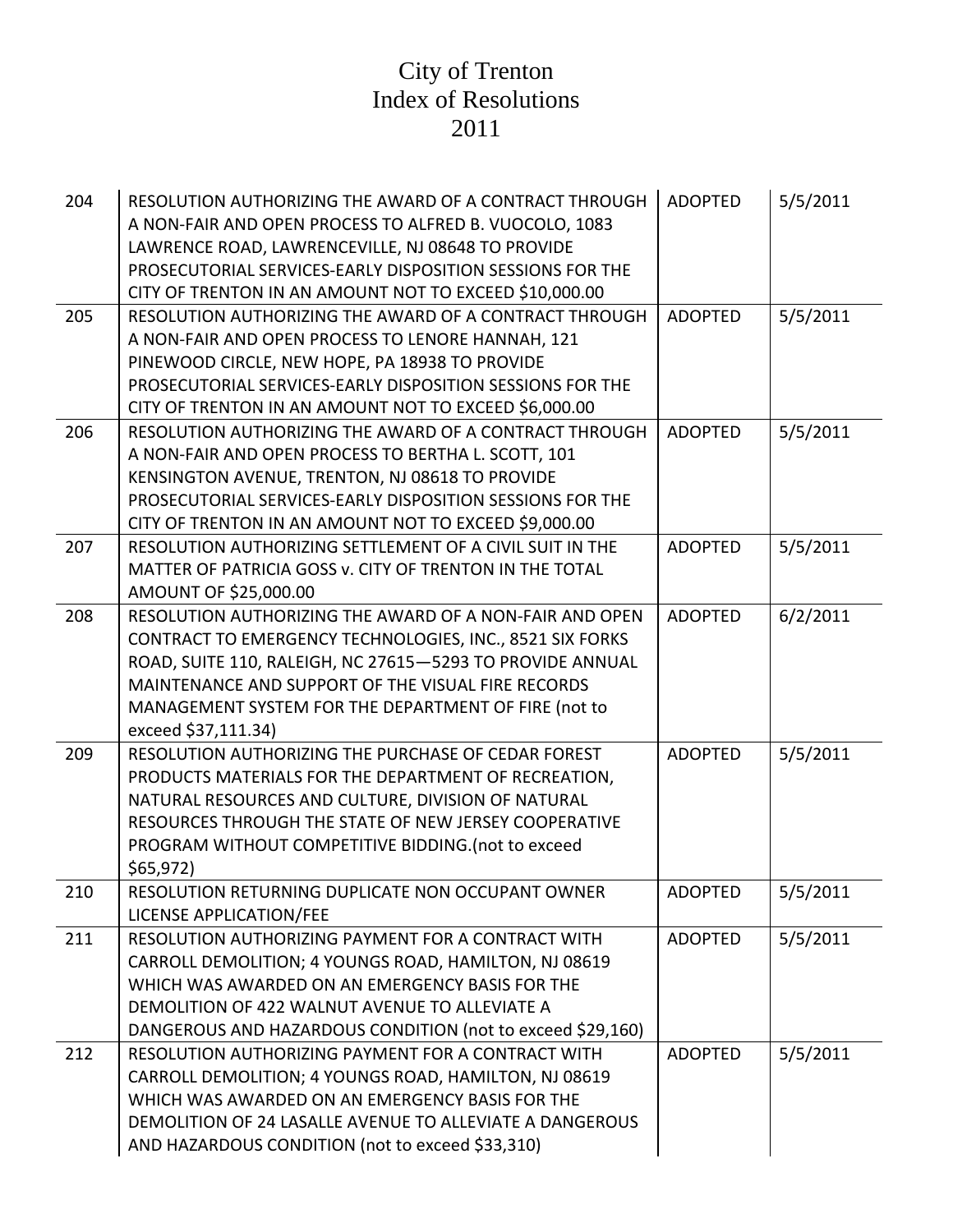| 204 | RESOLUTION AUTHORIZING THE AWARD OF A CONTRACT THROUGH<br>A NON-FAIR AND OPEN PROCESS TO ALFRED B. VUOCOLO, 1083<br>LAWRENCE ROAD, LAWRENCEVILLE, NJ 08648 TO PROVIDE<br>PROSECUTORIAL SERVICES-EARLY DISPOSITION SESSIONS FOR THE<br>CITY OF TRENTON IN AN AMOUNT NOT TO EXCEED \$10,000.00                          | <b>ADOPTED</b> | 5/5/2011 |
|-----|-----------------------------------------------------------------------------------------------------------------------------------------------------------------------------------------------------------------------------------------------------------------------------------------------------------------------|----------------|----------|
| 205 | RESOLUTION AUTHORIZING THE AWARD OF A CONTRACT THROUGH<br>A NON-FAIR AND OPEN PROCESS TO LENORE HANNAH, 121<br>PINEWOOD CIRCLE, NEW HOPE, PA 18938 TO PROVIDE<br>PROSECUTORIAL SERVICES-EARLY DISPOSITION SESSIONS FOR THE<br>CITY OF TRENTON IN AN AMOUNT NOT TO EXCEED \$6,000.00                                   | <b>ADOPTED</b> | 5/5/2011 |
| 206 | RESOLUTION AUTHORIZING THE AWARD OF A CONTRACT THROUGH<br>A NON-FAIR AND OPEN PROCESS TO BERTHA L. SCOTT, 101<br>KENSINGTON AVENUE, TRENTON, NJ 08618 TO PROVIDE<br>PROSECUTORIAL SERVICES-EARLY DISPOSITION SESSIONS FOR THE<br>CITY OF TRENTON IN AN AMOUNT NOT TO EXCEED \$9,000.00                                | <b>ADOPTED</b> | 5/5/2011 |
| 207 | RESOLUTION AUTHORIZING SETTLEMENT OF A CIVIL SUIT IN THE<br>MATTER OF PATRICIA GOSS v. CITY OF TRENTON IN THE TOTAL<br>AMOUNT OF \$25,000.00                                                                                                                                                                          | <b>ADOPTED</b> | 5/5/2011 |
| 208 | RESOLUTION AUTHORIZING THE AWARD OF A NON-FAIR AND OPEN<br>CONTRACT TO EMERGENCY TECHNOLOGIES, INC., 8521 SIX FORKS<br>ROAD, SUITE 110, RALEIGH, NC 27615-5293 TO PROVIDE ANNUAL<br>MAINTENANCE AND SUPPORT OF THE VISUAL FIRE RECORDS<br>MANAGEMENT SYSTEM FOR THE DEPARTMENT OF FIRE (not to<br>exceed \$37,111.34) | <b>ADOPTED</b> | 6/2/2011 |
| 209 | RESOLUTION AUTHORIZING THE PURCHASE OF CEDAR FOREST<br>PRODUCTS MATERIALS FOR THE DEPARTMENT OF RECREATION,<br>NATURAL RESOURCES AND CULTURE, DIVISION OF NATURAL<br>RESOURCES THROUGH THE STATE OF NEW JERSEY COOPERATIVE<br>PROGRAM WITHOUT COMPETITIVE BIDDING. (not to exceed<br>\$65,972                         | <b>ADOPTED</b> | 5/5/2011 |
| 210 | RESOLUTION RETURNING DUPLICATE NON OCCUPANT OWNER<br>LICENSE APPLICATION/FEE                                                                                                                                                                                                                                          | <b>ADOPTED</b> | 5/5/2011 |
| 211 | RESOLUTION AUTHORIZING PAYMENT FOR A CONTRACT WITH<br>CARROLL DEMOLITION; 4 YOUNGS ROAD, HAMILTON, NJ 08619<br>WHICH WAS AWARDED ON AN EMERGENCY BASIS FOR THE<br>DEMOLITION OF 422 WALNUT AVENUE TO ALLEVIATE A<br>DANGEROUS AND HAZARDOUS CONDITION (not to exceed \$29,160)                                        | <b>ADOPTED</b> | 5/5/2011 |
| 212 | RESOLUTION AUTHORIZING PAYMENT FOR A CONTRACT WITH<br>CARROLL DEMOLITION; 4 YOUNGS ROAD, HAMILTON, NJ 08619<br>WHICH WAS AWARDED ON AN EMERGENCY BASIS FOR THE<br>DEMOLITION OF 24 LASALLE AVENUE TO ALLEVIATE A DANGEROUS<br>AND HAZARDOUS CONDITION (not to exceed \$33,310)                                        | <b>ADOPTED</b> | 5/5/2011 |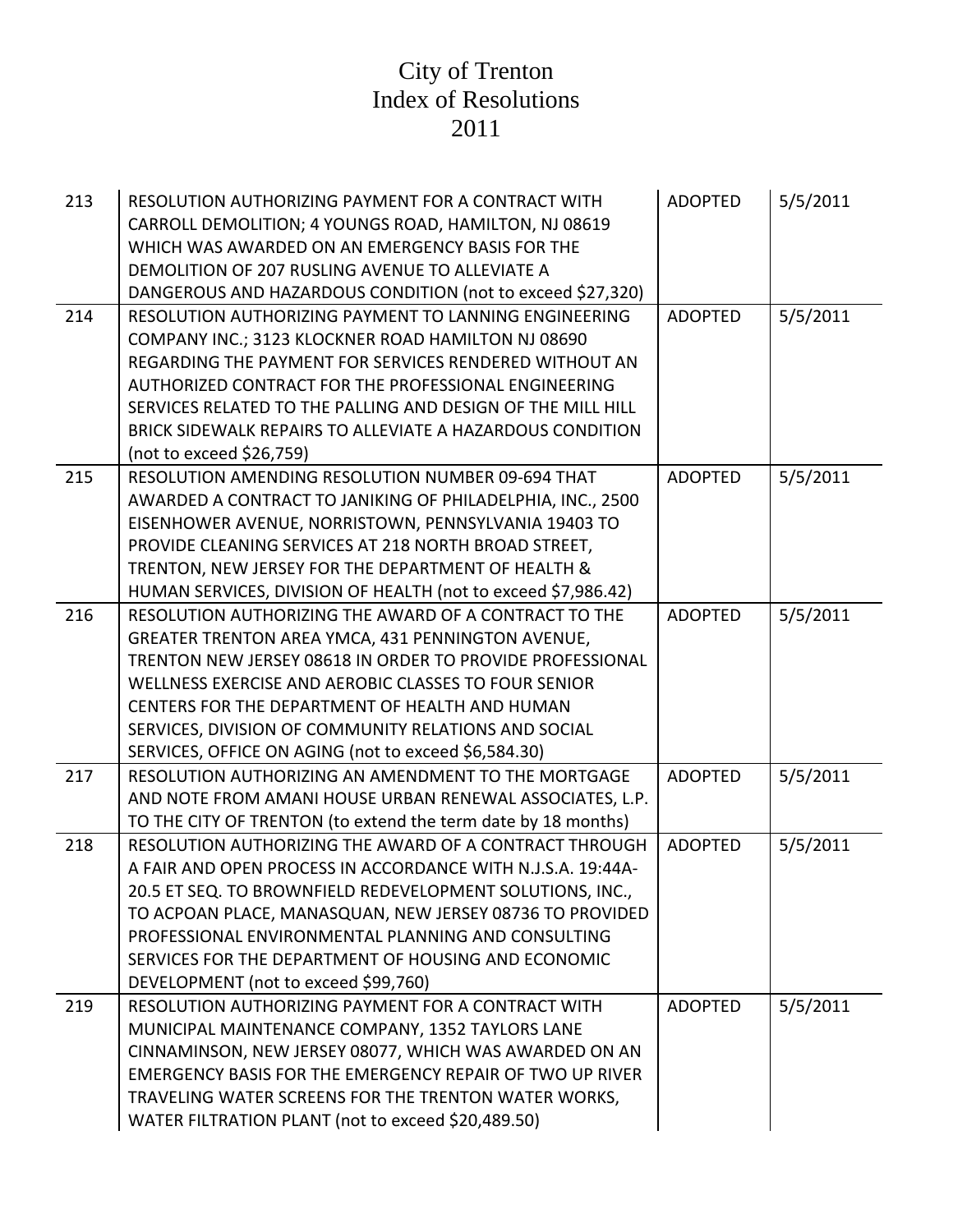| 213 | RESOLUTION AUTHORIZING PAYMENT FOR A CONTRACT WITH<br>CARROLL DEMOLITION; 4 YOUNGS ROAD, HAMILTON, NJ 08619<br>WHICH WAS AWARDED ON AN EMERGENCY BASIS FOR THE<br>DEMOLITION OF 207 RUSLING AVENUE TO ALLEVIATE A<br>DANGEROUS AND HAZARDOUS CONDITION (not to exceed \$27,320)                                                                                                                     | <b>ADOPTED</b> | 5/5/2011 |
|-----|-----------------------------------------------------------------------------------------------------------------------------------------------------------------------------------------------------------------------------------------------------------------------------------------------------------------------------------------------------------------------------------------------------|----------------|----------|
| 214 | RESOLUTION AUTHORIZING PAYMENT TO LANNING ENGINEERING<br>COMPANY INC.; 3123 KLOCKNER ROAD HAMILTON NJ 08690<br>REGARDING THE PAYMENT FOR SERVICES RENDERED WITHOUT AN<br>AUTHORIZED CONTRACT FOR THE PROFESSIONAL ENGINEERING<br>SERVICES RELATED TO THE PALLING AND DESIGN OF THE MILL HILL<br>BRICK SIDEWALK REPAIRS TO ALLEVIATE A HAZARDOUS CONDITION<br>(not to exceed \$26,759)               | <b>ADOPTED</b> | 5/5/2011 |
| 215 | RESOLUTION AMENDING RESOLUTION NUMBER 09-694 THAT<br>AWARDED A CONTRACT TO JANIKING OF PHILADELPHIA, INC., 2500<br>EISENHOWER AVENUE, NORRISTOWN, PENNSYLVANIA 19403 TO<br>PROVIDE CLEANING SERVICES AT 218 NORTH BROAD STREET,<br>TRENTON, NEW JERSEY FOR THE DEPARTMENT OF HEALTH &<br>HUMAN SERVICES, DIVISION OF HEALTH (not to exceed \$7,986.42)                                              | <b>ADOPTED</b> | 5/5/2011 |
| 216 | RESOLUTION AUTHORIZING THE AWARD OF A CONTRACT TO THE<br>GREATER TRENTON AREA YMCA, 431 PENNINGTON AVENUE,<br>TRENTON NEW JERSEY 08618 IN ORDER TO PROVIDE PROFESSIONAL<br>WELLNESS EXERCISE AND AEROBIC CLASSES TO FOUR SENIOR<br>CENTERS FOR THE DEPARTMENT OF HEALTH AND HUMAN<br>SERVICES, DIVISION OF COMMUNITY RELATIONS AND SOCIAL<br>SERVICES, OFFICE ON AGING (not to exceed \$6,584.30)   | <b>ADOPTED</b> | 5/5/2011 |
| 217 | RESOLUTION AUTHORIZING AN AMENDMENT TO THE MORTGAGE<br>AND NOTE FROM AMANI HOUSE URBAN RENEWAL ASSOCIATES, L.P.<br>TO THE CITY OF TRENTON (to extend the term date by 18 months)                                                                                                                                                                                                                    | <b>ADOPTED</b> | 5/5/2011 |
| 218 | RESOLUTION AUTHORIZING THE AWARD OF A CONTRACT THROUGH<br>A FAIR AND OPEN PROCESS IN ACCORDANCE WITH N.J.S.A. 19:44A-<br>20.5 ET SEQ. TO BROWNFIELD REDEVELOPMENT SOLUTIONS, INC.,<br>TO ACPOAN PLACE, MANASQUAN, NEW JERSEY 08736 TO PROVIDED<br>PROFESSIONAL ENVIRONMENTAL PLANNING AND CONSULTING<br>SERVICES FOR THE DEPARTMENT OF HOUSING AND ECONOMIC<br>DEVELOPMENT (not to exceed \$99,760) | <b>ADOPTED</b> | 5/5/2011 |
| 219 | RESOLUTION AUTHORIZING PAYMENT FOR A CONTRACT WITH<br>MUNICIPAL MAINTENANCE COMPANY, 1352 TAYLORS LANE<br>CINNAMINSON, NEW JERSEY 08077, WHICH WAS AWARDED ON AN<br>EMERGENCY BASIS FOR THE EMERGENCY REPAIR OF TWO UP RIVER<br>TRAVELING WATER SCREENS FOR THE TRENTON WATER WORKS,<br>WATER FILTRATION PLANT (not to exceed \$20,489.50)                                                          | <b>ADOPTED</b> | 5/5/2011 |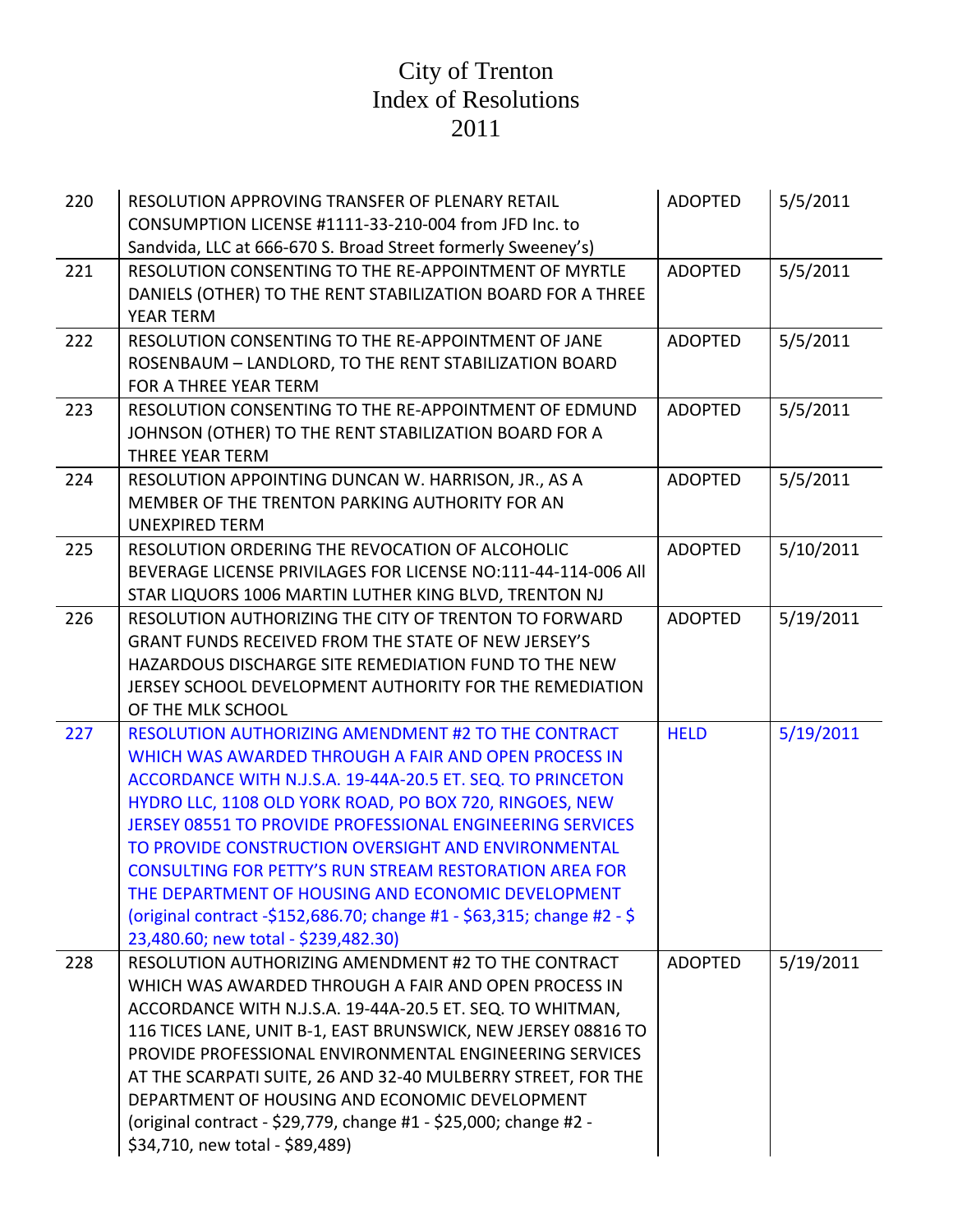| 220 | RESOLUTION APPROVING TRANSFER OF PLENARY RETAIL<br>CONSUMPTION LICENSE #1111-33-210-004 from JFD Inc. to<br>Sandvida, LLC at 666-670 S. Broad Street formerly Sweeney's)                                                                                                                                                                                                                                                                                                                                                                                                                                        | <b>ADOPTED</b> | 5/5/2011  |
|-----|-----------------------------------------------------------------------------------------------------------------------------------------------------------------------------------------------------------------------------------------------------------------------------------------------------------------------------------------------------------------------------------------------------------------------------------------------------------------------------------------------------------------------------------------------------------------------------------------------------------------|----------------|-----------|
| 221 | RESOLUTION CONSENTING TO THE RE-APPOINTMENT OF MYRTLE<br>DANIELS (OTHER) TO THE RENT STABILIZATION BOARD FOR A THREE<br><b>YEAR TERM</b>                                                                                                                                                                                                                                                                                                                                                                                                                                                                        | <b>ADOPTED</b> | 5/5/2011  |
| 222 | RESOLUTION CONSENTING TO THE RE-APPOINTMENT OF JANE<br>ROSENBAUM - LANDLORD, TO THE RENT STABILIZATION BOARD<br>FOR A THREE YEAR TERM                                                                                                                                                                                                                                                                                                                                                                                                                                                                           | <b>ADOPTED</b> | 5/5/2011  |
| 223 | RESOLUTION CONSENTING TO THE RE-APPOINTMENT OF EDMUND<br>JOHNSON (OTHER) TO THE RENT STABILIZATION BOARD FOR A<br><b>THREE YEAR TERM</b>                                                                                                                                                                                                                                                                                                                                                                                                                                                                        | <b>ADOPTED</b> | 5/5/2011  |
| 224 | RESOLUTION APPOINTING DUNCAN W. HARRISON, JR., AS A<br>MEMBER OF THE TRENTON PARKING AUTHORITY FOR AN<br><b>UNEXPIRED TERM</b>                                                                                                                                                                                                                                                                                                                                                                                                                                                                                  | <b>ADOPTED</b> | 5/5/2011  |
| 225 | RESOLUTION ORDERING THE REVOCATION OF ALCOHOLIC<br>BEVERAGE LICENSE PRIVILAGES FOR LICENSE NO:111-44-114-006 All<br>STAR LIQUORS 1006 MARTIN LUTHER KING BLVD, TRENTON NJ                                                                                                                                                                                                                                                                                                                                                                                                                                       | <b>ADOPTED</b> | 5/10/2011 |
| 226 | RESOLUTION AUTHORIZING THE CITY OF TRENTON TO FORWARD<br><b>GRANT FUNDS RECEIVED FROM THE STATE OF NEW JERSEY'S</b><br>HAZARDOUS DISCHARGE SITE REMEDIATION FUND TO THE NEW<br>JERSEY SCHOOL DEVELOPMENT AUTHORITY FOR THE REMEDIATION<br>OF THE MLK SCHOOL                                                                                                                                                                                                                                                                                                                                                     | <b>ADOPTED</b> | 5/19/2011 |
| 227 | <b>RESOLUTION AUTHORIZING AMENDMENT #2 TO THE CONTRACT</b><br>WHICH WAS AWARDED THROUGH A FAIR AND OPEN PROCESS IN<br>ACCORDANCE WITH N.J.S.A. 19-44A-20.5 ET. SEQ. TO PRINCETON<br>HYDRO LLC, 1108 OLD YORK ROAD, PO BOX 720, RINGOES, NEW<br><b>JERSEY 08551 TO PROVIDE PROFESSIONAL ENGINEERING SERVICES</b><br>TO PROVIDE CONSTRUCTION OVERSIGHT AND ENVIRONMENTAL<br><b>CONSULTING FOR PETTY'S RUN STREAM RESTORATION AREA FOR</b><br>THE DEPARTMENT OF HOUSING AND ECONOMIC DEVELOPMENT<br>(original contract -\$152,686.70; change #1 - \$63,315; change #2 - \$<br>23,480.60; new total - \$239,482.30) | <b>HELD</b>    | 5/19/2011 |
| 228 | RESOLUTION AUTHORIZING AMENDMENT #2 TO THE CONTRACT<br>WHICH WAS AWARDED THROUGH A FAIR AND OPEN PROCESS IN<br>ACCORDANCE WITH N.J.S.A. 19-44A-20.5 ET. SEQ. TO WHITMAN,<br>116 TICES LANE, UNIT B-1, EAST BRUNSWICK, NEW JERSEY 08816 TO<br>PROVIDE PROFESSIONAL ENVIRONMENTAL ENGINEERING SERVICES<br>AT THE SCARPATI SUITE, 26 AND 32-40 MULBERRY STREET, FOR THE<br>DEPARTMENT OF HOUSING AND ECONOMIC DEVELOPMENT<br>(original contract - \$29,779, change #1 - \$25,000; change #2 -<br>\$34,710, new total - \$89,489)                                                                                   | <b>ADOPTED</b> | 5/19/2011 |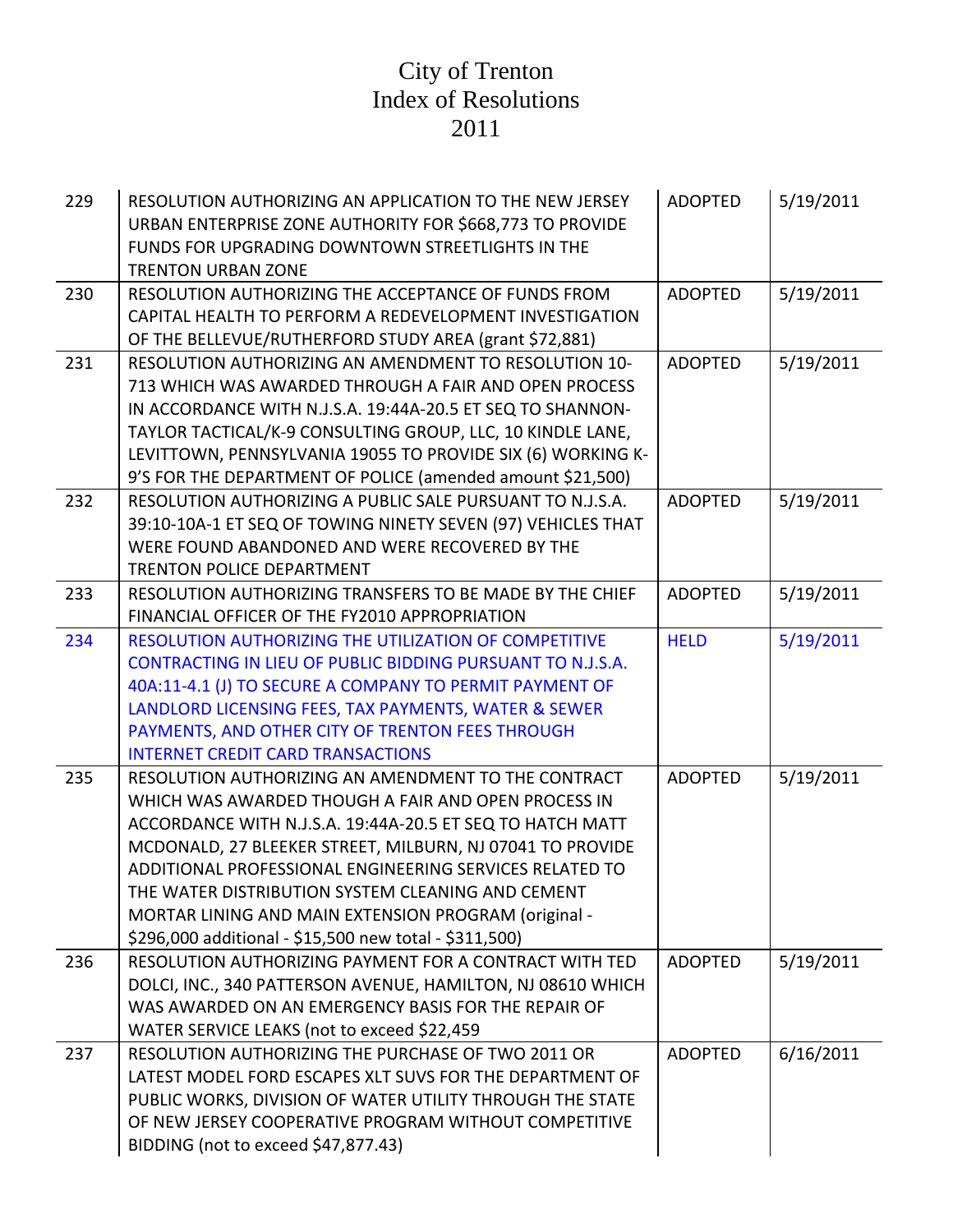| 229 | RESOLUTION AUTHORIZING AN APPLICATION TO THE NEW JERSEY<br>URBAN ENTERPRISE ZONE AUTHORITY FOR \$668,773 TO PROVIDE<br>FUNDS FOR UPGRADING DOWNTOWN STREETLIGHTS IN THE<br><b>TRENTON URBAN ZONE</b>                                                                                                                                                                                                                                                                   | <b>ADOPTED</b> | 5/19/2011 |
|-----|------------------------------------------------------------------------------------------------------------------------------------------------------------------------------------------------------------------------------------------------------------------------------------------------------------------------------------------------------------------------------------------------------------------------------------------------------------------------|----------------|-----------|
| 230 | RESOLUTION AUTHORIZING THE ACCEPTANCE OF FUNDS FROM<br>CAPITAL HEALTH TO PERFORM A REDEVELOPMENT INVESTIGATION<br>OF THE BELLEVUE/RUTHERFORD STUDY AREA (grant \$72,881)                                                                                                                                                                                                                                                                                               | <b>ADOPTED</b> | 5/19/2011 |
| 231 | RESOLUTION AUTHORIZING AN AMENDMENT TO RESOLUTION 10-<br>713 WHICH WAS AWARDED THROUGH A FAIR AND OPEN PROCESS<br>IN ACCORDANCE WITH N.J.S.A. 19:44A-20.5 ET SEQ TO SHANNON-<br>TAYLOR TACTICAL/K-9 CONSULTING GROUP, LLC, 10 KINDLE LANE,<br>LEVITTOWN, PENNSYLVANIA 19055 TO PROVIDE SIX (6) WORKING K-<br>9'S FOR THE DEPARTMENT OF POLICE (amended amount \$21,500)                                                                                                | <b>ADOPTED</b> | 5/19/2011 |
| 232 | RESOLUTION AUTHORIZING A PUBLIC SALE PURSUANT TO N.J.S.A.<br>39:10-10A-1 ET SEQ OF TOWING NINETY SEVEN (97) VEHICLES THAT<br>WERE FOUND ABANDONED AND WERE RECOVERED BY THE<br>TRENTON POLICE DEPARTMENT                                                                                                                                                                                                                                                               | <b>ADOPTED</b> | 5/19/2011 |
| 233 | RESOLUTION AUTHORIZING TRANSFERS TO BE MADE BY THE CHIEF<br>FINANCIAL OFFICER OF THE FY2010 APPROPRIATION                                                                                                                                                                                                                                                                                                                                                              | <b>ADOPTED</b> | 5/19/2011 |
| 234 | RESOLUTION AUTHORIZING THE UTILIZATION OF COMPETITIVE<br>CONTRACTING IN LIEU OF PUBLIC BIDDING PURSUANT TO N.J.S.A.<br>40A:11-4.1 (J) TO SECURE A COMPANY TO PERMIT PAYMENT OF<br>LANDLORD LICENSING FEES, TAX PAYMENTS, WATER & SEWER<br>PAYMENTS, AND OTHER CITY OF TRENTON FEES THROUGH<br><b>INTERNET CREDIT CARD TRANSACTIONS</b>                                                                                                                                 | <b>HELD</b>    | 5/19/2011 |
| 235 | RESOLUTION AUTHORIZING AN AMENDMENT TO THE CONTRACT<br>WHICH WAS AWARDED THOUGH A FAIR AND OPEN PROCESS IN<br>ACCORDANCE WITH N.J.S.A. 19:44A-20.5 ET SEQ TO HATCH MATT<br>MCDONALD, 27 BLEEKER STREET, MILBURN, NJ 07041 TO PROVIDE<br>ADDITIONAL PROFESSIONAL ENGINEERING SERVICES RELATED TO<br>THE WATER DISTRIBUTION SYSTEM CLEANING AND CEMENT<br>MORTAR LINING AND MAIN EXTENSION PROGRAM (original -<br>\$296,000 additional - \$15,500 new total - \$311,500) | <b>ADOPTED</b> | 5/19/2011 |
| 236 | RESOLUTION AUTHORIZING PAYMENT FOR A CONTRACT WITH TED<br>DOLCI, INC., 340 PATTERSON AVENUE, HAMILTON, NJ 08610 WHICH<br>WAS AWARDED ON AN EMERGENCY BASIS FOR THE REPAIR OF<br>WATER SERVICE LEAKS (not to exceed \$22,459                                                                                                                                                                                                                                            | <b>ADOPTED</b> | 5/19/2011 |
| 237 | RESOLUTION AUTHORIZING THE PURCHASE OF TWO 2011 OR<br>LATEST MODEL FORD ESCAPES XLT SUVS FOR THE DEPARTMENT OF<br>PUBLIC WORKS, DIVISION OF WATER UTILITY THROUGH THE STATE<br>OF NEW JERSEY COOPERATIVE PROGRAM WITHOUT COMPETITIVE<br>BIDDING (not to exceed \$47,877.43)                                                                                                                                                                                            | <b>ADOPTED</b> | 6/16/2011 |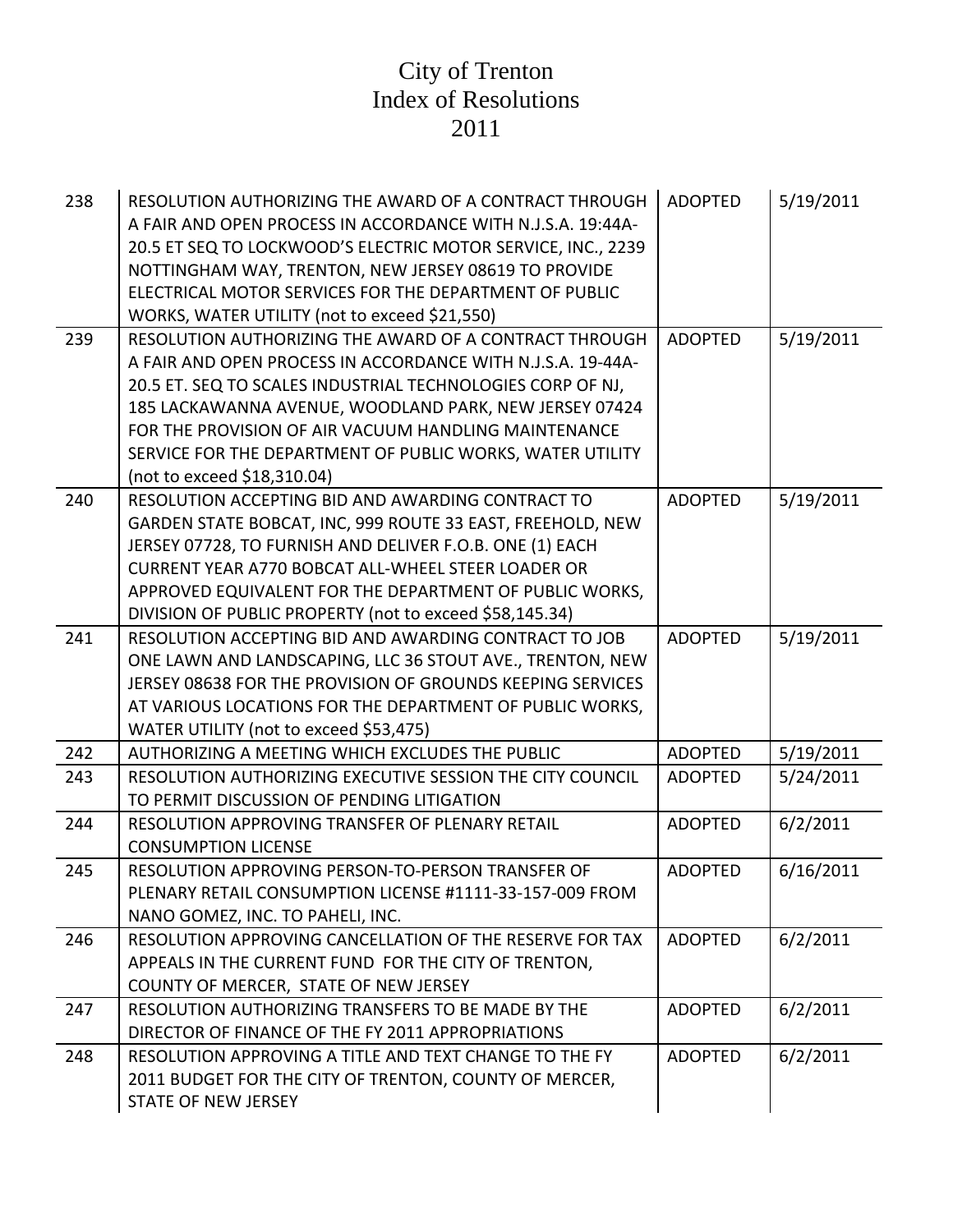| 238 | RESOLUTION AUTHORIZING THE AWARD OF A CONTRACT THROUGH<br>A FAIR AND OPEN PROCESS IN ACCORDANCE WITH N.J.S.A. 19:44A-<br>20.5 ET SEQ TO LOCKWOOD'S ELECTRIC MOTOR SERVICE, INC., 2239<br>NOTTINGHAM WAY, TRENTON, NEW JERSEY 08619 TO PROVIDE<br>ELECTRICAL MOTOR SERVICES FOR THE DEPARTMENT OF PUBLIC<br>WORKS, WATER UTILITY (not to exceed \$21,550)                                          | <b>ADOPTED</b> | 5/19/2011 |
|-----|---------------------------------------------------------------------------------------------------------------------------------------------------------------------------------------------------------------------------------------------------------------------------------------------------------------------------------------------------------------------------------------------------|----------------|-----------|
| 239 | RESOLUTION AUTHORIZING THE AWARD OF A CONTRACT THROUGH<br>A FAIR AND OPEN PROCESS IN ACCORDANCE WITH N.J.S.A. 19-44A-<br>20.5 ET. SEQ TO SCALES INDUSTRIAL TECHNOLOGIES CORP OF NJ,<br>185 LACKAWANNA AVENUE, WOODLAND PARK, NEW JERSEY 07424<br>FOR THE PROVISION OF AIR VACUUM HANDLING MAINTENANCE<br>SERVICE FOR THE DEPARTMENT OF PUBLIC WORKS, WATER UTILITY<br>(not to exceed \$18,310.04) | <b>ADOPTED</b> | 5/19/2011 |
| 240 | RESOLUTION ACCEPTING BID AND AWARDING CONTRACT TO<br>GARDEN STATE BOBCAT, INC, 999 ROUTE 33 EAST, FREEHOLD, NEW<br>JERSEY 07728, TO FURNISH AND DELIVER F.O.B. ONE (1) EACH<br><b>CURRENT YEAR A770 BOBCAT ALL-WHEEL STEER LOADER OR</b><br>APPROVED EQUIVALENT FOR THE DEPARTMENT OF PUBLIC WORKS,<br>DIVISION OF PUBLIC PROPERTY (not to exceed \$58,145.34)                                    | <b>ADOPTED</b> | 5/19/2011 |
| 241 | RESOLUTION ACCEPTING BID AND AWARDING CONTRACT TO JOB<br>ONE LAWN AND LANDSCAPING, LLC 36 STOUT AVE., TRENTON, NEW<br>JERSEY 08638 FOR THE PROVISION OF GROUNDS KEEPING SERVICES<br>AT VARIOUS LOCATIONS FOR THE DEPARTMENT OF PUBLIC WORKS,<br>WATER UTILITY (not to exceed \$53,475)                                                                                                            | <b>ADOPTED</b> | 5/19/2011 |
| 242 | AUTHORIZING A MEETING WHICH EXCLUDES THE PUBLIC                                                                                                                                                                                                                                                                                                                                                   | <b>ADOPTED</b> | 5/19/2011 |
| 243 | RESOLUTION AUTHORIZING EXECUTIVE SESSION THE CITY COUNCIL<br>TO PERMIT DISCUSSION OF PENDING LITIGATION                                                                                                                                                                                                                                                                                           | <b>ADOPTED</b> | 5/24/2011 |
| 244 | RESOLUTION APPROVING TRANSFER OF PLENARY RETAIL<br><b>CONSUMPTION LICENSE</b>                                                                                                                                                                                                                                                                                                                     | <b>ADOPTED</b> | 6/2/2011  |
| 245 | RESOLUTION APPROVING PERSON-TO-PERSON TRANSFER OF<br>PLENARY RETAIL CONSUMPTION LICENSE #1111-33-157-009 FROM<br>NANO GOMEZ, INC. TO PAHELI, INC.                                                                                                                                                                                                                                                 | <b>ADOPTED</b> | 6/16/2011 |
| 246 | RESOLUTION APPROVING CANCELLATION OF THE RESERVE FOR TAX<br>APPEALS IN THE CURRENT FUND FOR THE CITY OF TRENTON,<br>COUNTY OF MERCER, STATE OF NEW JERSEY                                                                                                                                                                                                                                         | <b>ADOPTED</b> | 6/2/2011  |
| 247 | RESOLUTION AUTHORIZING TRANSFERS TO BE MADE BY THE<br>DIRECTOR OF FINANCE OF THE FY 2011 APPROPRIATIONS                                                                                                                                                                                                                                                                                           | <b>ADOPTED</b> | 6/2/2011  |
| 248 | RESOLUTION APPROVING A TITLE AND TEXT CHANGE TO THE FY<br>2011 BUDGET FOR THE CITY OF TRENTON, COUNTY OF MERCER,<br>STATE OF NEW JERSEY                                                                                                                                                                                                                                                           | <b>ADOPTED</b> | 6/2/2011  |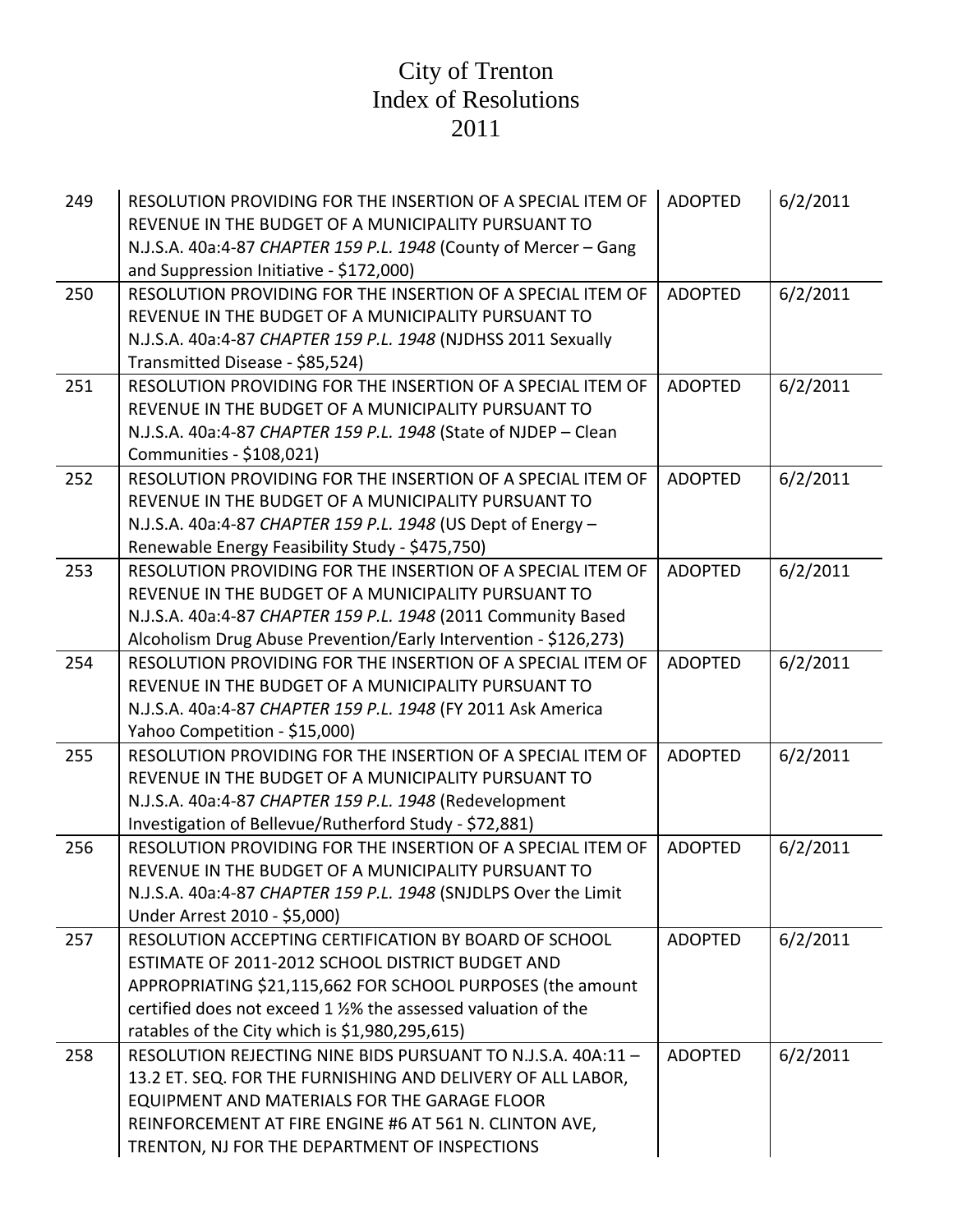| 249 | RESOLUTION PROVIDING FOR THE INSERTION OF A SPECIAL ITEM OF<br>REVENUE IN THE BUDGET OF A MUNICIPALITY PURSUANT TO | <b>ADOPTED</b> | 6/2/2011 |
|-----|--------------------------------------------------------------------------------------------------------------------|----------------|----------|
|     | N.J.S.A. 40a:4-87 CHAPTER 159 P.L. 1948 (County of Mercer - Gang                                                   |                |          |
|     | and Suppression Initiative - \$172,000)                                                                            |                |          |
| 250 | RESOLUTION PROVIDING FOR THE INSERTION OF A SPECIAL ITEM OF                                                        | <b>ADOPTED</b> | 6/2/2011 |
|     | REVENUE IN THE BUDGET OF A MUNICIPALITY PURSUANT TO                                                                |                |          |
|     | N.J.S.A. 40a:4-87 CHAPTER 159 P.L. 1948 (NJDHSS 2011 Sexually                                                      |                |          |
|     | Transmitted Disease - \$85,524)                                                                                    |                |          |
| 251 | RESOLUTION PROVIDING FOR THE INSERTION OF A SPECIAL ITEM OF                                                        | <b>ADOPTED</b> | 6/2/2011 |
|     | REVENUE IN THE BUDGET OF A MUNICIPALITY PURSUANT TO                                                                |                |          |
|     | N.J.S.A. 40a:4-87 CHAPTER 159 P.L. 1948 (State of NJDEP - Clean                                                    |                |          |
|     | Communities - \$108,021)                                                                                           |                |          |
| 252 | RESOLUTION PROVIDING FOR THE INSERTION OF A SPECIAL ITEM OF                                                        | <b>ADOPTED</b> | 6/2/2011 |
|     | REVENUE IN THE BUDGET OF A MUNICIPALITY PURSUANT TO                                                                |                |          |
|     | N.J.S.A. 40a:4-87 CHAPTER 159 P.L. 1948 (US Dept of Energy -                                                       |                |          |
|     | Renewable Energy Feasibility Study - \$475,750)                                                                    |                |          |
| 253 | RESOLUTION PROVIDING FOR THE INSERTION OF A SPECIAL ITEM OF                                                        | <b>ADOPTED</b> | 6/2/2011 |
|     | REVENUE IN THE BUDGET OF A MUNICIPALITY PURSUANT TO                                                                |                |          |
|     | N.J.S.A. 40a:4-87 CHAPTER 159 P.L. 1948 (2011 Community Based                                                      |                |          |
|     | Alcoholism Drug Abuse Prevention/Early Intervention - \$126,273)                                                   |                |          |
| 254 | RESOLUTION PROVIDING FOR THE INSERTION OF A SPECIAL ITEM OF                                                        | <b>ADOPTED</b> | 6/2/2011 |
|     | REVENUE IN THE BUDGET OF A MUNICIPALITY PURSUANT TO                                                                |                |          |
|     | N.J.S.A. 40a:4-87 CHAPTER 159 P.L. 1948 (FY 2011 Ask America                                                       |                |          |
|     | Yahoo Competition - \$15,000)                                                                                      |                |          |
| 255 | RESOLUTION PROVIDING FOR THE INSERTION OF A SPECIAL ITEM OF                                                        | <b>ADOPTED</b> | 6/2/2011 |
|     | REVENUE IN THE BUDGET OF A MUNICIPALITY PURSUANT TO                                                                |                |          |
|     | N.J.S.A. 40a:4-87 CHAPTER 159 P.L. 1948 (Redevelopment                                                             |                |          |
|     | Investigation of Bellevue/Rutherford Study - \$72,881)                                                             |                |          |
| 256 | RESOLUTION PROVIDING FOR THE INSERTION OF A SPECIAL ITEM OF                                                        | <b>ADOPTED</b> | 6/2/2011 |
|     | REVENUE IN THE BUDGET OF A MUNICIPALITY PURSUANT TO                                                                |                |          |
|     | N.J.S.A. 40a:4-87 CHAPTER 159 P.L. 1948 (SNJDLPS Over the Limit                                                    |                |          |
|     | Under Arrest 2010 - \$5,000)                                                                                       |                |          |
| 257 | RESOLUTION ACCEPTING CERTIFICATION BY BOARD OF SCHOOL                                                              | <b>ADOPTED</b> | 6/2/2011 |
|     | ESTIMATE OF 2011-2012 SCHOOL DISTRICT BUDGET AND                                                                   |                |          |
|     | APPROPRIATING \$21,115,662 FOR SCHOOL PURPOSES (the amount                                                         |                |          |
|     | certified does not exceed 1 1/2% the assessed valuation of the                                                     |                |          |
|     | ratables of the City which is \$1,980,295,615)                                                                     |                |          |
| 258 | RESOLUTION REJECTING NINE BIDS PURSUANT TO N.J.S.A. 40A:11-                                                        | <b>ADOPTED</b> | 6/2/2011 |
|     | 13.2 ET. SEQ. FOR THE FURNISHING AND DELIVERY OF ALL LABOR,                                                        |                |          |
|     | EQUIPMENT AND MATERIALS FOR THE GARAGE FLOOR                                                                       |                |          |
|     | REINFORCEMENT AT FIRE ENGINE #6 AT 561 N. CLINTON AVE,                                                             |                |          |
|     | TRENTON, NJ FOR THE DEPARTMENT OF INSPECTIONS                                                                      |                |          |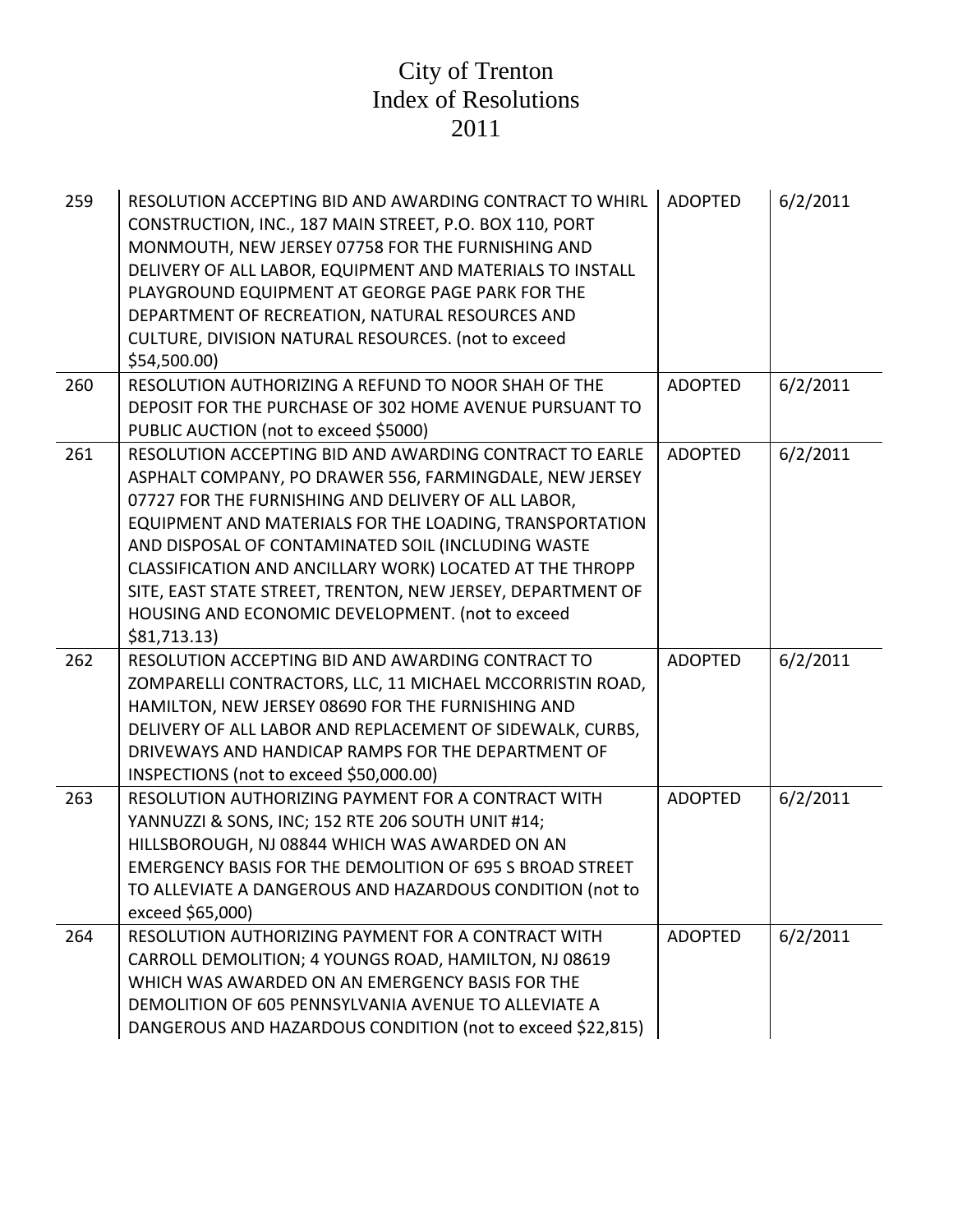| 259 | RESOLUTION ACCEPTING BID AND AWARDING CONTRACT TO WHIRL<br>CONSTRUCTION, INC., 187 MAIN STREET, P.O. BOX 110, PORT<br>MONMOUTH, NEW JERSEY 07758 FOR THE FURNISHING AND<br>DELIVERY OF ALL LABOR, EQUIPMENT AND MATERIALS TO INSTALL<br>PLAYGROUND EQUIPMENT AT GEORGE PAGE PARK FOR THE<br>DEPARTMENT OF RECREATION, NATURAL RESOURCES AND<br>CULTURE, DIVISION NATURAL RESOURCES. (not to exceed<br>\$54,500.00                                                                         | <b>ADOPTED</b> | 6/2/2011 |
|-----|-------------------------------------------------------------------------------------------------------------------------------------------------------------------------------------------------------------------------------------------------------------------------------------------------------------------------------------------------------------------------------------------------------------------------------------------------------------------------------------------|----------------|----------|
| 260 | RESOLUTION AUTHORIZING A REFUND TO NOOR SHAH OF THE<br>DEPOSIT FOR THE PURCHASE OF 302 HOME AVENUE PURSUANT TO<br>PUBLIC AUCTION (not to exceed \$5000)                                                                                                                                                                                                                                                                                                                                   | <b>ADOPTED</b> | 6/2/2011 |
| 261 | RESOLUTION ACCEPTING BID AND AWARDING CONTRACT TO EARLE<br>ASPHALT COMPANY, PO DRAWER 556, FARMINGDALE, NEW JERSEY<br>07727 FOR THE FURNISHING AND DELIVERY OF ALL LABOR,<br>EQUIPMENT AND MATERIALS FOR THE LOADING, TRANSPORTATION<br>AND DISPOSAL OF CONTAMINATED SOIL (INCLUDING WASTE<br>CLASSIFICATION AND ANCILLARY WORK) LOCATED AT THE THROPP<br>SITE, EAST STATE STREET, TRENTON, NEW JERSEY, DEPARTMENT OF<br>HOUSING AND ECONOMIC DEVELOPMENT. (not to exceed<br>\$81,713.13) | <b>ADOPTED</b> | 6/2/2011 |
| 262 | RESOLUTION ACCEPTING BID AND AWARDING CONTRACT TO<br>ZOMPARELLI CONTRACTORS, LLC, 11 MICHAEL MCCORRISTIN ROAD,<br>HAMILTON, NEW JERSEY 08690 FOR THE FURNISHING AND<br>DELIVERY OF ALL LABOR AND REPLACEMENT OF SIDEWALK, CURBS,<br>DRIVEWAYS AND HANDICAP RAMPS FOR THE DEPARTMENT OF<br>INSPECTIONS (not to exceed \$50,000.00)                                                                                                                                                         | <b>ADOPTED</b> | 6/2/2011 |
| 263 | RESOLUTION AUTHORIZING PAYMENT FOR A CONTRACT WITH<br>YANNUZZI & SONS, INC; 152 RTE 206 SOUTH UNIT #14;<br>HILLSBOROUGH, NJ 08844 WHICH WAS AWARDED ON AN<br><b>EMERGENCY BASIS FOR THE DEMOLITION OF 695 S BROAD STREET</b><br>TO ALLEVIATE A DANGEROUS AND HAZARDOUS CONDITION (not to<br>exceed \$65,000)                                                                                                                                                                              | <b>ADOPTED</b> | 6/2/2011 |
| 264 | RESOLUTION AUTHORIZING PAYMENT FOR A CONTRACT WITH<br>CARROLL DEMOLITION; 4 YOUNGS ROAD, HAMILTON, NJ 08619<br>WHICH WAS AWARDED ON AN EMERGENCY BASIS FOR THE<br>DEMOLITION OF 605 PENNSYLVANIA AVENUE TO ALLEVIATE A<br>DANGEROUS AND HAZARDOUS CONDITION (not to exceed \$22,815)                                                                                                                                                                                                      | <b>ADOPTED</b> | 6/2/2011 |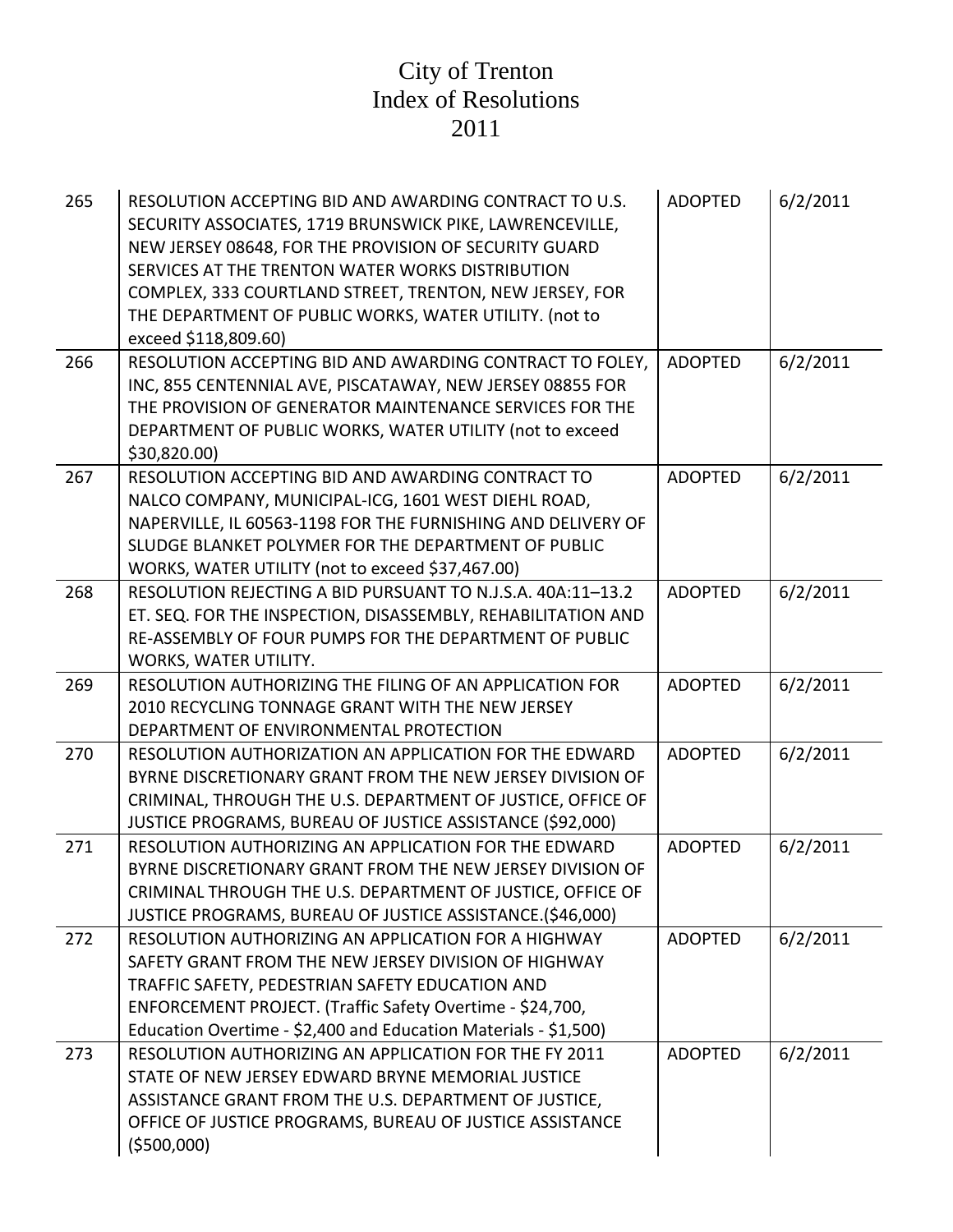| 265 | RESOLUTION ACCEPTING BID AND AWARDING CONTRACT TO U.S.<br>SECURITY ASSOCIATES, 1719 BRUNSWICK PIKE, LAWRENCEVILLE,<br>NEW JERSEY 08648, FOR THE PROVISION OF SECURITY GUARD<br>SERVICES AT THE TRENTON WATER WORKS DISTRIBUTION<br>COMPLEX, 333 COURTLAND STREET, TRENTON, NEW JERSEY, FOR<br>THE DEPARTMENT OF PUBLIC WORKS, WATER UTILITY. (not to<br>exceed \$118,809.60) | <b>ADOPTED</b> | 6/2/2011 |
|-----|------------------------------------------------------------------------------------------------------------------------------------------------------------------------------------------------------------------------------------------------------------------------------------------------------------------------------------------------------------------------------|----------------|----------|
| 266 | RESOLUTION ACCEPTING BID AND AWARDING CONTRACT TO FOLEY,<br>INC, 855 CENTENNIAL AVE, PISCATAWAY, NEW JERSEY 08855 FOR<br>THE PROVISION OF GENERATOR MAINTENANCE SERVICES FOR THE<br>DEPARTMENT OF PUBLIC WORKS, WATER UTILITY (not to exceed<br>\$30,820.00)                                                                                                                 | <b>ADOPTED</b> | 6/2/2011 |
| 267 | RESOLUTION ACCEPTING BID AND AWARDING CONTRACT TO<br>NALCO COMPANY, MUNICIPAL-ICG, 1601 WEST DIEHL ROAD,<br>NAPERVILLE, IL 60563-1198 FOR THE FURNISHING AND DELIVERY OF<br>SLUDGE BLANKET POLYMER FOR THE DEPARTMENT OF PUBLIC<br>WORKS, WATER UTILITY (not to exceed \$37,467.00)                                                                                          | <b>ADOPTED</b> | 6/2/2011 |
| 268 | RESOLUTION REJECTING A BID PURSUANT TO N.J.S.A. 40A:11-13.2<br>ET. SEQ. FOR THE INSPECTION, DISASSEMBLY, REHABILITATION AND<br>RE-ASSEMBLY OF FOUR PUMPS FOR THE DEPARTMENT OF PUBLIC<br><b>WORKS, WATER UTILITY.</b>                                                                                                                                                        | <b>ADOPTED</b> | 6/2/2011 |
| 269 | RESOLUTION AUTHORIZING THE FILING OF AN APPLICATION FOR<br>2010 RECYCLING TONNAGE GRANT WITH THE NEW JERSEY<br>DEPARTMENT OF ENVIRONMENTAL PROTECTION                                                                                                                                                                                                                        | <b>ADOPTED</b> | 6/2/2011 |
| 270 | RESOLUTION AUTHORIZATION AN APPLICATION FOR THE EDWARD<br>BYRNE DISCRETIONARY GRANT FROM THE NEW JERSEY DIVISION OF<br>CRIMINAL, THROUGH THE U.S. DEPARTMENT OF JUSTICE, OFFICE OF<br>JUSTICE PROGRAMS, BUREAU OF JUSTICE ASSISTANCE (\$92,000)                                                                                                                              | <b>ADOPTED</b> | 6/2/2011 |
| 271 | RESOLUTION AUTHORIZING AN APPLICATION FOR THE EDWARD<br>BYRNE DISCRETIONARY GRANT FROM THE NEW JERSEY DIVISION OF<br>CRIMINAL THROUGH THE U.S. DEPARTMENT OF JUSTICE, OFFICE OF<br>JUSTICE PROGRAMS, BUREAU OF JUSTICE ASSISTANCE.(\$46,000)                                                                                                                                 | <b>ADOPTED</b> | 6/2/2011 |
| 272 | RESOLUTION AUTHORIZING AN APPLICATION FOR A HIGHWAY<br>SAFETY GRANT FROM THE NEW JERSEY DIVISION OF HIGHWAY<br>TRAFFIC SAFETY, PEDESTRIAN SAFETY EDUCATION AND<br>ENFORCEMENT PROJECT. (Traffic Safety Overtime - \$24,700,<br>Education Overtime - \$2,400 and Education Materials - \$1,500)                                                                               | <b>ADOPTED</b> | 6/2/2011 |
| 273 | RESOLUTION AUTHORIZING AN APPLICATION FOR THE FY 2011<br>STATE OF NEW JERSEY EDWARD BRYNE MEMORIAL JUSTICE<br>ASSISTANCE GRANT FROM THE U.S. DEPARTMENT OF JUSTICE,<br>OFFICE OF JUSTICE PROGRAMS, BUREAU OF JUSTICE ASSISTANCE<br>( \$500,000)                                                                                                                              | <b>ADOPTED</b> | 6/2/2011 |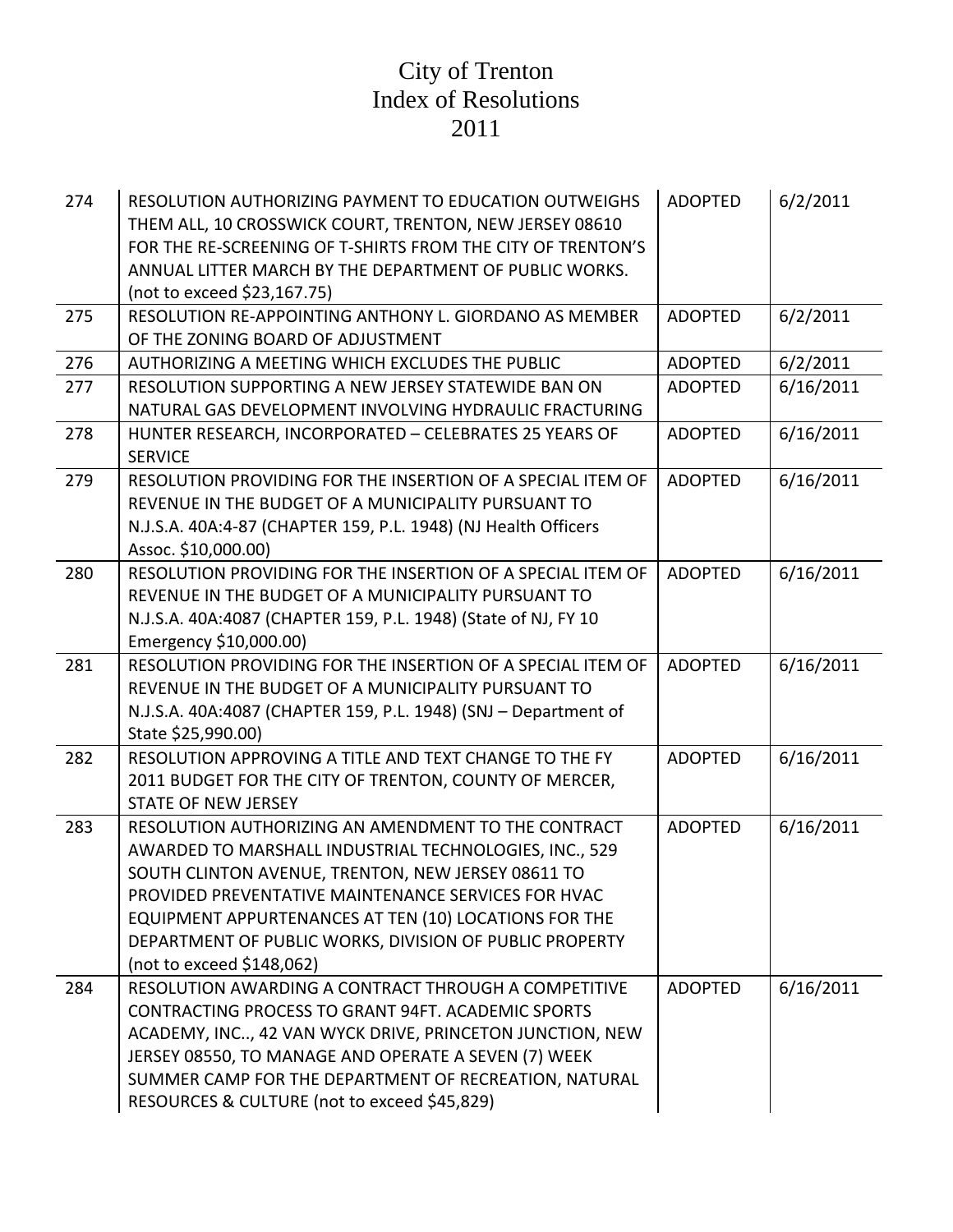| 274 | RESOLUTION AUTHORIZING PAYMENT TO EDUCATION OUTWEIGHS<br>THEM ALL, 10 CROSSWICK COURT, TRENTON, NEW JERSEY 08610<br>FOR THE RE-SCREENING OF T-SHIRTS FROM THE CITY OF TRENTON'S<br>ANNUAL LITTER MARCH BY THE DEPARTMENT OF PUBLIC WORKS.<br>(not to exceed \$23,167.75)                                                                                                    | <b>ADOPTED</b> | 6/2/2011  |
|-----|-----------------------------------------------------------------------------------------------------------------------------------------------------------------------------------------------------------------------------------------------------------------------------------------------------------------------------------------------------------------------------|----------------|-----------|
| 275 | RESOLUTION RE-APPOINTING ANTHONY L. GIORDANO AS MEMBER<br>OF THE ZONING BOARD OF ADJUSTMENT                                                                                                                                                                                                                                                                                 | <b>ADOPTED</b> | 6/2/2011  |
| 276 | AUTHORIZING A MEETING WHICH EXCLUDES THE PUBLIC                                                                                                                                                                                                                                                                                                                             | <b>ADOPTED</b> | 6/2/2011  |
| 277 | RESOLUTION SUPPORTING A NEW JERSEY STATEWIDE BAN ON<br>NATURAL GAS DEVELOPMENT INVOLVING HYDRAULIC FRACTURING                                                                                                                                                                                                                                                               | <b>ADOPTED</b> | 6/16/2011 |
| 278 | HUNTER RESEARCH, INCORPORATED - CELEBRATES 25 YEARS OF<br><b>SERVICE</b>                                                                                                                                                                                                                                                                                                    | <b>ADOPTED</b> | 6/16/2011 |
| 279 | RESOLUTION PROVIDING FOR THE INSERTION OF A SPECIAL ITEM OF<br>REVENUE IN THE BUDGET OF A MUNICIPALITY PURSUANT TO<br>N.J.S.A. 40A:4-87 (CHAPTER 159, P.L. 1948) (NJ Health Officers<br>Assoc. \$10,000.00)                                                                                                                                                                 | <b>ADOPTED</b> | 6/16/2011 |
| 280 | RESOLUTION PROVIDING FOR THE INSERTION OF A SPECIAL ITEM OF<br>REVENUE IN THE BUDGET OF A MUNICIPALITY PURSUANT TO<br>N.J.S.A. 40A:4087 (CHAPTER 159, P.L. 1948) (State of NJ, FY 10<br>Emergency \$10,000.00)                                                                                                                                                              | <b>ADOPTED</b> | 6/16/2011 |
| 281 | RESOLUTION PROVIDING FOR THE INSERTION OF A SPECIAL ITEM OF<br>REVENUE IN THE BUDGET OF A MUNICIPALITY PURSUANT TO<br>N.J.S.A. 40A:4087 (CHAPTER 159, P.L. 1948) (SNJ - Department of<br>State \$25,990.00)                                                                                                                                                                 | <b>ADOPTED</b> | 6/16/2011 |
| 282 | RESOLUTION APPROVING A TITLE AND TEXT CHANGE TO THE FY<br>2011 BUDGET FOR THE CITY OF TRENTON, COUNTY OF MERCER,<br><b>STATE OF NEW JERSEY</b>                                                                                                                                                                                                                              | <b>ADOPTED</b> | 6/16/2011 |
| 283 | RESOLUTION AUTHORIZING AN AMENDMENT TO THE CONTRACT<br>AWARDED TO MARSHALL INDUSTRIAL TECHNOLOGIES, INC., 529<br>SOUTH CLINTON AVENUE, TRENTON, NEW JERSEY 08611 TO<br>PROVIDED PREVENTATIVE MAINTENANCE SERVICES FOR HVAC<br>EQUIPMENT APPURTENANCES AT TEN (10) LOCATIONS FOR THE<br>DEPARTMENT OF PUBLIC WORKS, DIVISION OF PUBLIC PROPERTY<br>(not to exceed \$148,062) | <b>ADOPTED</b> | 6/16/2011 |
| 284 | RESOLUTION AWARDING A CONTRACT THROUGH A COMPETITIVE<br>CONTRACTING PROCESS TO GRANT 94FT. ACADEMIC SPORTS<br>ACADEMY, INC, 42 VAN WYCK DRIVE, PRINCETON JUNCTION, NEW<br>JERSEY 08550, TO MANAGE AND OPERATE A SEVEN (7) WEEK<br>SUMMER CAMP FOR THE DEPARTMENT OF RECREATION, NATURAL<br>RESOURCES & CULTURE (not to exceed \$45,829)                                     | <b>ADOPTED</b> | 6/16/2011 |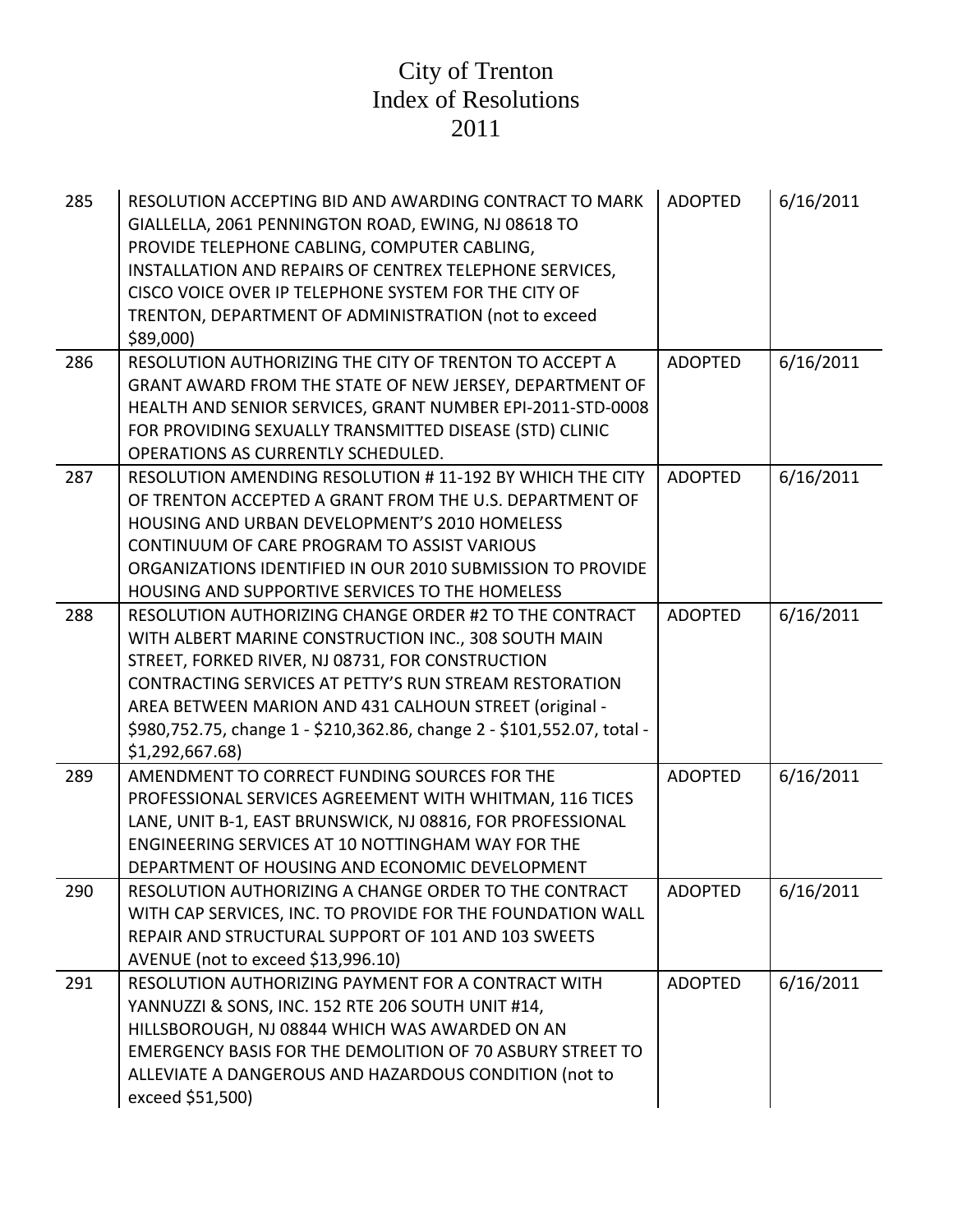| 285 | RESOLUTION ACCEPTING BID AND AWARDING CONTRACT TO MARK<br>GIALLELLA, 2061 PENNINGTON ROAD, EWING, NJ 08618 TO<br>PROVIDE TELEPHONE CABLING, COMPUTER CABLING,<br>INSTALLATION AND REPAIRS OF CENTREX TELEPHONE SERVICES,<br>CISCO VOICE OVER IP TELEPHONE SYSTEM FOR THE CITY OF<br>TRENTON, DEPARTMENT OF ADMINISTRATION (not to exceed<br>\$89,000)                                | <b>ADOPTED</b> | 6/16/2011 |
|-----|--------------------------------------------------------------------------------------------------------------------------------------------------------------------------------------------------------------------------------------------------------------------------------------------------------------------------------------------------------------------------------------|----------------|-----------|
| 286 | RESOLUTION AUTHORIZING THE CITY OF TRENTON TO ACCEPT A<br>GRANT AWARD FROM THE STATE OF NEW JERSEY, DEPARTMENT OF<br>HEALTH AND SENIOR SERVICES, GRANT NUMBER EPI-2011-STD-0008<br>FOR PROVIDING SEXUALLY TRANSMITTED DISEASE (STD) CLINIC<br><b>OPERATIONS AS CURRENTLY SCHEDULED.</b>                                                                                              | <b>ADOPTED</b> | 6/16/2011 |
| 287 | RESOLUTION AMENDING RESOLUTION #11-192 BY WHICH THE CITY<br>OF TRENTON ACCEPTED A GRANT FROM THE U.S. DEPARTMENT OF<br>HOUSING AND URBAN DEVELOPMENT'S 2010 HOMELESS<br>CONTINUUM OF CARE PROGRAM TO ASSIST VARIOUS<br>ORGANIZATIONS IDENTIFIED IN OUR 2010 SUBMISSION TO PROVIDE<br>HOUSING AND SUPPORTIVE SERVICES TO THE HOMELESS                                                 | <b>ADOPTED</b> | 6/16/2011 |
| 288 | RESOLUTION AUTHORIZING CHANGE ORDER #2 TO THE CONTRACT<br>WITH ALBERT MARINE CONSTRUCTION INC., 308 SOUTH MAIN<br>STREET, FORKED RIVER, NJ 08731, FOR CONSTRUCTION<br>CONTRACTING SERVICES AT PETTY'S RUN STREAM RESTORATION<br>AREA BETWEEN MARION AND 431 CALHOUN STREET (original -<br>\$980,752.75, change 1 - \$210,362.86, change 2 - \$101,552.07, total -<br>\$1,292,667.68) | <b>ADOPTED</b> | 6/16/2011 |
| 289 | AMENDMENT TO CORRECT FUNDING SOURCES FOR THE<br>PROFESSIONAL SERVICES AGREEMENT WITH WHITMAN, 116 TICES<br>LANE, UNIT B-1, EAST BRUNSWICK, NJ 08816, FOR PROFESSIONAL<br>ENGINEERING SERVICES AT 10 NOTTINGHAM WAY FOR THE<br>DEPARTMENT OF HOUSING AND ECONOMIC DEVELOPMENT                                                                                                         | <b>ADOPTED</b> | 6/16/2011 |
| 290 | RESOLUTION AUTHORIZING A CHANGE ORDER TO THE CONTRACT<br>WITH CAP SERVICES, INC. TO PROVIDE FOR THE FOUNDATION WALL<br>REPAIR AND STRUCTURAL SUPPORT OF 101 AND 103 SWEETS<br>AVENUE (not to exceed \$13,996.10)                                                                                                                                                                     | ADOPTED        | 6/16/2011 |
| 291 | RESOLUTION AUTHORIZING PAYMENT FOR A CONTRACT WITH<br>YANNUZZI & SONS, INC. 152 RTE 206 SOUTH UNIT #14,<br>HILLSBOROUGH, NJ 08844 WHICH WAS AWARDED ON AN<br><b>EMERGENCY BASIS FOR THE DEMOLITION OF 70 ASBURY STREET TO</b><br>ALLEVIATE A DANGEROUS AND HAZARDOUS CONDITION (not to<br>exceed \$51,500)                                                                           | <b>ADOPTED</b> | 6/16/2011 |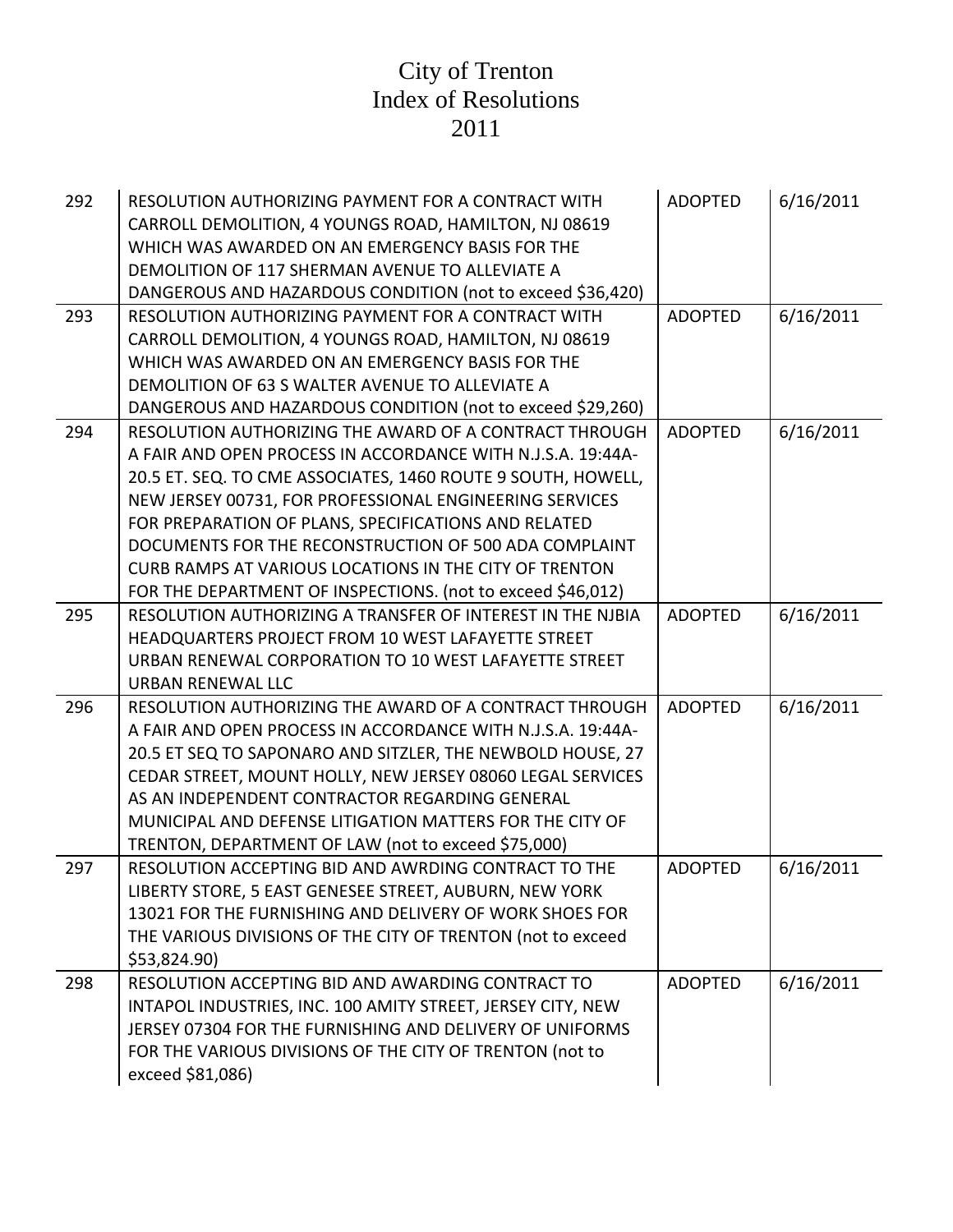| 292 | RESOLUTION AUTHORIZING PAYMENT FOR A CONTRACT WITH<br>CARROLL DEMOLITION, 4 YOUNGS ROAD, HAMILTON, NJ 08619<br>WHICH WAS AWARDED ON AN EMERGENCY BASIS FOR THE<br>DEMOLITION OF 117 SHERMAN AVENUE TO ALLEVIATE A<br>DANGEROUS AND HAZARDOUS CONDITION (not to exceed \$36,420)                                                                                                                                                                                                            | <b>ADOPTED</b> | 6/16/2011 |
|-----|--------------------------------------------------------------------------------------------------------------------------------------------------------------------------------------------------------------------------------------------------------------------------------------------------------------------------------------------------------------------------------------------------------------------------------------------------------------------------------------------|----------------|-----------|
| 293 | RESOLUTION AUTHORIZING PAYMENT FOR A CONTRACT WITH<br>CARROLL DEMOLITION, 4 YOUNGS ROAD, HAMILTON, NJ 08619<br>WHICH WAS AWARDED ON AN EMERGENCY BASIS FOR THE<br>DEMOLITION OF 63 S WALTER AVENUE TO ALLEVIATE A<br>DANGEROUS AND HAZARDOUS CONDITION (not to exceed \$29,260)                                                                                                                                                                                                            | <b>ADOPTED</b> | 6/16/2011 |
| 294 | RESOLUTION AUTHORIZING THE AWARD OF A CONTRACT THROUGH<br>A FAIR AND OPEN PROCESS IN ACCORDANCE WITH N.J.S.A. 19:44A-<br>20.5 ET. SEQ. TO CME ASSOCIATES, 1460 ROUTE 9 SOUTH, HOWELL,<br>NEW JERSEY 00731, FOR PROFESSIONAL ENGINEERING SERVICES<br>FOR PREPARATION OF PLANS, SPECIFICATIONS AND RELATED<br>DOCUMENTS FOR THE RECONSTRUCTION OF 500 ADA COMPLAINT<br>CURB RAMPS AT VARIOUS LOCATIONS IN THE CITY OF TRENTON<br>FOR THE DEPARTMENT OF INSPECTIONS. (not to exceed \$46,012) | <b>ADOPTED</b> | 6/16/2011 |
| 295 | RESOLUTION AUTHORIZING A TRANSFER OF INTEREST IN THE NJBIA<br>HEADQUARTERS PROJECT FROM 10 WEST LAFAYETTE STREET<br>URBAN RENEWAL CORPORATION TO 10 WEST LAFAYETTE STREET<br>URBAN RENEWAL LLC                                                                                                                                                                                                                                                                                             | <b>ADOPTED</b> | 6/16/2011 |
| 296 | RESOLUTION AUTHORIZING THE AWARD OF A CONTRACT THROUGH<br>A FAIR AND OPEN PROCESS IN ACCORDANCE WITH N.J.S.A. 19:44A-<br>20.5 ET SEQ TO SAPONARO AND SITZLER, THE NEWBOLD HOUSE, 27<br>CEDAR STREET, MOUNT HOLLY, NEW JERSEY 08060 LEGAL SERVICES<br>AS AN INDEPENDENT CONTRACTOR REGARDING GENERAL<br>MUNICIPAL AND DEFENSE LITIGATION MATTERS FOR THE CITY OF<br>TRENTON, DEPARTMENT OF LAW (not to exceed \$75,000)                                                                     | <b>ADOPTED</b> | 6/16/2011 |
| 297 | RESOLUTION ACCEPTING BID AND AWRDING CONTRACT TO THE<br>LIBERTY STORE, 5 EAST GENESEE STREET, AUBURN, NEW YORK<br>13021 FOR THE FURNISHING AND DELIVERY OF WORK SHOES FOR<br>THE VARIOUS DIVISIONS OF THE CITY OF TRENTON (not to exceed<br>\$53,824.90)                                                                                                                                                                                                                                   | <b>ADOPTED</b> | 6/16/2011 |
| 298 | RESOLUTION ACCEPTING BID AND AWARDING CONTRACT TO<br>INTAPOL INDUSTRIES, INC. 100 AMITY STREET, JERSEY CITY, NEW<br>JERSEY 07304 FOR THE FURNISHING AND DELIVERY OF UNIFORMS<br>FOR THE VARIOUS DIVISIONS OF THE CITY OF TRENTON (not to<br>exceed \$81,086)                                                                                                                                                                                                                               | <b>ADOPTED</b> | 6/16/2011 |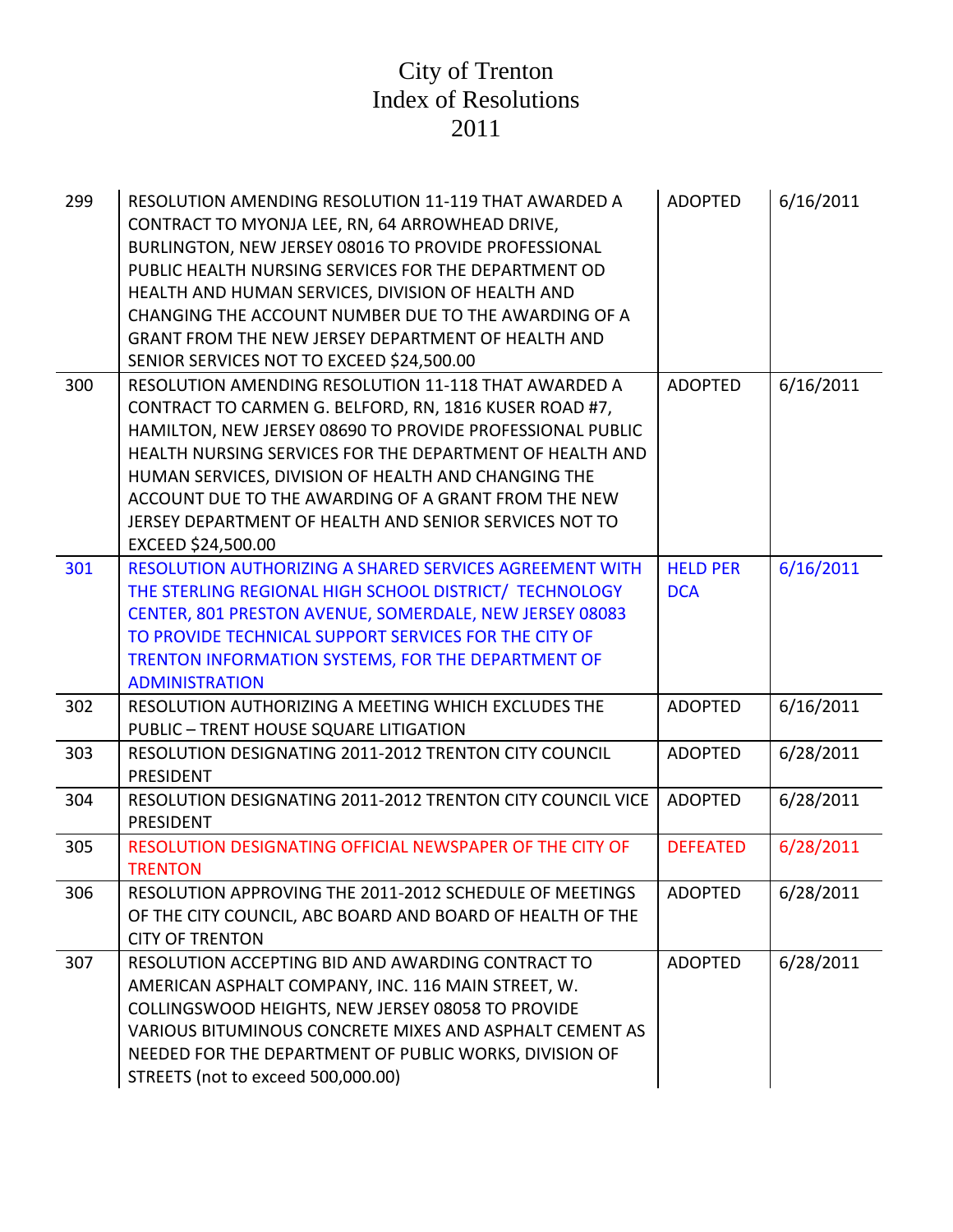| 299 | RESOLUTION AMENDING RESOLUTION 11-119 THAT AWARDED A<br>CONTRACT TO MYONJA LEE, RN, 64 ARROWHEAD DRIVE,<br>BURLINGTON, NEW JERSEY 08016 TO PROVIDE PROFESSIONAL<br>PUBLIC HEALTH NURSING SERVICES FOR THE DEPARTMENT OD<br>HEALTH AND HUMAN SERVICES, DIVISION OF HEALTH AND<br>CHANGING THE ACCOUNT NUMBER DUE TO THE AWARDING OF A<br>GRANT FROM THE NEW JERSEY DEPARTMENT OF HEALTH AND<br>SENIOR SERVICES NOT TO EXCEED \$24,500.00 | <b>ADOPTED</b>                | 6/16/2011 |
|-----|-----------------------------------------------------------------------------------------------------------------------------------------------------------------------------------------------------------------------------------------------------------------------------------------------------------------------------------------------------------------------------------------------------------------------------------------|-------------------------------|-----------|
| 300 | RESOLUTION AMENDING RESOLUTION 11-118 THAT AWARDED A<br>CONTRACT TO CARMEN G. BELFORD, RN, 1816 KUSER ROAD #7,<br>HAMILTON, NEW JERSEY 08690 TO PROVIDE PROFESSIONAL PUBLIC<br>HEALTH NURSING SERVICES FOR THE DEPARTMENT OF HEALTH AND<br>HUMAN SERVICES, DIVISION OF HEALTH AND CHANGING THE<br>ACCOUNT DUE TO THE AWARDING OF A GRANT FROM THE NEW<br>JERSEY DEPARTMENT OF HEALTH AND SENIOR SERVICES NOT TO<br>EXCEED \$24,500.00   | <b>ADOPTED</b>                | 6/16/2011 |
| 301 | RESOLUTION AUTHORIZING A SHARED SERVICES AGREEMENT WITH<br>THE STERLING REGIONAL HIGH SCHOOL DISTRICT/ TECHNOLOGY<br>CENTER, 801 PRESTON AVENUE, SOMERDALE, NEW JERSEY 08083<br>TO PROVIDE TECHNICAL SUPPORT SERVICES FOR THE CITY OF<br>TRENTON INFORMATION SYSTEMS, FOR THE DEPARTMENT OF<br><b>ADMINISTRATION</b>                                                                                                                    | <b>HELD PER</b><br><b>DCA</b> | 6/16/2011 |
| 302 | RESOLUTION AUTHORIZING A MEETING WHICH EXCLUDES THE<br>PUBLIC - TRENT HOUSE SQUARE LITIGATION                                                                                                                                                                                                                                                                                                                                           | <b>ADOPTED</b>                | 6/16/2011 |
| 303 | RESOLUTION DESIGNATING 2011-2012 TRENTON CITY COUNCIL<br>PRESIDENT                                                                                                                                                                                                                                                                                                                                                                      | <b>ADOPTED</b>                | 6/28/2011 |
| 304 | RESOLUTION DESIGNATING 2011-2012 TRENTON CITY COUNCIL VICE<br>PRESIDENT                                                                                                                                                                                                                                                                                                                                                                 | <b>ADOPTED</b>                | 6/28/2011 |
| 305 | RESOLUTION DESIGNATING OFFICIAL NEWSPAPER OF THE CITY OF<br><b>TRENTON</b>                                                                                                                                                                                                                                                                                                                                                              | <b>DEFEATED</b>               | 6/28/2011 |
| 306 | RESOLUTION APPROVING THE 2011-2012 SCHEDULE OF MEETINGS<br>OF THE CITY COUNCIL, ABC BOARD AND BOARD OF HEALTH OF THE<br><b>CITY OF TRENTON</b>                                                                                                                                                                                                                                                                                          | <b>ADOPTED</b>                | 6/28/2011 |
| 307 | RESOLUTION ACCEPTING BID AND AWARDING CONTRACT TO<br>AMERICAN ASPHALT COMPANY, INC. 116 MAIN STREET, W.<br>COLLINGSWOOD HEIGHTS, NEW JERSEY 08058 TO PROVIDE<br>VARIOUS BITUMINOUS CONCRETE MIXES AND ASPHALT CEMENT AS<br>NEEDED FOR THE DEPARTMENT OF PUBLIC WORKS, DIVISION OF<br>STREETS (not to exceed 500,000.00)                                                                                                                 | <b>ADOPTED</b>                | 6/28/2011 |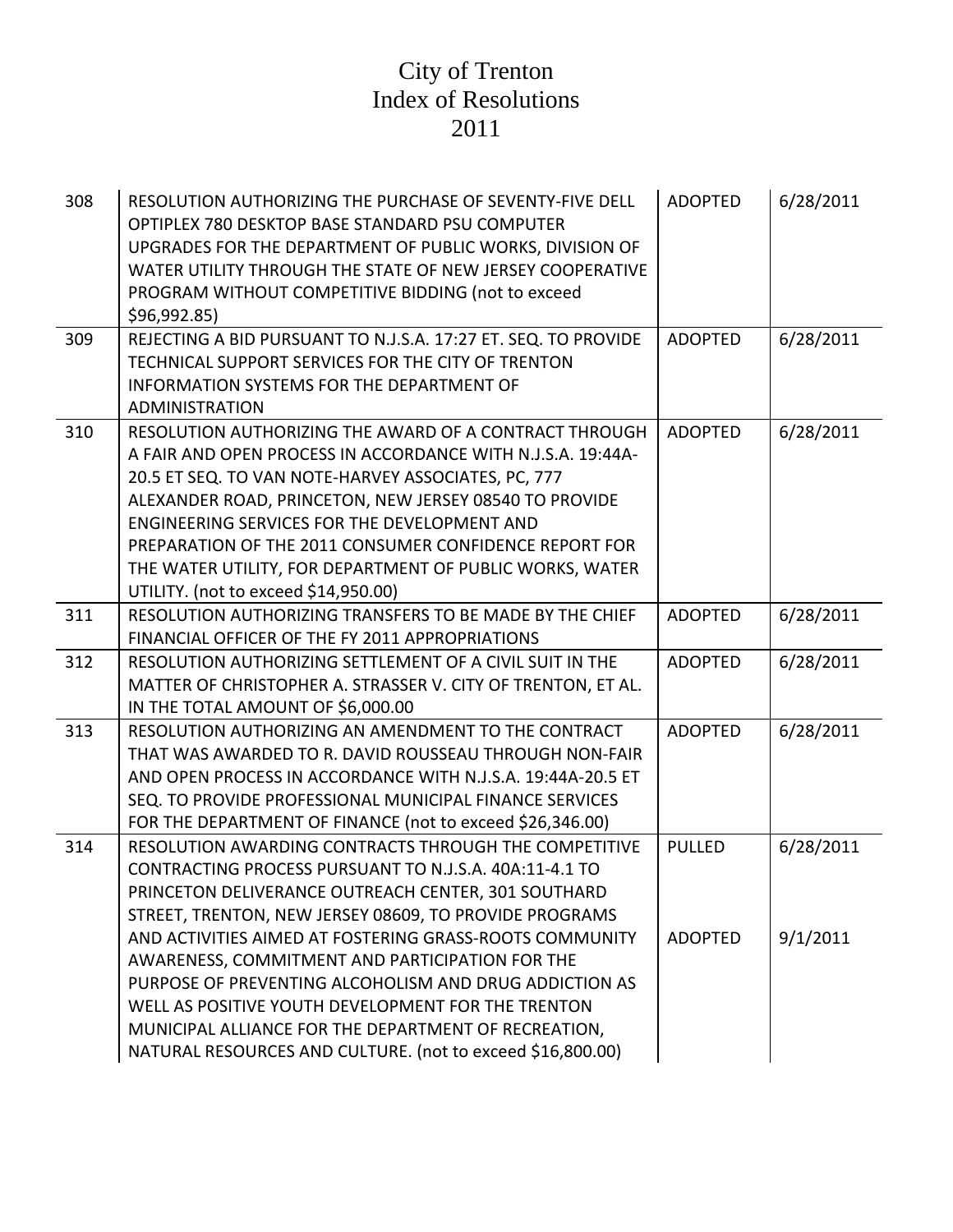| 308 | RESOLUTION AUTHORIZING THE PURCHASE OF SEVENTY-FIVE DELL<br>OPTIPLEX 780 DESKTOP BASE STANDARD PSU COMPUTER<br>UPGRADES FOR THE DEPARTMENT OF PUBLIC WORKS, DIVISION OF<br>WATER UTILITY THROUGH THE STATE OF NEW JERSEY COOPERATIVE<br>PROGRAM WITHOUT COMPETITIVE BIDDING (not to exceed<br>\$96,992.85)                                                                                                                                                                                                                                                                           | <b>ADOPTED</b>                  | 6/28/2011             |
|-----|--------------------------------------------------------------------------------------------------------------------------------------------------------------------------------------------------------------------------------------------------------------------------------------------------------------------------------------------------------------------------------------------------------------------------------------------------------------------------------------------------------------------------------------------------------------------------------------|---------------------------------|-----------------------|
| 309 | REJECTING A BID PURSUANT TO N.J.S.A. 17:27 ET. SEQ. TO PROVIDE<br>TECHNICAL SUPPORT SERVICES FOR THE CITY OF TRENTON<br><b>INFORMATION SYSTEMS FOR THE DEPARTMENT OF</b><br><b>ADMINISTRATION</b>                                                                                                                                                                                                                                                                                                                                                                                    | <b>ADOPTED</b>                  | 6/28/2011             |
| 310 | RESOLUTION AUTHORIZING THE AWARD OF A CONTRACT THROUGH<br>A FAIR AND OPEN PROCESS IN ACCORDANCE WITH N.J.S.A. 19:44A-<br>20.5 ET SEQ. TO VAN NOTE-HARVEY ASSOCIATES, PC, 777<br>ALEXANDER ROAD, PRINCETON, NEW JERSEY 08540 TO PROVIDE<br>ENGINEERING SERVICES FOR THE DEVELOPMENT AND<br>PREPARATION OF THE 2011 CONSUMER CONFIDENCE REPORT FOR<br>THE WATER UTILITY, FOR DEPARTMENT OF PUBLIC WORKS, WATER<br>UTILITY. (not to exceed \$14,950.00)                                                                                                                                 | <b>ADOPTED</b>                  | 6/28/2011             |
| 311 | RESOLUTION AUTHORIZING TRANSFERS TO BE MADE BY THE CHIEF<br>FINANCIAL OFFICER OF THE FY 2011 APPROPRIATIONS                                                                                                                                                                                                                                                                                                                                                                                                                                                                          | <b>ADOPTED</b>                  | 6/28/2011             |
| 312 | RESOLUTION AUTHORIZING SETTLEMENT OF A CIVIL SUIT IN THE<br>MATTER OF CHRISTOPHER A. STRASSER V. CITY OF TRENTON, ET AL.<br>IN THE TOTAL AMOUNT OF \$6,000.00                                                                                                                                                                                                                                                                                                                                                                                                                        | <b>ADOPTED</b>                  | 6/28/2011             |
| 313 | RESOLUTION AUTHORIZING AN AMENDMENT TO THE CONTRACT<br>THAT WAS AWARDED TO R. DAVID ROUSSEAU THROUGH NON-FAIR<br>AND OPEN PROCESS IN ACCORDANCE WITH N.J.S.A. 19:44A-20.5 ET<br>SEQ. TO PROVIDE PROFESSIONAL MUNICIPAL FINANCE SERVICES<br>FOR THE DEPARTMENT OF FINANCE (not to exceed \$26,346.00)                                                                                                                                                                                                                                                                                 | <b>ADOPTED</b>                  | 6/28/2011             |
| 314 | RESOLUTION AWARDING CONTRACTS THROUGH THE COMPETITIVE<br>CONTRACTING PROCESS PURSUANT TO N.J.S.A. 40A:11-4.1 TO<br>PRINCETON DELIVERANCE OUTREACH CENTER, 301 SOUTHARD<br>STREET, TRENTON, NEW JERSEY 08609, TO PROVIDE PROGRAMS<br>AND ACTIVITIES AIMED AT FOSTERING GRASS-ROOTS COMMUNITY<br>AWARENESS, COMMITMENT AND PARTICIPATION FOR THE<br>PURPOSE OF PREVENTING ALCOHOLISM AND DRUG ADDICTION AS<br>WELL AS POSITIVE YOUTH DEVELOPMENT FOR THE TRENTON<br>MUNICIPAL ALLIANCE FOR THE DEPARTMENT OF RECREATION,<br>NATURAL RESOURCES AND CULTURE. (not to exceed \$16,800.00) | <b>PULLED</b><br><b>ADOPTED</b> | 6/28/2011<br>9/1/2011 |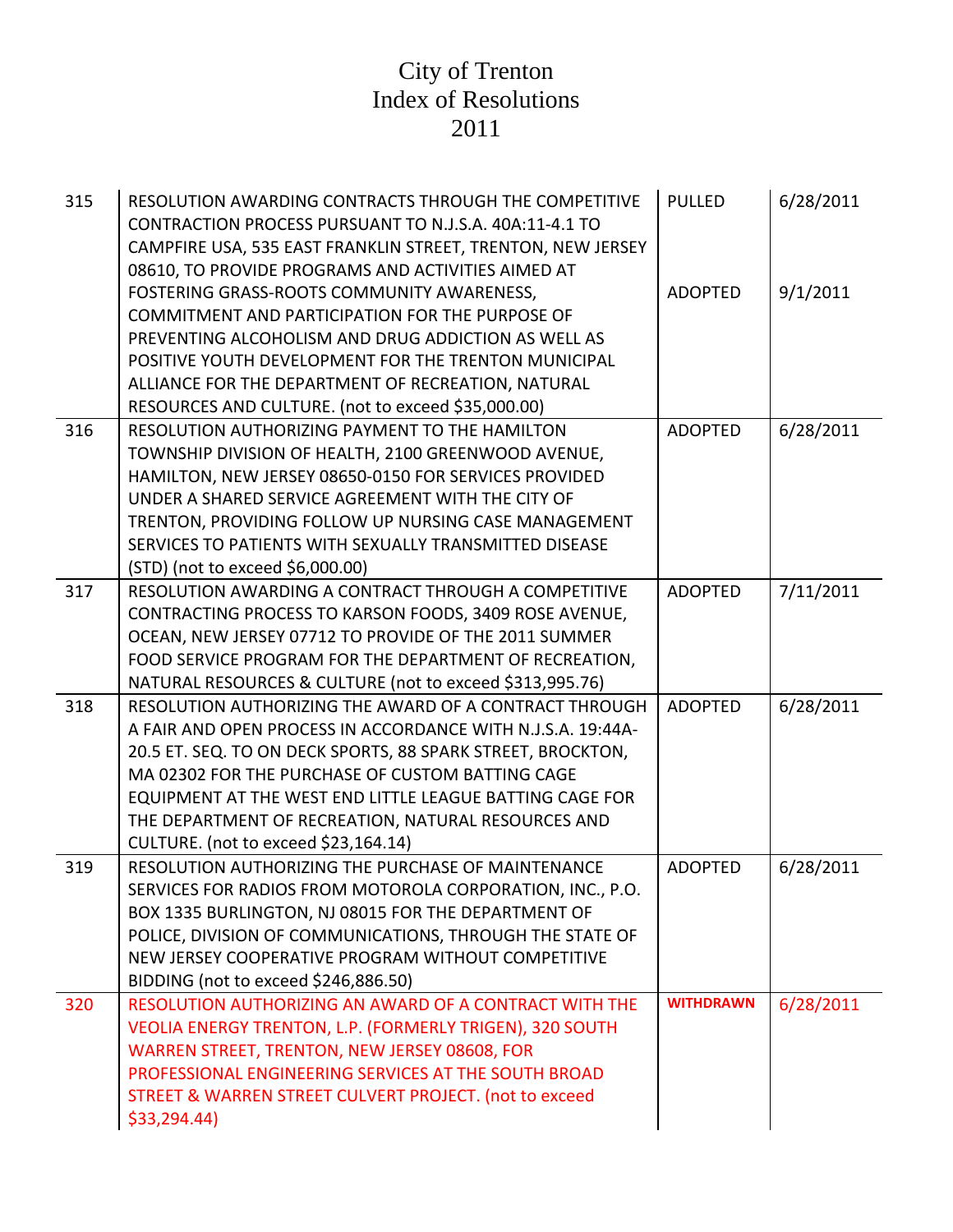| 315 | RESOLUTION AWARDING CONTRACTS THROUGH THE COMPETITIVE<br>CONTRACTION PROCESS PURSUANT TO N.J.S.A. 40A:11-4.1 TO<br>CAMPFIRE USA, 535 EAST FRANKLIN STREET, TRENTON, NEW JERSEY<br>08610, TO PROVIDE PROGRAMS AND ACTIVITIES AIMED AT                                                                                                                                                                | <b>PULLED</b>    | 6/28/2011 |
|-----|-----------------------------------------------------------------------------------------------------------------------------------------------------------------------------------------------------------------------------------------------------------------------------------------------------------------------------------------------------------------------------------------------------|------------------|-----------|
|     | FOSTERING GRASS-ROOTS COMMUNITY AWARENESS,<br>COMMITMENT AND PARTICIPATION FOR THE PURPOSE OF<br>PREVENTING ALCOHOLISM AND DRUG ADDICTION AS WELL AS<br>POSITIVE YOUTH DEVELOPMENT FOR THE TRENTON MUNICIPAL                                                                                                                                                                                        | <b>ADOPTED</b>   | 9/1/2011  |
|     | ALLIANCE FOR THE DEPARTMENT OF RECREATION, NATURAL<br>RESOURCES AND CULTURE. (not to exceed \$35,000.00)                                                                                                                                                                                                                                                                                            |                  |           |
| 316 | RESOLUTION AUTHORIZING PAYMENT TO THE HAMILTON<br>TOWNSHIP DIVISION OF HEALTH, 2100 GREENWOOD AVENUE,<br>HAMILTON, NEW JERSEY 08650-0150 FOR SERVICES PROVIDED<br>UNDER A SHARED SERVICE AGREEMENT WITH THE CITY OF<br>TRENTON, PROVIDING FOLLOW UP NURSING CASE MANAGEMENT<br>SERVICES TO PATIENTS WITH SEXUALLY TRANSMITTED DISEASE<br>(STD) (not to exceed \$6,000.00)                           | <b>ADOPTED</b>   | 6/28/2011 |
| 317 | RESOLUTION AWARDING A CONTRACT THROUGH A COMPETITIVE<br>CONTRACTING PROCESS TO KARSON FOODS, 3409 ROSE AVENUE,<br>OCEAN, NEW JERSEY 07712 TO PROVIDE OF THE 2011 SUMMER<br>FOOD SERVICE PROGRAM FOR THE DEPARTMENT OF RECREATION,<br>NATURAL RESOURCES & CULTURE (not to exceed \$313,995.76)                                                                                                       | <b>ADOPTED</b>   | 7/11/2011 |
| 318 | RESOLUTION AUTHORIZING THE AWARD OF A CONTRACT THROUGH<br>A FAIR AND OPEN PROCESS IN ACCORDANCE WITH N.J.S.A. 19:44A-<br>20.5 ET. SEQ. TO ON DECK SPORTS, 88 SPARK STREET, BROCKTON,<br>MA 02302 FOR THE PURCHASE OF CUSTOM BATTING CAGE<br>EQUIPMENT AT THE WEST END LITTLE LEAGUE BATTING CAGE FOR<br>THE DEPARTMENT OF RECREATION, NATURAL RESOURCES AND<br>CULTURE. (not to exceed \$23,164.14) | <b>ADOPTED</b>   | 6/28/2011 |
| 319 | RESOLUTION AUTHORIZING THE PURCHASE OF MAINTENANCE<br>SERVICES FOR RADIOS FROM MOTOROLA CORPORATION, INC., P.O.<br>BOX 1335 BURLINGTON, NJ 08015 FOR THE DEPARTMENT OF<br>POLICE, DIVISION OF COMMUNICATIONS, THROUGH THE STATE OF<br>NEW JERSEY COOPERATIVE PROGRAM WITHOUT COMPETITIVE<br>BIDDING (not to exceed \$246,886.50)                                                                    | <b>ADOPTED</b>   | 6/28/2011 |
| 320 | RESOLUTION AUTHORIZING AN AWARD OF A CONTRACT WITH THE<br>VEOLIA ENERGY TRENTON, L.P. (FORMERLY TRIGEN), 320 SOUTH<br>WARREN STREET, TRENTON, NEW JERSEY 08608, FOR<br>PROFESSIONAL ENGINEERING SERVICES AT THE SOUTH BROAD<br>STREET & WARREN STREET CULVERT PROJECT. (not to exceed<br>\$33,294.44                                                                                                | <b>WITHDRAWN</b> | 6/28/2011 |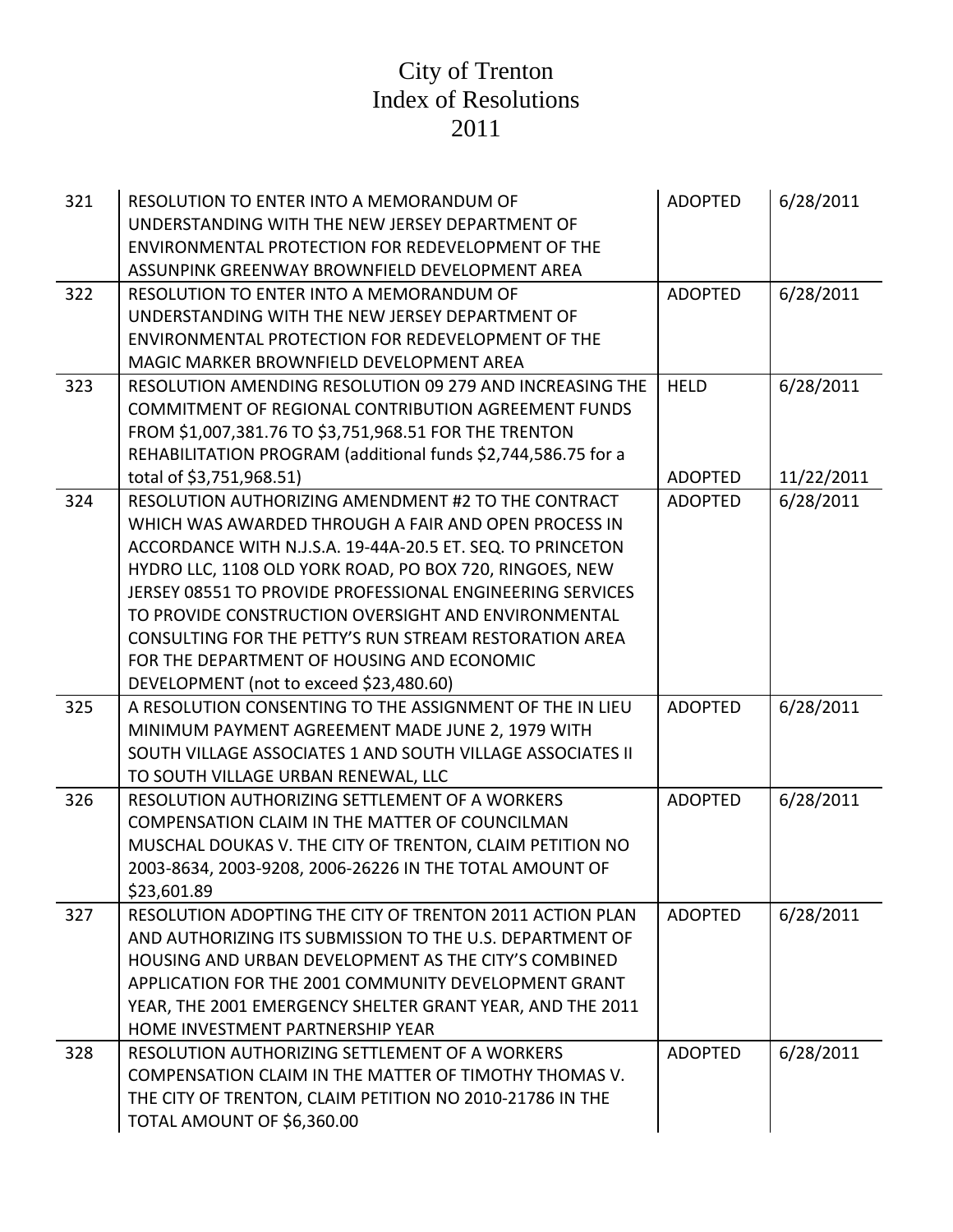| 321 | RESOLUTION TO ENTER INTO A MEMORANDUM OF<br>UNDERSTANDING WITH THE NEW JERSEY DEPARTMENT OF<br>ENVIRONMENTAL PROTECTION FOR REDEVELOPMENT OF THE<br>ASSUNPINK GREENWAY BROWNFIELD DEVELOPMENT AREA                                                                                                                                                                                                                                                                                                          | <b>ADOPTED</b>                | 6/28/2011               |
|-----|-------------------------------------------------------------------------------------------------------------------------------------------------------------------------------------------------------------------------------------------------------------------------------------------------------------------------------------------------------------------------------------------------------------------------------------------------------------------------------------------------------------|-------------------------------|-------------------------|
| 322 | RESOLUTION TO ENTER INTO A MEMORANDUM OF<br>UNDERSTANDING WITH THE NEW JERSEY DEPARTMENT OF<br>ENVIRONMENTAL PROTECTION FOR REDEVELOPMENT OF THE<br>MAGIC MARKER BROWNFIELD DEVELOPMENT AREA                                                                                                                                                                                                                                                                                                                | <b>ADOPTED</b>                | 6/28/2011               |
| 323 | RESOLUTION AMENDING RESOLUTION 09 279 AND INCREASING THE<br><b>COMMITMENT OF REGIONAL CONTRIBUTION AGREEMENT FUNDS</b><br>FROM \$1,007,381.76 TO \$3,751,968.51 FOR THE TRENTON<br>REHABILITATION PROGRAM (additional funds \$2,744,586.75 for a<br>total of \$3,751,968.51)                                                                                                                                                                                                                                | <b>HELD</b><br><b>ADOPTED</b> | 6/28/2011<br>11/22/2011 |
| 324 | RESOLUTION AUTHORIZING AMENDMENT #2 TO THE CONTRACT<br>WHICH WAS AWARDED THROUGH A FAIR AND OPEN PROCESS IN<br>ACCORDANCE WITH N.J.S.A. 19-44A-20.5 ET. SEQ. TO PRINCETON<br>HYDRO LLC, 1108 OLD YORK ROAD, PO BOX 720, RINGOES, NEW<br>JERSEY 08551 TO PROVIDE PROFESSIONAL ENGINEERING SERVICES<br>TO PROVIDE CONSTRUCTION OVERSIGHT AND ENVIRONMENTAL<br>CONSULTING FOR THE PETTY'S RUN STREAM RESTORATION AREA<br>FOR THE DEPARTMENT OF HOUSING AND ECONOMIC<br>DEVELOPMENT (not to exceed \$23,480.60) | <b>ADOPTED</b>                | 6/28/2011               |
| 325 | A RESOLUTION CONSENTING TO THE ASSIGNMENT OF THE IN LIEU<br>MINIMUM PAYMENT AGREEMENT MADE JUNE 2, 1979 WITH<br>SOUTH VILLAGE ASSOCIATES 1 AND SOUTH VILLAGE ASSOCIATES II<br>TO SOUTH VILLAGE URBAN RENEWAL, LLC                                                                                                                                                                                                                                                                                           | <b>ADOPTED</b>                | 6/28/2011               |
| 326 | RESOLUTION AUTHORIZING SETTLEMENT OF A WORKERS<br>COMPENSATION CLAIM IN THE MATTER OF COUNCILMAN<br>MUSCHAL DOUKAS V. THE CITY OF TRENTON, CLAIM PETITION NO<br>2003-8634, 2003-9208, 2006-26226 IN THE TOTAL AMOUNT OF<br>\$23,601.89                                                                                                                                                                                                                                                                      | <b>ADOPTED</b>                | 6/28/2011               |
| 327 | RESOLUTION ADOPTING THE CITY OF TRENTON 2011 ACTION PLAN<br>AND AUTHORIZING ITS SUBMISSION TO THE U.S. DEPARTMENT OF<br>HOUSING AND URBAN DEVELOPMENT AS THE CITY'S COMBINED<br>APPLICATION FOR THE 2001 COMMUNITY DEVELOPMENT GRANT<br>YEAR, THE 2001 EMERGENCY SHELTER GRANT YEAR, AND THE 2011<br>HOME INVESTMENT PARTNERSHIP YEAR                                                                                                                                                                       | <b>ADOPTED</b>                | 6/28/2011               |
| 328 | RESOLUTION AUTHORIZING SETTLEMENT OF A WORKERS<br>COMPENSATION CLAIM IN THE MATTER OF TIMOTHY THOMAS V.<br>THE CITY OF TRENTON, CLAIM PETITION NO 2010-21786 IN THE<br>TOTAL AMOUNT OF \$6,360.00                                                                                                                                                                                                                                                                                                           | <b>ADOPTED</b>                | 6/28/2011               |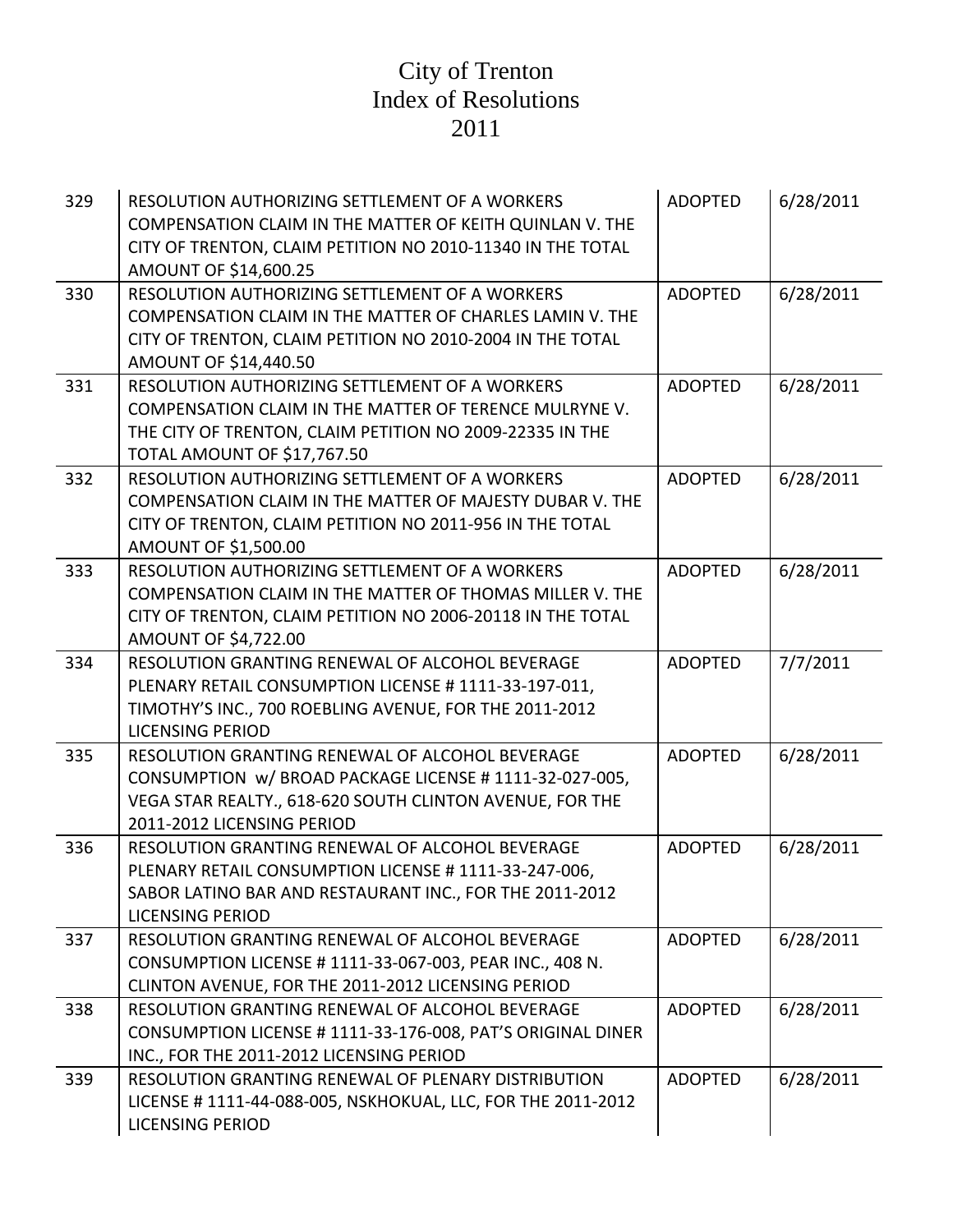| 329 | RESOLUTION AUTHORIZING SETTLEMENT OF A WORKERS<br>COMPENSATION CLAIM IN THE MATTER OF KEITH QUINLAN V. THE<br>CITY OF TRENTON, CLAIM PETITION NO 2010-11340 IN THE TOTAL<br>AMOUNT OF \$14,600.25   | <b>ADOPTED</b> | 6/28/2011 |
|-----|-----------------------------------------------------------------------------------------------------------------------------------------------------------------------------------------------------|----------------|-----------|
| 330 | RESOLUTION AUTHORIZING SETTLEMENT OF A WORKERS<br>COMPENSATION CLAIM IN THE MATTER OF CHARLES LAMIN V. THE<br>CITY OF TRENTON, CLAIM PETITION NO 2010-2004 IN THE TOTAL<br>AMOUNT OF \$14,440.50    | <b>ADOPTED</b> | 6/28/2011 |
| 331 | RESOLUTION AUTHORIZING SETTLEMENT OF A WORKERS<br>COMPENSATION CLAIM IN THE MATTER OF TERENCE MULRYNE V.<br>THE CITY OF TRENTON, CLAIM PETITION NO 2009-22335 IN THE<br>TOTAL AMOUNT OF \$17,767.50 | <b>ADOPTED</b> | 6/28/2011 |
| 332 | RESOLUTION AUTHORIZING SETTLEMENT OF A WORKERS<br>COMPENSATION CLAIM IN THE MATTER OF MAJESTY DUBAR V. THE<br>CITY OF TRENTON, CLAIM PETITION NO 2011-956 IN THE TOTAL<br>AMOUNT OF \$1,500.00      | <b>ADOPTED</b> | 6/28/2011 |
| 333 | RESOLUTION AUTHORIZING SETTLEMENT OF A WORKERS<br>COMPENSATION CLAIM IN THE MATTER OF THOMAS MILLER V. THE<br>CITY OF TRENTON, CLAIM PETITION NO 2006-20118 IN THE TOTAL<br>AMOUNT OF \$4,722.00    | <b>ADOPTED</b> | 6/28/2011 |
| 334 | RESOLUTION GRANTING RENEWAL OF ALCOHOL BEVERAGE<br>PLENARY RETAIL CONSUMPTION LICENSE # 1111-33-197-011,<br>TIMOTHY'S INC., 700 ROEBLING AVENUE, FOR THE 2011-2012<br><b>LICENSING PERIOD</b>       | <b>ADOPTED</b> | 7/7/2011  |
| 335 | RESOLUTION GRANTING RENEWAL OF ALCOHOL BEVERAGE<br>CONSUMPTION w/ BROAD PACKAGE LICENSE #1111-32-027-005,<br>VEGA STAR REALTY., 618-620 SOUTH CLINTON AVENUE, FOR THE<br>2011-2012 LICENSING PERIOD | <b>ADOPTED</b> | 6/28/2011 |
| 336 | RESOLUTION GRANTING RENEWAL OF ALCOHOL BEVERAGE<br>PLENARY RETAIL CONSUMPTION LICENSE # 1111-33-247-006,<br>SABOR LATINO BAR AND RESTAURANT INC., FOR THE 2011-2012<br><b>LICENSING PERIOD</b>      | <b>ADOPTED</b> | 6/28/2011 |
| 337 | RESOLUTION GRANTING RENEWAL OF ALCOHOL BEVERAGE<br>CONSUMPTION LICENSE # 1111-33-067-003, PEAR INC., 408 N.<br>CLINTON AVENUE, FOR THE 2011-2012 LICENSING PERIOD                                   | <b>ADOPTED</b> | 6/28/2011 |
| 338 | RESOLUTION GRANTING RENEWAL OF ALCOHOL BEVERAGE<br>CONSUMPTION LICENSE # 1111-33-176-008, PAT'S ORIGINAL DINER<br>INC., FOR THE 2011-2012 LICENSING PERIOD                                          | <b>ADOPTED</b> | 6/28/2011 |
| 339 | RESOLUTION GRANTING RENEWAL OF PLENARY DISTRIBUTION<br>LICENSE # 1111-44-088-005, NSKHOKUAL, LLC, FOR THE 2011-2012<br><b>LICENSING PERIOD</b>                                                      | <b>ADOPTED</b> | 6/28/2011 |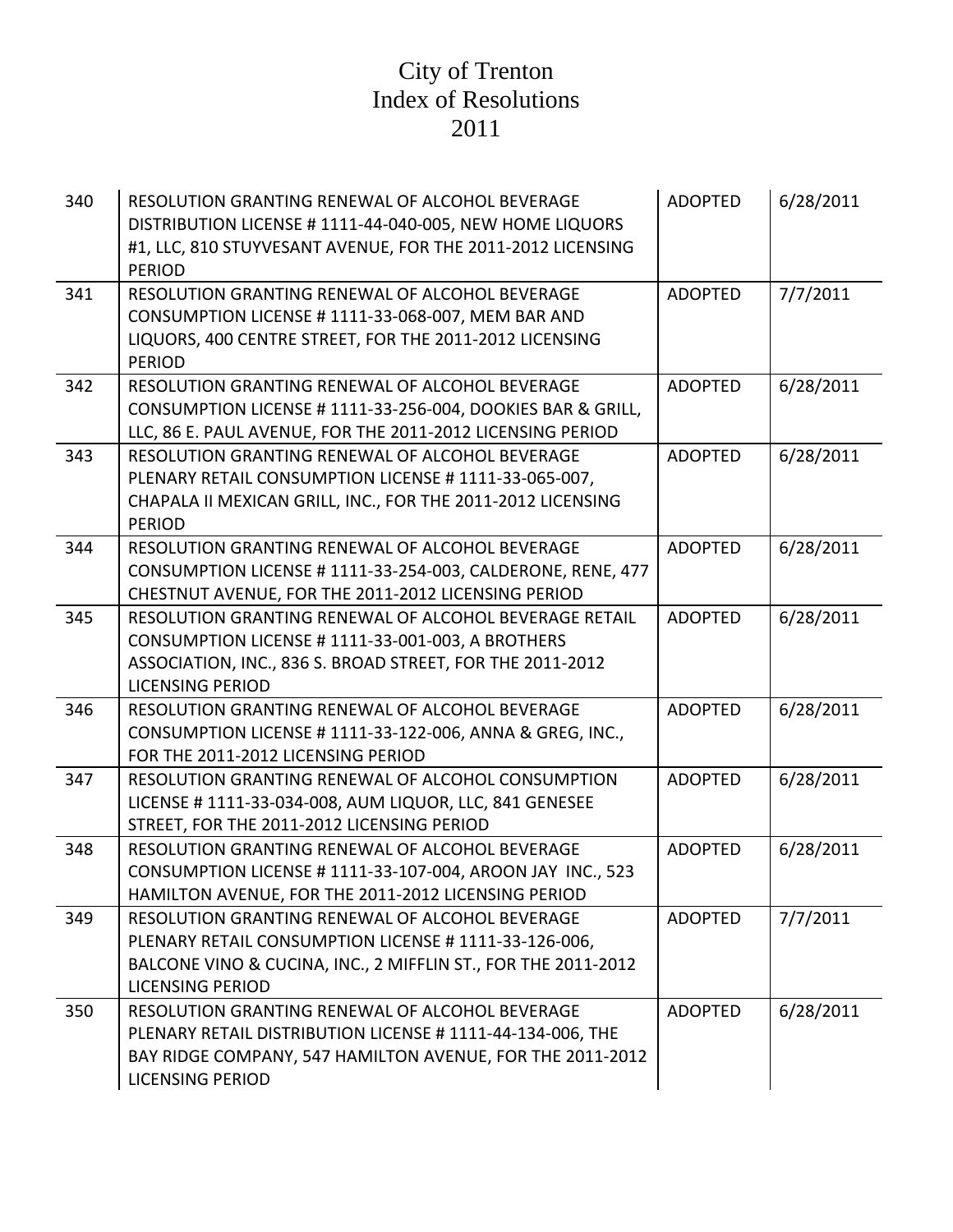| 340 | RESOLUTION GRANTING RENEWAL OF ALCOHOL BEVERAGE<br>DISTRIBUTION LICENSE # 1111-44-040-005, NEW HOME LIQUORS<br>#1, LLC, 810 STUYVESANT AVENUE, FOR THE 2011-2012 LICENSING<br><b>PERIOD</b>          | <b>ADOPTED</b> | 6/28/2011 |
|-----|------------------------------------------------------------------------------------------------------------------------------------------------------------------------------------------------------|----------------|-----------|
| 341 | RESOLUTION GRANTING RENEWAL OF ALCOHOL BEVERAGE<br>CONSUMPTION LICENSE #1111-33-068-007, MEM BAR AND<br>LIQUORS, 400 CENTRE STREET, FOR THE 2011-2012 LICENSING<br><b>PERIOD</b>                     | <b>ADOPTED</b> | 7/7/2011  |
| 342 | RESOLUTION GRANTING RENEWAL OF ALCOHOL BEVERAGE<br>CONSUMPTION LICENSE # 1111-33-256-004, DOOKIES BAR & GRILL,<br>LLC, 86 E. PAUL AVENUE, FOR THE 2011-2012 LICENSING PERIOD                         | <b>ADOPTED</b> | 6/28/2011 |
| 343 | RESOLUTION GRANTING RENEWAL OF ALCOHOL BEVERAGE<br>PLENARY RETAIL CONSUMPTION LICENSE #1111-33-065-007,<br>CHAPALA II MEXICAN GRILL, INC., FOR THE 2011-2012 LICENSING<br><b>PERIOD</b>              | <b>ADOPTED</b> | 6/28/2011 |
| 344 | RESOLUTION GRANTING RENEWAL OF ALCOHOL BEVERAGE<br>CONSUMPTION LICENSE #1111-33-254-003, CALDERONE, RENE, 477<br>CHESTNUT AVENUE, FOR THE 2011-2012 LICENSING PERIOD                                 | <b>ADOPTED</b> | 6/28/2011 |
| 345 | RESOLUTION GRANTING RENEWAL OF ALCOHOL BEVERAGE RETAIL<br>CONSUMPTION LICENSE #1111-33-001-003, A BROTHERS<br>ASSOCIATION, INC., 836 S. BROAD STREET, FOR THE 2011-2012<br><b>LICENSING PERIOD</b>   | <b>ADOPTED</b> | 6/28/2011 |
| 346 | RESOLUTION GRANTING RENEWAL OF ALCOHOL BEVERAGE<br>CONSUMPTION LICENSE # 1111-33-122-006, ANNA & GREG, INC.,<br>FOR THE 2011-2012 LICENSING PERIOD                                                   | <b>ADOPTED</b> | 6/28/2011 |
| 347 | RESOLUTION GRANTING RENEWAL OF ALCOHOL CONSUMPTION<br>LICENSE # 1111-33-034-008, AUM LIQUOR, LLC, 841 GENESEE<br>STREET, FOR THE 2011-2012 LICENSING PERIOD                                          | <b>ADOPTED</b> | 6/28/2011 |
| 348 | RESOLUTION GRANTING RENEWAL OF ALCOHOL BEVERAGE<br>CONSUMPTION LICENSE # 1111-33-107-004, AROON JAY INC., 523<br>HAMILTON AVENUE, FOR THE 2011-2012 LICENSING PERIOD                                 | <b>ADOPTED</b> | 6/28/2011 |
| 349 | RESOLUTION GRANTING RENEWAL OF ALCOHOL BEVERAGE<br>PLENARY RETAIL CONSUMPTION LICENSE #1111-33-126-006,<br>BALCONE VINO & CUCINA, INC., 2 MIFFLIN ST., FOR THE 2011-2012<br><b>LICENSING PERIOD</b>  | <b>ADOPTED</b> | 7/7/2011  |
| 350 | RESOLUTION GRANTING RENEWAL OF ALCOHOL BEVERAGE<br>PLENARY RETAIL DISTRIBUTION LICENSE #1111-44-134-006, THE<br>BAY RIDGE COMPANY, 547 HAMILTON AVENUE, FOR THE 2011-2012<br><b>LICENSING PERIOD</b> | <b>ADOPTED</b> | 6/28/2011 |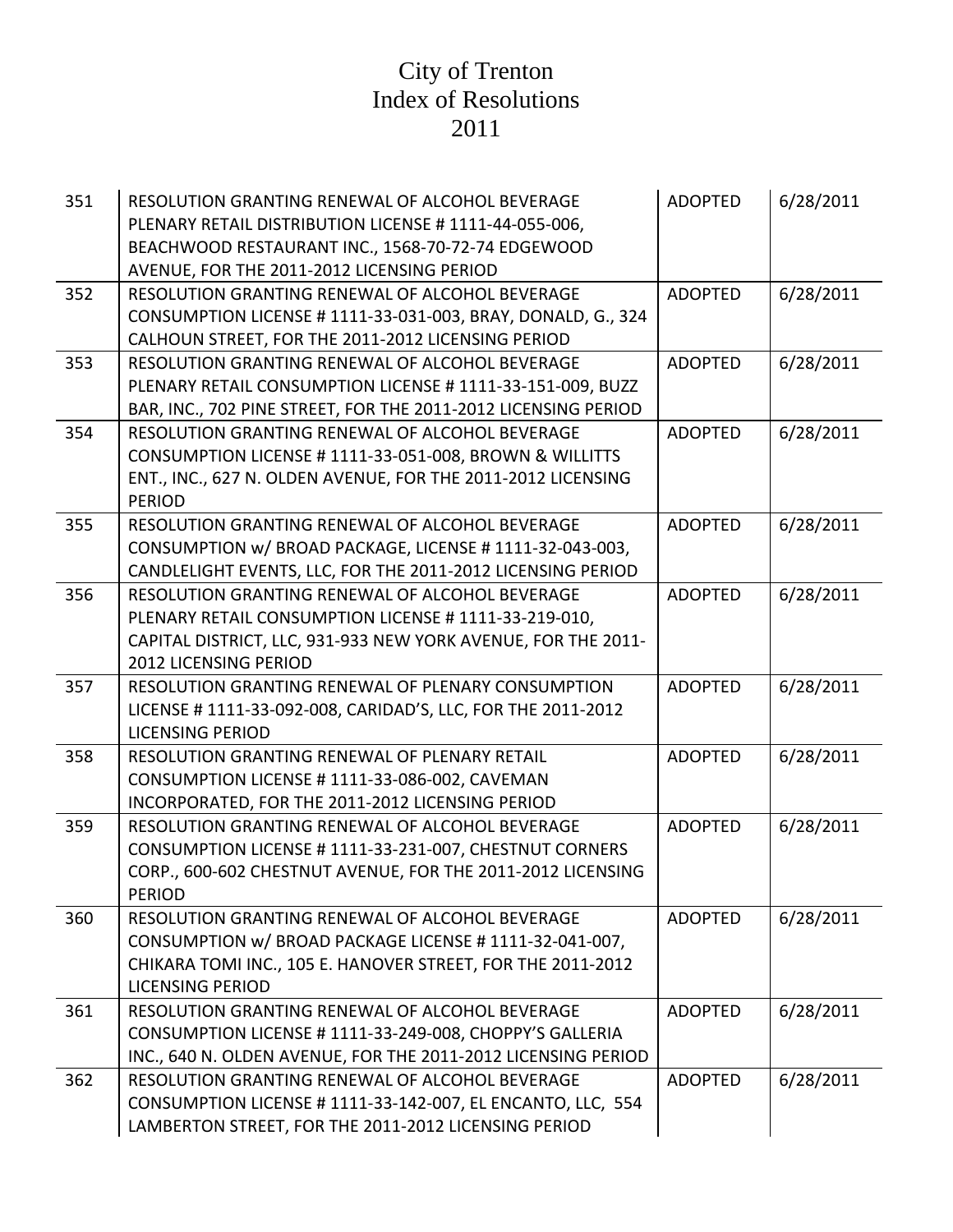| 351 | RESOLUTION GRANTING RENEWAL OF ALCOHOL BEVERAGE<br>PLENARY RETAIL DISTRIBUTION LICENSE # 1111-44-055-006,<br>BEACHWOOD RESTAURANT INC., 1568-70-72-74 EDGEWOOD<br>AVENUE, FOR THE 2011-2012 LICENSING PERIOD | <b>ADOPTED</b> | 6/28/2011 |
|-----|--------------------------------------------------------------------------------------------------------------------------------------------------------------------------------------------------------------|----------------|-----------|
| 352 | RESOLUTION GRANTING RENEWAL OF ALCOHOL BEVERAGE<br>CONSUMPTION LICENSE # 1111-33-031-003, BRAY, DONALD, G., 324<br>CALHOUN STREET, FOR THE 2011-2012 LICENSING PERIOD                                        | <b>ADOPTED</b> | 6/28/2011 |
| 353 | RESOLUTION GRANTING RENEWAL OF ALCOHOL BEVERAGE<br>PLENARY RETAIL CONSUMPTION LICENSE #1111-33-151-009, BUZZ<br>BAR, INC., 702 PINE STREET, FOR THE 2011-2012 LICENSING PERIOD                               | <b>ADOPTED</b> | 6/28/2011 |
| 354 | RESOLUTION GRANTING RENEWAL OF ALCOHOL BEVERAGE<br>CONSUMPTION LICENSE # 1111-33-051-008, BROWN & WILLITTS<br>ENT., INC., 627 N. OLDEN AVENUE, FOR THE 2011-2012 LICENSING<br><b>PERIOD</b>                  | <b>ADOPTED</b> | 6/28/2011 |
| 355 | RESOLUTION GRANTING RENEWAL OF ALCOHOL BEVERAGE<br>CONSUMPTION w/ BROAD PACKAGE, LICENSE #1111-32-043-003,<br>CANDLELIGHT EVENTS, LLC, FOR THE 2011-2012 LICENSING PERIOD                                    | <b>ADOPTED</b> | 6/28/2011 |
| 356 | RESOLUTION GRANTING RENEWAL OF ALCOHOL BEVERAGE<br>PLENARY RETAIL CONSUMPTION LICENSE #1111-33-219-010,<br>CAPITAL DISTRICT, LLC, 931-933 NEW YORK AVENUE, FOR THE 2011-<br><b>2012 LICENSING PERIOD</b>     | <b>ADOPTED</b> | 6/28/2011 |
| 357 | RESOLUTION GRANTING RENEWAL OF PLENARY CONSUMPTION<br>LICENSE # 1111-33-092-008, CARIDAD'S, LLC, FOR THE 2011-2012<br><b>LICENSING PERIOD</b>                                                                | <b>ADOPTED</b> | 6/28/2011 |
| 358 | RESOLUTION GRANTING RENEWAL OF PLENARY RETAIL<br>CONSUMPTION LICENSE # 1111-33-086-002, CAVEMAN<br>INCORPORATED, FOR THE 2011-2012 LICENSING PERIOD                                                          | <b>ADOPTED</b> | 6/28/2011 |
| 359 | RESOLUTION GRANTING RENEWAL OF ALCOHOL BEVERAGE<br>CONSUMPTION LICENSE #1111-33-231-007, CHESTNUT CORNERS<br>CORP., 600-602 CHESTNUT AVENUE, FOR THE 2011-2012 LICENSING<br><b>PERIOD</b>                    | <b>ADOPTED</b> | 6/28/2011 |
| 360 | RESOLUTION GRANTING RENEWAL OF ALCOHOL BEVERAGE<br>CONSUMPTION w/ BROAD PACKAGE LICENSE #1111-32-041-007,<br>CHIKARA TOMI INC., 105 E. HANOVER STREET, FOR THE 2011-2012<br><b>LICENSING PERIOD</b>          | <b>ADOPTED</b> | 6/28/2011 |
| 361 | RESOLUTION GRANTING RENEWAL OF ALCOHOL BEVERAGE<br>CONSUMPTION LICENSE # 1111-33-249-008, CHOPPY'S GALLERIA<br>INC., 640 N. OLDEN AVENUE, FOR THE 2011-2012 LICENSING PERIOD                                 | <b>ADOPTED</b> | 6/28/2011 |
| 362 | RESOLUTION GRANTING RENEWAL OF ALCOHOL BEVERAGE<br>CONSUMPTION LICENSE # 1111-33-142-007, EL ENCANTO, LLC, 554<br>LAMBERTON STREET, FOR THE 2011-2012 LICENSING PERIOD                                       | <b>ADOPTED</b> | 6/28/2011 |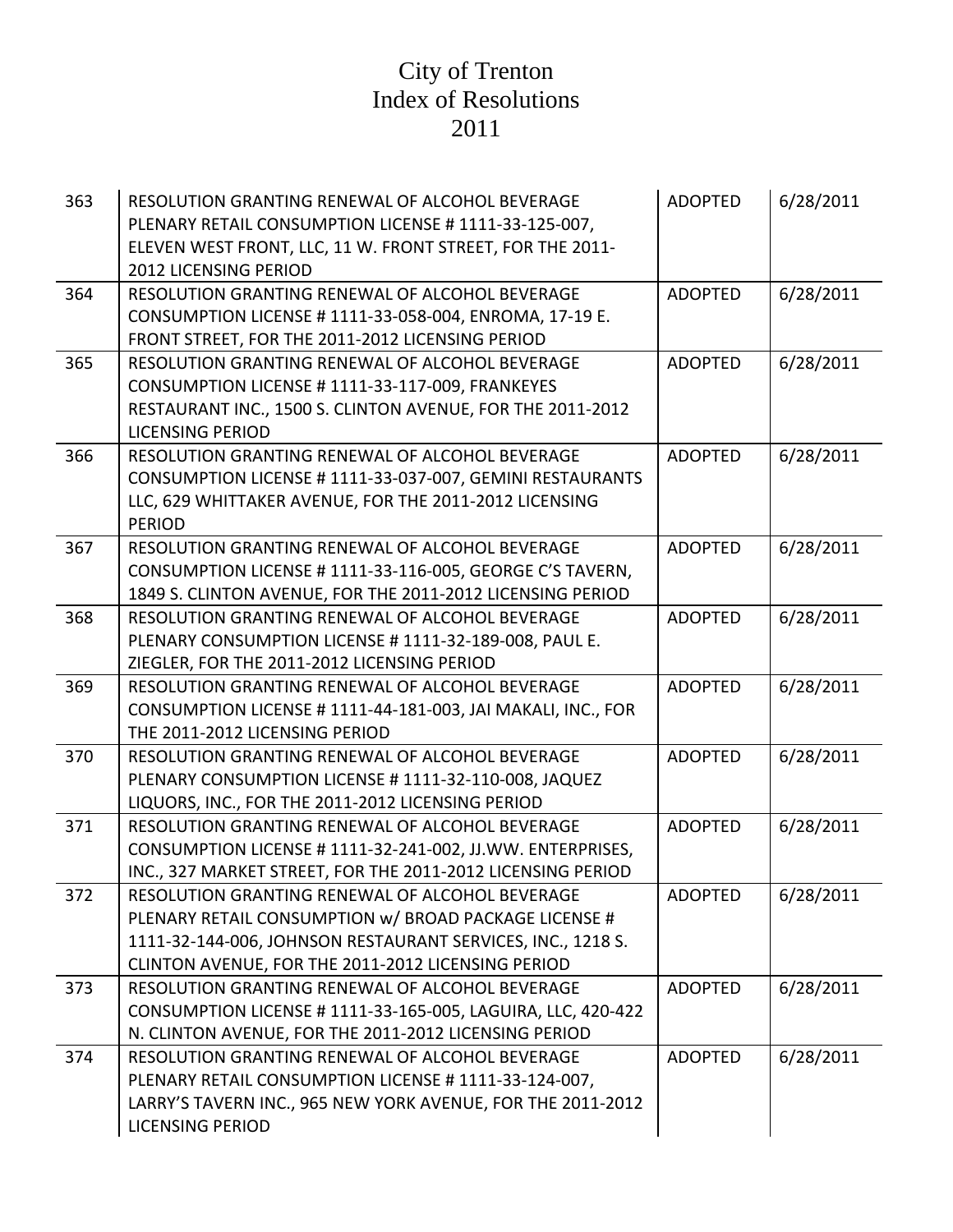| 363 | RESOLUTION GRANTING RENEWAL OF ALCOHOL BEVERAGE<br>PLENARY RETAIL CONSUMPTION LICENSE #1111-33-125-007,<br>ELEVEN WEST FRONT, LLC, 11 W. FRONT STREET, FOR THE 2011-<br><b>2012 LICENSING PERIOD</b>                          | <b>ADOPTED</b> | 6/28/2011 |
|-----|-------------------------------------------------------------------------------------------------------------------------------------------------------------------------------------------------------------------------------|----------------|-----------|
| 364 | RESOLUTION GRANTING RENEWAL OF ALCOHOL BEVERAGE<br>CONSUMPTION LICENSE # 1111-33-058-004, ENROMA, 17-19 E.<br>FRONT STREET, FOR THE 2011-2012 LICENSING PERIOD                                                                | <b>ADOPTED</b> | 6/28/2011 |
| 365 | RESOLUTION GRANTING RENEWAL OF ALCOHOL BEVERAGE<br>CONSUMPTION LICENSE # 1111-33-117-009, FRANKEYES<br>RESTAURANT INC., 1500 S. CLINTON AVENUE, FOR THE 2011-2012<br><b>LICENSING PERIOD</b>                                  | <b>ADOPTED</b> | 6/28/2011 |
| 366 | RESOLUTION GRANTING RENEWAL OF ALCOHOL BEVERAGE<br>CONSUMPTION LICENSE # 1111-33-037-007, GEMINI RESTAURANTS<br>LLC, 629 WHITTAKER AVENUE, FOR THE 2011-2012 LICENSING<br><b>PERIOD</b>                                       | <b>ADOPTED</b> | 6/28/2011 |
| 367 | RESOLUTION GRANTING RENEWAL OF ALCOHOL BEVERAGE<br>CONSUMPTION LICENSE #1111-33-116-005, GEORGE C'S TAVERN,<br>1849 S. CLINTON AVENUE, FOR THE 2011-2012 LICENSING PERIOD                                                     | <b>ADOPTED</b> | 6/28/2011 |
| 368 | RESOLUTION GRANTING RENEWAL OF ALCOHOL BEVERAGE<br>PLENARY CONSUMPTION LICENSE # 1111-32-189-008, PAUL E.<br>ZIEGLER, FOR THE 2011-2012 LICENSING PERIOD                                                                      | <b>ADOPTED</b> | 6/28/2011 |
| 369 | RESOLUTION GRANTING RENEWAL OF ALCOHOL BEVERAGE<br>CONSUMPTION LICENSE #1111-44-181-003, JAI MAKALI, INC., FOR<br>THE 2011-2012 LICENSING PERIOD                                                                              | <b>ADOPTED</b> | 6/28/2011 |
| 370 | RESOLUTION GRANTING RENEWAL OF ALCOHOL BEVERAGE<br>PLENARY CONSUMPTION LICENSE # 1111-32-110-008, JAQUEZ<br>LIQUORS, INC., FOR THE 2011-2012 LICENSING PERIOD                                                                 | <b>ADOPTED</b> | 6/28/2011 |
| 371 | RESOLUTION GRANTING RENEWAL OF ALCOHOL BEVERAGE<br>CONSUMPTION LICENSE # 1111-32-241-002, JJ.WW. ENTERPRISES,<br>INC., 327 MARKET STREET, FOR THE 2011-2012 LICENSING PERIOD                                                  | <b>ADOPTED</b> | 6/28/2011 |
| 372 | RESOLUTION GRANTING RENEWAL OF ALCOHOL BEVERAGE<br>PLENARY RETAIL CONSUMPTION w/ BROAD PACKAGE LICENSE #<br>1111-32-144-006, JOHNSON RESTAURANT SERVICES, INC., 1218 S.<br>CLINTON AVENUE, FOR THE 2011-2012 LICENSING PERIOD | <b>ADOPTED</b> | 6/28/2011 |
| 373 | RESOLUTION GRANTING RENEWAL OF ALCOHOL BEVERAGE<br>CONSUMPTION LICENSE # 1111-33-165-005, LAGUIRA, LLC, 420-422<br>N. CLINTON AVENUE, FOR THE 2011-2012 LICENSING PERIOD                                                      | <b>ADOPTED</b> | 6/28/2011 |
| 374 | RESOLUTION GRANTING RENEWAL OF ALCOHOL BEVERAGE<br>PLENARY RETAIL CONSUMPTION LICENSE #1111-33-124-007,<br>LARRY'S TAVERN INC., 965 NEW YORK AVENUE, FOR THE 2011-2012<br><b>LICENSING PERIOD</b>                             | <b>ADOPTED</b> | 6/28/2011 |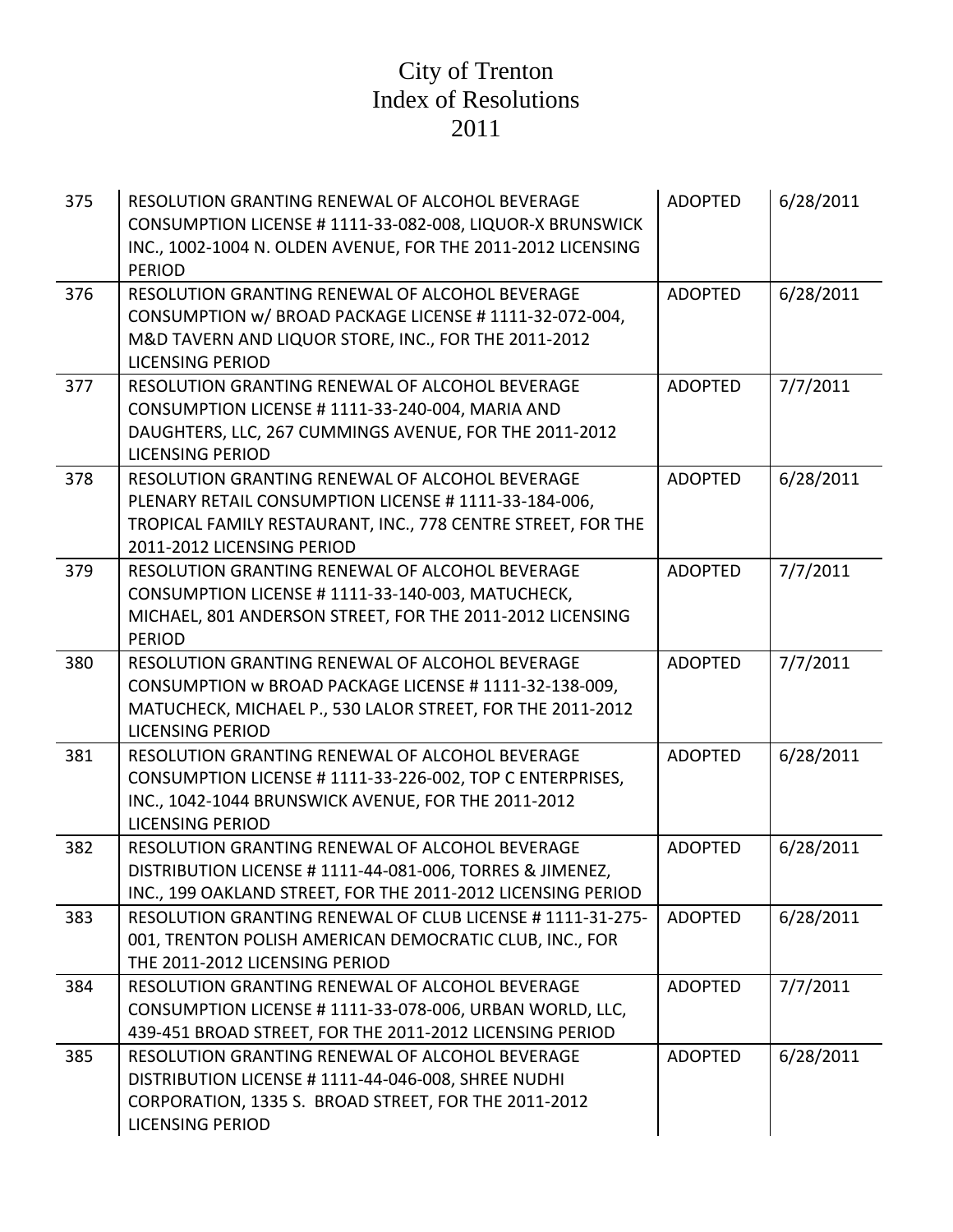| 375 | RESOLUTION GRANTING RENEWAL OF ALCOHOL BEVERAGE<br>CONSUMPTION LICENSE # 1111-33-082-008, LIQUOR-X BRUNSWICK<br>INC., 1002-1004 N. OLDEN AVENUE, FOR THE 2011-2012 LICENSING<br><b>PERIOD</b>          | <b>ADOPTED</b> | 6/28/2011 |
|-----|--------------------------------------------------------------------------------------------------------------------------------------------------------------------------------------------------------|----------------|-----------|
| 376 | RESOLUTION GRANTING RENEWAL OF ALCOHOL BEVERAGE<br>CONSUMPTION w/ BROAD PACKAGE LICENSE #1111-32-072-004,<br>M&D TAVERN AND LIQUOR STORE, INC., FOR THE 2011-2012<br><b>LICENSING PERIOD</b>           | <b>ADOPTED</b> | 6/28/2011 |
| 377 | RESOLUTION GRANTING RENEWAL OF ALCOHOL BEVERAGE<br>CONSUMPTION LICENSE # 1111-33-240-004, MARIA AND<br>DAUGHTERS, LLC, 267 CUMMINGS AVENUE, FOR THE 2011-2012<br><b>LICENSING PERIOD</b>               | <b>ADOPTED</b> | 7/7/2011  |
| 378 | RESOLUTION GRANTING RENEWAL OF ALCOHOL BEVERAGE<br>PLENARY RETAIL CONSUMPTION LICENSE # 1111-33-184-006,<br>TROPICAL FAMILY RESTAURANT, INC., 778 CENTRE STREET, FOR THE<br>2011-2012 LICENSING PERIOD | <b>ADOPTED</b> | 6/28/2011 |
| 379 | RESOLUTION GRANTING RENEWAL OF ALCOHOL BEVERAGE<br>CONSUMPTION LICENSE #1111-33-140-003, MATUCHECK,<br>MICHAEL, 801 ANDERSON STREET, FOR THE 2011-2012 LICENSING<br><b>PERIOD</b>                      | <b>ADOPTED</b> | 7/7/2011  |
| 380 | RESOLUTION GRANTING RENEWAL OF ALCOHOL BEVERAGE<br>CONSUMPTION w BROAD PACKAGE LICENSE # 1111-32-138-009,<br>MATUCHECK, MICHAEL P., 530 LALOR STREET, FOR THE 2011-2012<br><b>LICENSING PERIOD</b>     | <b>ADOPTED</b> | 7/7/2011  |
| 381 | RESOLUTION GRANTING RENEWAL OF ALCOHOL BEVERAGE<br>CONSUMPTION LICENSE # 1111-33-226-002, TOP C ENTERPRISES,<br>INC., 1042-1044 BRUNSWICK AVENUE, FOR THE 2011-2012<br><b>LICENSING PERIOD</b>         | <b>ADOPTED</b> | 6/28/2011 |
| 382 | RESOLUTION GRANTING RENEWAL OF ALCOHOL BEVERAGE<br>DISTRIBUTION LICENSE # 1111-44-081-006, TORRES & JIMENEZ,<br>INC., 199 OAKLAND STREET, FOR THE 2011-2012 LICENSING PERIOD                           | <b>ADOPTED</b> | 6/28/2011 |
| 383 | RESOLUTION GRANTING RENEWAL OF CLUB LICENSE # 1111-31-275-<br>001, TRENTON POLISH AMERICAN DEMOCRATIC CLUB, INC., FOR<br>THE 2011-2012 LICENSING PERIOD                                                | <b>ADOPTED</b> | 6/28/2011 |
| 384 | RESOLUTION GRANTING RENEWAL OF ALCOHOL BEVERAGE<br>CONSUMPTION LICENSE # 1111-33-078-006, URBAN WORLD, LLC,<br>439-451 BROAD STREET, FOR THE 2011-2012 LICENSING PERIOD                                | <b>ADOPTED</b> | 7/7/2011  |
| 385 | RESOLUTION GRANTING RENEWAL OF ALCOHOL BEVERAGE<br>DISTRIBUTION LICENSE # 1111-44-046-008, SHREE NUDHI<br>CORPORATION, 1335 S. BROAD STREET, FOR THE 2011-2012<br><b>LICENSING PERIOD</b>              | <b>ADOPTED</b> | 6/28/2011 |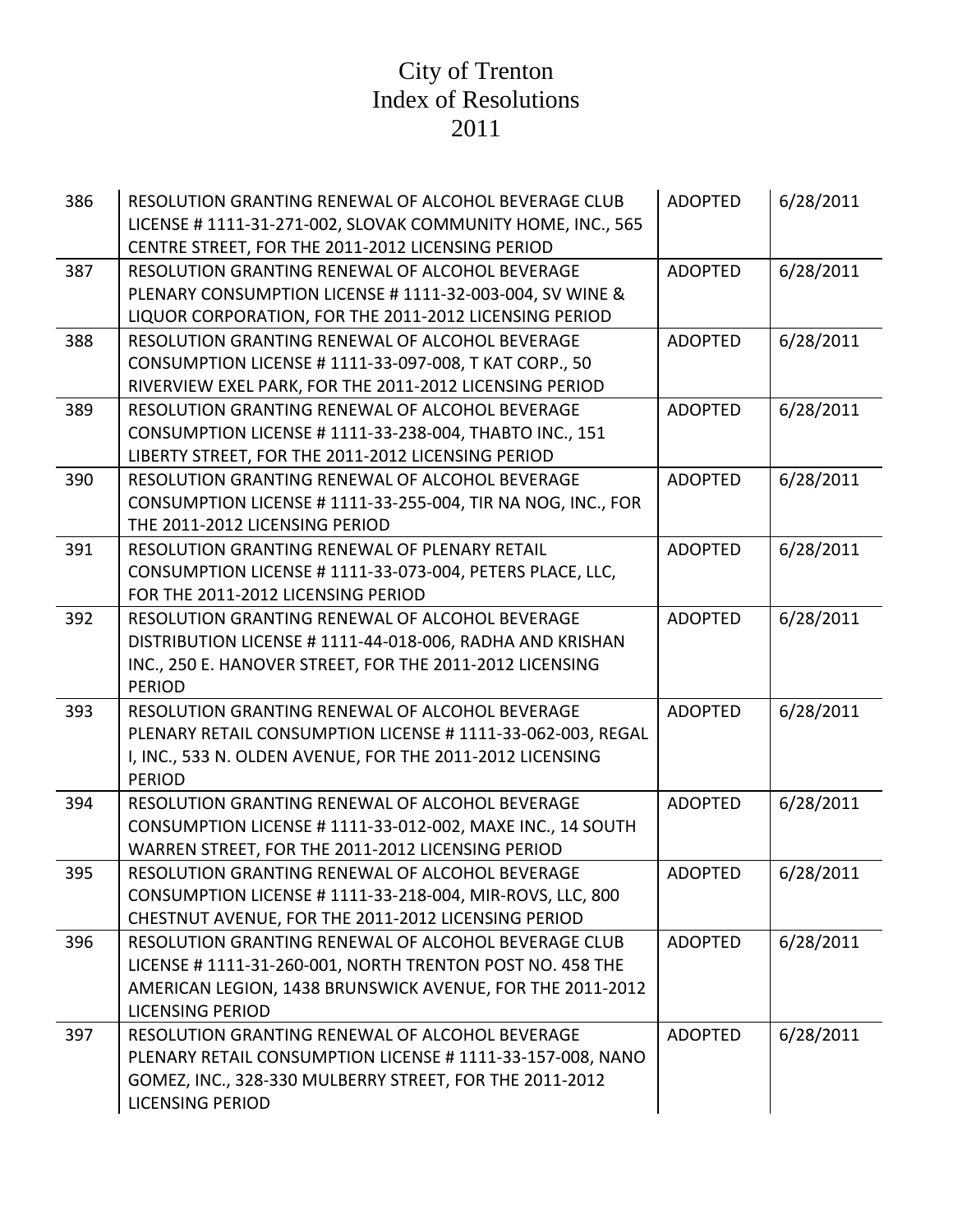| 386 | RESOLUTION GRANTING RENEWAL OF ALCOHOL BEVERAGE CLUB<br>LICENSE #1111-31-271-002, SLOVAK COMMUNITY HOME, INC., 565<br>CENTRE STREET, FOR THE 2011-2012 LICENSING PERIOD                                  | <b>ADOPTED</b> | 6/28/2011 |
|-----|----------------------------------------------------------------------------------------------------------------------------------------------------------------------------------------------------------|----------------|-----------|
| 387 | RESOLUTION GRANTING RENEWAL OF ALCOHOL BEVERAGE<br>PLENARY CONSUMPTION LICENSE # 1111-32-003-004, SV WINE &<br>LIQUOR CORPORATION, FOR THE 2011-2012 LICENSING PERIOD                                    | <b>ADOPTED</b> | 6/28/2011 |
| 388 | RESOLUTION GRANTING RENEWAL OF ALCOHOL BEVERAGE<br>CONSUMPTION LICENSE # 1111-33-097-008, T KAT CORP., 50<br>RIVERVIEW EXEL PARK, FOR THE 2011-2012 LICENSING PERIOD                                     | <b>ADOPTED</b> | 6/28/2011 |
| 389 | RESOLUTION GRANTING RENEWAL OF ALCOHOL BEVERAGE<br>CONSUMPTION LICENSE #1111-33-238-004, THABTO INC., 151<br>LIBERTY STREET, FOR THE 2011-2012 LICENSING PERIOD                                          | <b>ADOPTED</b> | 6/28/2011 |
| 390 | RESOLUTION GRANTING RENEWAL OF ALCOHOL BEVERAGE<br>CONSUMPTION LICENSE # 1111-33-255-004, TIR NA NOG, INC., FOR<br>THE 2011-2012 LICENSING PERIOD                                                        | <b>ADOPTED</b> | 6/28/2011 |
| 391 | RESOLUTION GRANTING RENEWAL OF PLENARY RETAIL<br>CONSUMPTION LICENSE # 1111-33-073-004, PETERS PLACE, LLC,<br>FOR THE 2011-2012 LICENSING PERIOD                                                         | <b>ADOPTED</b> | 6/28/2011 |
| 392 | RESOLUTION GRANTING RENEWAL OF ALCOHOL BEVERAGE<br>DISTRIBUTION LICENSE #1111-44-018-006, RADHA AND KRISHAN<br>INC., 250 E. HANOVER STREET, FOR THE 2011-2012 LICENSING<br><b>PERIOD</b>                 | <b>ADOPTED</b> | 6/28/2011 |
| 393 | RESOLUTION GRANTING RENEWAL OF ALCOHOL BEVERAGE<br>PLENARY RETAIL CONSUMPTION LICENSE # 1111-33-062-003, REGAL<br>I, INC., 533 N. OLDEN AVENUE, FOR THE 2011-2012 LICENSING<br><b>PERIOD</b>             | <b>ADOPTED</b> | 6/28/2011 |
| 394 | RESOLUTION GRANTING RENEWAL OF ALCOHOL BEVERAGE<br>CONSUMPTION LICENSE # 1111-33-012-002, MAXE INC., 14 SOUTH<br>WARREN STREET, FOR THE 2011-2012 LICENSING PERIOD                                       | <b>ADOPTED</b> | 6/28/2011 |
| 395 | RESOLUTION GRANTING RENEWAL OF ALCOHOL BEVERAGE<br>CONSUMPTION LICENSE # 1111-33-218-004, MIR-ROVS, LLC, 800<br>CHESTNUT AVENUE, FOR THE 2011-2012 LICENSING PERIOD                                      | <b>ADOPTED</b> | 6/28/2011 |
| 396 | RESOLUTION GRANTING RENEWAL OF ALCOHOL BEVERAGE CLUB<br>LICENSE #1111-31-260-001, NORTH TRENTON POST NO. 458 THE<br>AMERICAN LEGION, 1438 BRUNSWICK AVENUE, FOR THE 2011-2012<br><b>LICENSING PERIOD</b> | <b>ADOPTED</b> | 6/28/2011 |
| 397 | RESOLUTION GRANTING RENEWAL OF ALCOHOL BEVERAGE<br>PLENARY RETAIL CONSUMPTION LICENSE #1111-33-157-008, NANO<br>GOMEZ, INC., 328-330 MULBERRY STREET, FOR THE 2011-2012<br><b>LICENSING PERIOD</b>       | <b>ADOPTED</b> | 6/28/2011 |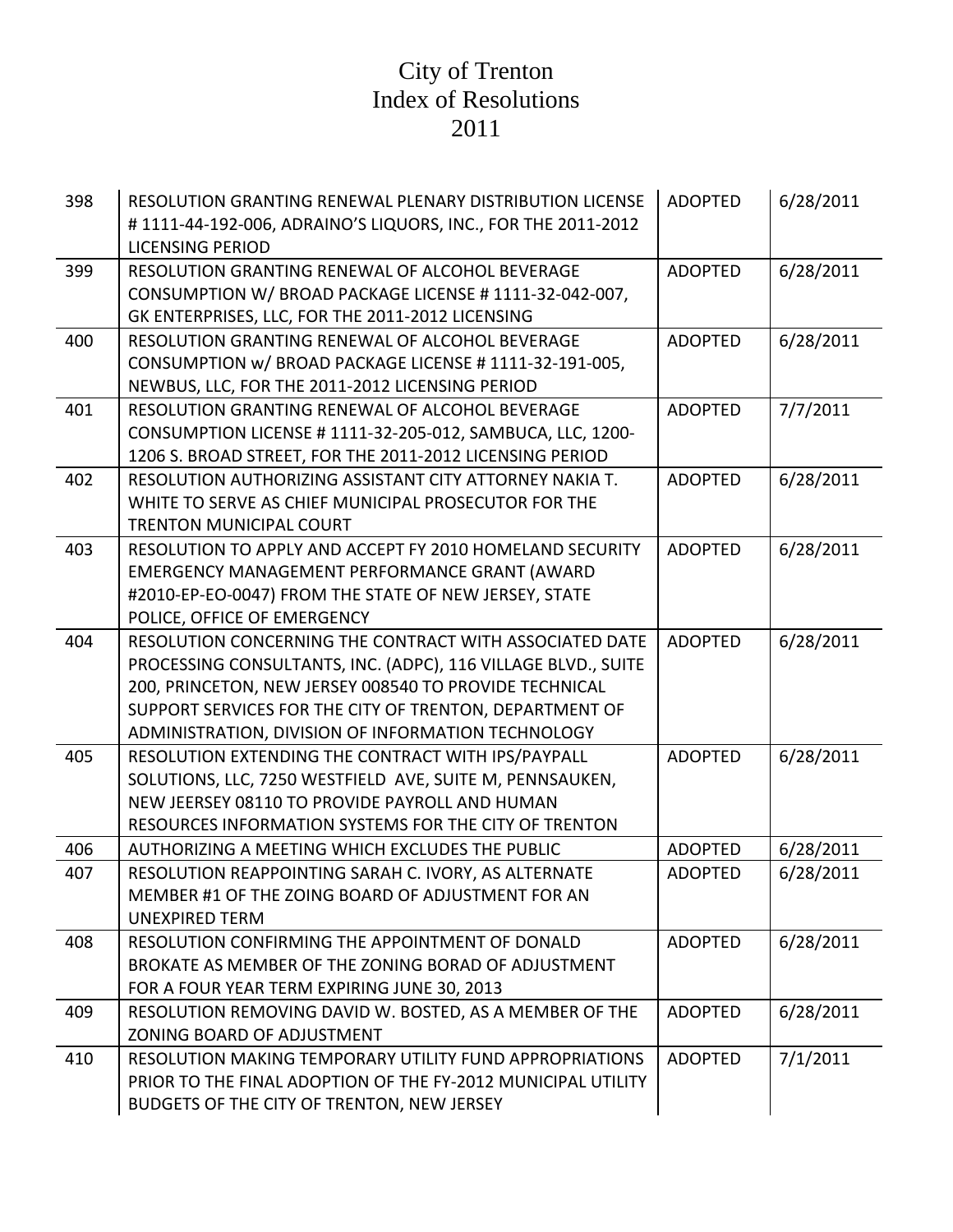| 398 | RESOLUTION GRANTING RENEWAL PLENARY DISTRIBUTION LICENSE<br>#1111-44-192-006, ADRAINO'S LIQUORS, INC., FOR THE 2011-2012<br><b>LICENSING PERIOD</b>                                                                                                                                                 | <b>ADOPTED</b> | 6/28/2011 |
|-----|-----------------------------------------------------------------------------------------------------------------------------------------------------------------------------------------------------------------------------------------------------------------------------------------------------|----------------|-----------|
| 399 | RESOLUTION GRANTING RENEWAL OF ALCOHOL BEVERAGE<br>CONSUMPTION W/ BROAD PACKAGE LICENSE #1111-32-042-007,<br>GK ENTERPRISES, LLC, FOR THE 2011-2012 LICENSING                                                                                                                                       | <b>ADOPTED</b> | 6/28/2011 |
| 400 | RESOLUTION GRANTING RENEWAL OF ALCOHOL BEVERAGE<br>CONSUMPTION w/ BROAD PACKAGE LICENSE #1111-32-191-005,<br>NEWBUS, LLC, FOR THE 2011-2012 LICENSING PERIOD                                                                                                                                        | <b>ADOPTED</b> | 6/28/2011 |
| 401 | RESOLUTION GRANTING RENEWAL OF ALCOHOL BEVERAGE<br>CONSUMPTION LICENSE # 1111-32-205-012, SAMBUCA, LLC, 1200-<br>1206 S. BROAD STREET, FOR THE 2011-2012 LICENSING PERIOD                                                                                                                           | <b>ADOPTED</b> | 7/7/2011  |
| 402 | RESOLUTION AUTHORIZING ASSISTANT CITY ATTORNEY NAKIA T.<br>WHITE TO SERVE AS CHIEF MUNICIPAL PROSECUTOR FOR THE<br><b>TRENTON MUNICIPAL COURT</b>                                                                                                                                                   | <b>ADOPTED</b> | 6/28/2011 |
| 403 | RESOLUTION TO APPLY AND ACCEPT FY 2010 HOMELAND SECURITY<br><b>EMERGENCY MANAGEMENT PERFORMANCE GRANT (AWARD</b><br>#2010-EP-EO-0047) FROM THE STATE OF NEW JERSEY, STATE<br>POLICE, OFFICE OF EMERGENCY                                                                                            | <b>ADOPTED</b> | 6/28/2011 |
| 404 | RESOLUTION CONCERNING THE CONTRACT WITH ASSOCIATED DATE<br>PROCESSING CONSULTANTS, INC. (ADPC), 116 VILLAGE BLVD., SUITE<br>200, PRINCETON, NEW JERSEY 008540 TO PROVIDE TECHNICAL<br>SUPPORT SERVICES FOR THE CITY OF TRENTON, DEPARTMENT OF<br>ADMINISTRATION, DIVISION OF INFORMATION TECHNOLOGY | <b>ADOPTED</b> | 6/28/2011 |
| 405 | RESOLUTION EXTENDING THE CONTRACT WITH IPS/PAYPALL<br>SOLUTIONS, LLC, 7250 WESTFIELD AVE, SUITE M, PENNSAUKEN,<br>NEW JEERSEY 08110 TO PROVIDE PAYROLL AND HUMAN<br>RESOURCES INFORMATION SYSTEMS FOR THE CITY OF TRENTON                                                                           | <b>ADOPTED</b> | 6/28/2011 |
| 406 | AUTHORIZING A MEETING WHICH EXCLUDES THE PUBLIC                                                                                                                                                                                                                                                     | <b>ADOPTED</b> | 6/28/2011 |
| 407 | RESOLUTION REAPPOINTING SARAH C. IVORY, AS ALTERNATE<br>MEMBER #1 OF THE ZOING BOARD OF ADJUSTMENT FOR AN<br><b>UNEXPIRED TERM</b>                                                                                                                                                                  | <b>ADOPTED</b> | 6/28/2011 |
| 408 | RESOLUTION CONFIRMING THE APPOINTMENT OF DONALD<br>BROKATE AS MEMBER OF THE ZONING BORAD OF ADJUSTMENT<br>FOR A FOUR YEAR TERM EXPIRING JUNE 30, 2013                                                                                                                                               | <b>ADOPTED</b> | 6/28/2011 |
| 409 | RESOLUTION REMOVING DAVID W. BOSTED, AS A MEMBER OF THE<br>ZONING BOARD OF ADJUSTMENT                                                                                                                                                                                                               | <b>ADOPTED</b> | 6/28/2011 |
| 410 | RESOLUTION MAKING TEMPORARY UTILITY FUND APPROPRIATIONS<br>PRIOR TO THE FINAL ADOPTION OF THE FY-2012 MUNICIPAL UTILITY<br>BUDGETS OF THE CITY OF TRENTON, NEW JERSEY                                                                                                                               | <b>ADOPTED</b> | 7/1/2011  |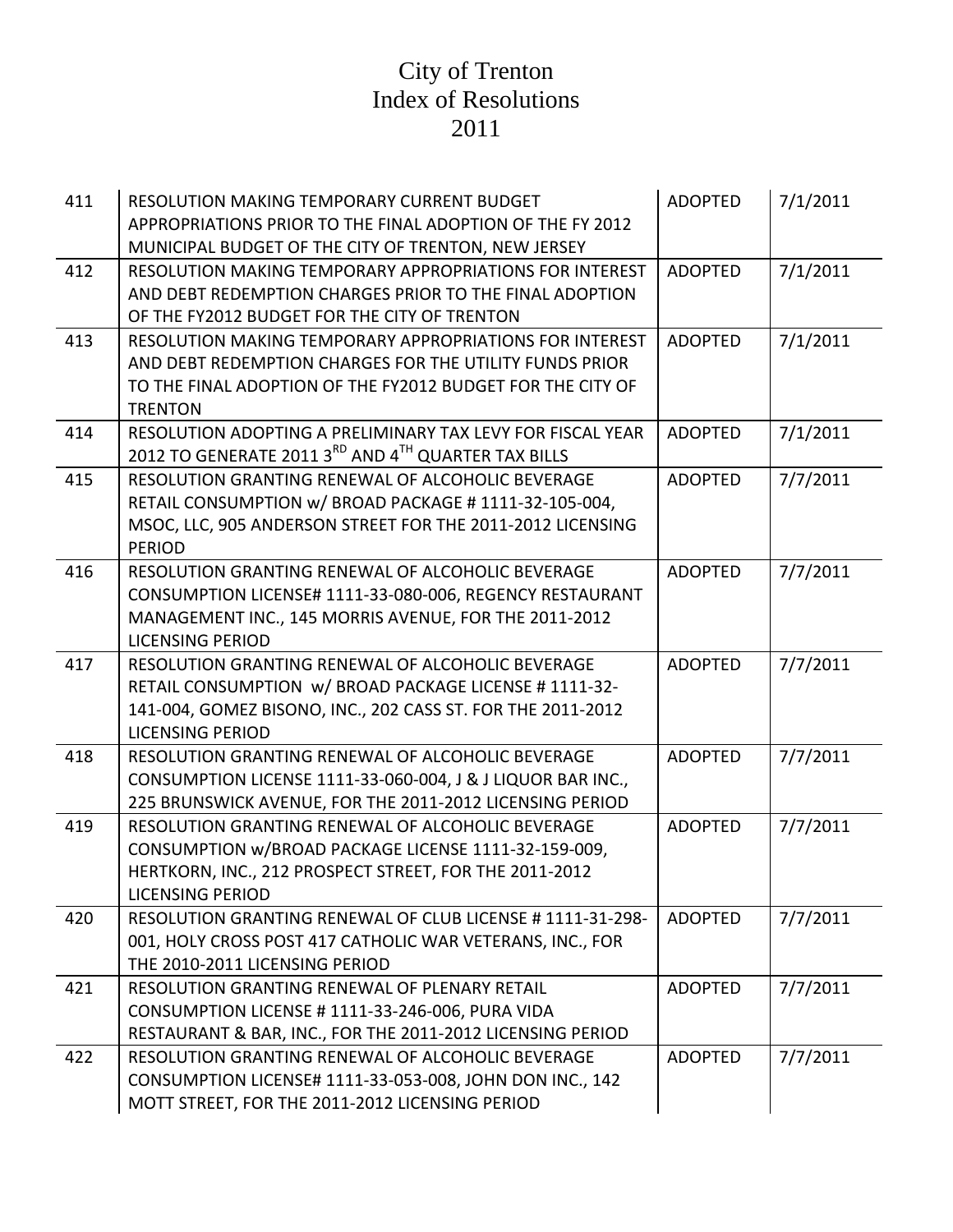| 411 | <b>RESOLUTION MAKING TEMPORARY CURRENT BUDGET</b><br>APPROPRIATIONS PRIOR TO THE FINAL ADOPTION OF THE FY 2012                                                                                       | <b>ADOPTED</b> | 7/1/2011 |
|-----|------------------------------------------------------------------------------------------------------------------------------------------------------------------------------------------------------|----------------|----------|
|     | MUNICIPAL BUDGET OF THE CITY OF TRENTON, NEW JERSEY                                                                                                                                                  |                |          |
| 412 | <b>RESOLUTION MAKING TEMPORARY APPROPRIATIONS FOR INTEREST</b><br>AND DEBT REDEMPTION CHARGES PRIOR TO THE FINAL ADOPTION<br>OF THE FY2012 BUDGET FOR THE CITY OF TRENTON                            | <b>ADOPTED</b> | 7/1/2011 |
| 413 | RESOLUTION MAKING TEMPORARY APPROPRIATIONS FOR INTEREST<br>AND DEBT REDEMPTION CHARGES FOR THE UTILITY FUNDS PRIOR<br>TO THE FINAL ADOPTION OF THE FY2012 BUDGET FOR THE CITY OF<br><b>TRENTON</b>   | <b>ADOPTED</b> | 7/1/2011 |
| 414 | RESOLUTION ADOPTING A PRELIMINARY TAX LEVY FOR FISCAL YEAR<br>2012 TO GENERATE 2011 3RD AND 4TH QUARTER TAX BILLS                                                                                    | <b>ADOPTED</b> | 7/1/2011 |
| 415 | RESOLUTION GRANTING RENEWAL OF ALCOHOLIC BEVERAGE<br>RETAIL CONSUMPTION w/ BROAD PACKAGE #1111-32-105-004,<br>MSOC, LLC, 905 ANDERSON STREET FOR THE 2011-2012 LICENSING<br><b>PERIOD</b>            | <b>ADOPTED</b> | 7/7/2011 |
| 416 | RESOLUTION GRANTING RENEWAL OF ALCOHOLIC BEVERAGE<br>CONSUMPTION LICENSE# 1111-33-080-006, REGENCY RESTAURANT<br>MANAGEMENT INC., 145 MORRIS AVENUE, FOR THE 2011-2012<br><b>LICENSING PERIOD</b>    | <b>ADOPTED</b> | 7/7/2011 |
| 417 | RESOLUTION GRANTING RENEWAL OF ALCOHOLIC BEVERAGE<br>RETAIL CONSUMPTION W/ BROAD PACKAGE LICENSE #1111-32-<br>141-004, GOMEZ BISONO, INC., 202 CASS ST. FOR THE 2011-2012<br><b>LICENSING PERIOD</b> | <b>ADOPTED</b> | 7/7/2011 |
| 418 | RESOLUTION GRANTING RENEWAL OF ALCOHOLIC BEVERAGE<br>CONSUMPTION LICENSE 1111-33-060-004, J & J LIQUOR BAR INC.,<br>225 BRUNSWICK AVENUE, FOR THE 2011-2012 LICENSING PERIOD                         | <b>ADOPTED</b> | 7/7/2011 |
| 419 | RESOLUTION GRANTING RENEWAL OF ALCOHOLIC BEVERAGE<br>CONSUMPTION w/BROAD PACKAGE LICENSE 1111-32-159-009,<br>HERTKORN, INC., 212 PROSPECT STREET, FOR THE 2011-2012<br><b>LICENSING PERIOD</b>       | <b>ADOPTED</b> | 7/7/2011 |
| 420 | RESOLUTION GRANTING RENEWAL OF CLUB LICENSE # 1111-31-298-<br>001, HOLY CROSS POST 417 CATHOLIC WAR VETERANS, INC., FOR<br>THE 2010-2011 LICENSING PERIOD                                            | <b>ADOPTED</b> | 7/7/2011 |
| 421 | RESOLUTION GRANTING RENEWAL OF PLENARY RETAIL<br>CONSUMPTION LICENSE # 1111-33-246-006, PURA VIDA<br>RESTAURANT & BAR, INC., FOR THE 2011-2012 LICENSING PERIOD                                      | <b>ADOPTED</b> | 7/7/2011 |
| 422 | RESOLUTION GRANTING RENEWAL OF ALCOHOLIC BEVERAGE<br>CONSUMPTION LICENSE# 1111-33-053-008, JOHN DON INC., 142<br>MOTT STREET, FOR THE 2011-2012 LICENSING PERIOD                                     | <b>ADOPTED</b> | 7/7/2011 |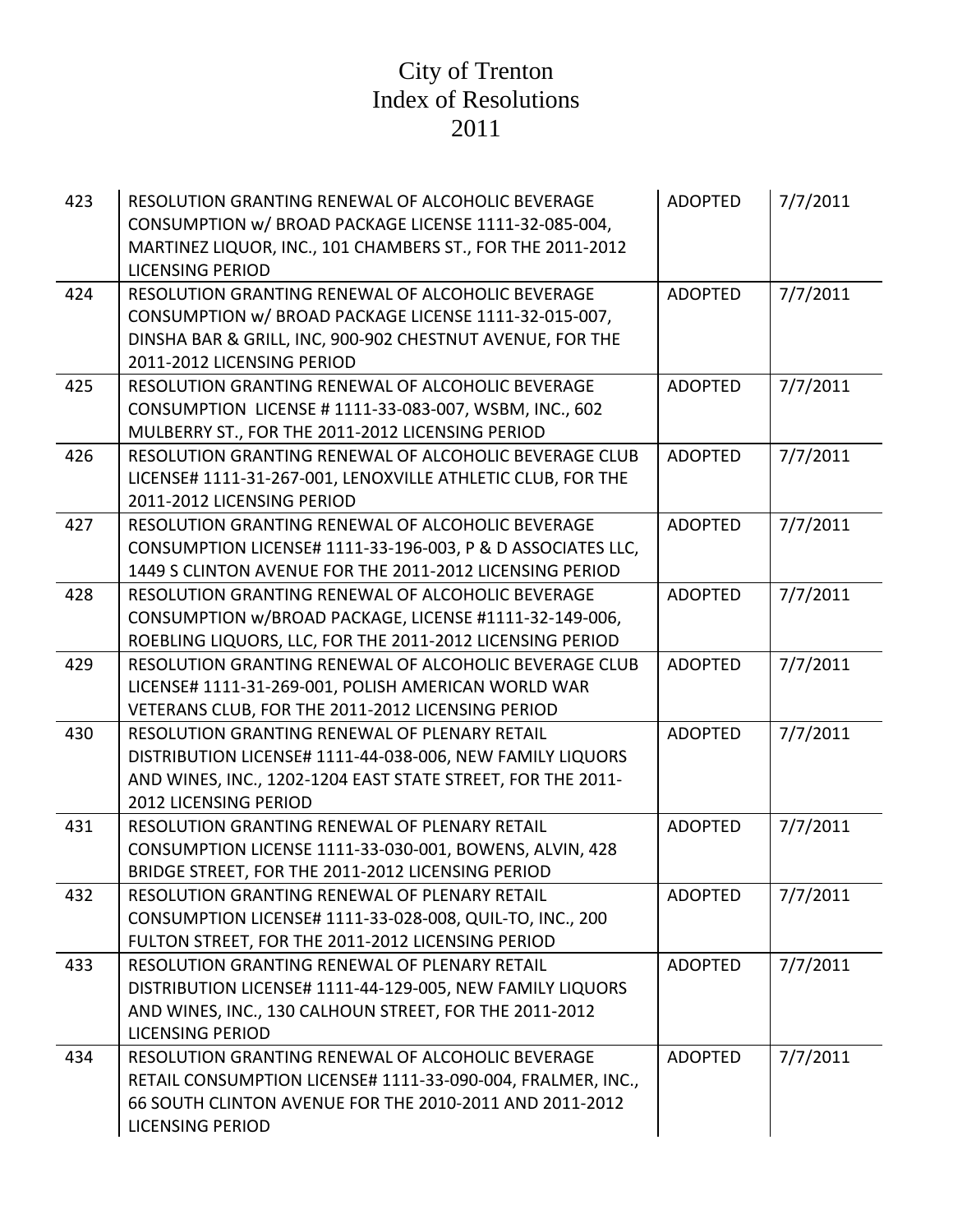| 423 | RESOLUTION GRANTING RENEWAL OF ALCOHOLIC BEVERAGE<br>CONSUMPTION w/ BROAD PACKAGE LICENSE 1111-32-085-004,<br>MARTINEZ LIQUOR, INC., 101 CHAMBERS ST., FOR THE 2011-2012<br><b>LICENSING PERIOD</b>    | <b>ADOPTED</b> | 7/7/2011 |
|-----|--------------------------------------------------------------------------------------------------------------------------------------------------------------------------------------------------------|----------------|----------|
| 424 | RESOLUTION GRANTING RENEWAL OF ALCOHOLIC BEVERAGE<br>CONSUMPTION w/ BROAD PACKAGE LICENSE 1111-32-015-007,<br>DINSHA BAR & GRILL, INC, 900-902 CHESTNUT AVENUE, FOR THE<br>2011-2012 LICENSING PERIOD  | <b>ADOPTED</b> | 7/7/2011 |
| 425 | RESOLUTION GRANTING RENEWAL OF ALCOHOLIC BEVERAGE<br>CONSUMPTION LICENSE # 1111-33-083-007, WSBM, INC., 602<br>MULBERRY ST., FOR THE 2011-2012 LICENSING PERIOD                                        | <b>ADOPTED</b> | 7/7/2011 |
| 426 | RESOLUTION GRANTING RENEWAL OF ALCOHOLIC BEVERAGE CLUB<br>LICENSE# 1111-31-267-001, LENOXVILLE ATHLETIC CLUB, FOR THE<br>2011-2012 LICENSING PERIOD                                                    | <b>ADOPTED</b> | 7/7/2011 |
| 427 | RESOLUTION GRANTING RENEWAL OF ALCOHOLIC BEVERAGE<br>CONSUMPTION LICENSE# 1111-33-196-003, P & D ASSOCIATES LLC,<br>1449 S CLINTON AVENUE FOR THE 2011-2012 LICENSING PERIOD                           | <b>ADOPTED</b> | 7/7/2011 |
| 428 | RESOLUTION GRANTING RENEWAL OF ALCOHOLIC BEVERAGE<br>CONSUMPTION w/BROAD PACKAGE, LICENSE #1111-32-149-006,<br>ROEBLING LIQUORS, LLC, FOR THE 2011-2012 LICENSING PERIOD                               | <b>ADOPTED</b> | 7/7/2011 |
| 429 | RESOLUTION GRANTING RENEWAL OF ALCOHOLIC BEVERAGE CLUB<br>LICENSE# 1111-31-269-001, POLISH AMERICAN WORLD WAR<br>VETERANS CLUB, FOR THE 2011-2012 LICENSING PERIOD                                     | <b>ADOPTED</b> | 7/7/2011 |
| 430 | RESOLUTION GRANTING RENEWAL OF PLENARY RETAIL<br>DISTRIBUTION LICENSE# 1111-44-038-006, NEW FAMILY LIQUORS<br>AND WINES, INC., 1202-1204 EAST STATE STREET, FOR THE 2011-<br>2012 LICENSING PERIOD     | <b>ADOPTED</b> | 7/7/2011 |
| 431 | RESOLUTION GRANTING RENEWAL OF PLENARY RETAIL<br>CONSUMPTION LICENSE 1111-33-030-001, BOWENS, ALVIN, 428<br>BRIDGE STREET, FOR THE 2011-2012 LICENSING PERIOD                                          | <b>ADOPTED</b> | 7/7/2011 |
| 432 | RESOLUTION GRANTING RENEWAL OF PLENARY RETAIL<br>CONSUMPTION LICENSE# 1111-33-028-008, QUIL-TO, INC., 200<br>FULTON STREET, FOR THE 2011-2012 LICENSING PERIOD                                         | <b>ADOPTED</b> | 7/7/2011 |
| 433 | RESOLUTION GRANTING RENEWAL OF PLENARY RETAIL<br>DISTRIBUTION LICENSE# 1111-44-129-005, NEW FAMILY LIQUORS<br>AND WINES, INC., 130 CALHOUN STREET, FOR THE 2011-2012<br><b>LICENSING PERIOD</b>        | <b>ADOPTED</b> | 7/7/2011 |
| 434 | RESOLUTION GRANTING RENEWAL OF ALCOHOLIC BEVERAGE<br>RETAIL CONSUMPTION LICENSE# 1111-33-090-004, FRALMER, INC.,<br>66 SOUTH CLINTON AVENUE FOR THE 2010-2011 AND 2011-2012<br><b>LICENSING PERIOD</b> | <b>ADOPTED</b> | 7/7/2011 |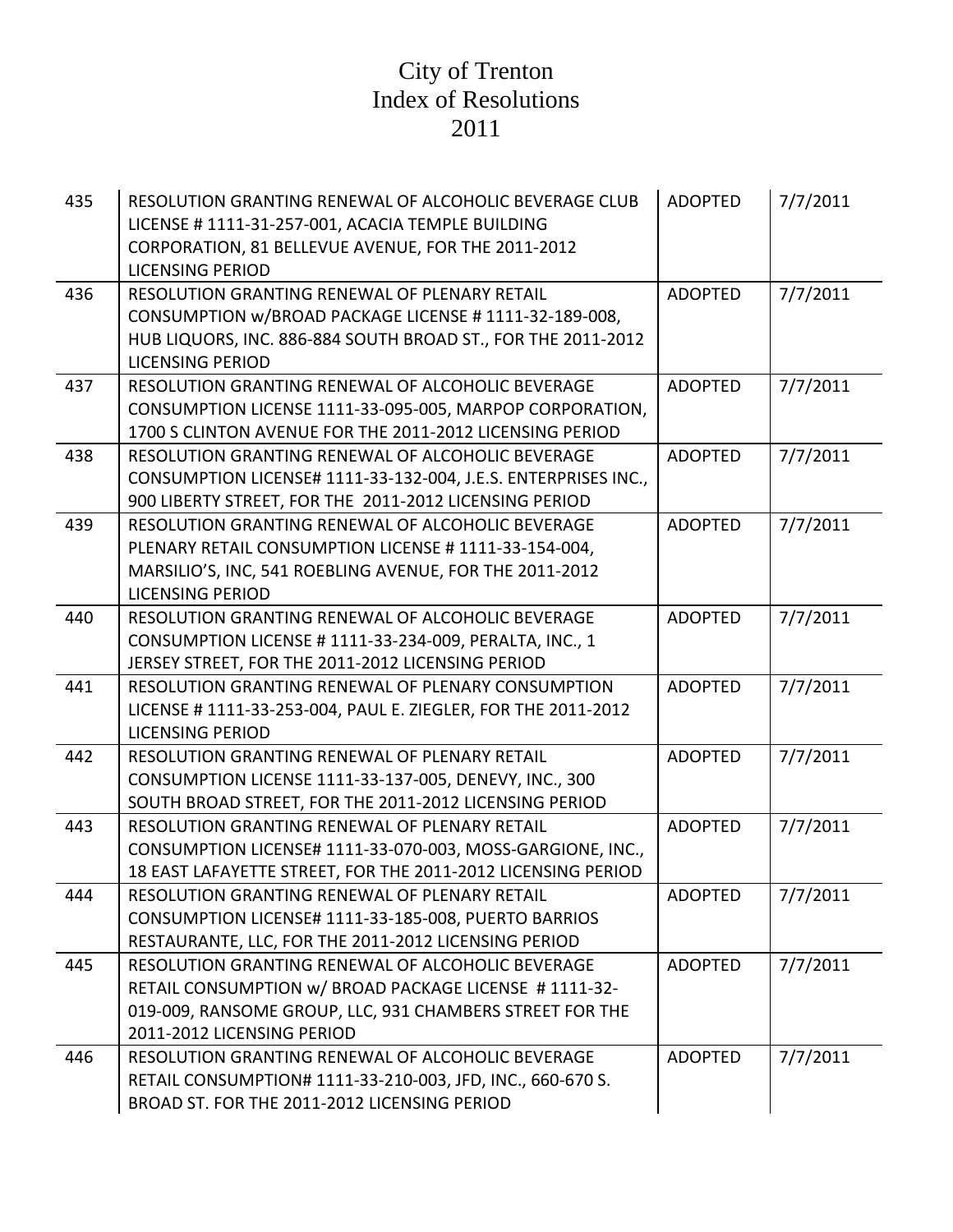| 435 | RESOLUTION GRANTING RENEWAL OF ALCOHOLIC BEVERAGE CLUB<br>LICENSE #1111-31-257-001, ACACIA TEMPLE BUILDING<br>CORPORATION, 81 BELLEVUE AVENUE, FOR THE 2011-2012<br><b>LICENSING PERIOD</b>          | <b>ADOPTED</b> | 7/7/2011 |
|-----|------------------------------------------------------------------------------------------------------------------------------------------------------------------------------------------------------|----------------|----------|
| 436 | RESOLUTION GRANTING RENEWAL OF PLENARY RETAIL<br>CONSUMPTION w/BROAD PACKAGE LICENSE # 1111-32-189-008,<br>HUB LIQUORS, INC. 886-884 SOUTH BROAD ST., FOR THE 2011-2012<br><b>LICENSING PERIOD</b>   | <b>ADOPTED</b> | 7/7/2011 |
| 437 | RESOLUTION GRANTING RENEWAL OF ALCOHOLIC BEVERAGE<br>CONSUMPTION LICENSE 1111-33-095-005, MARPOP CORPORATION,<br>1700 S CLINTON AVENUE FOR THE 2011-2012 LICENSING PERIOD                            | <b>ADOPTED</b> | 7/7/2011 |
| 438 | RESOLUTION GRANTING RENEWAL OF ALCOHOLIC BEVERAGE<br>CONSUMPTION LICENSE# 1111-33-132-004, J.E.S. ENTERPRISES INC.,<br>900 LIBERTY STREET, FOR THE 2011-2012 LICENSING PERIOD                        | <b>ADOPTED</b> | 7/7/2011 |
| 439 | RESOLUTION GRANTING RENEWAL OF ALCOHOLIC BEVERAGE<br>PLENARY RETAIL CONSUMPTION LICENSE #1111-33-154-004,<br>MARSILIO'S, INC, 541 ROEBLING AVENUE, FOR THE 2011-2012<br><b>LICENSING PERIOD</b>      | <b>ADOPTED</b> | 7/7/2011 |
| 440 | RESOLUTION GRANTING RENEWAL OF ALCOHOLIC BEVERAGE<br>CONSUMPTION LICENSE # 1111-33-234-009, PERALTA, INC., 1<br>JERSEY STREET, FOR THE 2011-2012 LICENSING PERIOD                                    | <b>ADOPTED</b> | 7/7/2011 |
| 441 | RESOLUTION GRANTING RENEWAL OF PLENARY CONSUMPTION<br>LICENSE # 1111-33-253-004, PAUL E. ZIEGLER, FOR THE 2011-2012<br><b>LICENSING PERIOD</b>                                                       | <b>ADOPTED</b> | 7/7/2011 |
| 442 | RESOLUTION GRANTING RENEWAL OF PLENARY RETAIL<br>CONSUMPTION LICENSE 1111-33-137-005, DENEVY, INC., 300<br>SOUTH BROAD STREET, FOR THE 2011-2012 LICENSING PERIOD                                    | <b>ADOPTED</b> | 7/7/2011 |
| 443 | RESOLUTION GRANTING RENEWAL OF PLENARY RETAIL<br>CONSUMPTION LICENSE# 1111-33-070-003, MOSS-GARGIONE, INC.,<br>18 EAST LAFAYETTE STREET, FOR THE 2011-2012 LICENSING PERIOD                          | <b>ADOPTED</b> | 7/7/2011 |
| 444 | RESOLUTION GRANTING RENEWAL OF PLENARY RETAIL<br>CONSUMPTION LICENSE# 1111-33-185-008, PUERTO BARRIOS<br>RESTAURANTE, LLC, FOR THE 2011-2012 LICENSING PERIOD                                        | <b>ADOPTED</b> | 7/7/2011 |
| 445 | RESOLUTION GRANTING RENEWAL OF ALCOHOLIC BEVERAGE<br>RETAIL CONSUMPTION w/ BROAD PACKAGE LICENSE #1111-32-<br>019-009, RANSOME GROUP, LLC, 931 CHAMBERS STREET FOR THE<br>2011-2012 LICENSING PERIOD | <b>ADOPTED</b> | 7/7/2011 |
| 446 | RESOLUTION GRANTING RENEWAL OF ALCOHOLIC BEVERAGE<br>RETAIL CONSUMPTION# 1111-33-210-003, JFD, INC., 660-670 S.<br>BROAD ST. FOR THE 2011-2012 LICENSING PERIOD                                      | <b>ADOPTED</b> | 7/7/2011 |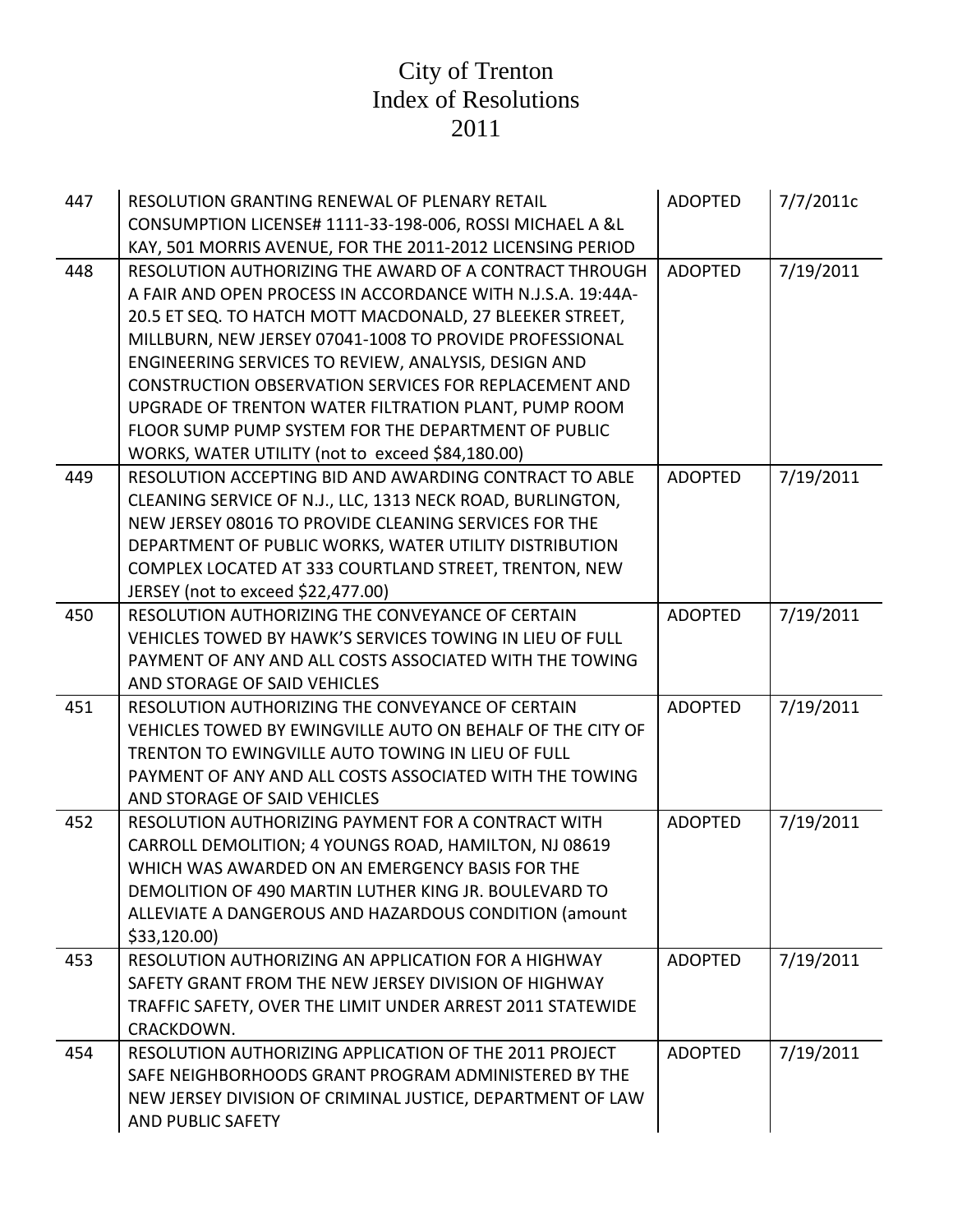| 447 | RESOLUTION GRANTING RENEWAL OF PLENARY RETAIL               | <b>ADOPTED</b> | 7/7/2011c |
|-----|-------------------------------------------------------------|----------------|-----------|
|     | CONSUMPTION LICENSE# 1111-33-198-006, ROSSI MICHAEL A &L    |                |           |
|     | KAY, 501 MORRIS AVENUE, FOR THE 2011-2012 LICENSING PERIOD  |                |           |
| 448 | RESOLUTION AUTHORIZING THE AWARD OF A CONTRACT THROUGH      | <b>ADOPTED</b> | 7/19/2011 |
|     | A FAIR AND OPEN PROCESS IN ACCORDANCE WITH N.J.S.A. 19:44A- |                |           |
|     | 20.5 ET SEQ. TO HATCH MOTT MACDONALD, 27 BLEEKER STREET,    |                |           |
|     | MILLBURN, NEW JERSEY 07041-1008 TO PROVIDE PROFESSIONAL     |                |           |
|     | ENGINEERING SERVICES TO REVIEW, ANALYSIS, DESIGN AND        |                |           |
|     | CONSTRUCTION OBSERVATION SERVICES FOR REPLACEMENT AND       |                |           |
|     | UPGRADE OF TRENTON WATER FILTRATION PLANT, PUMP ROOM        |                |           |
|     | FLOOR SUMP PUMP SYSTEM FOR THE DEPARTMENT OF PUBLIC         |                |           |
|     | WORKS, WATER UTILITY (not to exceed \$84,180.00)            |                |           |
| 449 | RESOLUTION ACCEPTING BID AND AWARDING CONTRACT TO ABLE      | <b>ADOPTED</b> | 7/19/2011 |
|     | CLEANING SERVICE OF N.J., LLC, 1313 NECK ROAD, BURLINGTON,  |                |           |
|     | NEW JERSEY 08016 TO PROVIDE CLEANING SERVICES FOR THE       |                |           |
|     | DEPARTMENT OF PUBLIC WORKS, WATER UTILITY DISTRIBUTION      |                |           |
|     | COMPLEX LOCATED AT 333 COURTLAND STREET, TRENTON, NEW       |                |           |
|     | JERSEY (not to exceed \$22,477.00)                          |                |           |
| 450 | RESOLUTION AUTHORIZING THE CONVEYANCE OF CERTAIN            | <b>ADOPTED</b> | 7/19/2011 |
|     | VEHICLES TOWED BY HAWK'S SERVICES TOWING IN LIEU OF FULL    |                |           |
|     | PAYMENT OF ANY AND ALL COSTS ASSOCIATED WITH THE TOWING     |                |           |
|     | AND STORAGE OF SAID VEHICLES                                |                |           |
| 451 | RESOLUTION AUTHORIZING THE CONVEYANCE OF CERTAIN            | <b>ADOPTED</b> | 7/19/2011 |
|     | VEHICLES TOWED BY EWINGVILLE AUTO ON BEHALF OF THE CITY OF  |                |           |
|     | TRENTON TO EWINGVILLE AUTO TOWING IN LIEU OF FULL           |                |           |
|     | PAYMENT OF ANY AND ALL COSTS ASSOCIATED WITH THE TOWING     |                |           |
|     | AND STORAGE OF SAID VEHICLES                                |                |           |
| 452 | RESOLUTION AUTHORIZING PAYMENT FOR A CONTRACT WITH          | <b>ADOPTED</b> | 7/19/2011 |
|     | CARROLL DEMOLITION; 4 YOUNGS ROAD, HAMILTON, NJ 08619       |                |           |
|     | WHICH WAS AWARDED ON AN EMERGENCY BASIS FOR THE             |                |           |
|     | DEMOLITION OF 490 MARTIN LUTHER KING JR. BOULEVARD TO       |                |           |
|     | ALLEVIATE A DANGEROUS AND HAZARDOUS CONDITION (amount       |                |           |
|     | \$33,120.00                                                 |                |           |
| 453 | RESOLUTION AUTHORIZING AN APPLICATION FOR A HIGHWAY         | <b>ADOPTED</b> | 7/19/2011 |
|     | SAFETY GRANT FROM THE NEW JERSEY DIVISION OF HIGHWAY        |                |           |
|     | TRAFFIC SAFETY, OVER THE LIMIT UNDER ARREST 2011 STATEWIDE  |                |           |
|     | CRACKDOWN.                                                  |                |           |
| 454 | RESOLUTION AUTHORIZING APPLICATION OF THE 2011 PROJECT      | <b>ADOPTED</b> | 7/19/2011 |
|     | SAFE NEIGHBORHOODS GRANT PROGRAM ADMINISTERED BY THE        |                |           |
|     | NEW JERSEY DIVISION OF CRIMINAL JUSTICE, DEPARTMENT OF LAW  |                |           |
|     | AND PUBLIC SAFETY                                           |                |           |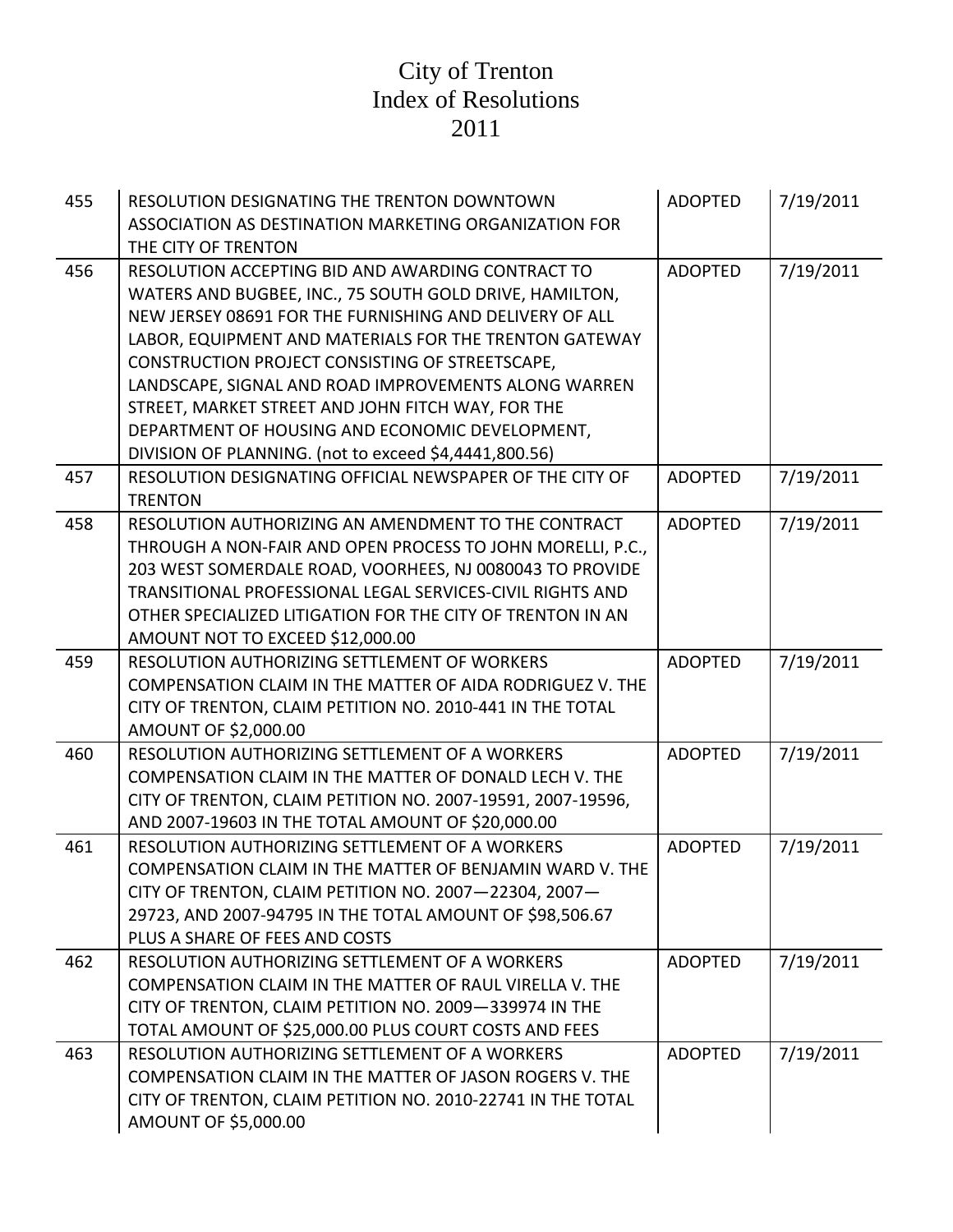| 455 | RESOLUTION DESIGNATING THE TRENTON DOWNTOWN<br>ASSOCIATION AS DESTINATION MARKETING ORGANIZATION FOR<br>THE CITY OF TRENTON                                                                                                                                                                                                                                                                                                                                                                                   | <b>ADOPTED</b> | 7/19/2011 |
|-----|---------------------------------------------------------------------------------------------------------------------------------------------------------------------------------------------------------------------------------------------------------------------------------------------------------------------------------------------------------------------------------------------------------------------------------------------------------------------------------------------------------------|----------------|-----------|
| 456 | RESOLUTION ACCEPTING BID AND AWARDING CONTRACT TO<br>WATERS AND BUGBEE, INC., 75 SOUTH GOLD DRIVE, HAMILTON,<br>NEW JERSEY 08691 FOR THE FURNISHING AND DELIVERY OF ALL<br>LABOR, EQUIPMENT AND MATERIALS FOR THE TRENTON GATEWAY<br>CONSTRUCTION PROJECT CONSISTING OF STREETSCAPE,<br>LANDSCAPE, SIGNAL AND ROAD IMPROVEMENTS ALONG WARREN<br>STREET, MARKET STREET AND JOHN FITCH WAY, FOR THE<br>DEPARTMENT OF HOUSING AND ECONOMIC DEVELOPMENT,<br>DIVISION OF PLANNING. (not to exceed \$4,4441,800.56) | <b>ADOPTED</b> | 7/19/2011 |
| 457 | RESOLUTION DESIGNATING OFFICIAL NEWSPAPER OF THE CITY OF<br><b>TRENTON</b>                                                                                                                                                                                                                                                                                                                                                                                                                                    | <b>ADOPTED</b> | 7/19/2011 |
| 458 | RESOLUTION AUTHORIZING AN AMENDMENT TO THE CONTRACT<br>THROUGH A NON-FAIR AND OPEN PROCESS TO JOHN MORELLI, P.C.,<br>203 WEST SOMERDALE ROAD, VOORHEES, NJ 0080043 TO PROVIDE<br>TRANSITIONAL PROFESSIONAL LEGAL SERVICES-CIVIL RIGHTS AND<br>OTHER SPECIALIZED LITIGATION FOR THE CITY OF TRENTON IN AN<br>AMOUNT NOT TO EXCEED \$12,000.00                                                                                                                                                                  | <b>ADOPTED</b> | 7/19/2011 |
| 459 | RESOLUTION AUTHORIZING SETTLEMENT OF WORKERS<br>COMPENSATION CLAIM IN THE MATTER OF AIDA RODRIGUEZ V. THE<br>CITY OF TRENTON, CLAIM PETITION NO. 2010-441 IN THE TOTAL<br>AMOUNT OF \$2,000.00                                                                                                                                                                                                                                                                                                                | <b>ADOPTED</b> | 7/19/2011 |
| 460 | RESOLUTION AUTHORIZING SETTLEMENT OF A WORKERS<br>COMPENSATION CLAIM IN THE MATTER OF DONALD LECH V. THE<br>CITY OF TRENTON, CLAIM PETITION NO. 2007-19591, 2007-19596,<br>AND 2007-19603 IN THE TOTAL AMOUNT OF \$20,000.00                                                                                                                                                                                                                                                                                  | <b>ADOPTED</b> | 7/19/2011 |
| 461 | RESOLUTION AUTHORIZING SETTLEMENT OF A WORKERS<br>COMPENSATION CLAIM IN THE MATTER OF BENJAMIN WARD V. THE<br>CITY OF TRENTON, CLAIM PETITION NO. 2007-22304, 2007-<br>29723, AND 2007-94795 IN THE TOTAL AMOUNT OF \$98,506.67<br>PLUS A SHARE OF FEES AND COSTS                                                                                                                                                                                                                                             | <b>ADOPTED</b> | 7/19/2011 |
| 462 | RESOLUTION AUTHORIZING SETTLEMENT OF A WORKERS<br>COMPENSATION CLAIM IN THE MATTER OF RAUL VIRELLA V. THE<br>CITY OF TRENTON, CLAIM PETITION NO. 2009-339974 IN THE<br>TOTAL AMOUNT OF \$25,000.00 PLUS COURT COSTS AND FEES                                                                                                                                                                                                                                                                                  | <b>ADOPTED</b> | 7/19/2011 |
| 463 | RESOLUTION AUTHORIZING SETTLEMENT OF A WORKERS<br>COMPENSATION CLAIM IN THE MATTER OF JASON ROGERS V. THE<br>CITY OF TRENTON, CLAIM PETITION NO. 2010-22741 IN THE TOTAL<br>AMOUNT OF \$5,000.00                                                                                                                                                                                                                                                                                                              | <b>ADOPTED</b> | 7/19/2011 |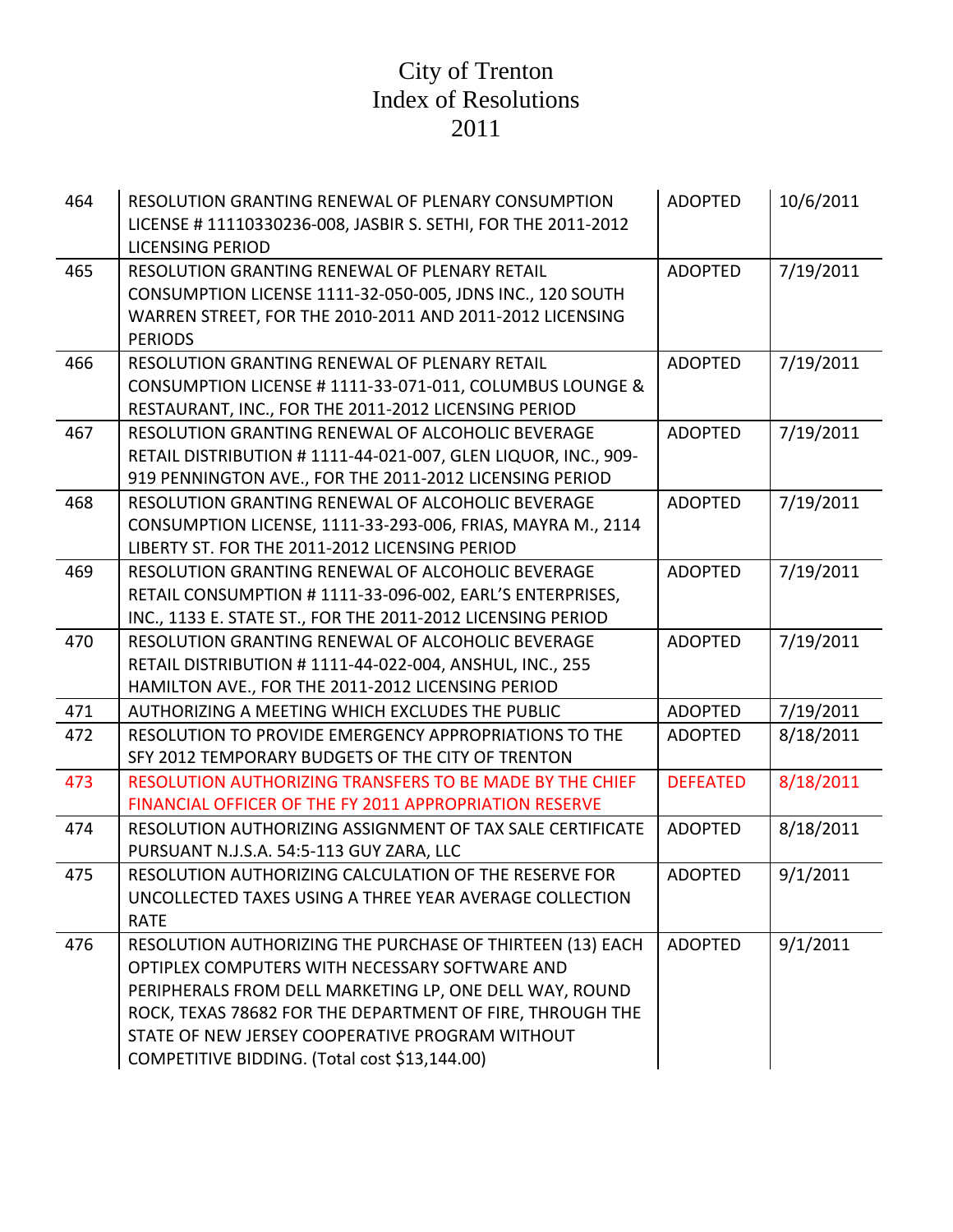| 464 | RESOLUTION GRANTING RENEWAL OF PLENARY CONSUMPTION<br>LICENSE #11110330236-008, JASBIR S. SETHI, FOR THE 2011-2012 | <b>ADOPTED</b>  | 10/6/2011 |
|-----|--------------------------------------------------------------------------------------------------------------------|-----------------|-----------|
|     | <b>LICENSING PERIOD</b>                                                                                            |                 |           |
| 465 | RESOLUTION GRANTING RENEWAL OF PLENARY RETAIL                                                                      | <b>ADOPTED</b>  | 7/19/2011 |
|     | CONSUMPTION LICENSE 1111-32-050-005, JDNS INC., 120 SOUTH                                                          |                 |           |
|     | WARREN STREET, FOR THE 2010-2011 AND 2011-2012 LICENSING                                                           |                 |           |
|     | <b>PERIODS</b>                                                                                                     |                 |           |
| 466 | RESOLUTION GRANTING RENEWAL OF PLENARY RETAIL                                                                      | <b>ADOPTED</b>  | 7/19/2011 |
|     | CONSUMPTION LICENSE # 1111-33-071-011, COLUMBUS LOUNGE &                                                           |                 |           |
|     | RESTAURANT, INC., FOR THE 2011-2012 LICENSING PERIOD                                                               |                 |           |
| 467 | RESOLUTION GRANTING RENEWAL OF ALCOHOLIC BEVERAGE                                                                  | <b>ADOPTED</b>  | 7/19/2011 |
|     | RETAIL DISTRIBUTION #1111-44-021-007, GLEN LIQUOR, INC., 909-                                                      |                 |           |
|     | 919 PENNINGTON AVE., FOR THE 2011-2012 LICENSING PERIOD                                                            |                 |           |
| 468 | RESOLUTION GRANTING RENEWAL OF ALCOHOLIC BEVERAGE                                                                  | <b>ADOPTED</b>  | 7/19/2011 |
|     | CONSUMPTION LICENSE, 1111-33-293-006, FRIAS, MAYRA M., 2114                                                        |                 |           |
|     | LIBERTY ST. FOR THE 2011-2012 LICENSING PERIOD                                                                     |                 |           |
| 469 | RESOLUTION GRANTING RENEWAL OF ALCOHOLIC BEVERAGE                                                                  | <b>ADOPTED</b>  | 7/19/2011 |
|     | RETAIL CONSUMPTION # 1111-33-096-002, EARL'S ENTERPRISES,                                                          |                 |           |
|     | INC., 1133 E. STATE ST., FOR THE 2011-2012 LICENSING PERIOD                                                        |                 |           |
| 470 | RESOLUTION GRANTING RENEWAL OF ALCOHOLIC BEVERAGE                                                                  | <b>ADOPTED</b>  | 7/19/2011 |
|     | RETAIL DISTRIBUTION # 1111-44-022-004, ANSHUL, INC., 255                                                           |                 |           |
|     | HAMILTON AVE., FOR THE 2011-2012 LICENSING PERIOD                                                                  |                 |           |
| 471 | AUTHORIZING A MEETING WHICH EXCLUDES THE PUBLIC                                                                    | <b>ADOPTED</b>  | 7/19/2011 |
| 472 | RESOLUTION TO PROVIDE EMERGENCY APPROPRIATIONS TO THE                                                              | <b>ADOPTED</b>  | 8/18/2011 |
|     | SFY 2012 TEMPORARY BUDGETS OF THE CITY OF TRENTON                                                                  |                 |           |
| 473 | RESOLUTION AUTHORIZING TRANSFERS TO BE MADE BY THE CHIEF                                                           | <b>DEFEATED</b> | 8/18/2011 |
|     | FINANCIAL OFFICER OF THE FY 2011 APPROPRIATION RESERVE                                                             |                 |           |
| 474 | RESOLUTION AUTHORIZING ASSIGNMENT OF TAX SALE CERTIFICATE                                                          | <b>ADOPTED</b>  | 8/18/2011 |
|     | PURSUANT N.J.S.A. 54:5-113 GUY ZARA, LLC                                                                           |                 |           |
| 475 | RESOLUTION AUTHORIZING CALCULATION OF THE RESERVE FOR                                                              | <b>ADOPTED</b>  | 9/1/2011  |
|     | UNCOLLECTED TAXES USING A THREE YEAR AVERAGE COLLECTION                                                            |                 |           |
|     | <b>RATE</b>                                                                                                        |                 |           |
| 476 | RESOLUTION AUTHORIZING THE PURCHASE OF THIRTEEN (13) EACH                                                          | <b>ADOPTED</b>  | 9/1/2011  |
|     | OPTIPLEX COMPUTERS WITH NECESSARY SOFTWARE AND                                                                     |                 |           |
|     | PERIPHERALS FROM DELL MARKETING LP, ONE DELL WAY, ROUND                                                            |                 |           |
|     | ROCK, TEXAS 78682 FOR THE DEPARTMENT OF FIRE, THROUGH THE                                                          |                 |           |
|     | STATE OF NEW JERSEY COOPERATIVE PROGRAM WITHOUT                                                                    |                 |           |
|     | COMPETITIVE BIDDING. (Total cost \$13,144.00)                                                                      |                 |           |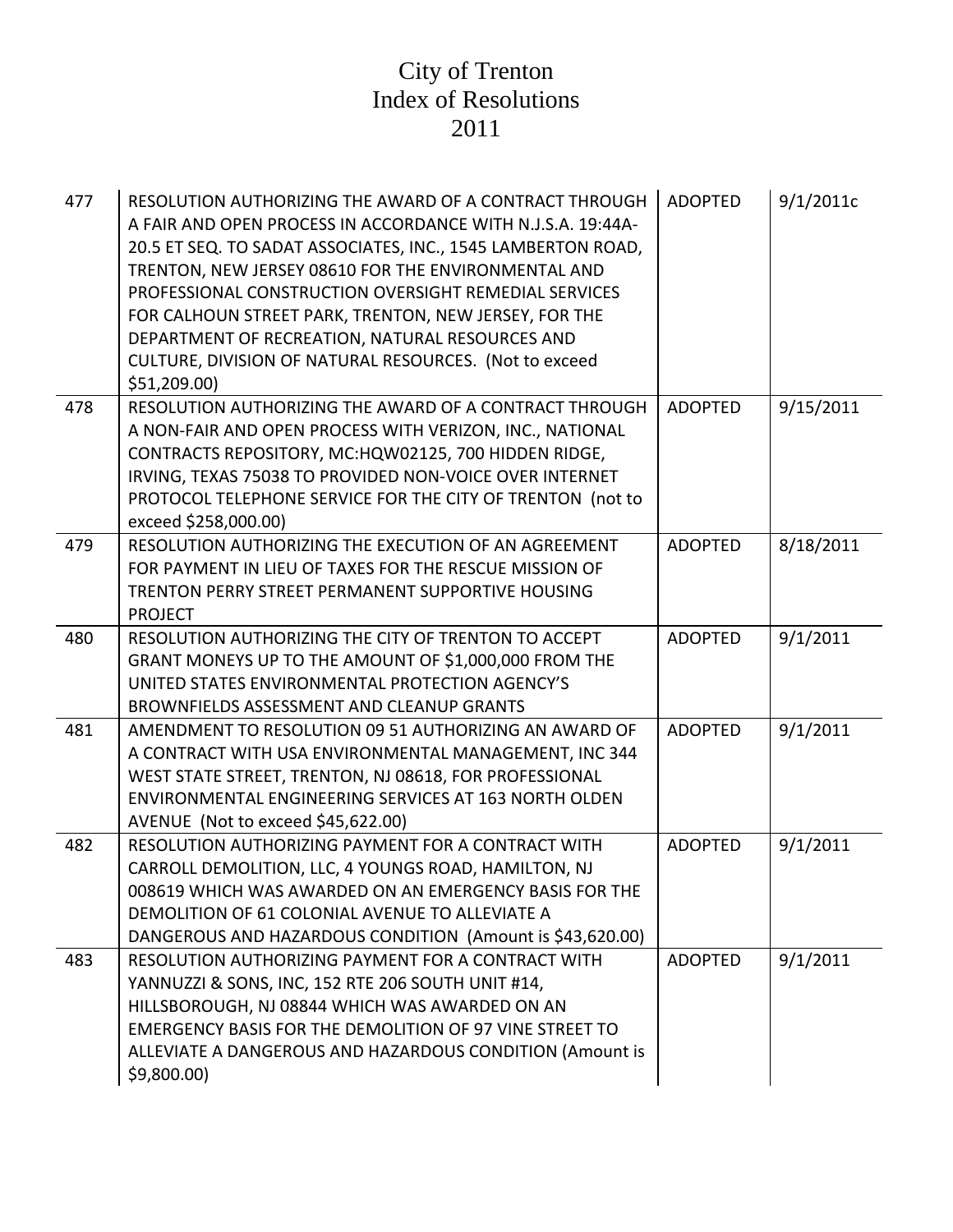| 477 | RESOLUTION AUTHORIZING THE AWARD OF A CONTRACT THROUGH<br>A FAIR AND OPEN PROCESS IN ACCORDANCE WITH N.J.S.A. 19:44A-<br>20.5 ET SEQ. TO SADAT ASSOCIATES, INC., 1545 LAMBERTON ROAD,<br>TRENTON, NEW JERSEY 08610 FOR THE ENVIRONMENTAL AND<br>PROFESSIONAL CONSTRUCTION OVERSIGHT REMEDIAL SERVICES<br>FOR CALHOUN STREET PARK, TRENTON, NEW JERSEY, FOR THE<br>DEPARTMENT OF RECREATION, NATURAL RESOURCES AND<br>CULTURE, DIVISION OF NATURAL RESOURCES. (Not to exceed<br>\$51,209.00 | <b>ADOPTED</b> | 9/1/2011c |
|-----|--------------------------------------------------------------------------------------------------------------------------------------------------------------------------------------------------------------------------------------------------------------------------------------------------------------------------------------------------------------------------------------------------------------------------------------------------------------------------------------------|----------------|-----------|
| 478 | RESOLUTION AUTHORIZING THE AWARD OF A CONTRACT THROUGH<br>A NON-FAIR AND OPEN PROCESS WITH VERIZON, INC., NATIONAL<br>CONTRACTS REPOSITORY, MC:HQW02125, 700 HIDDEN RIDGE,<br>IRVING, TEXAS 75038 TO PROVIDED NON-VOICE OVER INTERNET<br>PROTOCOL TELEPHONE SERVICE FOR THE CITY OF TRENTON (not to<br>exceed \$258,000.00)                                                                                                                                                                | <b>ADOPTED</b> | 9/15/2011 |
| 479 | RESOLUTION AUTHORIZING THE EXECUTION OF AN AGREEMENT<br>FOR PAYMENT IN LIEU OF TAXES FOR THE RESCUE MISSION OF<br>TRENTON PERRY STREET PERMANENT SUPPORTIVE HOUSING<br><b>PROJECT</b>                                                                                                                                                                                                                                                                                                      | <b>ADOPTED</b> | 8/18/2011 |
| 480 | RESOLUTION AUTHORIZING THE CITY OF TRENTON TO ACCEPT<br>GRANT MONEYS UP TO THE AMOUNT OF \$1,000,000 FROM THE<br>UNITED STATES ENVIRONMENTAL PROTECTION AGENCY'S<br>BROWNFIELDS ASSESSMENT AND CLEANUP GRANTS                                                                                                                                                                                                                                                                              | <b>ADOPTED</b> | 9/1/2011  |
| 481 | AMENDMENT TO RESOLUTION 09 51 AUTHORIZING AN AWARD OF<br>A CONTRACT WITH USA ENVIRONMENTAL MANAGEMENT, INC 344<br>WEST STATE STREET, TRENTON, NJ 08618, FOR PROFESSIONAL<br>ENVIRONMENTAL ENGINEERING SERVICES AT 163 NORTH OLDEN<br>AVENUE (Not to exceed \$45,622.00)                                                                                                                                                                                                                    | <b>ADOPTED</b> | 9/1/2011  |
| 482 | RESOLUTION AUTHORIZING PAYMENT FOR A CONTRACT WITH<br>CARROLL DEMOLITION, LLC, 4 YOUNGS ROAD, HAMILTON, NJ<br>008619 WHICH WAS AWARDED ON AN EMERGENCY BASIS FOR THE<br>DEMOLITION OF 61 COLONIAL AVENUE TO ALLEVIATE A<br>DANGEROUS AND HAZARDOUS CONDITION (Amount is \$43,620.00)                                                                                                                                                                                                       | <b>ADOPTED</b> | 9/1/2011  |
| 483 | RESOLUTION AUTHORIZING PAYMENT FOR A CONTRACT WITH<br>YANNUZZI & SONS, INC, 152 RTE 206 SOUTH UNIT #14,<br>HILLSBOROUGH, NJ 08844 WHICH WAS AWARDED ON AN<br>EMERGENCY BASIS FOR THE DEMOLITION OF 97 VINE STREET TO<br>ALLEVIATE A DANGEROUS AND HAZARDOUS CONDITION (Amount is<br>\$9,800.00                                                                                                                                                                                             | <b>ADOPTED</b> | 9/1/2011  |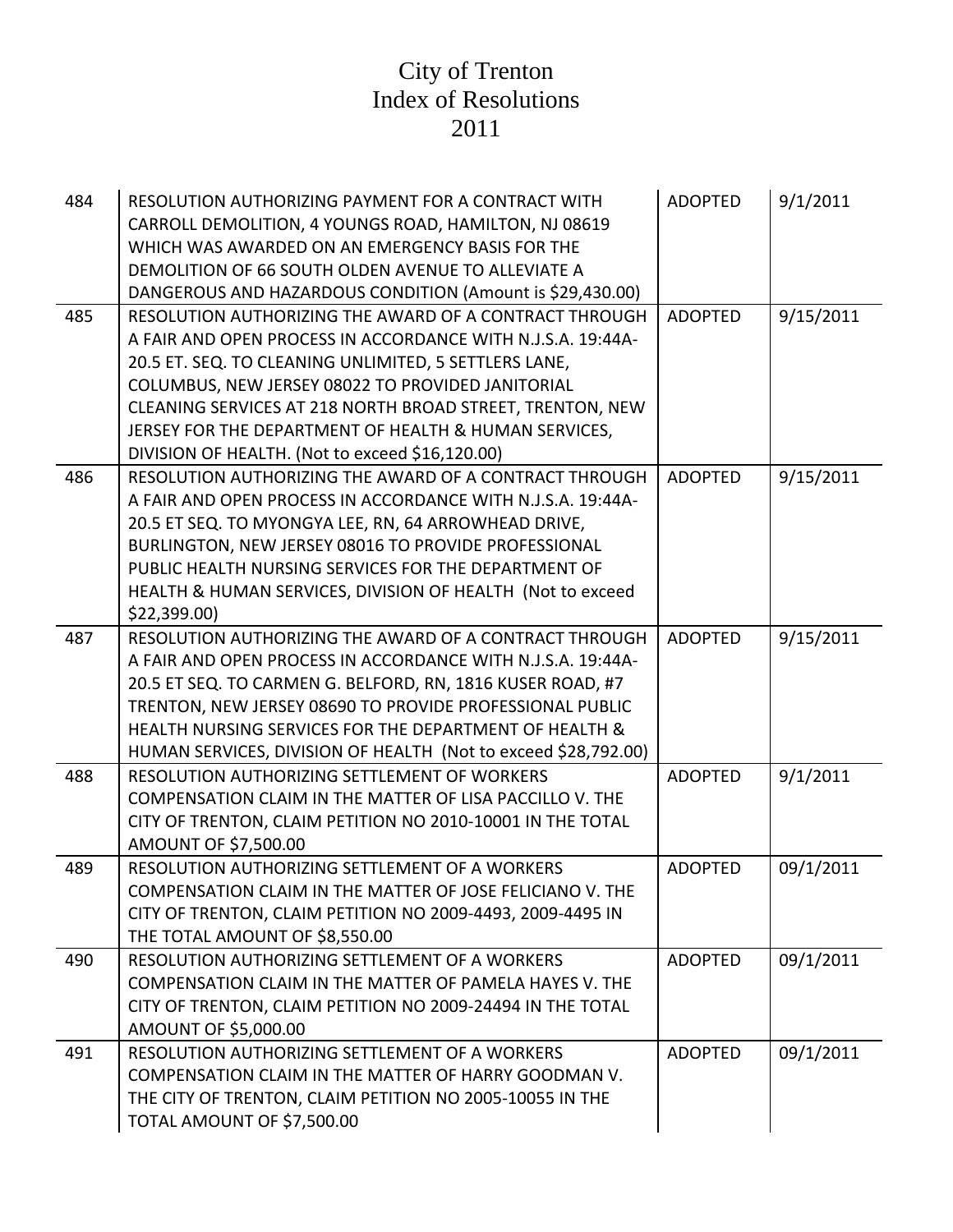| 484<br>485 | RESOLUTION AUTHORIZING PAYMENT FOR A CONTRACT WITH<br>CARROLL DEMOLITION, 4 YOUNGS ROAD, HAMILTON, NJ 08619<br>WHICH WAS AWARDED ON AN EMERGENCY BASIS FOR THE<br>DEMOLITION OF 66 SOUTH OLDEN AVENUE TO ALLEVIATE A<br>DANGEROUS AND HAZARDOUS CONDITION (Amount is \$29,430.00)<br>RESOLUTION AUTHORIZING THE AWARD OF A CONTRACT THROUGH<br>A FAIR AND OPEN PROCESS IN ACCORDANCE WITH N.J.S.A. 19:44A-<br>20.5 ET. SEQ. TO CLEANING UNLIMITED, 5 SETTLERS LANE,<br>COLUMBUS, NEW JERSEY 08022 TO PROVIDED JANITORIAL<br>CLEANING SERVICES AT 218 NORTH BROAD STREET, TRENTON, NEW<br>JERSEY FOR THE DEPARTMENT OF HEALTH & HUMAN SERVICES, | <b>ADOPTED</b><br><b>ADOPTED</b> | 9/1/2011<br>9/15/2011 |
|------------|------------------------------------------------------------------------------------------------------------------------------------------------------------------------------------------------------------------------------------------------------------------------------------------------------------------------------------------------------------------------------------------------------------------------------------------------------------------------------------------------------------------------------------------------------------------------------------------------------------------------------------------------|----------------------------------|-----------------------|
|            | DIVISION OF HEALTH. (Not to exceed \$16,120.00)                                                                                                                                                                                                                                                                                                                                                                                                                                                                                                                                                                                                |                                  |                       |
| 486        | RESOLUTION AUTHORIZING THE AWARD OF A CONTRACT THROUGH<br>A FAIR AND OPEN PROCESS IN ACCORDANCE WITH N.J.S.A. 19:44A-<br>20.5 ET SEQ. TO MYONGYA LEE, RN, 64 ARROWHEAD DRIVE,<br>BURLINGTON, NEW JERSEY 08016 TO PROVIDE PROFESSIONAL<br>PUBLIC HEALTH NURSING SERVICES FOR THE DEPARTMENT OF<br>HEALTH & HUMAN SERVICES, DIVISION OF HEALTH (Not to exceed<br>\$22,399.00                                                                                                                                                                                                                                                                     | <b>ADOPTED</b>                   | 9/15/2011             |
| 487        | RESOLUTION AUTHORIZING THE AWARD OF A CONTRACT THROUGH<br>A FAIR AND OPEN PROCESS IN ACCORDANCE WITH N.J.S.A. 19:44A-<br>20.5 ET SEQ. TO CARMEN G. BELFORD, RN, 1816 KUSER ROAD, #7<br>TRENTON, NEW JERSEY 08690 TO PROVIDE PROFESSIONAL PUBLIC<br>HEALTH NURSING SERVICES FOR THE DEPARTMENT OF HEALTH &<br>HUMAN SERVICES, DIVISION OF HEALTH (Not to exceed \$28,792.00)                                                                                                                                                                                                                                                                    | <b>ADOPTED</b>                   | 9/15/2011             |
| 488        | RESOLUTION AUTHORIZING SETTLEMENT OF WORKERS<br>COMPENSATION CLAIM IN THE MATTER OF LISA PACCILLO V. THE<br>CITY OF TRENTON, CLAIM PETITION NO 2010-10001 IN THE TOTAL<br>AMOUNT OF \$7,500.00                                                                                                                                                                                                                                                                                                                                                                                                                                                 | <b>ADOPTED</b>                   | 9/1/2011              |
| 489        | RESOLUTION AUTHORIZING SETTLEMENT OF A WORKERS<br>COMPENSATION CLAIM IN THE MATTER OF JOSE FELICIANO V. THE<br>CITY OF TRENTON, CLAIM PETITION NO 2009-4493, 2009-4495 IN<br>THE TOTAL AMOUNT OF \$8,550.00                                                                                                                                                                                                                                                                                                                                                                                                                                    | <b>ADOPTED</b>                   | 09/1/2011             |
| 490        | RESOLUTION AUTHORIZING SETTLEMENT OF A WORKERS<br>COMPENSATION CLAIM IN THE MATTER OF PAMELA HAYES V. THE<br>CITY OF TRENTON, CLAIM PETITION NO 2009-24494 IN THE TOTAL<br>AMOUNT OF \$5,000.00                                                                                                                                                                                                                                                                                                                                                                                                                                                | <b>ADOPTED</b>                   | 09/1/2011             |
| 491        | RESOLUTION AUTHORIZING SETTLEMENT OF A WORKERS<br>COMPENSATION CLAIM IN THE MATTER OF HARRY GOODMAN V.<br>THE CITY OF TRENTON, CLAIM PETITION NO 2005-10055 IN THE<br>TOTAL AMOUNT OF \$7,500.00                                                                                                                                                                                                                                                                                                                                                                                                                                               | <b>ADOPTED</b>                   | 09/1/2011             |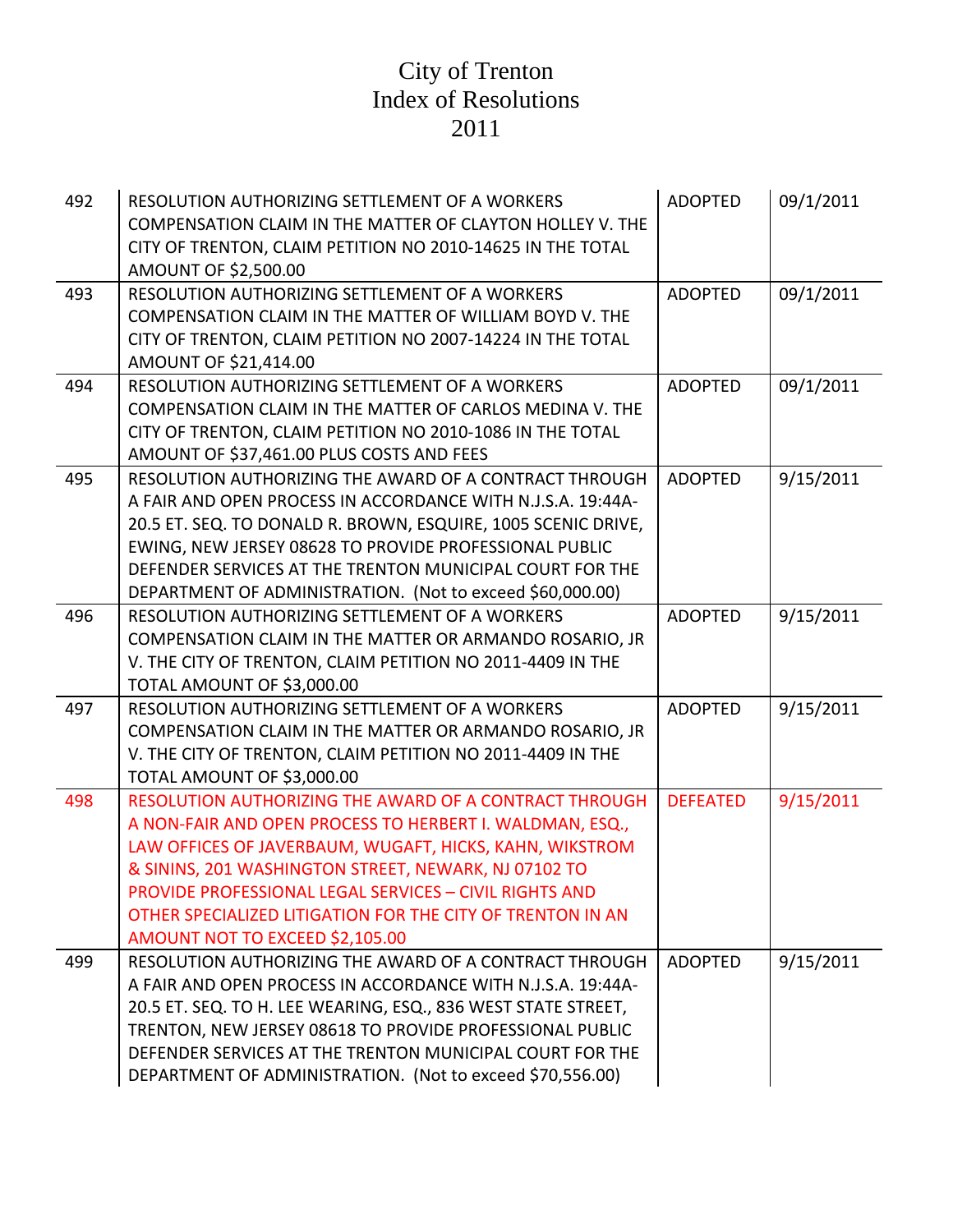| 492 | RESOLUTION AUTHORIZING SETTLEMENT OF A WORKERS<br>COMPENSATION CLAIM IN THE MATTER OF CLAYTON HOLLEY V. THE<br>CITY OF TRENTON, CLAIM PETITION NO 2010-14625 IN THE TOTAL<br>AMOUNT OF \$2,500.00                                                                                                                                                                                                       | <b>ADOPTED</b>  | 09/1/2011 |
|-----|---------------------------------------------------------------------------------------------------------------------------------------------------------------------------------------------------------------------------------------------------------------------------------------------------------------------------------------------------------------------------------------------------------|-----------------|-----------|
| 493 | RESOLUTION AUTHORIZING SETTLEMENT OF A WORKERS<br>COMPENSATION CLAIM IN THE MATTER OF WILLIAM BOYD V. THE<br>CITY OF TRENTON, CLAIM PETITION NO 2007-14224 IN THE TOTAL<br>AMOUNT OF \$21,414.00                                                                                                                                                                                                        | <b>ADOPTED</b>  | 09/1/2011 |
| 494 | RESOLUTION AUTHORIZING SETTLEMENT OF A WORKERS<br>COMPENSATION CLAIM IN THE MATTER OF CARLOS MEDINA V. THE<br>CITY OF TRENTON, CLAIM PETITION NO 2010-1086 IN THE TOTAL<br>AMOUNT OF \$37,461.00 PLUS COSTS AND FEES                                                                                                                                                                                    | <b>ADOPTED</b>  | 09/1/2011 |
| 495 | RESOLUTION AUTHORIZING THE AWARD OF A CONTRACT THROUGH<br>A FAIR AND OPEN PROCESS IN ACCORDANCE WITH N.J.S.A. 19:44A-<br>20.5 ET. SEQ. TO DONALD R. BROWN, ESQUIRE, 1005 SCENIC DRIVE,<br>EWING, NEW JERSEY 08628 TO PROVIDE PROFESSIONAL PUBLIC<br>DEFENDER SERVICES AT THE TRENTON MUNICIPAL COURT FOR THE<br>DEPARTMENT OF ADMINISTRATION. (Not to exceed \$60,000.00)                               | <b>ADOPTED</b>  | 9/15/2011 |
| 496 | RESOLUTION AUTHORIZING SETTLEMENT OF A WORKERS<br>COMPENSATION CLAIM IN THE MATTER OR ARMANDO ROSARIO, JR<br>V. THE CITY OF TRENTON, CLAIM PETITION NO 2011-4409 IN THE<br>TOTAL AMOUNT OF \$3,000.00                                                                                                                                                                                                   | <b>ADOPTED</b>  | 9/15/2011 |
| 497 | RESOLUTION AUTHORIZING SETTLEMENT OF A WORKERS<br>COMPENSATION CLAIM IN THE MATTER OR ARMANDO ROSARIO, JR<br>V. THE CITY OF TRENTON, CLAIM PETITION NO 2011-4409 IN THE<br>TOTAL AMOUNT OF \$3,000.00                                                                                                                                                                                                   | <b>ADOPTED</b>  | 9/15/2011 |
| 498 | RESOLUTION AUTHORIZING THE AWARD OF A CONTRACT THROUGH<br>A NON-FAIR AND OPEN PROCESS TO HERBERT I. WALDMAN, ESQ.,<br>LAW OFFICES OF JAVERBAUM, WUGAFT, HICKS, KAHN, WIKSTROM<br>& SININS, 201 WASHINGTON STREET, NEWARK, NJ 07102 TO<br><b>PROVIDE PROFESSIONAL LEGAL SERVICES - CIVIL RIGHTS AND</b><br>OTHER SPECIALIZED LITIGATION FOR THE CITY OF TRENTON IN AN<br>AMOUNT NOT TO EXCEED \$2,105.00 | <b>DEFEATED</b> | 9/15/2011 |
| 499 | RESOLUTION AUTHORIZING THE AWARD OF A CONTRACT THROUGH<br>A FAIR AND OPEN PROCESS IN ACCORDANCE WITH N.J.S.A. 19:44A-<br>20.5 ET. SEQ. TO H. LEE WEARING, ESQ., 836 WEST STATE STREET,<br>TRENTON, NEW JERSEY 08618 TO PROVIDE PROFESSIONAL PUBLIC<br>DEFENDER SERVICES AT THE TRENTON MUNICIPAL COURT FOR THE<br>DEPARTMENT OF ADMINISTRATION. (Not to exceed \$70,556.00)                             | <b>ADOPTED</b>  | 9/15/2011 |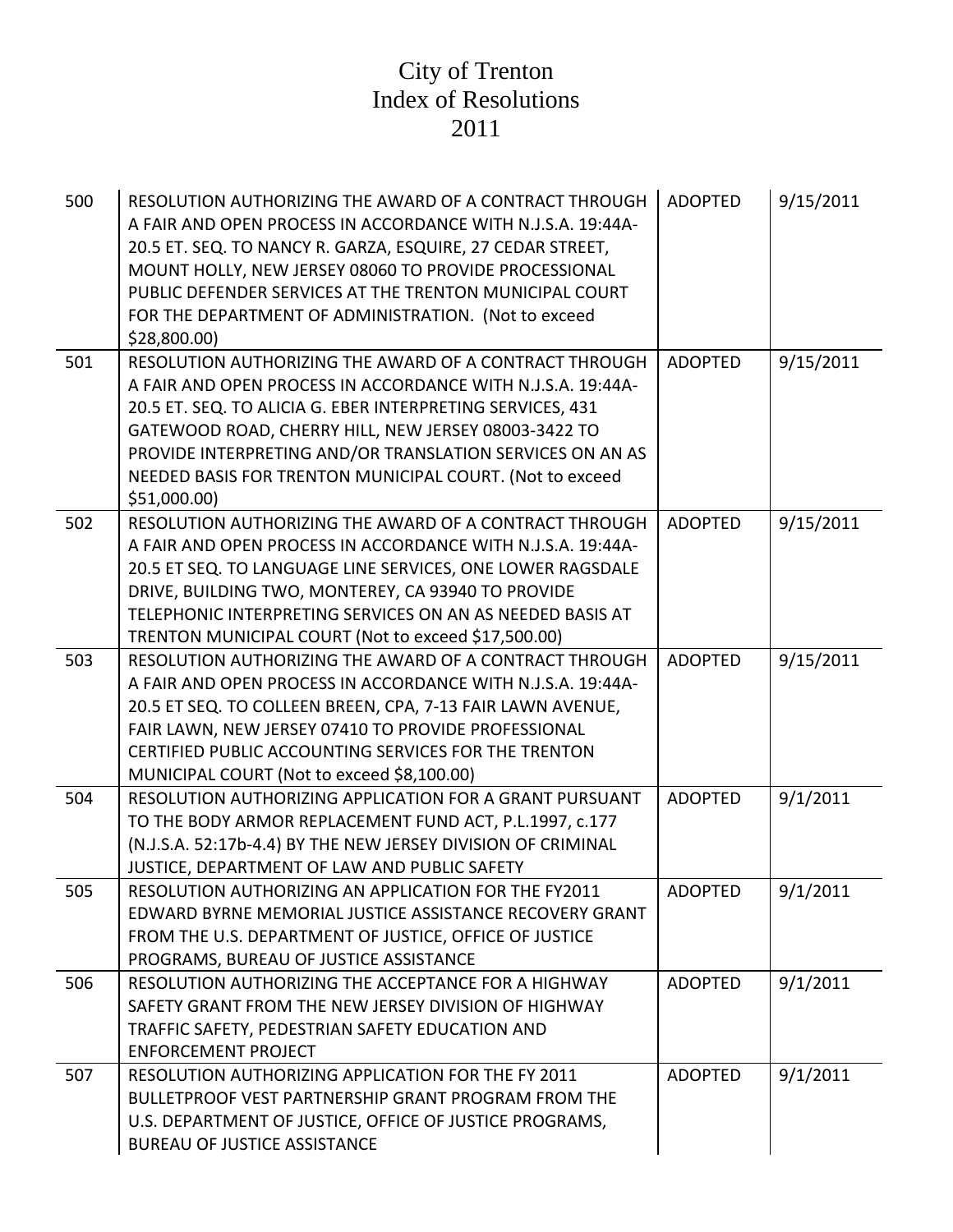| 500 | RESOLUTION AUTHORIZING THE AWARD OF A CONTRACT THROUGH<br>A FAIR AND OPEN PROCESS IN ACCORDANCE WITH N.J.S.A. 19:44A-<br>20.5 ET. SEQ. TO NANCY R. GARZA, ESQUIRE, 27 CEDAR STREET,<br>MOUNT HOLLY, NEW JERSEY 08060 TO PROVIDE PROCESSIONAL<br>PUBLIC DEFENDER SERVICES AT THE TRENTON MUNICIPAL COURT<br>FOR THE DEPARTMENT OF ADMINISTRATION. (Not to exceed<br>\$28,800.00       | <b>ADOPTED</b> | 9/15/2011 |
|-----|--------------------------------------------------------------------------------------------------------------------------------------------------------------------------------------------------------------------------------------------------------------------------------------------------------------------------------------------------------------------------------------|----------------|-----------|
| 501 | RESOLUTION AUTHORIZING THE AWARD OF A CONTRACT THROUGH<br>A FAIR AND OPEN PROCESS IN ACCORDANCE WITH N.J.S.A. 19:44A-<br>20.5 ET. SEQ. TO ALICIA G. EBER INTERPRETING SERVICES, 431<br>GATEWOOD ROAD, CHERRY HILL, NEW JERSEY 08003-3422 TO<br>PROVIDE INTERPRETING AND/OR TRANSLATION SERVICES ON AN AS<br>NEEDED BASIS FOR TRENTON MUNICIPAL COURT. (Not to exceed<br>\$51,000.00] | <b>ADOPTED</b> | 9/15/2011 |
| 502 | RESOLUTION AUTHORIZING THE AWARD OF A CONTRACT THROUGH<br>A FAIR AND OPEN PROCESS IN ACCORDANCE WITH N.J.S.A. 19:44A-<br>20.5 ET SEQ. TO LANGUAGE LINE SERVICES, ONE LOWER RAGSDALE<br>DRIVE, BUILDING TWO, MONTEREY, CA 93940 TO PROVIDE<br>TELEPHONIC INTERPRETING SERVICES ON AN AS NEEDED BASIS AT<br>TRENTON MUNICIPAL COURT (Not to exceed \$17,500.00)                        | <b>ADOPTED</b> | 9/15/2011 |
| 503 | RESOLUTION AUTHORIZING THE AWARD OF A CONTRACT THROUGH<br>A FAIR AND OPEN PROCESS IN ACCORDANCE WITH N.J.S.A. 19:44A-<br>20.5 ET SEQ. TO COLLEEN BREEN, CPA, 7-13 FAIR LAWN AVENUE,<br>FAIR LAWN, NEW JERSEY 07410 TO PROVIDE PROFESSIONAL<br>CERTIFIED PUBLIC ACCOUNTING SERVICES FOR THE TRENTON<br>MUNICIPAL COURT (Not to exceed \$8,100.00)                                     | <b>ADOPTED</b> | 9/15/2011 |
| 504 | RESOLUTION AUTHORIZING APPLICATION FOR A GRANT PURSUANT<br>TO THE BODY ARMOR REPLACEMENT FUND ACT, P.L.1997, c.177<br>(N.J.S.A. 52:17b-4.4) BY THE NEW JERSEY DIVISION OF CRIMINAL<br>JUSTICE, DEPARTMENT OF LAW AND PUBLIC SAFETY                                                                                                                                                   | <b>ADOPTED</b> | 9/1/2011  |
| 505 | RESOLUTION AUTHORIZING AN APPLICATION FOR THE FY2011<br>EDWARD BYRNE MEMORIAL JUSTICE ASSISTANCE RECOVERY GRANT<br>FROM THE U.S. DEPARTMENT OF JUSTICE, OFFICE OF JUSTICE<br>PROGRAMS, BUREAU OF JUSTICE ASSISTANCE                                                                                                                                                                  | <b>ADOPTED</b> | 9/1/2011  |
| 506 | RESOLUTION AUTHORIZING THE ACCEPTANCE FOR A HIGHWAY<br>SAFETY GRANT FROM THE NEW JERSEY DIVISION OF HIGHWAY<br>TRAFFIC SAFETY, PEDESTRIAN SAFETY EDUCATION AND<br><b>ENFORCEMENT PROJECT</b>                                                                                                                                                                                         | <b>ADOPTED</b> | 9/1/2011  |
| 507 | RESOLUTION AUTHORIZING APPLICATION FOR THE FY 2011<br>BULLETPROOF VEST PARTNERSHIP GRANT PROGRAM FROM THE<br>U.S. DEPARTMENT OF JUSTICE, OFFICE OF JUSTICE PROGRAMS,<br><b>BUREAU OF JUSTICE ASSISTANCE</b>                                                                                                                                                                          | <b>ADOPTED</b> | 9/1/2011  |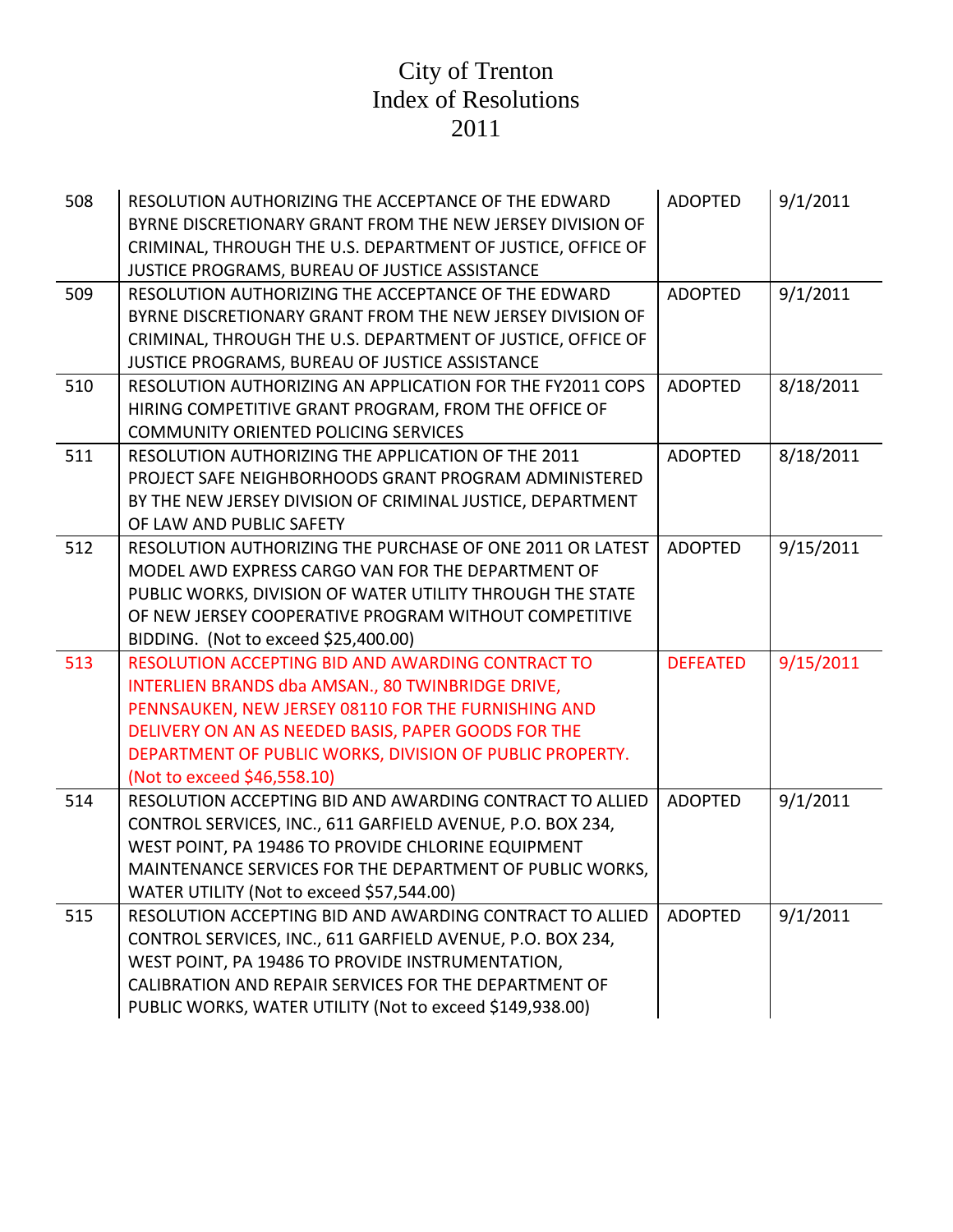| 508 | RESOLUTION AUTHORIZING THE ACCEPTANCE OF THE EDWARD<br>BYRNE DISCRETIONARY GRANT FROM THE NEW JERSEY DIVISION OF<br>CRIMINAL, THROUGH THE U.S. DEPARTMENT OF JUSTICE, OFFICE OF<br>JUSTICE PROGRAMS, BUREAU OF JUSTICE ASSISTANCE                                                                               | <b>ADOPTED</b>  | 9/1/2011  |
|-----|-----------------------------------------------------------------------------------------------------------------------------------------------------------------------------------------------------------------------------------------------------------------------------------------------------------------|-----------------|-----------|
| 509 | RESOLUTION AUTHORIZING THE ACCEPTANCE OF THE EDWARD<br>BYRNE DISCRETIONARY GRANT FROM THE NEW JERSEY DIVISION OF<br>CRIMINAL, THROUGH THE U.S. DEPARTMENT OF JUSTICE, OFFICE OF<br>JUSTICE PROGRAMS, BUREAU OF JUSTICE ASSISTANCE                                                                               | <b>ADOPTED</b>  | 9/1/2011  |
| 510 | RESOLUTION AUTHORIZING AN APPLICATION FOR THE FY2011 COPS<br>HIRING COMPETITIVE GRANT PROGRAM, FROM THE OFFICE OF<br><b>COMMUNITY ORIENTED POLICING SERVICES</b>                                                                                                                                                | <b>ADOPTED</b>  | 8/18/2011 |
| 511 | RESOLUTION AUTHORIZING THE APPLICATION OF THE 2011<br>PROJECT SAFE NEIGHBORHOODS GRANT PROGRAM ADMINISTERED<br>BY THE NEW JERSEY DIVISION OF CRIMINAL JUSTICE, DEPARTMENT<br>OF LAW AND PUBLIC SAFETY                                                                                                           | <b>ADOPTED</b>  | 8/18/2011 |
| 512 | RESOLUTION AUTHORIZING THE PURCHASE OF ONE 2011 OR LATEST<br>MODEL AWD EXPRESS CARGO VAN FOR THE DEPARTMENT OF<br>PUBLIC WORKS, DIVISION OF WATER UTILITY THROUGH THE STATE<br>OF NEW JERSEY COOPERATIVE PROGRAM WITHOUT COMPETITIVE<br>BIDDING. (Not to exceed \$25,400.00)                                    | <b>ADOPTED</b>  | 9/15/2011 |
| 513 | RESOLUTION ACCEPTING BID AND AWARDING CONTRACT TO<br>INTERLIEN BRANDS dba AMSAN., 80 TWINBRIDGE DRIVE,<br>PENNSAUKEN, NEW JERSEY 08110 FOR THE FURNISHING AND<br>DELIVERY ON AN AS NEEDED BASIS, PAPER GOODS FOR THE<br>DEPARTMENT OF PUBLIC WORKS, DIVISION OF PUBLIC PROPERTY.<br>(Not to exceed \$46,558.10) | <b>DEFEATED</b> | 9/15/2011 |
| 514 | RESOLUTION ACCEPTING BID AND AWARDING CONTRACT TO ALLIED<br>CONTROL SERVICES, INC., 611 GARFIELD AVENUE, P.O. BOX 234,<br>WEST POINT, PA 19486 TO PROVIDE CHLORINE EQUIPMENT<br>MAINTENANCE SERVICES FOR THE DEPARTMENT OF PUBLIC WORKS,<br>WATER UTILITY (Not to exceed \$57,544.00)                           | <b>ADOPTED</b>  | 9/1/2011  |
| 515 | RESOLUTION ACCEPTING BID AND AWARDING CONTRACT TO ALLIED<br>CONTROL SERVICES, INC., 611 GARFIELD AVENUE, P.O. BOX 234,<br>WEST POINT, PA 19486 TO PROVIDE INSTRUMENTATION,<br>CALIBRATION AND REPAIR SERVICES FOR THE DEPARTMENT OF<br>PUBLIC WORKS, WATER UTILITY (Not to exceed \$149,938.00)                 | <b>ADOPTED</b>  | 9/1/2011  |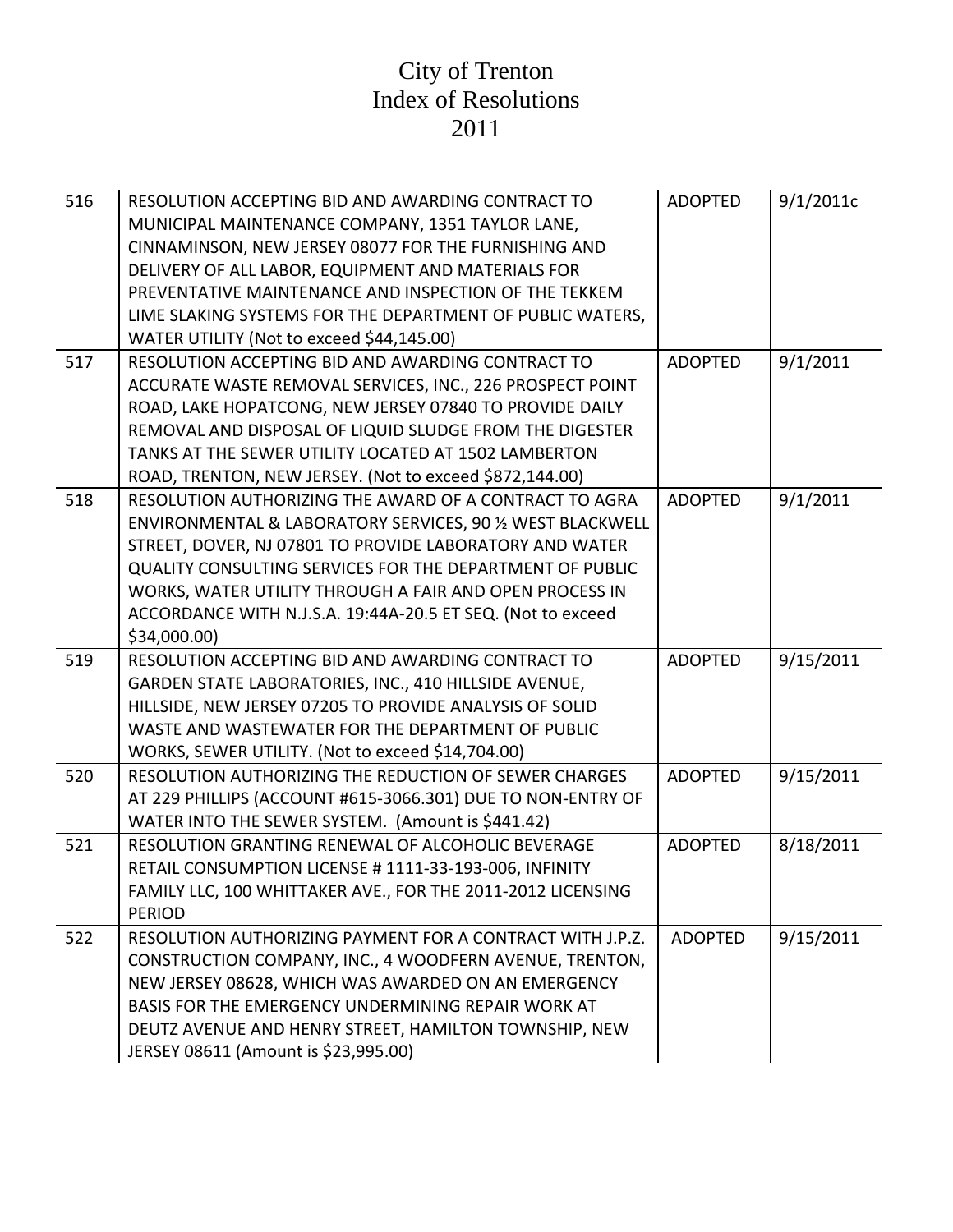| 516 | RESOLUTION ACCEPTING BID AND AWARDING CONTRACT TO<br>MUNICIPAL MAINTENANCE COMPANY, 1351 TAYLOR LANE,<br>CINNAMINSON, NEW JERSEY 08077 FOR THE FURNISHING AND<br>DELIVERY OF ALL LABOR, EQUIPMENT AND MATERIALS FOR<br>PREVENTATIVE MAINTENANCE AND INSPECTION OF THE TEKKEM<br>LIME SLAKING SYSTEMS FOR THE DEPARTMENT OF PUBLIC WATERS,<br>WATER UTILITY (Not to exceed \$44,145.00)    | <b>ADOPTED</b> | 9/1/2011c |
|-----|-------------------------------------------------------------------------------------------------------------------------------------------------------------------------------------------------------------------------------------------------------------------------------------------------------------------------------------------------------------------------------------------|----------------|-----------|
| 517 | RESOLUTION ACCEPTING BID AND AWARDING CONTRACT TO<br>ACCURATE WASTE REMOVAL SERVICES, INC., 226 PROSPECT POINT<br>ROAD, LAKE HOPATCONG, NEW JERSEY 07840 TO PROVIDE DAILY<br>REMOVAL AND DISPOSAL OF LIQUID SLUDGE FROM THE DIGESTER<br>TANKS AT THE SEWER UTILITY LOCATED AT 1502 LAMBERTON<br>ROAD, TRENTON, NEW JERSEY. (Not to exceed \$872,144.00)                                   | <b>ADOPTED</b> | 9/1/2011  |
| 518 | RESOLUTION AUTHORIZING THE AWARD OF A CONTRACT TO AGRA<br>ENVIRONMENTAL & LABORATORY SERVICES, 90 % WEST BLACKWELL<br>STREET, DOVER, NJ 07801 TO PROVIDE LABORATORY AND WATER<br><b>QUALITY CONSULTING SERVICES FOR THE DEPARTMENT OF PUBLIC</b><br>WORKS, WATER UTILITY THROUGH A FAIR AND OPEN PROCESS IN<br>ACCORDANCE WITH N.J.S.A. 19:44A-20.5 ET SEQ. (Not to exceed<br>\$34,000.00 | <b>ADOPTED</b> | 9/1/2011  |
| 519 | RESOLUTION ACCEPTING BID AND AWARDING CONTRACT TO<br>GARDEN STATE LABORATORIES, INC., 410 HILLSIDE AVENUE,<br>HILLSIDE, NEW JERSEY 07205 TO PROVIDE ANALYSIS OF SOLID<br>WASTE AND WASTEWATER FOR THE DEPARTMENT OF PUBLIC<br>WORKS, SEWER UTILITY. (Not to exceed \$14,704.00)                                                                                                           | <b>ADOPTED</b> | 9/15/2011 |
| 520 | RESOLUTION AUTHORIZING THE REDUCTION OF SEWER CHARGES<br>AT 229 PHILLIPS (ACCOUNT #615-3066.301) DUE TO NON-ENTRY OF<br>WATER INTO THE SEWER SYSTEM. (Amount is \$441.42)                                                                                                                                                                                                                 | <b>ADOPTED</b> | 9/15/2011 |
| 521 | RESOLUTION GRANTING RENEWAL OF ALCOHOLIC BEVERAGE<br>RETAIL CONSUMPTION LICENSE # 1111-33-193-006, INFINITY<br>FAMILY LLC, 100 WHITTAKER AVE., FOR THE 2011-2012 LICENSING<br><b>PERIOD</b>                                                                                                                                                                                               | <b>ADOPTED</b> | 8/18/2011 |
| 522 | RESOLUTION AUTHORIZING PAYMENT FOR A CONTRACT WITH J.P.Z.<br>CONSTRUCTION COMPANY, INC., 4 WOODFERN AVENUE, TRENTON,<br>NEW JERSEY 08628, WHICH WAS AWARDED ON AN EMERGENCY<br>BASIS FOR THE EMERGENCY UNDERMINING REPAIR WORK AT<br>DEUTZ AVENUE AND HENRY STREET, HAMILTON TOWNSHIP, NEW<br>JERSEY 08611 (Amount is \$23,995.00)                                                        | <b>ADOPTED</b> | 9/15/2011 |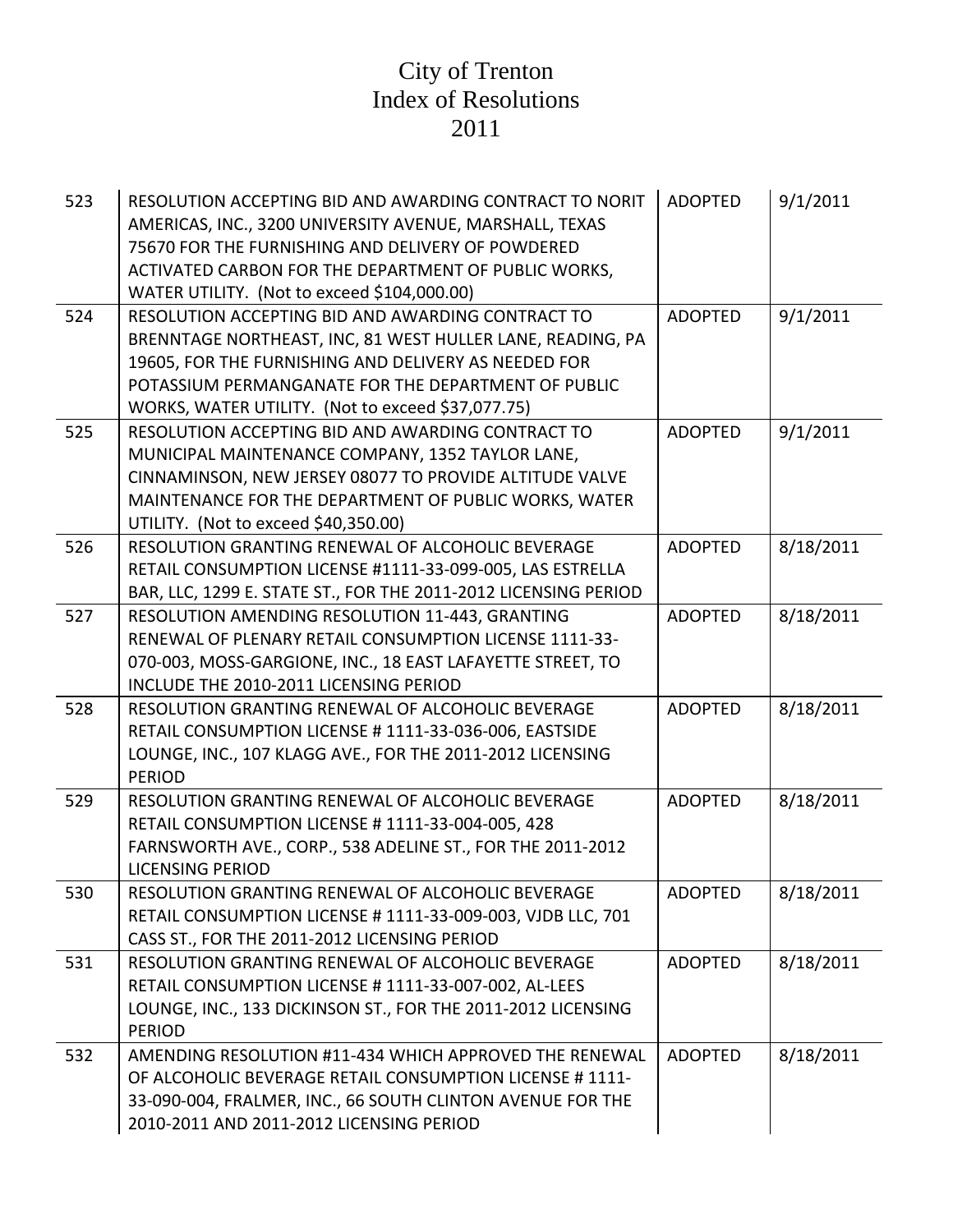| 523 | RESOLUTION ACCEPTING BID AND AWARDING CONTRACT TO NORIT<br>AMERICAS, INC., 3200 UNIVERSITY AVENUE, MARSHALL, TEXAS<br>75670 FOR THE FURNISHING AND DELIVERY OF POWDERED<br>ACTIVATED CARBON FOR THE DEPARTMENT OF PUBLIC WORKS,<br>WATER UTILITY. (Not to exceed \$104,000.00)      | <b>ADOPTED</b> | 9/1/2011  |
|-----|-------------------------------------------------------------------------------------------------------------------------------------------------------------------------------------------------------------------------------------------------------------------------------------|----------------|-----------|
| 524 | RESOLUTION ACCEPTING BID AND AWARDING CONTRACT TO<br>BRENNTAGE NORTHEAST, INC, 81 WEST HULLER LANE, READING, PA<br>19605, FOR THE FURNISHING AND DELIVERY AS NEEDED FOR<br>POTASSIUM PERMANGANATE FOR THE DEPARTMENT OF PUBLIC<br>WORKS, WATER UTILITY. (Not to exceed \$37,077.75) | <b>ADOPTED</b> | 9/1/2011  |
| 525 | RESOLUTION ACCEPTING BID AND AWARDING CONTRACT TO<br>MUNICIPAL MAINTENANCE COMPANY, 1352 TAYLOR LANE,<br>CINNAMINSON, NEW JERSEY 08077 TO PROVIDE ALTITUDE VALVE<br>MAINTENANCE FOR THE DEPARTMENT OF PUBLIC WORKS, WATER<br>UTILITY. (Not to exceed \$40,350.00)                   | <b>ADOPTED</b> | 9/1/2011  |
| 526 | RESOLUTION GRANTING RENEWAL OF ALCOHOLIC BEVERAGE<br>RETAIL CONSUMPTION LICENSE #1111-33-099-005, LAS ESTRELLA<br>BAR, LLC, 1299 E. STATE ST., FOR THE 2011-2012 LICENSING PERIOD                                                                                                   | <b>ADOPTED</b> | 8/18/2011 |
| 527 | RESOLUTION AMENDING RESOLUTION 11-443, GRANTING<br>RENEWAL OF PLENARY RETAIL CONSUMPTION LICENSE 1111-33-<br>070-003, MOSS-GARGIONE, INC., 18 EAST LAFAYETTE STREET, TO<br>INCLUDE THE 2010-2011 LICENSING PERIOD                                                                   | <b>ADOPTED</b> | 8/18/2011 |
| 528 | RESOLUTION GRANTING RENEWAL OF ALCOHOLIC BEVERAGE<br>RETAIL CONSUMPTION LICENSE # 1111-33-036-006, EASTSIDE<br>LOUNGE, INC., 107 KLAGG AVE., FOR THE 2011-2012 LICENSING<br><b>PERIOD</b>                                                                                           | <b>ADOPTED</b> | 8/18/2011 |
| 529 | RESOLUTION GRANTING RENEWAL OF ALCOHOLIC BEVERAGE<br>RETAIL CONSUMPTION LICENSE #1111-33-004-005, 428<br>FARNSWORTH AVE., CORP., 538 ADELINE ST., FOR THE 2011-2012<br><b>LICENSING PERIOD</b>                                                                                      | <b>ADOPTED</b> | 8/18/2011 |
| 530 | RESOLUTION GRANTING RENEWAL OF ALCOHOLIC BEVERAGE<br>RETAIL CONSUMPTION LICENSE #1111-33-009-003, VJDB LLC, 701<br>CASS ST., FOR THE 2011-2012 LICENSING PERIOD                                                                                                                     | <b>ADOPTED</b> | 8/18/2011 |
| 531 | RESOLUTION GRANTING RENEWAL OF ALCOHOLIC BEVERAGE<br>RETAIL CONSUMPTION LICENSE #1111-33-007-002, AL-LEES<br>LOUNGE, INC., 133 DICKINSON ST., FOR THE 2011-2012 LICENSING<br><b>PERIOD</b>                                                                                          | <b>ADOPTED</b> | 8/18/2011 |
| 532 | AMENDING RESOLUTION #11-434 WHICH APPROVED THE RENEWAL<br>OF ALCOHOLIC BEVERAGE RETAIL CONSUMPTION LICENSE #1111-<br>33-090-004, FRALMER, INC., 66 SOUTH CLINTON AVENUE FOR THE<br>2010-2011 AND 2011-2012 LICENSING PERIOD                                                         | <b>ADOPTED</b> | 8/18/2011 |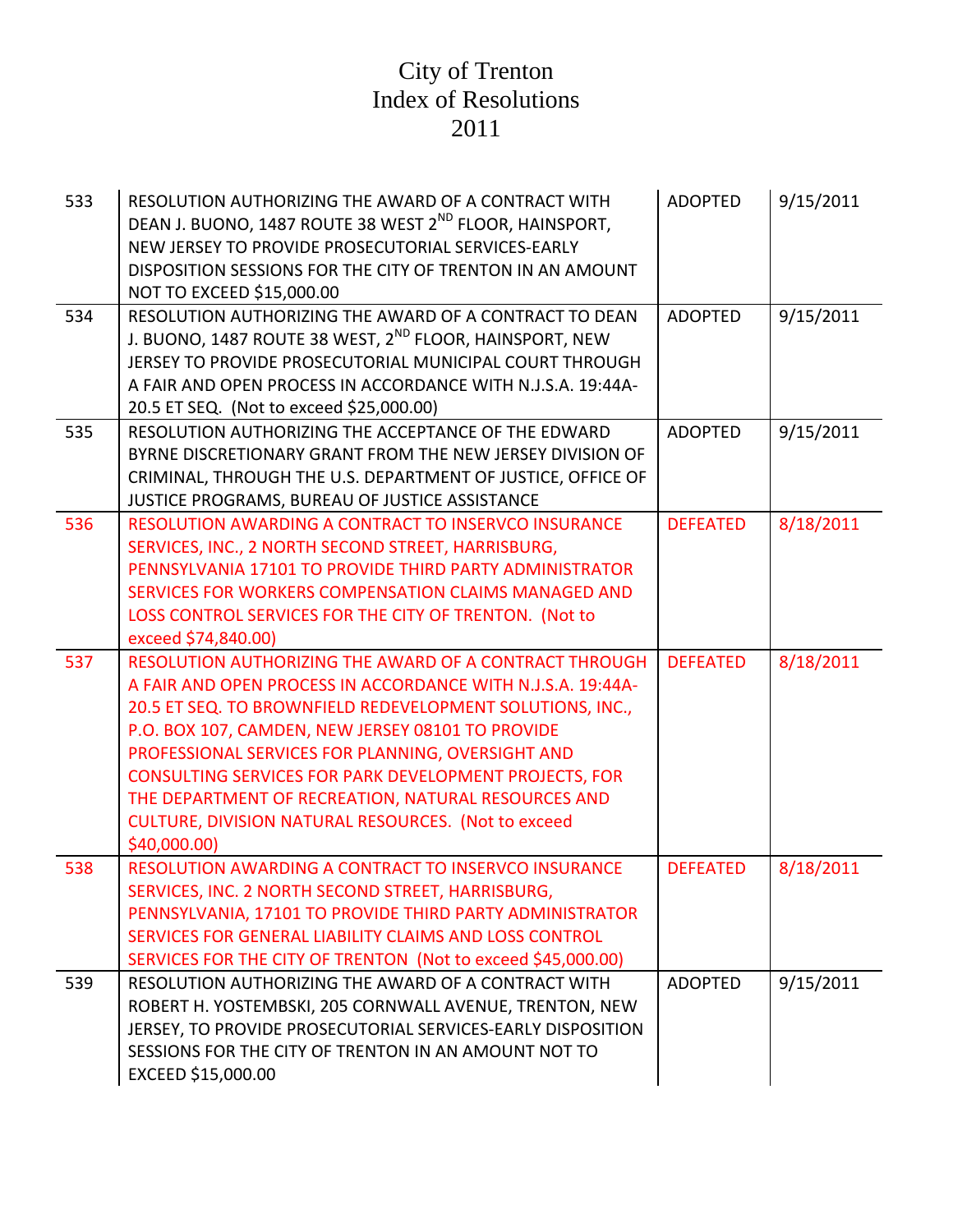| 533 | RESOLUTION AUTHORIZING THE AWARD OF A CONTRACT WITH<br>DEAN J. BUONO, 1487 ROUTE 38 WEST 2 <sup>ND</sup> FLOOR, HAINSPORT,<br>NEW JERSEY TO PROVIDE PROSECUTORIAL SERVICES-EARLY<br>DISPOSITION SESSIONS FOR THE CITY OF TRENTON IN AN AMOUNT<br>NOT TO EXCEED \$15,000.00                                                                                                                                                                                                           | <b>ADOPTED</b>  | 9/15/2011 |
|-----|--------------------------------------------------------------------------------------------------------------------------------------------------------------------------------------------------------------------------------------------------------------------------------------------------------------------------------------------------------------------------------------------------------------------------------------------------------------------------------------|-----------------|-----------|
| 534 | RESOLUTION AUTHORIZING THE AWARD OF A CONTRACT TO DEAN<br>J. BUONO, 1487 ROUTE 38 WEST, 2 <sup>ND</sup> FLOOR, HAINSPORT, NEW<br>JERSEY TO PROVIDE PROSECUTORIAL MUNICIPAL COURT THROUGH<br>A FAIR AND OPEN PROCESS IN ACCORDANCE WITH N.J.S.A. 19:44A-<br>20.5 ET SEQ. (Not to exceed \$25,000.00)                                                                                                                                                                                  | <b>ADOPTED</b>  | 9/15/2011 |
| 535 | RESOLUTION AUTHORIZING THE ACCEPTANCE OF THE EDWARD<br>BYRNE DISCRETIONARY GRANT FROM THE NEW JERSEY DIVISION OF<br>CRIMINAL, THROUGH THE U.S. DEPARTMENT OF JUSTICE, OFFICE OF<br>JUSTICE PROGRAMS, BUREAU OF JUSTICE ASSISTANCE                                                                                                                                                                                                                                                    | <b>ADOPTED</b>  | 9/15/2011 |
| 536 | <b>RESOLUTION AWARDING A CONTRACT TO INSERVCO INSURANCE</b><br>SERVICES, INC., 2 NORTH SECOND STREET, HARRISBURG,<br>PENNSYLVANIA 17101 TO PROVIDE THIRD PARTY ADMINISTRATOR<br>SERVICES FOR WORKERS COMPENSATION CLAIMS MANAGED AND<br>LOSS CONTROL SERVICES FOR THE CITY OF TRENTON. (Not to<br>exceed \$74,840.00)                                                                                                                                                                | <b>DEFEATED</b> | 8/18/2011 |
| 537 | RESOLUTION AUTHORIZING THE AWARD OF A CONTRACT THROUGH<br>A FAIR AND OPEN PROCESS IN ACCORDANCE WITH N.J.S.A. 19:44A-<br>20.5 ET SEQ. TO BROWNFIELD REDEVELOPMENT SOLUTIONS, INC.,<br>P.O. BOX 107, CAMDEN, NEW JERSEY 08101 TO PROVIDE<br>PROFESSIONAL SERVICES FOR PLANNING, OVERSIGHT AND<br>CONSULTING SERVICES FOR PARK DEVELOPMENT PROJECTS, FOR<br>THE DEPARTMENT OF RECREATION, NATURAL RESOURCES AND<br>CULTURE, DIVISION NATURAL RESOURCES. (Not to exceed<br>\$40,000.00) | <b>DEFEATED</b> | 8/18/2011 |
| 538 | RESOLUTION AWARDING A CONTRACT TO INSERVCO INSURANCE<br>SERVICES, INC. 2 NORTH SECOND STREET, HARRISBURG,<br>PENNSYLVANIA, 17101 TO PROVIDE THIRD PARTY ADMINISTRATOR<br>SERVICES FOR GENERAL LIABILITY CLAIMS AND LOSS CONTROL<br>SERVICES FOR THE CITY OF TRENTON (Not to exceed \$45,000.00)                                                                                                                                                                                      | <b>DEFEATED</b> | 8/18/2011 |
| 539 | RESOLUTION AUTHORIZING THE AWARD OF A CONTRACT WITH<br>ROBERT H. YOSTEMBSKI, 205 CORNWALL AVENUE, TRENTON, NEW<br>JERSEY, TO PROVIDE PROSECUTORIAL SERVICES-EARLY DISPOSITION<br>SESSIONS FOR THE CITY OF TRENTON IN AN AMOUNT NOT TO<br>EXCEED \$15,000.00                                                                                                                                                                                                                          | <b>ADOPTED</b>  | 9/15/2011 |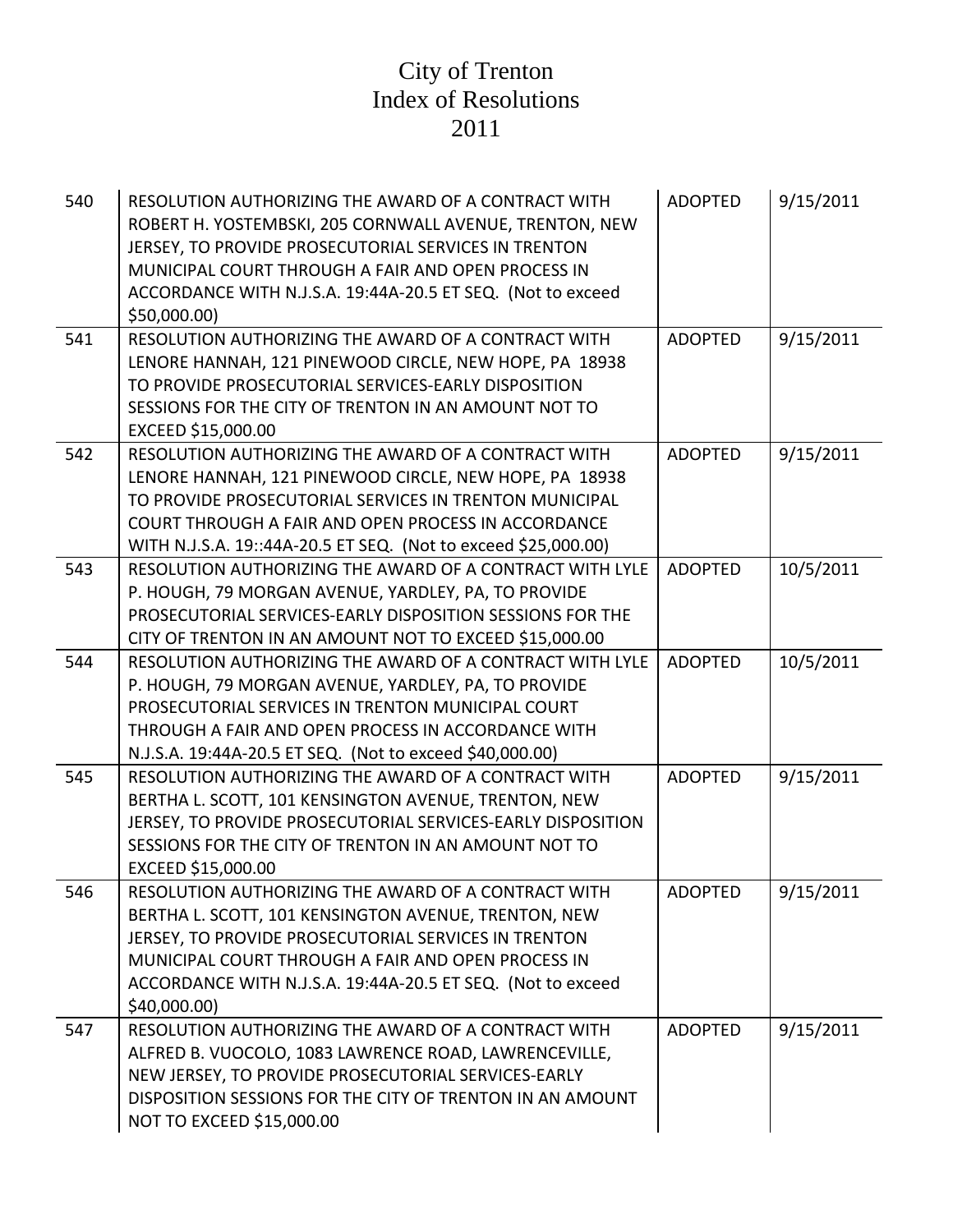| 540 | RESOLUTION AUTHORIZING THE AWARD OF A CONTRACT WITH<br>ROBERT H. YOSTEMBSKI, 205 CORNWALL AVENUE, TRENTON, NEW<br>JERSEY, TO PROVIDE PROSECUTORIAL SERVICES IN TRENTON<br>MUNICIPAL COURT THROUGH A FAIR AND OPEN PROCESS IN<br>ACCORDANCE WITH N.J.S.A. 19:44A-20.5 ET SEQ. (Not to exceed<br>\$50,000.00] | <b>ADOPTED</b> | 9/15/2011 |
|-----|-------------------------------------------------------------------------------------------------------------------------------------------------------------------------------------------------------------------------------------------------------------------------------------------------------------|----------------|-----------|
| 541 | RESOLUTION AUTHORIZING THE AWARD OF A CONTRACT WITH<br>LENORE HANNAH, 121 PINEWOOD CIRCLE, NEW HOPE, PA 18938<br>TO PROVIDE PROSECUTORIAL SERVICES-EARLY DISPOSITION<br>SESSIONS FOR THE CITY OF TRENTON IN AN AMOUNT NOT TO<br>EXCEED \$15,000.00                                                          | <b>ADOPTED</b> | 9/15/2011 |
| 542 | RESOLUTION AUTHORIZING THE AWARD OF A CONTRACT WITH<br>LENORE HANNAH, 121 PINEWOOD CIRCLE, NEW HOPE, PA 18938<br>TO PROVIDE PROSECUTORIAL SERVICES IN TRENTON MUNICIPAL<br>COURT THROUGH A FAIR AND OPEN PROCESS IN ACCORDANCE<br>WITH N.J.S.A. 19::44A-20.5 ET SEQ. (Not to exceed \$25,000.00)            | <b>ADOPTED</b> | 9/15/2011 |
| 543 | RESOLUTION AUTHORIZING THE AWARD OF A CONTRACT WITH LYLE<br>P. HOUGH, 79 MORGAN AVENUE, YARDLEY, PA, TO PROVIDE<br>PROSECUTORIAL SERVICES-EARLY DISPOSITION SESSIONS FOR THE<br>CITY OF TRENTON IN AN AMOUNT NOT TO EXCEED \$15,000.00                                                                      | <b>ADOPTED</b> | 10/5/2011 |
| 544 | RESOLUTION AUTHORIZING THE AWARD OF A CONTRACT WITH LYLE<br>P. HOUGH, 79 MORGAN AVENUE, YARDLEY, PA, TO PROVIDE<br>PROSECUTORIAL SERVICES IN TRENTON MUNICIPAL COURT<br>THROUGH A FAIR AND OPEN PROCESS IN ACCORDANCE WITH<br>N.J.S.A. 19:44A-20.5 ET SEQ. (Not to exceed \$40,000.00)                      | <b>ADOPTED</b> | 10/5/2011 |
| 545 | RESOLUTION AUTHORIZING THE AWARD OF A CONTRACT WITH<br>BERTHA L. SCOTT, 101 KENSINGTON AVENUE, TRENTON, NEW<br>JERSEY, TO PROVIDE PROSECUTORIAL SERVICES-EARLY DISPOSITION<br>SESSIONS FOR THE CITY OF TRENTON IN AN AMOUNT NOT TO<br>EXCEED \$15,000.00                                                    | <b>ADOPTED</b> | 9/15/2011 |
| 546 | RESOLUTION AUTHORIZING THE AWARD OF A CONTRACT WITH<br>BERTHA L. SCOTT, 101 KENSINGTON AVENUE, TRENTON, NEW<br>JERSEY, TO PROVIDE PROSECUTORIAL SERVICES IN TRENTON<br>MUNICIPAL COURT THROUGH A FAIR AND OPEN PROCESS IN<br>ACCORDANCE WITH N.J.S.A. 19:44A-20.5 ET SEQ. (Not to exceed<br>\$40,000.00)    | <b>ADOPTED</b> | 9/15/2011 |
| 547 | RESOLUTION AUTHORIZING THE AWARD OF A CONTRACT WITH<br>ALFRED B. VUOCOLO, 1083 LAWRENCE ROAD, LAWRENCEVILLE,<br>NEW JERSEY, TO PROVIDE PROSECUTORIAL SERVICES-EARLY<br>DISPOSITION SESSIONS FOR THE CITY OF TRENTON IN AN AMOUNT<br>NOT TO EXCEED \$15,000.00                                               | <b>ADOPTED</b> | 9/15/2011 |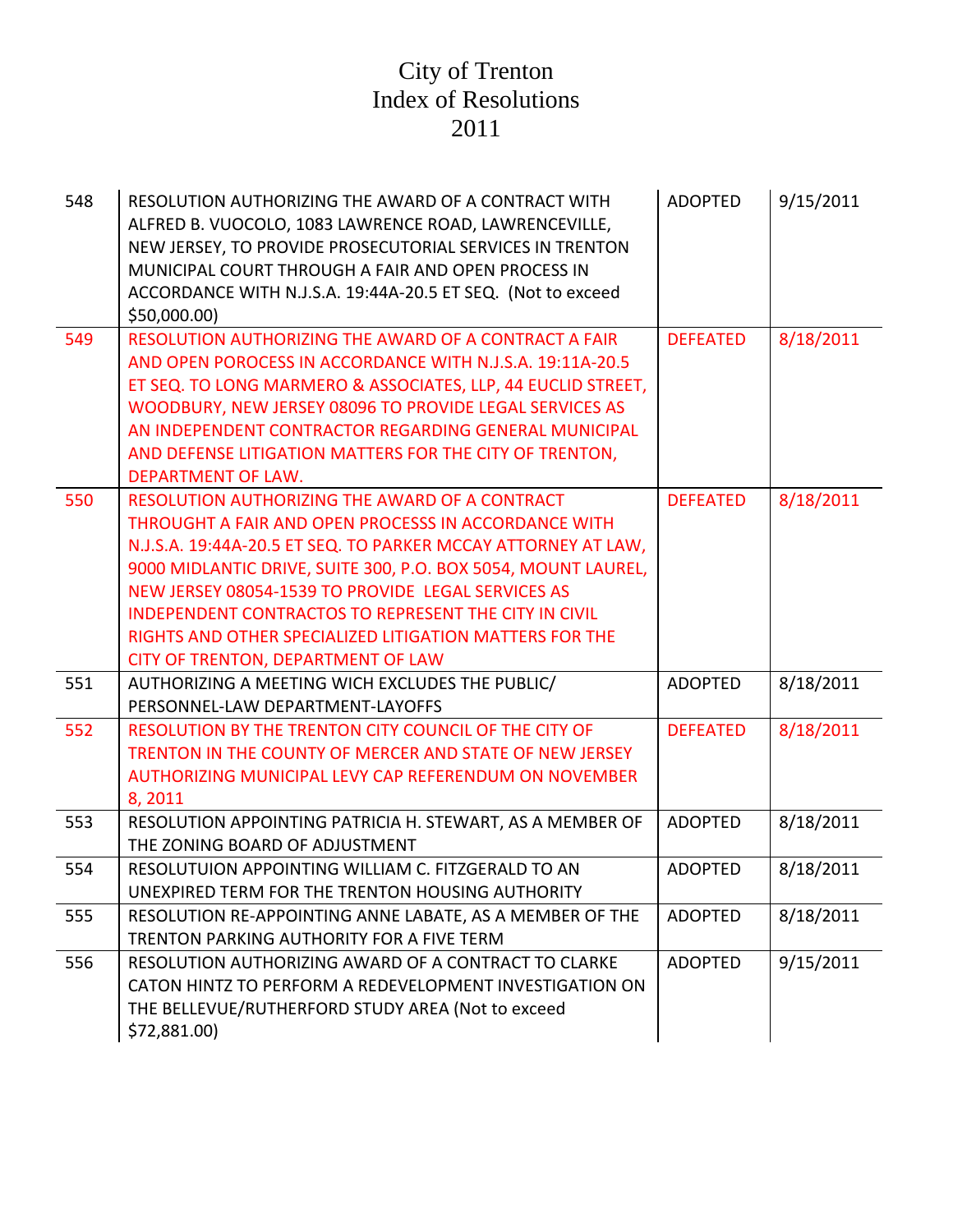| 548 | RESOLUTION AUTHORIZING THE AWARD OF A CONTRACT WITH<br>ALFRED B. VUOCOLO, 1083 LAWRENCE ROAD, LAWRENCEVILLE,<br>NEW JERSEY, TO PROVIDE PROSECUTORIAL SERVICES IN TRENTON<br>MUNICIPAL COURT THROUGH A FAIR AND OPEN PROCESS IN<br>ACCORDANCE WITH N.J.S.A. 19:44A-20.5 ET SEQ. (Not to exceed<br>\$50,000.00]                                                                                                                                                          | <b>ADOPTED</b>  | 9/15/2011 |
|-----|------------------------------------------------------------------------------------------------------------------------------------------------------------------------------------------------------------------------------------------------------------------------------------------------------------------------------------------------------------------------------------------------------------------------------------------------------------------------|-----------------|-----------|
| 549 | RESOLUTION AUTHORIZING THE AWARD OF A CONTRACT A FAIR<br>AND OPEN POROCESS IN ACCORDANCE WITH N.J.S.A. 19:11A-20.5<br>ET SEQ. TO LONG MARMERO & ASSOCIATES, LLP, 44 EUCLID STREET,<br>WOODBURY, NEW JERSEY 08096 TO PROVIDE LEGAL SERVICES AS<br>AN INDEPENDENT CONTRACTOR REGARDING GENERAL MUNICIPAL<br>AND DEFENSE LITIGATION MATTERS FOR THE CITY OF TRENTON,<br><b>DEPARTMENT OF LAW.</b>                                                                         | <b>DEFEATED</b> | 8/18/2011 |
| 550 | <b>RESOLUTION AUTHORIZING THE AWARD OF A CONTRACT</b><br>THROUGHT A FAIR AND OPEN PROCESSS IN ACCORDANCE WITH<br>N.J.S.A. 19:44A-20.5 ET SEQ. TO PARKER MCCAY ATTORNEY AT LAW,<br>9000 MIDLANTIC DRIVE, SUITE 300, P.O. BOX 5054, MOUNT LAUREL,<br>NEW JERSEY 08054-1539 TO PROVIDE LEGAL SERVICES AS<br><b>INDEPENDENT CONTRACTOS TO REPRESENT THE CITY IN CIVIL</b><br>RIGHTS AND OTHER SPECIALIZED LITIGATION MATTERS FOR THE<br>CITY OF TRENTON, DEPARTMENT OF LAW | <b>DEFEATED</b> | 8/18/2011 |
| 551 | AUTHORIZING A MEETING WICH EXCLUDES THE PUBLIC/<br>PERSONNEL-LAW DEPARTMENT-LAYOFFS                                                                                                                                                                                                                                                                                                                                                                                    | <b>ADOPTED</b>  | 8/18/2011 |
| 552 | RESOLUTION BY THE TRENTON CITY COUNCIL OF THE CITY OF<br>TRENTON IN THE COUNTY OF MERCER AND STATE OF NEW JERSEY<br>AUTHORIZING MUNICIPAL LEVY CAP REFERENDUM ON NOVEMBER<br>8,2011                                                                                                                                                                                                                                                                                    | <b>DEFEATED</b> | 8/18/2011 |
| 553 | RESOLUTION APPOINTING PATRICIA H. STEWART, AS A MEMBER OF<br>THE ZONING BOARD OF ADJUSTMENT                                                                                                                                                                                                                                                                                                                                                                            | <b>ADOPTED</b>  | 8/18/2011 |
| 554 | RESOLUTUION APPOINTING WILLIAM C. FITZGERALD TO AN<br>UNEXPIRED TERM FOR THE TRENTON HOUSING AUTHORITY                                                                                                                                                                                                                                                                                                                                                                 | <b>ADOPTED</b>  | 8/18/2011 |
| 555 | RESOLUTION RE-APPOINTING ANNE LABATE, AS A MEMBER OF THE<br>TRENTON PARKING AUTHORITY FOR A FIVE TERM                                                                                                                                                                                                                                                                                                                                                                  | <b>ADOPTED</b>  | 8/18/2011 |
| 556 | RESOLUTION AUTHORIZING AWARD OF A CONTRACT TO CLARKE<br>CATON HINTZ TO PERFORM A REDEVELOPMENT INVESTIGATION ON<br>THE BELLEVUE/RUTHERFORD STUDY AREA (Not to exceed<br>\$72,881.00)                                                                                                                                                                                                                                                                                   | <b>ADOPTED</b>  | 9/15/2011 |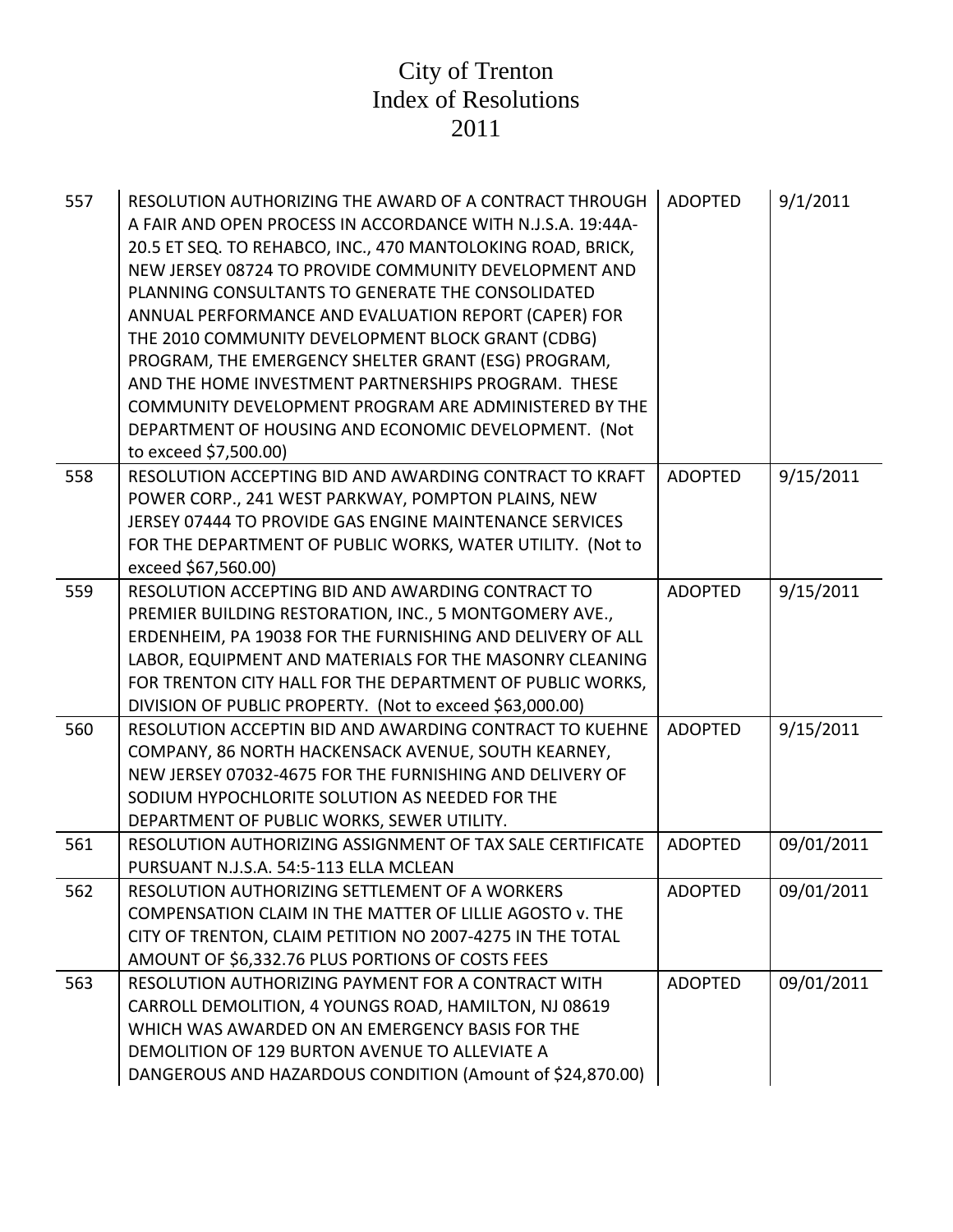| 557 | RESOLUTION AUTHORIZING THE AWARD OF A CONTRACT THROUGH<br>A FAIR AND OPEN PROCESS IN ACCORDANCE WITH N.J.S.A. 19:44A-<br>20.5 ET SEQ. TO REHABCO, INC., 470 MANTOLOKING ROAD, BRICK,<br>NEW JERSEY 08724 TO PROVIDE COMMUNITY DEVELOPMENT AND<br><b>PLANNING CONSULTANTS TO GENERATE THE CONSOLIDATED</b><br>ANNUAL PERFORMANCE AND EVALUATION REPORT (CAPER) FOR<br>THE 2010 COMMUNITY DEVELOPMENT BLOCK GRANT (CDBG)<br>PROGRAM, THE EMERGENCY SHELTER GRANT (ESG) PROGRAM,<br>AND THE HOME INVESTMENT PARTNERSHIPS PROGRAM. THESE<br>COMMUNITY DEVELOPMENT PROGRAM ARE ADMINISTERED BY THE<br>DEPARTMENT OF HOUSING AND ECONOMIC DEVELOPMENT. (Not<br>to exceed \$7,500.00) | <b>ADOPTED</b> | 9/1/2011   |
|-----|--------------------------------------------------------------------------------------------------------------------------------------------------------------------------------------------------------------------------------------------------------------------------------------------------------------------------------------------------------------------------------------------------------------------------------------------------------------------------------------------------------------------------------------------------------------------------------------------------------------------------------------------------------------------------------|----------------|------------|
| 558 | RESOLUTION ACCEPTING BID AND AWARDING CONTRACT TO KRAFT<br>POWER CORP., 241 WEST PARKWAY, POMPTON PLAINS, NEW<br>JERSEY 07444 TO PROVIDE GAS ENGINE MAINTENANCE SERVICES<br>FOR THE DEPARTMENT OF PUBLIC WORKS, WATER UTILITY. (Not to<br>exceed \$67,560.00)                                                                                                                                                                                                                                                                                                                                                                                                                  | <b>ADOPTED</b> | 9/15/2011  |
| 559 | RESOLUTION ACCEPTING BID AND AWARDING CONTRACT TO<br>PREMIER BUILDING RESTORATION, INC., 5 MONTGOMERY AVE.,<br>ERDENHEIM, PA 19038 FOR THE FURNISHING AND DELIVERY OF ALL<br>LABOR, EQUIPMENT AND MATERIALS FOR THE MASONRY CLEANING<br>FOR TRENTON CITY HALL FOR THE DEPARTMENT OF PUBLIC WORKS,<br>DIVISION OF PUBLIC PROPERTY. (Not to exceed \$63,000.00)                                                                                                                                                                                                                                                                                                                  | <b>ADOPTED</b> | 9/15/2011  |
| 560 | RESOLUTION ACCEPTIN BID AND AWARDING CONTRACT TO KUEHNE<br>COMPANY, 86 NORTH HACKENSACK AVENUE, SOUTH KEARNEY,<br>NEW JERSEY 07032-4675 FOR THE FURNISHING AND DELIVERY OF<br>SODIUM HYPOCHLORITE SOLUTION AS NEEDED FOR THE<br>DEPARTMENT OF PUBLIC WORKS, SEWER UTILITY.                                                                                                                                                                                                                                                                                                                                                                                                     | <b>ADOPTED</b> | 9/15/2011  |
| 561 | RESOLUTION AUTHORIZING ASSIGNMENT OF TAX SALE CERTIFICATE<br>PURSUANT N.J.S.A. 54:5-113 ELLA MCLEAN                                                                                                                                                                                                                                                                                                                                                                                                                                                                                                                                                                            | <b>ADOPTED</b> | 09/01/2011 |
| 562 | RESOLUTION AUTHORIZING SETTLEMENT OF A WORKERS<br>COMPENSATION CLAIM IN THE MATTER OF LILLIE AGOSTO v. THE<br>CITY OF TRENTON, CLAIM PETITION NO 2007-4275 IN THE TOTAL<br>AMOUNT OF \$6,332.76 PLUS PORTIONS OF COSTS FEES                                                                                                                                                                                                                                                                                                                                                                                                                                                    | <b>ADOPTED</b> | 09/01/2011 |
| 563 | RESOLUTION AUTHORIZING PAYMENT FOR A CONTRACT WITH<br>CARROLL DEMOLITION, 4 YOUNGS ROAD, HAMILTON, NJ 08619<br>WHICH WAS AWARDED ON AN EMERGENCY BASIS FOR THE<br>DEMOLITION OF 129 BURTON AVENUE TO ALLEVIATE A<br>DANGEROUS AND HAZARDOUS CONDITION (Amount of \$24,870.00)                                                                                                                                                                                                                                                                                                                                                                                                  | <b>ADOPTED</b> | 09/01/2011 |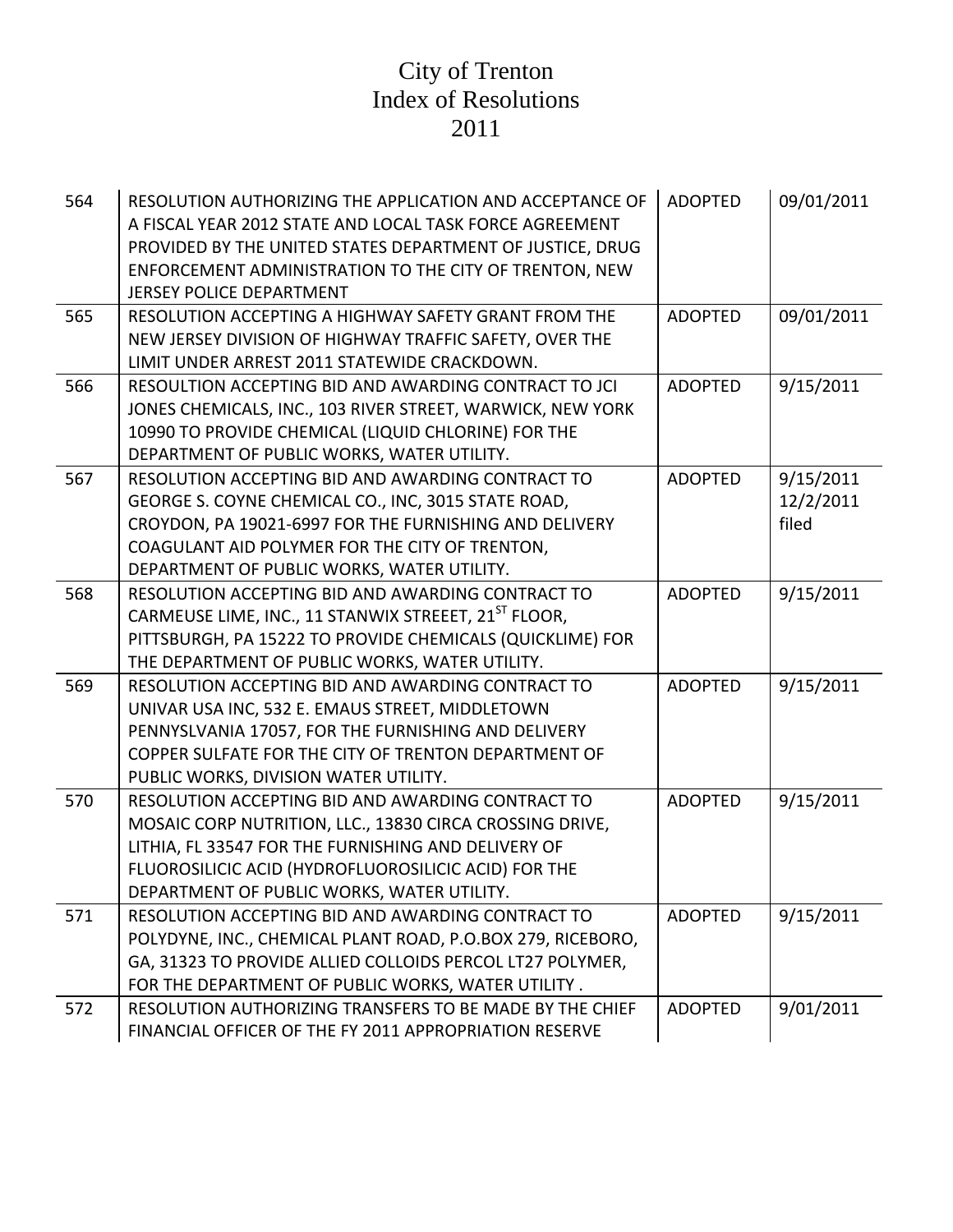| 564 | RESOLUTION AUTHORIZING THE APPLICATION AND ACCEPTANCE OF<br>A FISCAL YEAR 2012 STATE AND LOCAL TASK FORCE AGREEMENT<br>PROVIDED BY THE UNITED STATES DEPARTMENT OF JUSTICE, DRUG<br>ENFORCEMENT ADMINISTRATION TO THE CITY OF TRENTON, NEW<br><b>JERSEY POLICE DEPARTMENT</b> | <b>ADOPTED</b> | 09/01/2011                      |
|-----|-------------------------------------------------------------------------------------------------------------------------------------------------------------------------------------------------------------------------------------------------------------------------------|----------------|---------------------------------|
| 565 | RESOLUTION ACCEPTING A HIGHWAY SAFETY GRANT FROM THE<br>NEW JERSEY DIVISION OF HIGHWAY TRAFFIC SAFETY, OVER THE<br>LIMIT UNDER ARREST 2011 STATEWIDE CRACKDOWN.                                                                                                               | <b>ADOPTED</b> | 09/01/2011                      |
| 566 | RESOULTION ACCEPTING BID AND AWARDING CONTRACT TO JCI<br>JONES CHEMICALS, INC., 103 RIVER STREET, WARWICK, NEW YORK<br>10990 TO PROVIDE CHEMICAL (LIQUID CHLORINE) FOR THE<br>DEPARTMENT OF PUBLIC WORKS, WATER UTILITY.                                                      | <b>ADOPTED</b> | 9/15/2011                       |
| 567 | RESOLUTION ACCEPTING BID AND AWARDING CONTRACT TO<br>GEORGE S. COYNE CHEMICAL CO., INC, 3015 STATE ROAD,<br>CROYDON, PA 19021-6997 FOR THE FURNISHING AND DELIVERY<br>COAGULANT AID POLYMER FOR THE CITY OF TRENTON,<br>DEPARTMENT OF PUBLIC WORKS, WATER UTILITY.            | <b>ADOPTED</b> | 9/15/2011<br>12/2/2011<br>filed |
| 568 | RESOLUTION ACCEPTING BID AND AWARDING CONTRACT TO<br>CARMEUSE LIME, INC., 11 STANWIX STREEET, 21 <sup>ST</sup> FLOOR,<br>PITTSBURGH, PA 15222 TO PROVIDE CHEMICALS (QUICKLIME) FOR<br>THE DEPARTMENT OF PUBLIC WORKS, WATER UTILITY.                                          | <b>ADOPTED</b> | 9/15/2011                       |
| 569 | RESOLUTION ACCEPTING BID AND AWARDING CONTRACT TO<br>UNIVAR USA INC, 532 E. EMAUS STREET, MIDDLETOWN<br>PENNYSLVANIA 17057, FOR THE FURNISHING AND DELIVERY<br>COPPER SULFATE FOR THE CITY OF TRENTON DEPARTMENT OF<br>PUBLIC WORKS, DIVISION WATER UTILITY.                  | <b>ADOPTED</b> | 9/15/2011                       |
| 570 | RESOLUTION ACCEPTING BID AND AWARDING CONTRACT TO<br>MOSAIC CORP NUTRITION, LLC., 13830 CIRCA CROSSING DRIVE,<br>LITHIA, FL 33547 FOR THE FURNISHING AND DELIVERY OF<br>FLUOROSILICIC ACID (HYDROFLUOROSILICIC ACID) FOR THE<br>DEPARTMENT OF PUBLIC WORKS, WATER UTILITY.    | <b>ADOPTED</b> | 9/15/2011                       |
| 571 | RESOLUTION ACCEPTING BID AND AWARDING CONTRACT TO<br>POLYDYNE, INC., CHEMICAL PLANT ROAD, P.O.BOX 279, RICEBORO,<br>GA, 31323 TO PROVIDE ALLIED COLLOIDS PERCOL LT27 POLYMER,<br>FOR THE DEPARTMENT OF PUBLIC WORKS, WATER UTILITY.                                           | <b>ADOPTED</b> | 9/15/2011                       |
| 572 | RESOLUTION AUTHORIZING TRANSFERS TO BE MADE BY THE CHIEF<br>FINANCIAL OFFICER OF THE FY 2011 APPROPRIATION RESERVE                                                                                                                                                            | <b>ADOPTED</b> | 9/01/2011                       |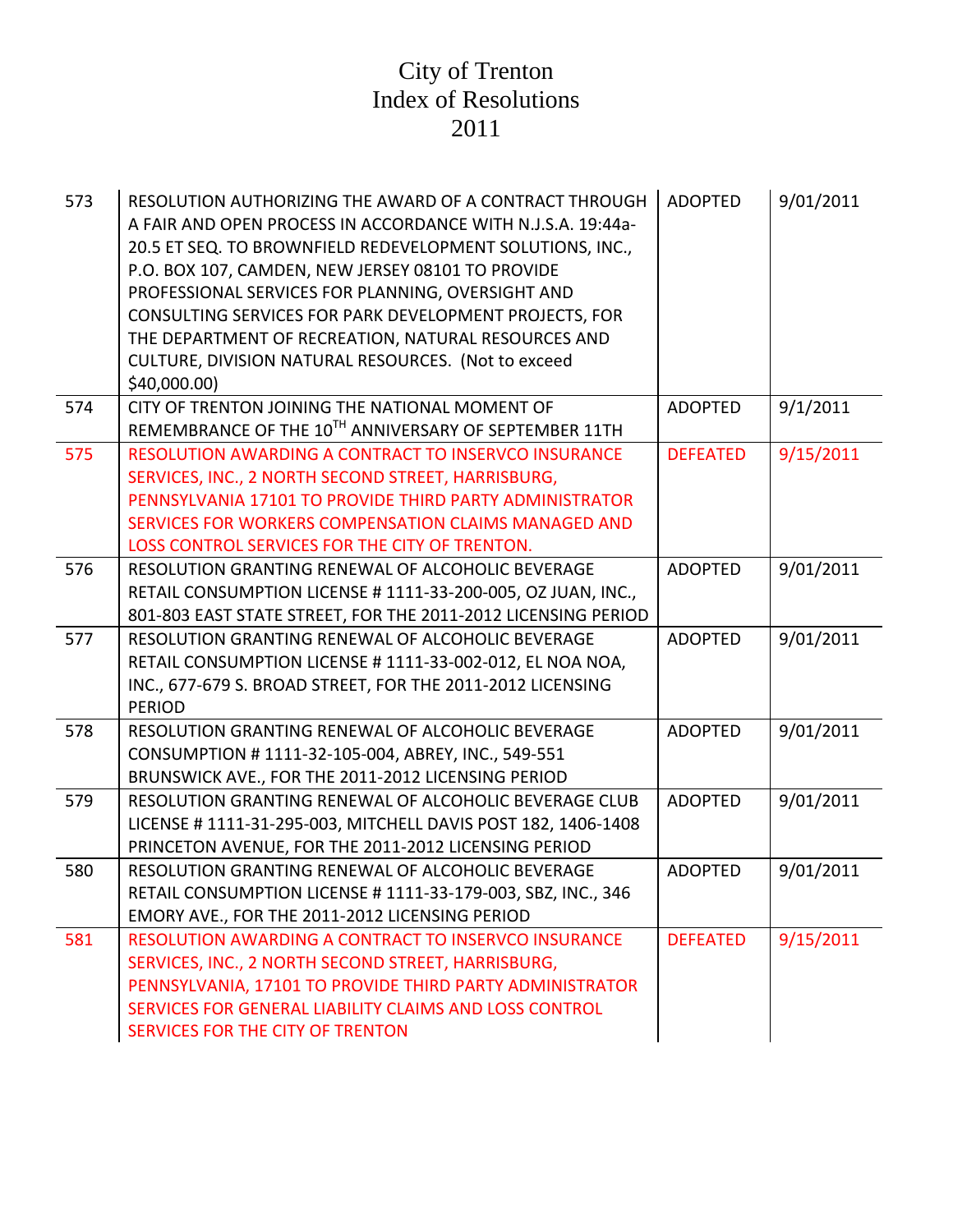| 573 | RESOLUTION AUTHORIZING THE AWARD OF A CONTRACT THROUGH<br>A FAIR AND OPEN PROCESS IN ACCORDANCE WITH N.J.S.A. 19:44a-<br>20.5 ET SEQ. TO BROWNFIELD REDEVELOPMENT SOLUTIONS, INC.,<br>P.O. BOX 107, CAMDEN, NEW JERSEY 08101 TO PROVIDE<br>PROFESSIONAL SERVICES FOR PLANNING, OVERSIGHT AND<br>CONSULTING SERVICES FOR PARK DEVELOPMENT PROJECTS, FOR<br>THE DEPARTMENT OF RECREATION, NATURAL RESOURCES AND<br>CULTURE, DIVISION NATURAL RESOURCES. (Not to exceed<br>\$40,000.00) | <b>ADOPTED</b>  | 9/01/2011 |
|-----|--------------------------------------------------------------------------------------------------------------------------------------------------------------------------------------------------------------------------------------------------------------------------------------------------------------------------------------------------------------------------------------------------------------------------------------------------------------------------------------|-----------------|-----------|
| 574 | CITY OF TRENTON JOINING THE NATIONAL MOMENT OF<br>REMEMBRANCE OF THE 10TH ANNIVERSARY OF SEPTEMBER 11TH                                                                                                                                                                                                                                                                                                                                                                              | <b>ADOPTED</b>  | 9/1/2011  |
| 575 | RESOLUTION AWARDING A CONTRACT TO INSERVCO INSURANCE<br>SERVICES, INC., 2 NORTH SECOND STREET, HARRISBURG,<br>PENNSYLVANIA 17101 TO PROVIDE THIRD PARTY ADMINISTRATOR<br>SERVICES FOR WORKERS COMPENSATION CLAIMS MANAGED AND<br>LOSS CONTROL SERVICES FOR THE CITY OF TRENTON.                                                                                                                                                                                                      | <b>DEFEATED</b> | 9/15/2011 |
| 576 | RESOLUTION GRANTING RENEWAL OF ALCOHOLIC BEVERAGE<br>RETAIL CONSUMPTION LICENSE #1111-33-200-005, OZ JUAN, INC.,<br>801-803 EAST STATE STREET, FOR THE 2011-2012 LICENSING PERIOD                                                                                                                                                                                                                                                                                                    | <b>ADOPTED</b>  | 9/01/2011 |
| 577 | RESOLUTION GRANTING RENEWAL OF ALCOHOLIC BEVERAGE<br>RETAIL CONSUMPTION LICENSE #1111-33-002-012, EL NOA NOA,<br>INC., 677-679 S. BROAD STREET, FOR THE 2011-2012 LICENSING<br><b>PERIOD</b>                                                                                                                                                                                                                                                                                         | <b>ADOPTED</b>  | 9/01/2011 |
| 578 | RESOLUTION GRANTING RENEWAL OF ALCOHOLIC BEVERAGE<br>CONSUMPTION #1111-32-105-004, ABREY, INC., 549-551<br>BRUNSWICK AVE., FOR THE 2011-2012 LICENSING PERIOD                                                                                                                                                                                                                                                                                                                        | <b>ADOPTED</b>  | 9/01/2011 |
| 579 | RESOLUTION GRANTING RENEWAL OF ALCOHOLIC BEVERAGE CLUB<br>LICENSE # 1111-31-295-003, MITCHELL DAVIS POST 182, 1406-1408<br>PRINCETON AVENUE, FOR THE 2011-2012 LICENSING PERIOD                                                                                                                                                                                                                                                                                                      | <b>ADOPTED</b>  | 9/01/2011 |
| 580 | RESOLUTION GRANTING RENEWAL OF ALCOHOLIC BEVERAGE<br>RETAIL CONSUMPTION LICENSE #1111-33-179-003, SBZ, INC., 346<br>EMORY AVE., FOR THE 2011-2012 LICENSING PERIOD                                                                                                                                                                                                                                                                                                                   | <b>ADOPTED</b>  | 9/01/2011 |
| 581 | RESOLUTION AWARDING A CONTRACT TO INSERVCO INSURANCE<br>SERVICES, INC., 2 NORTH SECOND STREET, HARRISBURG,<br>PENNSYLVANIA, 17101 TO PROVIDE THIRD PARTY ADMINISTRATOR<br>SERVICES FOR GENERAL LIABILITY CLAIMS AND LOSS CONTROL<br>SERVICES FOR THE CITY OF TRENTON                                                                                                                                                                                                                 | <b>DEFEATED</b> | 9/15/2011 |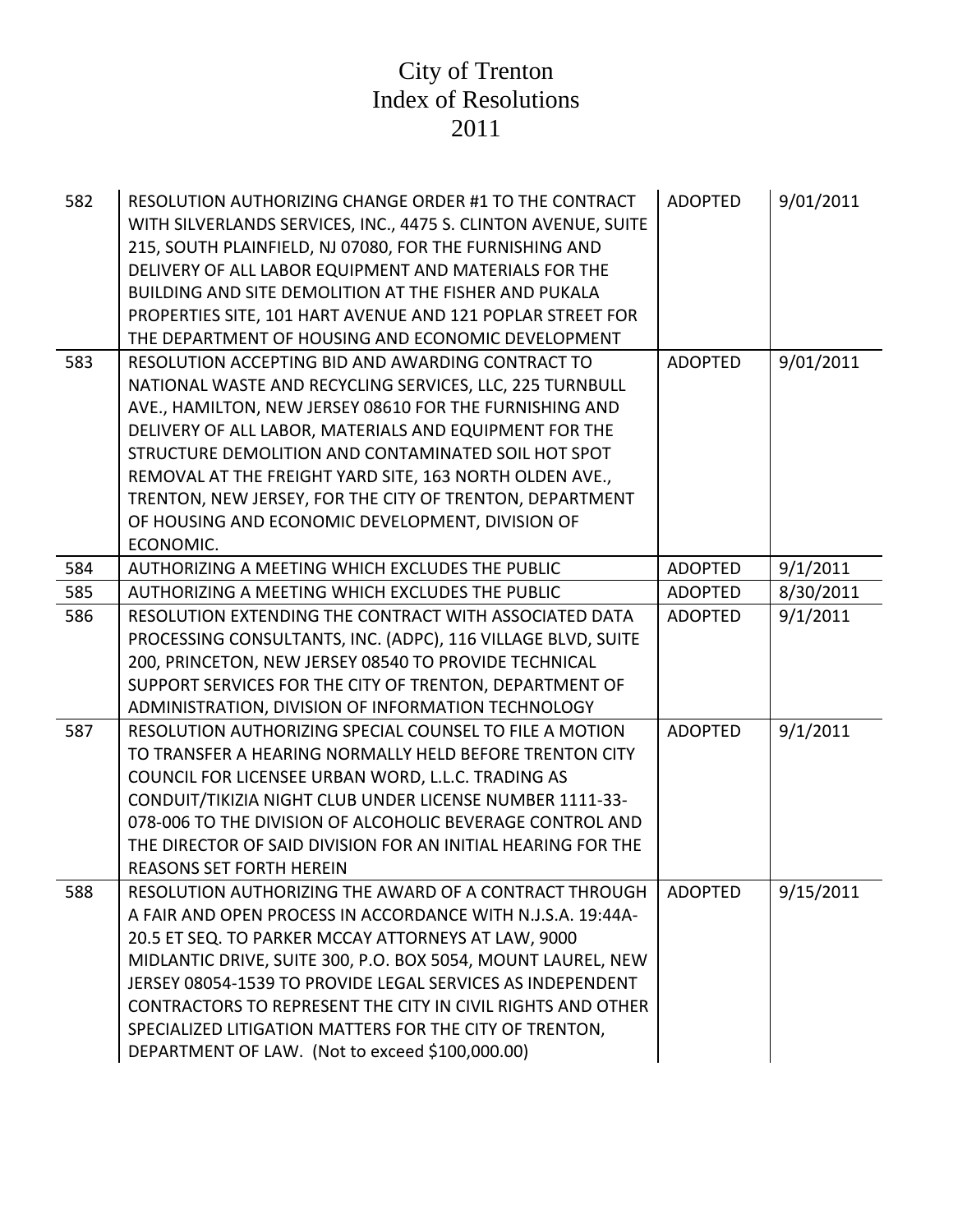| 582 | RESOLUTION AUTHORIZING CHANGE ORDER #1 TO THE CONTRACT<br>WITH SILVERLANDS SERVICES, INC., 4475 S. CLINTON AVENUE, SUITE<br>215, SOUTH PLAINFIELD, NJ 07080, FOR THE FURNISHING AND<br>DELIVERY OF ALL LABOR EQUIPMENT AND MATERIALS FOR THE<br>BUILDING AND SITE DEMOLITION AT THE FISHER AND PUKALA<br>PROPERTIES SITE, 101 HART AVENUE AND 121 POPLAR STREET FOR<br>THE DEPARTMENT OF HOUSING AND ECONOMIC DEVELOPMENT                                                               | <b>ADOPTED</b> | 9/01/2011 |
|-----|-----------------------------------------------------------------------------------------------------------------------------------------------------------------------------------------------------------------------------------------------------------------------------------------------------------------------------------------------------------------------------------------------------------------------------------------------------------------------------------------|----------------|-----------|
| 583 | RESOLUTION ACCEPTING BID AND AWARDING CONTRACT TO<br>NATIONAL WASTE AND RECYCLING SERVICES, LLC, 225 TURNBULL<br>AVE., HAMILTON, NEW JERSEY 08610 FOR THE FURNISHING AND<br>DELIVERY OF ALL LABOR, MATERIALS AND EQUIPMENT FOR THE<br>STRUCTURE DEMOLITION AND CONTAMINATED SOIL HOT SPOT<br>REMOVAL AT THE FREIGHT YARD SITE, 163 NORTH OLDEN AVE.,<br>TRENTON, NEW JERSEY, FOR THE CITY OF TRENTON, DEPARTMENT<br>OF HOUSING AND ECONOMIC DEVELOPMENT, DIVISION OF<br>ECONOMIC.       | <b>ADOPTED</b> | 9/01/2011 |
| 584 | AUTHORIZING A MEETING WHICH EXCLUDES THE PUBLIC                                                                                                                                                                                                                                                                                                                                                                                                                                         | <b>ADOPTED</b> | 9/1/2011  |
| 585 | AUTHORIZING A MEETING WHICH EXCLUDES THE PUBLIC                                                                                                                                                                                                                                                                                                                                                                                                                                         | <b>ADOPTED</b> | 8/30/2011 |
| 586 | RESOLUTION EXTENDING THE CONTRACT WITH ASSOCIATED DATA<br>PROCESSING CONSULTANTS, INC. (ADPC), 116 VILLAGE BLVD, SUITE<br>200, PRINCETON, NEW JERSEY 08540 TO PROVIDE TECHNICAL<br>SUPPORT SERVICES FOR THE CITY OF TRENTON, DEPARTMENT OF<br>ADMINISTRATION, DIVISION OF INFORMATION TECHNOLOGY                                                                                                                                                                                        | <b>ADOPTED</b> | 9/1/2011  |
| 587 | RESOLUTION AUTHORIZING SPECIAL COUNSEL TO FILE A MOTION<br>TO TRANSFER A HEARING NORMALLY HELD BEFORE TRENTON CITY<br>COUNCIL FOR LICENSEE URBAN WORD, L.L.C. TRADING AS<br>CONDUIT/TIKIZIA NIGHT CLUB UNDER LICENSE NUMBER 1111-33-<br>078-006 TO THE DIVISION OF ALCOHOLIC BEVERAGE CONTROL AND<br>THE DIRECTOR OF SAID DIVISION FOR AN INITIAL HEARING FOR THE<br><b>REASONS SET FORTH HEREIN</b>                                                                                    | <b>ADOPTED</b> | 9/1/2011  |
| 588 | RESOLUTION AUTHORIZING THE AWARD OF A CONTRACT THROUGH<br>A FAIR AND OPEN PROCESS IN ACCORDANCE WITH N.J.S.A. 19:44A-<br>20.5 ET SEQ. TO PARKER MCCAY ATTORNEYS AT LAW, 9000<br>MIDLANTIC DRIVE, SUITE 300, P.O. BOX 5054, MOUNT LAUREL, NEW<br>JERSEY 08054-1539 TO PROVIDE LEGAL SERVICES AS INDEPENDENT<br>CONTRACTORS TO REPRESENT THE CITY IN CIVIL RIGHTS AND OTHER<br>SPECIALIZED LITIGATION MATTERS FOR THE CITY OF TRENTON,<br>DEPARTMENT OF LAW. (Not to exceed \$100,000.00) | <b>ADOPTED</b> | 9/15/2011 |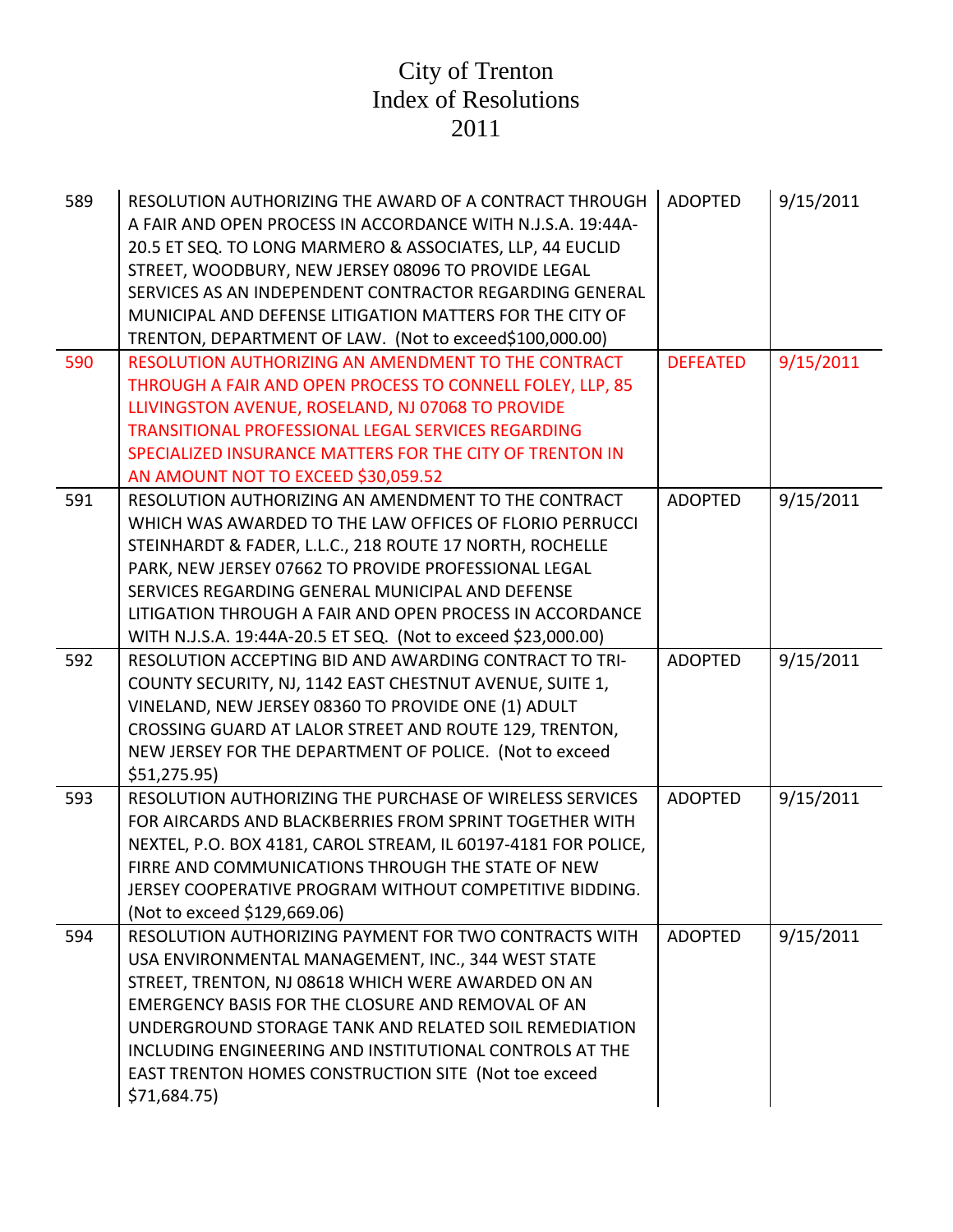| 589 | RESOLUTION AUTHORIZING THE AWARD OF A CONTRACT THROUGH<br>A FAIR AND OPEN PROCESS IN ACCORDANCE WITH N.J.S.A. 19:44A-<br>20.5 ET SEQ. TO LONG MARMERO & ASSOCIATES, LLP, 44 EUCLID<br>STREET, WOODBURY, NEW JERSEY 08096 TO PROVIDE LEGAL<br>SERVICES AS AN INDEPENDENT CONTRACTOR REGARDING GENERAL<br>MUNICIPAL AND DEFENSE LITIGATION MATTERS FOR THE CITY OF<br>TRENTON, DEPARTMENT OF LAW. (Not to exceed\$100,000.00) | <b>ADOPTED</b>  | 9/15/2011 |
|-----|-----------------------------------------------------------------------------------------------------------------------------------------------------------------------------------------------------------------------------------------------------------------------------------------------------------------------------------------------------------------------------------------------------------------------------|-----------------|-----------|
| 590 | RESOLUTION AUTHORIZING AN AMENDMENT TO THE CONTRACT<br>THROUGH A FAIR AND OPEN PROCESS TO CONNELL FOLEY, LLP, 85<br>LLIVINGSTON AVENUE, ROSELAND, NJ 07068 TO PROVIDE<br><b>TRANSITIONAL PROFESSIONAL LEGAL SERVICES REGARDING</b><br>SPECIALIZED INSURANCE MATTERS FOR THE CITY OF TRENTON IN<br>AN AMOUNT NOT TO EXCEED \$30,059.52                                                                                       | <b>DEFEATED</b> | 9/15/2011 |
| 591 | RESOLUTION AUTHORIZING AN AMENDMENT TO THE CONTRACT<br>WHICH WAS AWARDED TO THE LAW OFFICES OF FLORIO PERRUCCI<br>STEINHARDT & FADER, L.L.C., 218 ROUTE 17 NORTH, ROCHELLE<br>PARK, NEW JERSEY 07662 TO PROVIDE PROFESSIONAL LEGAL<br>SERVICES REGARDING GENERAL MUNICIPAL AND DEFENSE<br>LITIGATION THROUGH A FAIR AND OPEN PROCESS IN ACCORDANCE<br>WITH N.J.S.A. 19:44A-20.5 ET SEQ. (Not to exceed \$23,000.00)         | <b>ADOPTED</b>  | 9/15/2011 |
| 592 | RESOLUTION ACCEPTING BID AND AWARDING CONTRACT TO TRI-<br>COUNTY SECURITY, NJ, 1142 EAST CHESTNUT AVENUE, SUITE 1,<br>VINELAND, NEW JERSEY 08360 TO PROVIDE ONE (1) ADULT<br>CROSSING GUARD AT LALOR STREET AND ROUTE 129, TRENTON,<br>NEW JERSEY FOR THE DEPARTMENT OF POLICE. (Not to exceed<br>\$51,275.95                                                                                                               | <b>ADOPTED</b>  | 9/15/2011 |
| 593 | RESOLUTION AUTHORIZING THE PURCHASE OF WIRELESS SERVICES<br>FOR AIRCARDS AND BLACKBERRIES FROM SPRINT TOGETHER WITH<br>NEXTEL, P.O. BOX 4181, CAROL STREAM, IL 60197-4181 FOR POLICE,<br>FIRRE AND COMMUNICATIONS THROUGH THE STATE OF NEW<br>JERSEY COOPERATIVE PROGRAM WITHOUT COMPETITIVE BIDDING.<br>(Not to exceed \$129,669.06)                                                                                       | <b>ADOPTED</b>  | 9/15/2011 |
| 594 | RESOLUTION AUTHORIZING PAYMENT FOR TWO CONTRACTS WITH<br>USA ENVIRONMENTAL MANAGEMENT, INC., 344 WEST STATE<br>STREET, TRENTON, NJ 08618 WHICH WERE AWARDED ON AN<br>EMERGENCY BASIS FOR THE CLOSURE AND REMOVAL OF AN<br>UNDERGROUND STORAGE TANK AND RELATED SOIL REMEDIATION<br>INCLUDING ENGINEERING AND INSTITUTIONAL CONTROLS AT THE<br>EAST TRENTON HOMES CONSTRUCTION SITE (Not toe exceed<br>\$71,684.75)          | <b>ADOPTED</b>  | 9/15/2011 |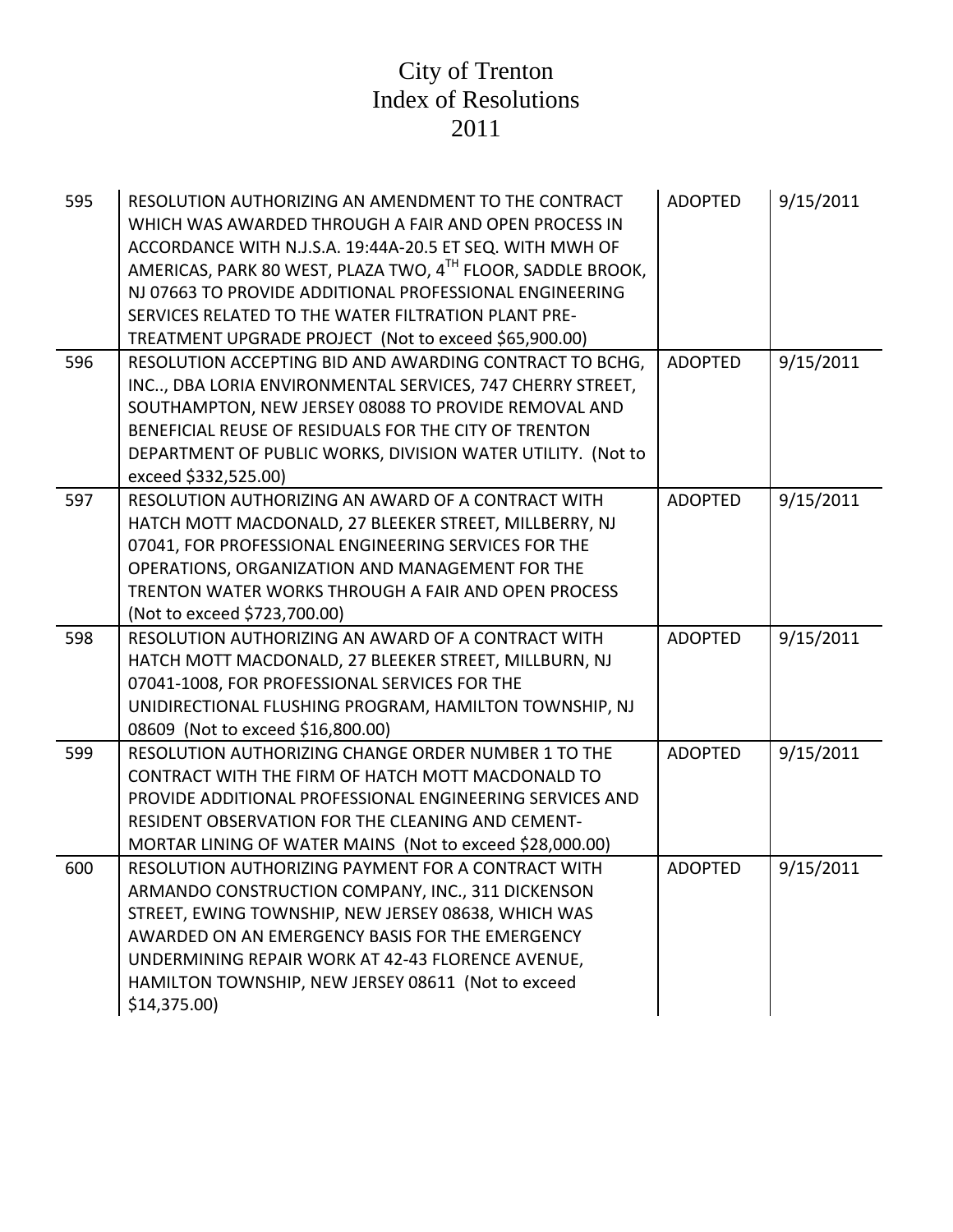| 595 | RESOLUTION AUTHORIZING AN AMENDMENT TO THE CONTRACT<br>WHICH WAS AWARDED THROUGH A FAIR AND OPEN PROCESS IN<br>ACCORDANCE WITH N.J.S.A. 19:44A-20.5 ET SEQ. WITH MWH OF<br>AMERICAS, PARK 80 WEST, PLAZA TWO, 4 <sup>TH</sup> FLOOR, SADDLE BROOK,<br>NJ 07663 TO PROVIDE ADDITIONAL PROFESSIONAL ENGINEERING<br>SERVICES RELATED TO THE WATER FILTRATION PLANT PRE-<br>TREATMENT UPGRADE PROJECT (Not to exceed \$65,900.00) | <b>ADOPTED</b> | 9/15/2011 |
|-----|-------------------------------------------------------------------------------------------------------------------------------------------------------------------------------------------------------------------------------------------------------------------------------------------------------------------------------------------------------------------------------------------------------------------------------|----------------|-----------|
| 596 | RESOLUTION ACCEPTING BID AND AWARDING CONTRACT TO BCHG,<br>INC, DBA LORIA ENVIRONMENTAL SERVICES, 747 CHERRY STREET,<br>SOUTHAMPTON, NEW JERSEY 08088 TO PROVIDE REMOVAL AND<br>BENEFICIAL REUSE OF RESIDUALS FOR THE CITY OF TRENTON<br>DEPARTMENT OF PUBLIC WORKS, DIVISION WATER UTILITY. (Not to<br>exceed \$332,525.00)                                                                                                  | <b>ADOPTED</b> | 9/15/2011 |
| 597 | RESOLUTION AUTHORIZING AN AWARD OF A CONTRACT WITH<br>HATCH MOTT MACDONALD, 27 BLEEKER STREET, MILLBERRY, NJ<br>07041, FOR PROFESSIONAL ENGINEERING SERVICES FOR THE<br>OPERATIONS, ORGANIZATION AND MANAGEMENT FOR THE<br>TRENTON WATER WORKS THROUGH A FAIR AND OPEN PROCESS<br>(Not to exceed \$723,700.00)                                                                                                                | <b>ADOPTED</b> | 9/15/2011 |
| 598 | RESOLUTION AUTHORIZING AN AWARD OF A CONTRACT WITH<br>HATCH MOTT MACDONALD, 27 BLEEKER STREET, MILLBURN, NJ<br>07041-1008, FOR PROFESSIONAL SERVICES FOR THE<br>UNIDIRECTIONAL FLUSHING PROGRAM, HAMILTON TOWNSHIP, NJ<br>08609 (Not to exceed \$16,800.00)                                                                                                                                                                   | <b>ADOPTED</b> | 9/15/2011 |
| 599 | RESOLUTION AUTHORIZING CHANGE ORDER NUMBER 1 TO THE<br>CONTRACT WITH THE FIRM OF HATCH MOTT MACDONALD TO<br>PROVIDE ADDITIONAL PROFESSIONAL ENGINEERING SERVICES AND<br><b>RESIDENT OBSERVATION FOR THE CLEANING AND CEMENT-</b><br>MORTAR LINING OF WATER MAINS (Not to exceed \$28,000.00)                                                                                                                                  | <b>ADOPTED</b> | 9/15/2011 |
| 600 | RESOLUTION AUTHORIZING PAYMENT FOR A CONTRACT WITH<br>ARMANDO CONSTRUCTION COMPANY, INC., 311 DICKENSON<br>STREET, EWING TOWNSHIP, NEW JERSEY 08638, WHICH WAS<br>AWARDED ON AN EMERGENCY BASIS FOR THE EMERGENCY<br>UNDERMINING REPAIR WORK AT 42-43 FLORENCE AVENUE,<br>HAMILTON TOWNSHIP, NEW JERSEY 08611 (Not to exceed<br>$$14,375.00$ )                                                                                | <b>ADOPTED</b> | 9/15/2011 |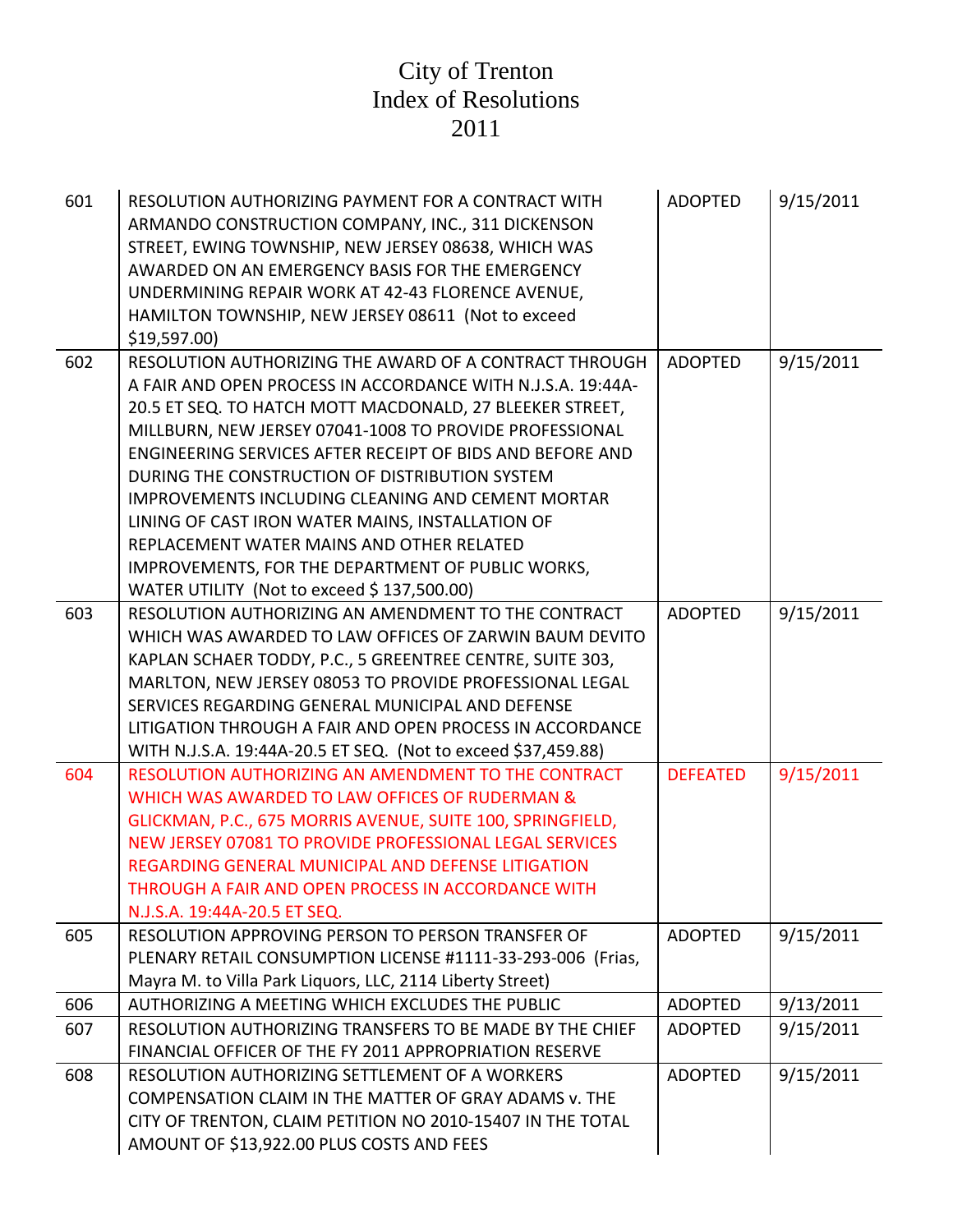| 601 | RESOLUTION AUTHORIZING PAYMENT FOR A CONTRACT WITH<br>ARMANDO CONSTRUCTION COMPANY, INC., 311 DICKENSON<br>STREET, EWING TOWNSHIP, NEW JERSEY 08638, WHICH WAS<br>AWARDED ON AN EMERGENCY BASIS FOR THE EMERGENCY<br>UNDERMINING REPAIR WORK AT 42-43 FLORENCE AVENUE,<br>HAMILTON TOWNSHIP, NEW JERSEY 08611 (Not to exceed<br>\$19,597.00 | <b>ADOPTED</b>  | 9/15/2011 |
|-----|---------------------------------------------------------------------------------------------------------------------------------------------------------------------------------------------------------------------------------------------------------------------------------------------------------------------------------------------|-----------------|-----------|
| 602 | RESOLUTION AUTHORIZING THE AWARD OF A CONTRACT THROUGH                                                                                                                                                                                                                                                                                      | <b>ADOPTED</b>  | 9/15/2011 |
|     | A FAIR AND OPEN PROCESS IN ACCORDANCE WITH N.J.S.A. 19:44A-                                                                                                                                                                                                                                                                                 |                 |           |
|     | 20.5 ET SEQ. TO HATCH MOTT MACDONALD, 27 BLEEKER STREET,                                                                                                                                                                                                                                                                                    |                 |           |
|     | MILLBURN, NEW JERSEY 07041-1008 TO PROVIDE PROFESSIONAL                                                                                                                                                                                                                                                                                     |                 |           |
|     | ENGINEERING SERVICES AFTER RECEIPT OF BIDS AND BEFORE AND                                                                                                                                                                                                                                                                                   |                 |           |
|     | DURING THE CONSTRUCTION OF DISTRIBUTION SYSTEM                                                                                                                                                                                                                                                                                              |                 |           |
|     | <b>IMPROVEMENTS INCLUDING CLEANING AND CEMENT MORTAR</b>                                                                                                                                                                                                                                                                                    |                 |           |
|     | LINING OF CAST IRON WATER MAINS, INSTALLATION OF                                                                                                                                                                                                                                                                                            |                 |           |
|     | REPLACEMENT WATER MAINS AND OTHER RELATED                                                                                                                                                                                                                                                                                                   |                 |           |
|     | IMPROVEMENTS, FOR THE DEPARTMENT OF PUBLIC WORKS,                                                                                                                                                                                                                                                                                           |                 |           |
|     | WATER UTILITY (Not to exceed \$137,500.00)                                                                                                                                                                                                                                                                                                  |                 |           |
| 603 | RESOLUTION AUTHORIZING AN AMENDMENT TO THE CONTRACT                                                                                                                                                                                                                                                                                         | <b>ADOPTED</b>  | 9/15/2011 |
|     | WHICH WAS AWARDED TO LAW OFFICES OF ZARWIN BAUM DEVITO                                                                                                                                                                                                                                                                                      |                 |           |
|     | KAPLAN SCHAER TODDY, P.C., 5 GREENTREE CENTRE, SUITE 303,                                                                                                                                                                                                                                                                                   |                 |           |
|     | MARLTON, NEW JERSEY 08053 TO PROVIDE PROFESSIONAL LEGAL                                                                                                                                                                                                                                                                                     |                 |           |
|     | SERVICES REGARDING GENERAL MUNICIPAL AND DEFENSE                                                                                                                                                                                                                                                                                            |                 |           |
|     | LITIGATION THROUGH A FAIR AND OPEN PROCESS IN ACCORDANCE                                                                                                                                                                                                                                                                                    |                 |           |
|     | WITH N.J.S.A. 19:44A-20.5 ET SEQ. (Not to exceed \$37,459.88)                                                                                                                                                                                                                                                                               |                 |           |
| 604 | RESOLUTION AUTHORIZING AN AMENDMENT TO THE CONTRACT                                                                                                                                                                                                                                                                                         | <b>DEFEATED</b> | 9/15/2011 |
|     | WHICH WAS AWARDED TO LAW OFFICES OF RUDERMAN &                                                                                                                                                                                                                                                                                              |                 |           |
|     | GLICKMAN, P.C., 675 MORRIS AVENUE, SUITE 100, SPRINGFIELD,                                                                                                                                                                                                                                                                                  |                 |           |
|     | NEW JERSEY 07081 TO PROVIDE PROFESSIONAL LEGAL SERVICES                                                                                                                                                                                                                                                                                     |                 |           |
|     | REGARDING GENERAL MUNICIPAL AND DEFENSE LITIGATION                                                                                                                                                                                                                                                                                          |                 |           |
|     | THROUGH A FAIR AND OPEN PROCESS IN ACCORDANCE WITH                                                                                                                                                                                                                                                                                          |                 |           |
|     | N.J.S.A. 19:44A-20.5 ET SEQ.                                                                                                                                                                                                                                                                                                                |                 |           |
| 605 | RESOLUTION APPROVING PERSON TO PERSON TRANSFER OF                                                                                                                                                                                                                                                                                           | <b>ADOPTED</b>  | 9/15/2011 |
|     | PLENARY RETAIL CONSUMPTION LICENSE #1111-33-293-006 (Frias,                                                                                                                                                                                                                                                                                 |                 |           |
|     | Mayra M. to Villa Park Liquors, LLC, 2114 Liberty Street)                                                                                                                                                                                                                                                                                   |                 |           |
| 606 | AUTHORIZING A MEETING WHICH EXCLUDES THE PUBLIC                                                                                                                                                                                                                                                                                             | <b>ADOPTED</b>  | 9/13/2011 |
| 607 | RESOLUTION AUTHORIZING TRANSFERS TO BE MADE BY THE CHIEF                                                                                                                                                                                                                                                                                    | <b>ADOPTED</b>  | 9/15/2011 |
|     | FINANCIAL OFFICER OF THE FY 2011 APPROPRIATION RESERVE                                                                                                                                                                                                                                                                                      |                 |           |
| 608 | RESOLUTION AUTHORIZING SETTLEMENT OF A WORKERS                                                                                                                                                                                                                                                                                              | <b>ADOPTED</b>  | 9/15/2011 |
|     | COMPENSATION CLAIM IN THE MATTER OF GRAY ADAMS v. THE                                                                                                                                                                                                                                                                                       |                 |           |
|     | CITY OF TRENTON, CLAIM PETITION NO 2010-15407 IN THE TOTAL                                                                                                                                                                                                                                                                                  |                 |           |
|     | AMOUNT OF \$13,922.00 PLUS COSTS AND FEES                                                                                                                                                                                                                                                                                                   |                 |           |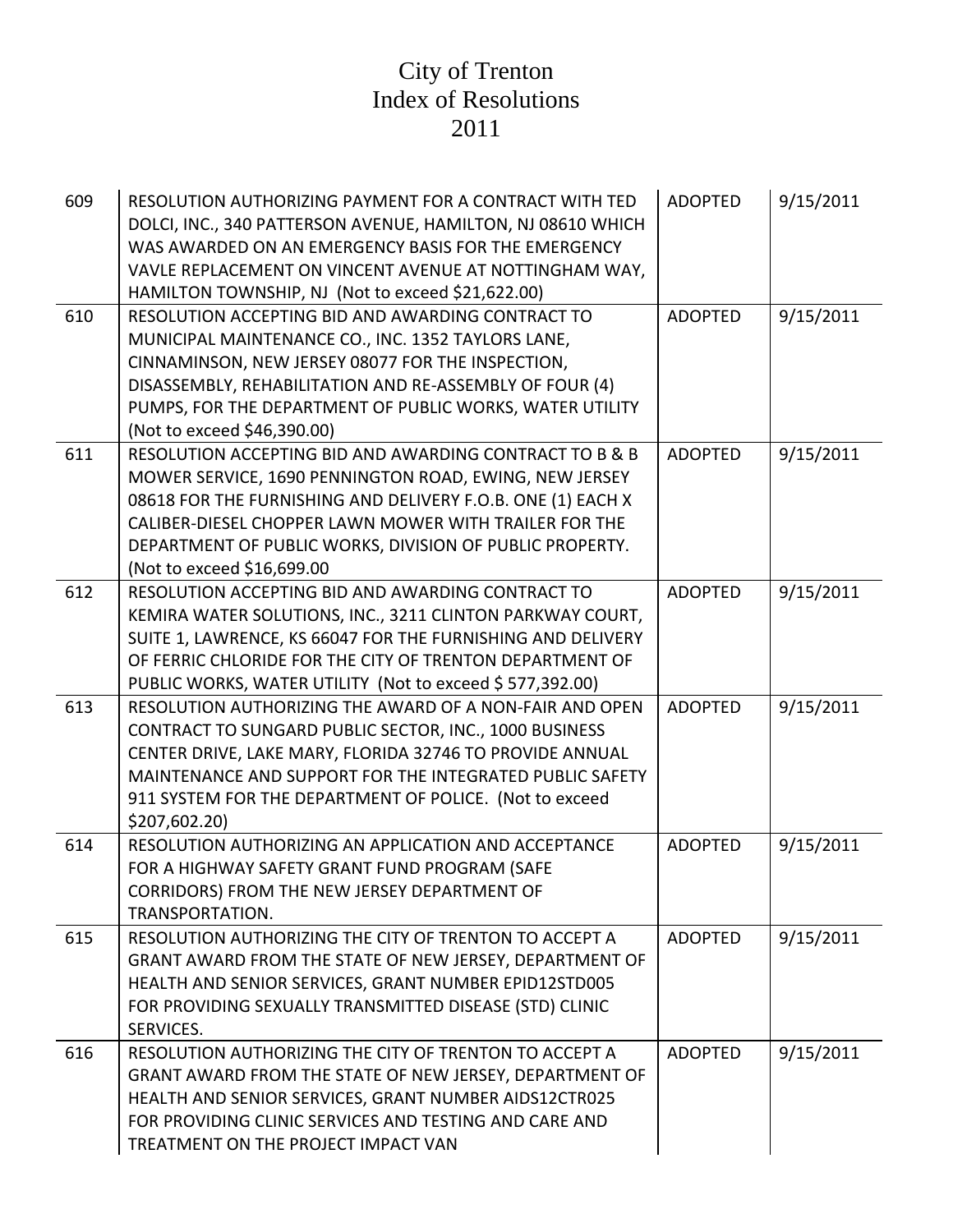| 609 | RESOLUTION AUTHORIZING PAYMENT FOR A CONTRACT WITH TED<br>DOLCI, INC., 340 PATTERSON AVENUE, HAMILTON, NJ 08610 WHICH<br>WAS AWARDED ON AN EMERGENCY BASIS FOR THE EMERGENCY<br>VAVLE REPLACEMENT ON VINCENT AVENUE AT NOTTINGHAM WAY,<br>HAMILTON TOWNSHIP, NJ (Not to exceed \$21,622.00)                                          | <b>ADOPTED</b> | 9/15/2011 |
|-----|--------------------------------------------------------------------------------------------------------------------------------------------------------------------------------------------------------------------------------------------------------------------------------------------------------------------------------------|----------------|-----------|
| 610 | RESOLUTION ACCEPTING BID AND AWARDING CONTRACT TO<br>MUNICIPAL MAINTENANCE CO., INC. 1352 TAYLORS LANE,<br>CINNAMINSON, NEW JERSEY 08077 FOR THE INSPECTION,<br>DISASSEMBLY, REHABILITATION AND RE-ASSEMBLY OF FOUR (4)<br>PUMPS, FOR THE DEPARTMENT OF PUBLIC WORKS, WATER UTILITY<br>(Not to exceed \$46,390.00)                   | <b>ADOPTED</b> | 9/15/2011 |
| 611 | RESOLUTION ACCEPTING BID AND AWARDING CONTRACT TO B & B<br>MOWER SERVICE, 1690 PENNINGTON ROAD, EWING, NEW JERSEY<br>08618 FOR THE FURNISHING AND DELIVERY F.O.B. ONE (1) EACH X<br>CALIBER-DIESEL CHOPPER LAWN MOWER WITH TRAILER FOR THE<br>DEPARTMENT OF PUBLIC WORKS, DIVISION OF PUBLIC PROPERTY.<br>(Not to exceed \$16,699.00 | <b>ADOPTED</b> | 9/15/2011 |
| 612 | RESOLUTION ACCEPTING BID AND AWARDING CONTRACT TO<br>KEMIRA WATER SOLUTIONS, INC., 3211 CLINTON PARKWAY COURT,<br>SUITE 1, LAWRENCE, KS 66047 FOR THE FURNISHING AND DELIVERY<br>OF FERRIC CHLORIDE FOR THE CITY OF TRENTON DEPARTMENT OF<br>PUBLIC WORKS, WATER UTILITY (Not to exceed \$577,392.00)                                | <b>ADOPTED</b> | 9/15/2011 |
| 613 | RESOLUTION AUTHORIZING THE AWARD OF A NON-FAIR AND OPEN<br>CONTRACT TO SUNGARD PUBLIC SECTOR, INC., 1000 BUSINESS<br>CENTER DRIVE, LAKE MARY, FLORIDA 32746 TO PROVIDE ANNUAL<br>MAINTENANCE AND SUPPORT FOR THE INTEGRATED PUBLIC SAFETY<br>911 SYSTEM FOR THE DEPARTMENT OF POLICE. (Not to exceed<br>\$207,602.20)                | <b>ADOPTED</b> | 9/15/2011 |
| 614 | RESOLUTION AUTHORIZING AN APPLICATION AND ACCEPTANCE<br>FOR A HIGHWAY SAFETY GRANT FUND PROGRAM (SAFE<br>CORRIDORS) FROM THE NEW JERSEY DEPARTMENT OF<br>TRANSPORTATION.                                                                                                                                                             | <b>ADOPTED</b> | 9/15/2011 |
| 615 | RESOLUTION AUTHORIZING THE CITY OF TRENTON TO ACCEPT A<br>GRANT AWARD FROM THE STATE OF NEW JERSEY, DEPARTMENT OF<br>HEALTH AND SENIOR SERVICES, GRANT NUMBER EPID12STD005<br>FOR PROVIDING SEXUALLY TRANSMITTED DISEASE (STD) CLINIC<br>SERVICES.                                                                                   | <b>ADOPTED</b> | 9/15/2011 |
| 616 | RESOLUTION AUTHORIZING THE CITY OF TRENTON TO ACCEPT A<br>GRANT AWARD FROM THE STATE OF NEW JERSEY, DEPARTMENT OF<br>HEALTH AND SENIOR SERVICES, GRANT NUMBER AIDS12CTR025<br>FOR PROVIDING CLINIC SERVICES AND TESTING AND CARE AND<br>TREATMENT ON THE PROJECT IMPACT VAN                                                          | <b>ADOPTED</b> | 9/15/2011 |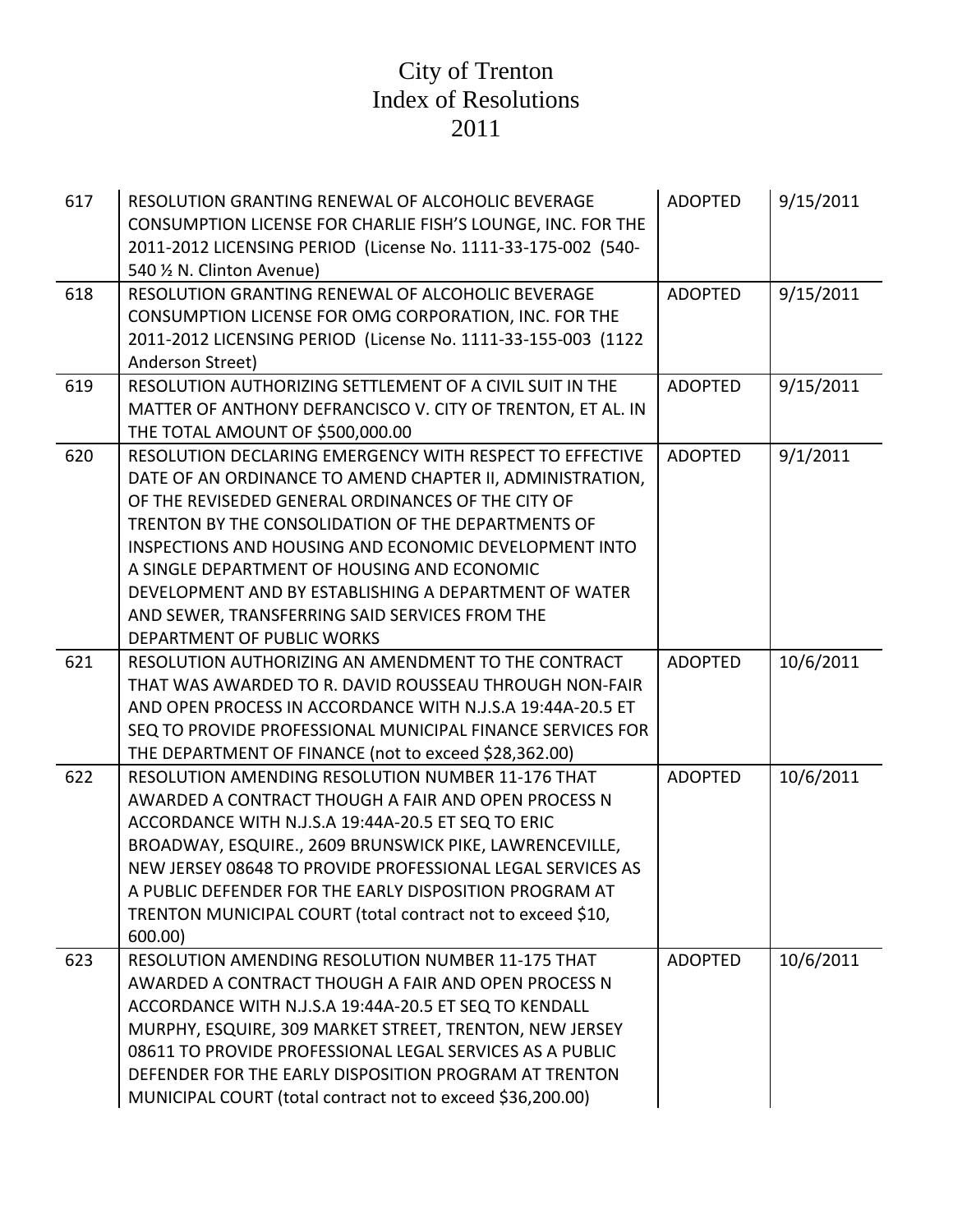| 617 | RESOLUTION GRANTING RENEWAL OF ALCOHOLIC BEVERAGE<br>CONSUMPTION LICENSE FOR CHARLIE FISH'S LOUNGE, INC. FOR THE<br>2011-2012 LICENSING PERIOD (License No. 1111-33-175-002 (540-<br>540 1/2 N. Clinton Avenue)                                                                                                                                                                                                                                                                    | <b>ADOPTED</b> | 9/15/2011 |
|-----|------------------------------------------------------------------------------------------------------------------------------------------------------------------------------------------------------------------------------------------------------------------------------------------------------------------------------------------------------------------------------------------------------------------------------------------------------------------------------------|----------------|-----------|
| 618 | RESOLUTION GRANTING RENEWAL OF ALCOHOLIC BEVERAGE<br>CONSUMPTION LICENSE FOR OMG CORPORATION, INC. FOR THE<br>2011-2012 LICENSING PERIOD (License No. 1111-33-155-003 (1122<br>Anderson Street)                                                                                                                                                                                                                                                                                    | <b>ADOPTED</b> | 9/15/2011 |
| 619 | RESOLUTION AUTHORIZING SETTLEMENT OF A CIVIL SUIT IN THE<br>MATTER OF ANTHONY DEFRANCISCO V. CITY OF TRENTON, ET AL. IN<br>THE TOTAL AMOUNT OF \$500,000.00                                                                                                                                                                                                                                                                                                                        | <b>ADOPTED</b> | 9/15/2011 |
| 620 | RESOLUTION DECLARING EMERGENCY WITH RESPECT TO EFFECTIVE<br>DATE OF AN ORDINANCE TO AMEND CHAPTER II, ADMINISTRATION,<br>OF THE REVISEDED GENERAL ORDINANCES OF THE CITY OF<br>TRENTON BY THE CONSOLIDATION OF THE DEPARTMENTS OF<br>INSPECTIONS AND HOUSING AND ECONOMIC DEVELOPMENT INTO<br>A SINGLE DEPARTMENT OF HOUSING AND ECONOMIC<br>DEVELOPMENT AND BY ESTABLISHING A DEPARTMENT OF WATER<br>AND SEWER, TRANSFERRING SAID SERVICES FROM THE<br>DEPARTMENT OF PUBLIC WORKS | <b>ADOPTED</b> | 9/1/2011  |
| 621 | RESOLUTION AUTHORIZING AN AMENDMENT TO THE CONTRACT<br>THAT WAS AWARDED TO R. DAVID ROUSSEAU THROUGH NON-FAIR<br>AND OPEN PROCESS IN ACCORDANCE WITH N.J.S.A 19:44A-20.5 ET<br>SEQ TO PROVIDE PROFESSIONAL MUNICIPAL FINANCE SERVICES FOR<br>THE DEPARTMENT OF FINANCE (not to exceed \$28,362.00)                                                                                                                                                                                 | <b>ADOPTED</b> | 10/6/2011 |
| 622 | <b>RESOLUTION AMENDING RESOLUTION NUMBER 11-176 THAT</b><br>AWARDED A CONTRACT THOUGH A FAIR AND OPEN PROCESS N<br>ACCORDANCE WITH N.J.S.A 19:44A-20.5 ET SEQ TO ERIC<br>BROADWAY, ESQUIRE., 2609 BRUNSWICK PIKE, LAWRENCEVILLE,<br>NEW JERSEY 08648 TO PROVIDE PROFESSIONAL LEGAL SERVICES AS<br>A PUBLIC DEFENDER FOR THE EARLY DISPOSITION PROGRAM AT<br>TRENTON MUNICIPAL COURT (total contract not to exceed \$10,<br>600.00)                                                 | <b>ADOPTED</b> | 10/6/2011 |
| 623 | RESOLUTION AMENDING RESOLUTION NUMBER 11-175 THAT<br>AWARDED A CONTRACT THOUGH A FAIR AND OPEN PROCESS N<br>ACCORDANCE WITH N.J.S.A 19:44A-20.5 ET SEQ TO KENDALL<br>MURPHY, ESQUIRE, 309 MARKET STREET, TRENTON, NEW JERSEY<br>08611 TO PROVIDE PROFESSIONAL LEGAL SERVICES AS A PUBLIC<br>DEFENDER FOR THE EARLY DISPOSITION PROGRAM AT TRENTON<br>MUNICIPAL COURT (total contract not to exceed \$36,200.00)                                                                    | <b>ADOPTED</b> | 10/6/2011 |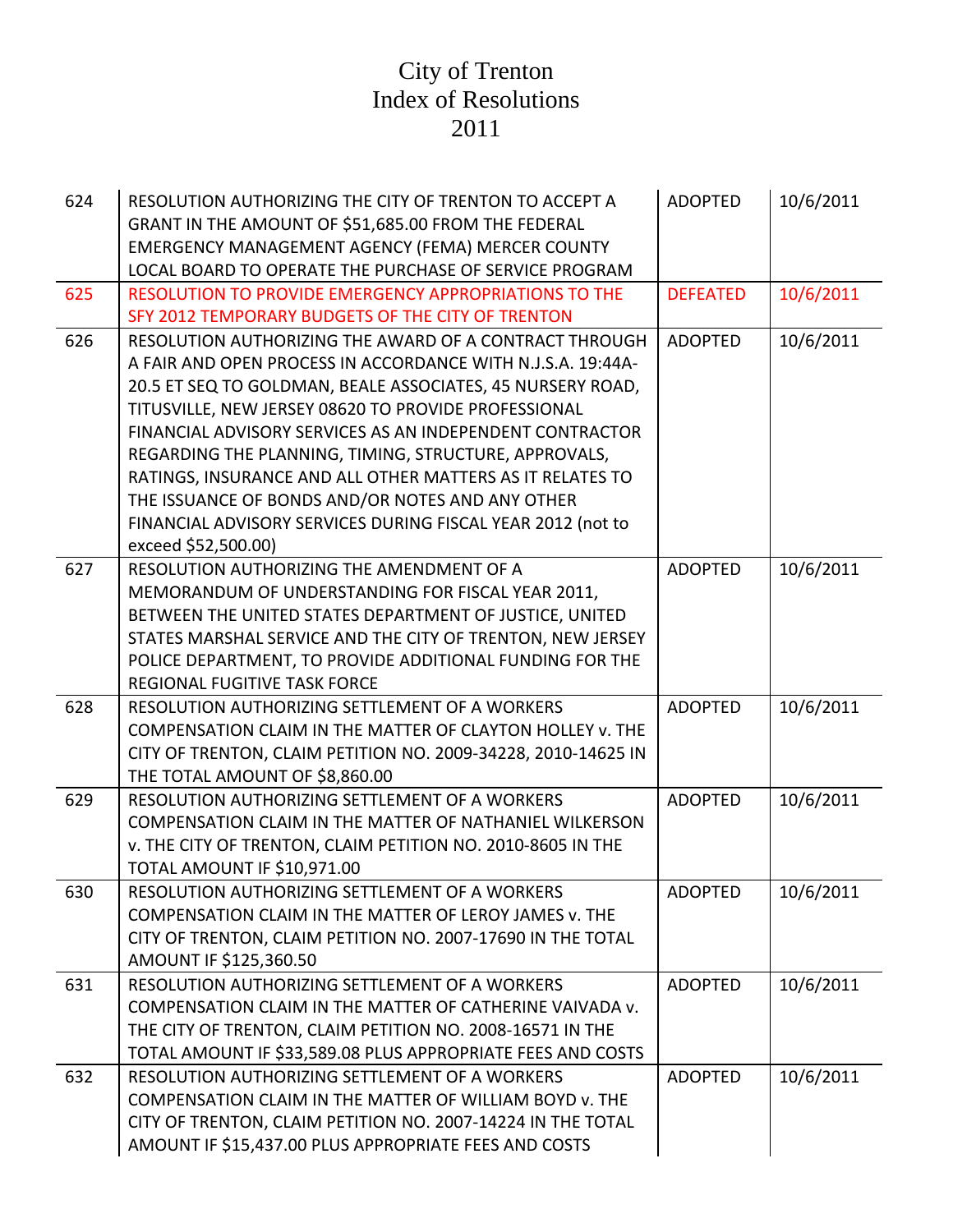| 624 | RESOLUTION AUTHORIZING THE CITY OF TRENTON TO ACCEPT A<br>GRANT IN THE AMOUNT OF \$51,685.00 FROM THE FEDERAL     | <b>ADOPTED</b>  | 10/6/2011 |
|-----|-------------------------------------------------------------------------------------------------------------------|-----------------|-----------|
|     | <b>EMERGENCY MANAGEMENT AGENCY (FEMA) MERCER COUNTY</b><br>LOCAL BOARD TO OPERATE THE PURCHASE OF SERVICE PROGRAM |                 |           |
| 625 | RESOLUTION TO PROVIDE EMERGENCY APPROPRIATIONS TO THE                                                             | <b>DEFEATED</b> | 10/6/2011 |
|     | SFY 2012 TEMPORARY BUDGETS OF THE CITY OF TRENTON                                                                 |                 |           |
| 626 | RESOLUTION AUTHORIZING THE AWARD OF A CONTRACT THROUGH                                                            | <b>ADOPTED</b>  | 10/6/2011 |
|     | A FAIR AND OPEN PROCESS IN ACCORDANCE WITH N.J.S.A. 19:44A-                                                       |                 |           |
|     | 20.5 ET SEQ TO GOLDMAN, BEALE ASSOCIATES, 45 NURSERY ROAD,                                                        |                 |           |
|     | TITUSVILLE, NEW JERSEY 08620 TO PROVIDE PROFESSIONAL                                                              |                 |           |
|     | FINANCIAL ADVISORY SERVICES AS AN INDEPENDENT CONTRACTOR                                                          |                 |           |
|     | REGARDING THE PLANNING, TIMING, STRUCTURE, APPROVALS,                                                             |                 |           |
|     | RATINGS, INSURANCE AND ALL OTHER MATTERS AS IT RELATES TO                                                         |                 |           |
|     | THE ISSUANCE OF BONDS AND/OR NOTES AND ANY OTHER                                                                  |                 |           |
|     | FINANCIAL ADVISORY SERVICES DURING FISCAL YEAR 2012 (not to                                                       |                 |           |
|     | exceed \$52,500.00)                                                                                               |                 |           |
| 627 | RESOLUTION AUTHORIZING THE AMENDMENT OF A                                                                         | <b>ADOPTED</b>  | 10/6/2011 |
|     | MEMORANDUM OF UNDERSTANDING FOR FISCAL YEAR 2011,                                                                 |                 |           |
|     | BETWEEN THE UNITED STATES DEPARTMENT OF JUSTICE, UNITED                                                           |                 |           |
|     | STATES MARSHAL SERVICE AND THE CITY OF TRENTON, NEW JERSEY                                                        |                 |           |
|     | POLICE DEPARTMENT, TO PROVIDE ADDITIONAL FUNDING FOR THE                                                          |                 |           |
|     | REGIONAL FUGITIVE TASK FORCE                                                                                      |                 |           |
| 628 | RESOLUTION AUTHORIZING SETTLEMENT OF A WORKERS                                                                    | <b>ADOPTED</b>  | 10/6/2011 |
|     | COMPENSATION CLAIM IN THE MATTER OF CLAYTON HOLLEY v. THE                                                         |                 |           |
|     | CITY OF TRENTON, CLAIM PETITION NO. 2009-34228, 2010-14625 IN                                                     |                 |           |
|     | THE TOTAL AMOUNT OF \$8,860.00                                                                                    |                 |           |
| 629 | RESOLUTION AUTHORIZING SETTLEMENT OF A WORKERS                                                                    | <b>ADOPTED</b>  | 10/6/2011 |
|     | COMPENSATION CLAIM IN THE MATTER OF NATHANIEL WILKERSON                                                           |                 |           |
|     | v. THE CITY OF TRENTON, CLAIM PETITION NO. 2010-8605 IN THE                                                       |                 |           |
|     | TOTAL AMOUNT IF \$10,971.00                                                                                       |                 |           |
| 630 | RESOLUTION AUTHORIZING SETTLEMENT OF A WORKERS                                                                    | <b>ADOPTED</b>  | 10/6/2011 |
|     | COMPENSATION CLAIM IN THE MATTER OF LEROY JAMES v. THE                                                            |                 |           |
|     | CITY OF TRENTON, CLAIM PETITION NO. 2007-17690 IN THE TOTAL                                                       |                 |           |
|     | AMOUNT IF \$125,360.50                                                                                            |                 |           |
| 631 | RESOLUTION AUTHORIZING SETTLEMENT OF A WORKERS                                                                    | <b>ADOPTED</b>  | 10/6/2011 |
|     | COMPENSATION CLAIM IN THE MATTER OF CATHERINE VAIVADA v.                                                          |                 |           |
|     | THE CITY OF TRENTON, CLAIM PETITION NO. 2008-16571 IN THE                                                         |                 |           |
|     | TOTAL AMOUNT IF \$33,589.08 PLUS APPROPRIATE FEES AND COSTS                                                       |                 |           |
| 632 | RESOLUTION AUTHORIZING SETTLEMENT OF A WORKERS                                                                    | <b>ADOPTED</b>  | 10/6/2011 |
|     | COMPENSATION CLAIM IN THE MATTER OF WILLIAM BOYD v. THE                                                           |                 |           |
|     | CITY OF TRENTON, CLAIM PETITION NO. 2007-14224 IN THE TOTAL                                                       |                 |           |
|     | AMOUNT IF \$15,437.00 PLUS APPROPRIATE FEES AND COSTS                                                             |                 |           |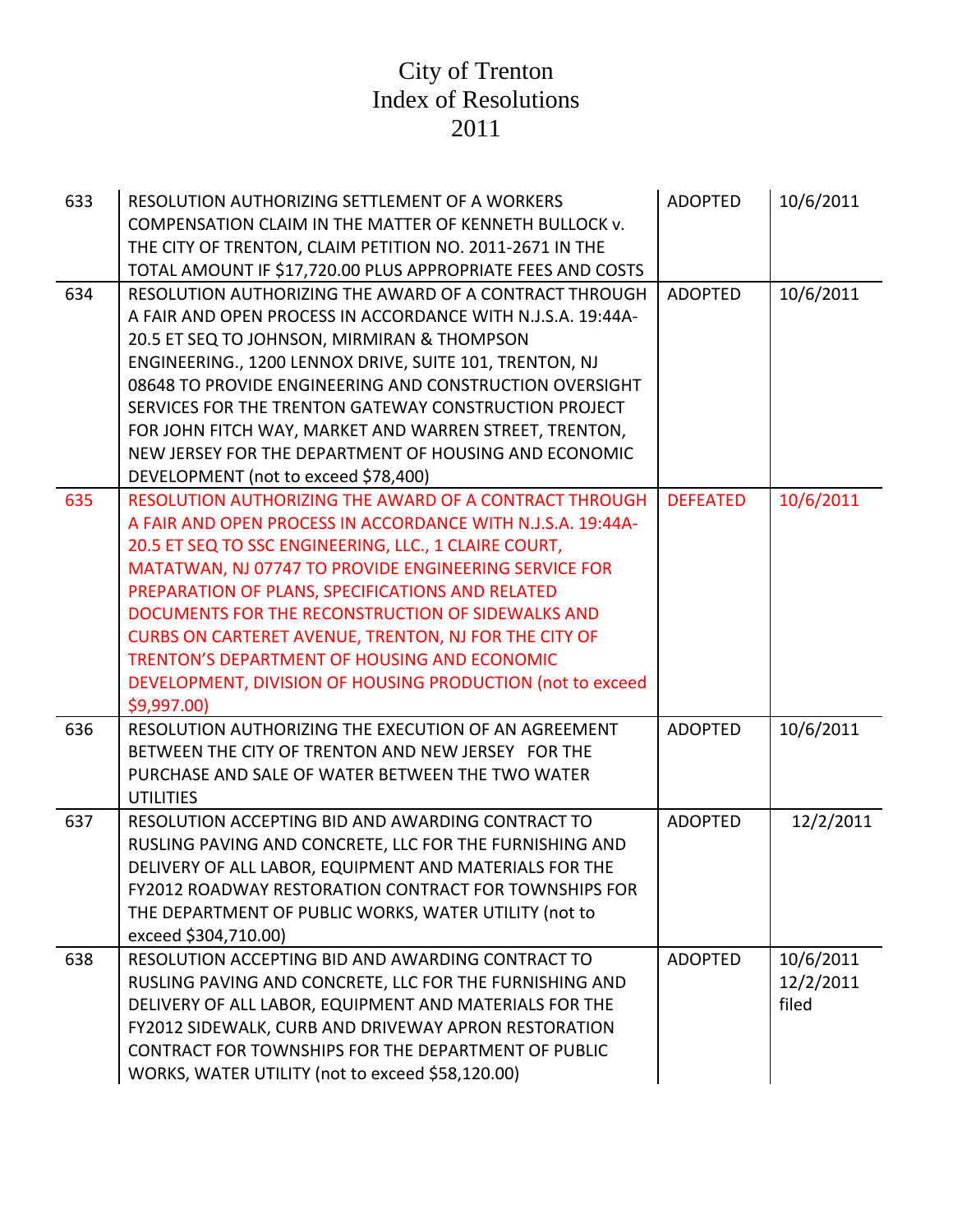| 633 | RESOLUTION AUTHORIZING SETTLEMENT OF A WORKERS<br>COMPENSATION CLAIM IN THE MATTER OF KENNETH BULLOCK v.<br>THE CITY OF TRENTON, CLAIM PETITION NO. 2011-2671 IN THE                                                                                                                                                                                                                                                                                                                                                                                                          | <b>ADOPTED</b>  | 10/6/2011                       |
|-----|-------------------------------------------------------------------------------------------------------------------------------------------------------------------------------------------------------------------------------------------------------------------------------------------------------------------------------------------------------------------------------------------------------------------------------------------------------------------------------------------------------------------------------------------------------------------------------|-----------------|---------------------------------|
| 634 | TOTAL AMOUNT IF \$17,720.00 PLUS APPROPRIATE FEES AND COSTS<br>RESOLUTION AUTHORIZING THE AWARD OF A CONTRACT THROUGH<br>A FAIR AND OPEN PROCESS IN ACCORDANCE WITH N.J.S.A. 19:44A-<br>20.5 ET SEQ TO JOHNSON, MIRMIRAN & THOMPSON<br>ENGINEERING., 1200 LENNOX DRIVE, SUITE 101, TRENTON, NJ<br>08648 TO PROVIDE ENGINEERING AND CONSTRUCTION OVERSIGHT<br>SERVICES FOR THE TRENTON GATEWAY CONSTRUCTION PROJECT<br>FOR JOHN FITCH WAY, MARKET AND WARREN STREET, TRENTON,<br>NEW JERSEY FOR THE DEPARTMENT OF HOUSING AND ECONOMIC<br>DEVELOPMENT (not to exceed \$78,400) | <b>ADOPTED</b>  | 10/6/2011                       |
| 635 | RESOLUTION AUTHORIZING THE AWARD OF A CONTRACT THROUGH<br>A FAIR AND OPEN PROCESS IN ACCORDANCE WITH N.J.S.A. 19:44A-<br>20.5 ET SEQ TO SSC ENGINEERING, LLC., 1 CLAIRE COURT,<br>MATATWAN, NJ 07747 TO PROVIDE ENGINEERING SERVICE FOR<br>PREPARATION OF PLANS, SPECIFICATIONS AND RELATED<br>DOCUMENTS FOR THE RECONSTRUCTION OF SIDEWALKS AND<br>CURBS ON CARTERET AVENUE, TRENTON, NJ FOR THE CITY OF<br>TRENTON'S DEPARTMENT OF HOUSING AND ECONOMIC<br>DEVELOPMENT, DIVISION OF HOUSING PRODUCTION (not to exceed<br>\$9,997.00                                         | <b>DEFEATED</b> | 10/6/2011                       |
| 636 | RESOLUTION AUTHORIZING THE EXECUTION OF AN AGREEMENT<br>BETWEEN THE CITY OF TRENTON AND NEW JERSEY FOR THE<br>PURCHASE AND SALE OF WATER BETWEEN THE TWO WATER<br><b>UTILITIES</b>                                                                                                                                                                                                                                                                                                                                                                                            | <b>ADOPTED</b>  | 10/6/2011                       |
| 637 | RESOLUTION ACCEPTING BID AND AWARDING CONTRACT TO<br>RUSLING PAVING AND CONCRETE, LLC FOR THE FURNISHING AND<br>DELIVERY OF ALL LABOR, EQUIPMENT AND MATERIALS FOR THE<br>FY2012 ROADWAY RESTORATION CONTRACT FOR TOWNSHIPS FOR<br>THE DEPARTMENT OF PUBLIC WORKS, WATER UTILITY (not to<br>exceed \$304,710.00)                                                                                                                                                                                                                                                              | <b>ADOPTED</b>  | 12/2/2011                       |
| 638 | RESOLUTION ACCEPTING BID AND AWARDING CONTRACT TO<br>RUSLING PAVING AND CONCRETE, LLC FOR THE FURNISHING AND<br>DELIVERY OF ALL LABOR, EQUIPMENT AND MATERIALS FOR THE<br>FY2012 SIDEWALK, CURB AND DRIVEWAY APRON RESTORATION<br>CONTRACT FOR TOWNSHIPS FOR THE DEPARTMENT OF PUBLIC<br>WORKS, WATER UTILITY (not to exceed \$58,120.00)                                                                                                                                                                                                                                     | <b>ADOPTED</b>  | 10/6/2011<br>12/2/2011<br>filed |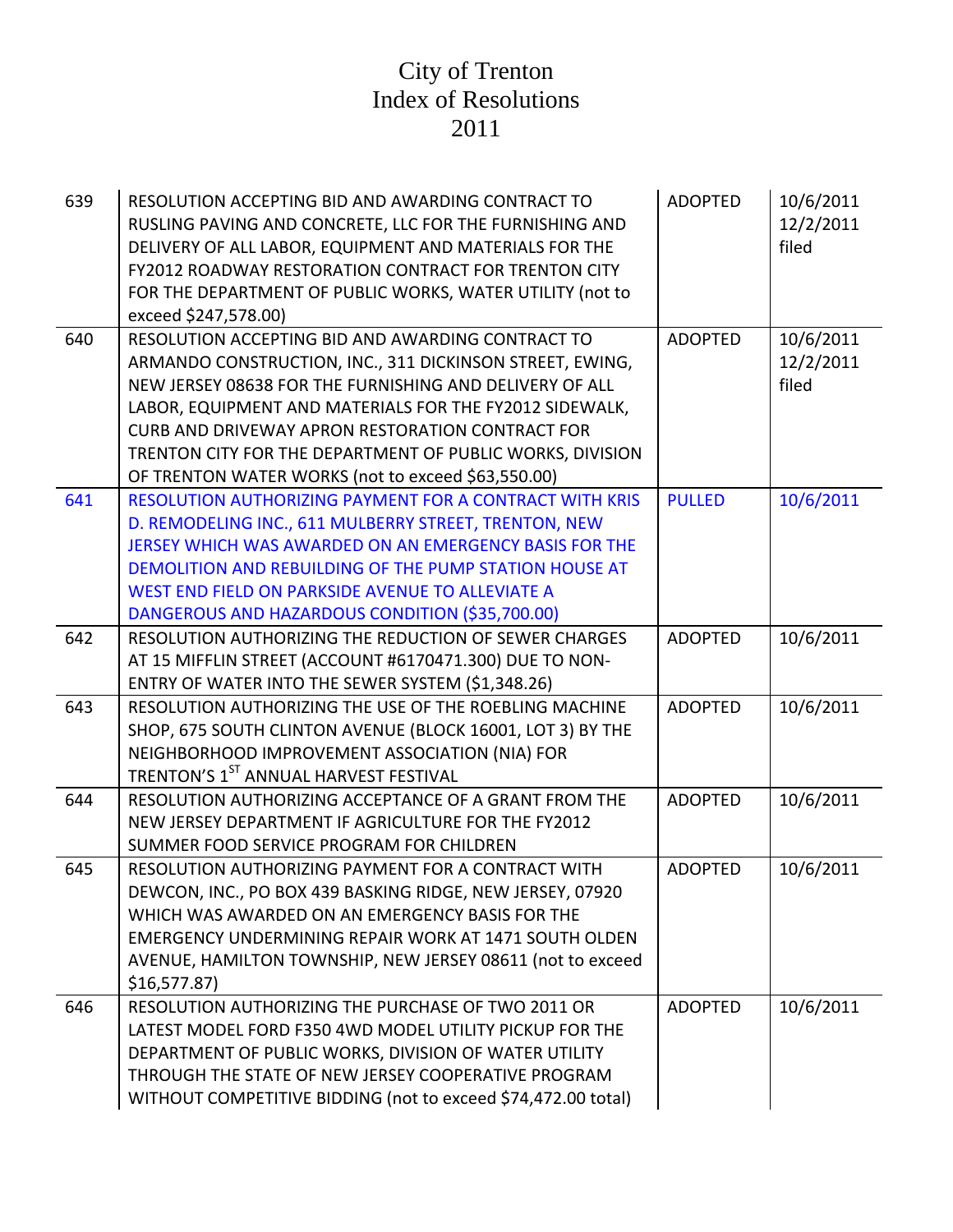| 639 | RESOLUTION ACCEPTING BID AND AWARDING CONTRACT TO<br>RUSLING PAVING AND CONCRETE, LLC FOR THE FURNISHING AND<br>DELIVERY OF ALL LABOR, EQUIPMENT AND MATERIALS FOR THE<br><b>FY2012 ROADWAY RESTORATION CONTRACT FOR TRENTON CITY</b><br>FOR THE DEPARTMENT OF PUBLIC WORKS, WATER UTILITY (not to<br>exceed \$247,578.00)                         | <b>ADOPTED</b> | 10/6/2011<br>12/2/2011<br>filed |
|-----|----------------------------------------------------------------------------------------------------------------------------------------------------------------------------------------------------------------------------------------------------------------------------------------------------------------------------------------------------|----------------|---------------------------------|
| 640 | RESOLUTION ACCEPTING BID AND AWARDING CONTRACT TO<br>ARMANDO CONSTRUCTION, INC., 311 DICKINSON STREET, EWING,<br>NEW JERSEY 08638 FOR THE FURNISHING AND DELIVERY OF ALL<br>LABOR, EQUIPMENT AND MATERIALS FOR THE FY2012 SIDEWALK,                                                                                                                | <b>ADOPTED</b> | 10/6/2011<br>12/2/2011<br>filed |
|     | CURB AND DRIVEWAY APRON RESTORATION CONTRACT FOR<br>TRENTON CITY FOR THE DEPARTMENT OF PUBLIC WORKS, DIVISION<br>OF TRENTON WATER WORKS (not to exceed \$63,550.00)                                                                                                                                                                                |                |                                 |
| 641 | <b>RESOLUTION AUTHORIZING PAYMENT FOR A CONTRACT WITH KRIS</b><br>D. REMODELING INC., 611 MULBERRY STREET, TRENTON, NEW<br>JERSEY WHICH WAS AWARDED ON AN EMERGENCY BASIS FOR THE<br>DEMOLITION AND REBUILDING OF THE PUMP STATION HOUSE AT<br>WEST END FIELD ON PARKSIDE AVENUE TO ALLEVIATE A<br>DANGEROUS AND HAZARDOUS CONDITION (\$35,700.00) | <b>PULLED</b>  | 10/6/2011                       |
| 642 | RESOLUTION AUTHORIZING THE REDUCTION OF SEWER CHARGES<br>AT 15 MIFFLIN STREET (ACCOUNT #6170471.300) DUE TO NON-<br>ENTRY OF WATER INTO THE SEWER SYSTEM (\$1,348.26)                                                                                                                                                                              | <b>ADOPTED</b> | 10/6/2011                       |
| 643 | RESOLUTION AUTHORIZING THE USE OF THE ROEBLING MACHINE<br>SHOP, 675 SOUTH CLINTON AVENUE (BLOCK 16001, LOT 3) BY THE<br>NEIGHBORHOOD IMPROVEMENT ASSOCIATION (NIA) FOR<br>TRENTON'S 1ST ANNUAL HARVEST FESTIVAL                                                                                                                                    | <b>ADOPTED</b> | 10/6/2011                       |
| 644 | RESOLUTION AUTHORIZING ACCEPTANCE OF A GRANT FROM THE<br>NEW JERSEY DEPARTMENT IF AGRICULTURE FOR THE FY2012<br>SUMMER FOOD SERVICE PROGRAM FOR CHILDREN                                                                                                                                                                                           | <b>ADOPTED</b> | 10/6/2011                       |
| 645 | RESOLUTION AUTHORIZING PAYMENT FOR A CONTRACT WITH<br>DEWCON, INC., PO BOX 439 BASKING RIDGE, NEW JERSEY, 07920<br>WHICH WAS AWARDED ON AN EMERGENCY BASIS FOR THE<br>EMERGENCY UNDERMINING REPAIR WORK AT 1471 SOUTH OLDEN<br>AVENUE, HAMILTON TOWNSHIP, NEW JERSEY 08611 (not to exceed<br>\$16,577.87                                           | <b>ADOPTED</b> | 10/6/2011                       |
| 646 | RESOLUTION AUTHORIZING THE PURCHASE OF TWO 2011 OR<br>LATEST MODEL FORD F350 4WD MODEL UTILITY PICKUP FOR THE<br>DEPARTMENT OF PUBLIC WORKS, DIVISION OF WATER UTILITY<br>THROUGH THE STATE OF NEW JERSEY COOPERATIVE PROGRAM<br>WITHOUT COMPETITIVE BIDDING (not to exceed \$74,472.00 total)                                                     | <b>ADOPTED</b> | 10/6/2011                       |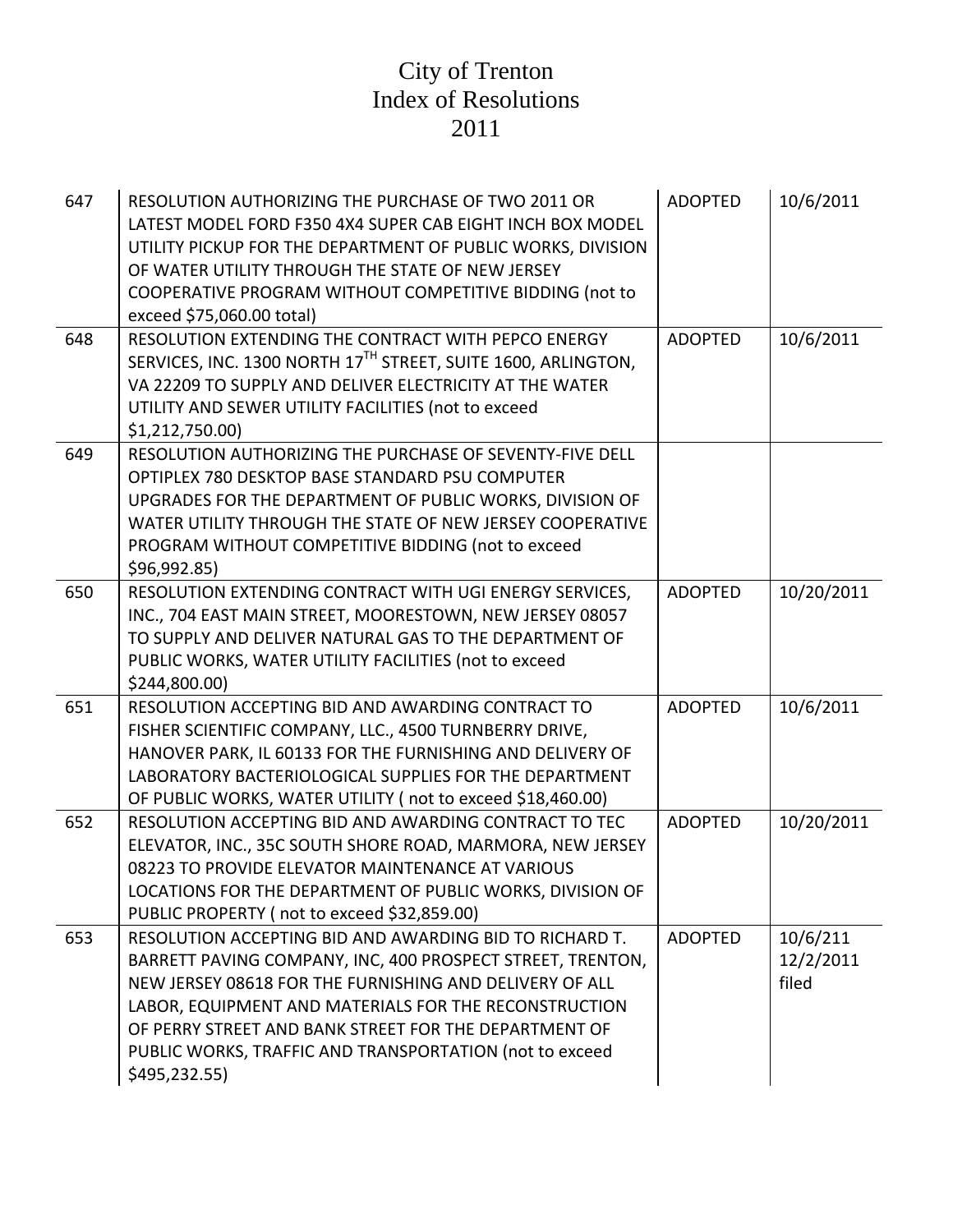| 647 | RESOLUTION AUTHORIZING THE PURCHASE OF TWO 2011 OR<br>LATEST MODEL FORD F350 4X4 SUPER CAB EIGHT INCH BOX MODEL<br>UTILITY PICKUP FOR THE DEPARTMENT OF PUBLIC WORKS, DIVISION<br>OF WATER UTILITY THROUGH THE STATE OF NEW JERSEY<br>COOPERATIVE PROGRAM WITHOUT COMPETITIVE BIDDING (not to<br>exceed \$75,060.00 total)                                                     | <b>ADOPTED</b> | 10/6/2011                      |
|-----|--------------------------------------------------------------------------------------------------------------------------------------------------------------------------------------------------------------------------------------------------------------------------------------------------------------------------------------------------------------------------------|----------------|--------------------------------|
| 648 | RESOLUTION EXTENDING THE CONTRACT WITH PEPCO ENERGY<br>SERVICES, INC. 1300 NORTH 17TH STREET, SUITE 1600, ARLINGTON,<br>VA 22209 TO SUPPLY AND DELIVER ELECTRICITY AT THE WATER<br>UTILITY AND SEWER UTILITY FACILITIES (not to exceed<br>\$1,212,750.00                                                                                                                       | <b>ADOPTED</b> | 10/6/2011                      |
| 649 | RESOLUTION AUTHORIZING THE PURCHASE OF SEVENTY-FIVE DELL<br>OPTIPLEX 780 DESKTOP BASE STANDARD PSU COMPUTER<br>UPGRADES FOR THE DEPARTMENT OF PUBLIC WORKS, DIVISION OF<br>WATER UTILITY THROUGH THE STATE OF NEW JERSEY COOPERATIVE<br>PROGRAM WITHOUT COMPETITIVE BIDDING (not to exceed<br>\$96,992.85                                                                      |                |                                |
| 650 | RESOLUTION EXTENDING CONTRACT WITH UGI ENERGY SERVICES,<br>INC., 704 EAST MAIN STREET, MOORESTOWN, NEW JERSEY 08057<br>TO SUPPLY AND DELIVER NATURAL GAS TO THE DEPARTMENT OF<br>PUBLIC WORKS, WATER UTILITY FACILITIES (not to exceed<br>\$244,800.00)                                                                                                                        | <b>ADOPTED</b> | 10/20/2011                     |
| 651 | RESOLUTION ACCEPTING BID AND AWARDING CONTRACT TO<br>FISHER SCIENTIFIC COMPANY, LLC., 4500 TURNBERRY DRIVE,<br>HANOVER PARK, IL 60133 FOR THE FURNISHING AND DELIVERY OF<br>LABORATORY BACTERIOLOGICAL SUPPLIES FOR THE DEPARTMENT<br>OF PUBLIC WORKS, WATER UTILITY (not to exceed \$18,460.00)                                                                               | <b>ADOPTED</b> | 10/6/2011                      |
| 652 | RESOLUTION ACCEPTING BID AND AWARDING CONTRACT TO TEC<br>ELEVATOR, INC., 35C SOUTH SHORE ROAD, MARMORA, NEW JERSEY<br>08223 TO PROVIDE ELEVATOR MAINTENANCE AT VARIOUS<br>LOCATIONS FOR THE DEPARTMENT OF PUBLIC WORKS, DIVISION OF<br>PUBLIC PROPERTY (not to exceed \$32,859.00)                                                                                             | <b>ADOPTED</b> | 10/20/2011                     |
| 653 | RESOLUTION ACCEPTING BID AND AWARDING BID TO RICHARD T.<br>BARRETT PAVING COMPANY, INC, 400 PROSPECT STREET, TRENTON,<br>NEW JERSEY 08618 FOR THE FURNISHING AND DELIVERY OF ALL<br>LABOR, EQUIPMENT AND MATERIALS FOR THE RECONSTRUCTION<br>OF PERRY STREET AND BANK STREET FOR THE DEPARTMENT OF<br>PUBLIC WORKS, TRAFFIC AND TRANSPORTATION (not to exceed<br>\$495,232.55) | <b>ADOPTED</b> | 10/6/211<br>12/2/2011<br>filed |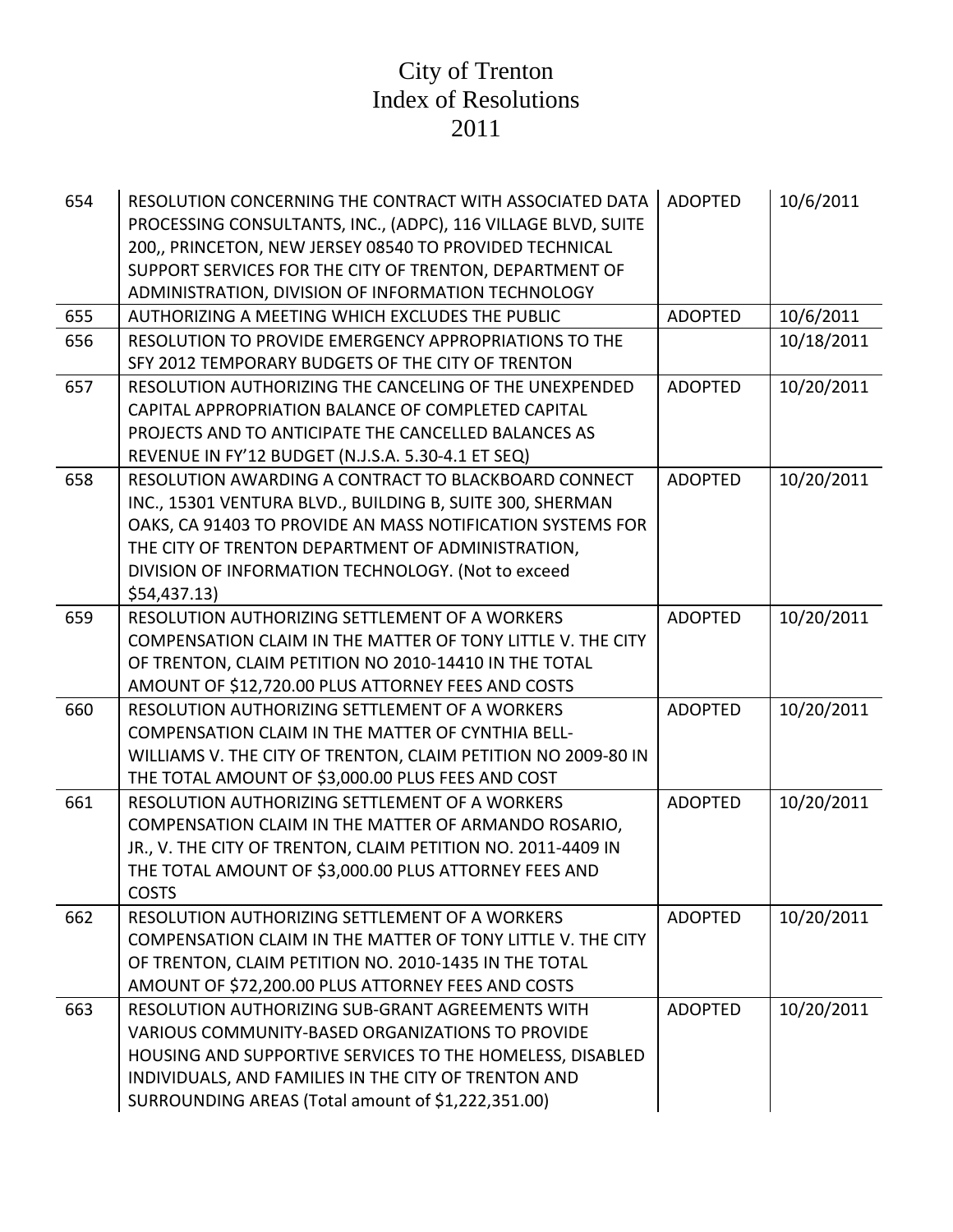| 654 | RESOLUTION CONCERNING THE CONTRACT WITH ASSOCIATED DATA<br>PROCESSING CONSULTANTS, INC., (ADPC), 116 VILLAGE BLVD, SUITE<br>200,, PRINCETON, NEW JERSEY 08540 TO PROVIDED TECHNICAL<br>SUPPORT SERVICES FOR THE CITY OF TRENTON, DEPARTMENT OF<br>ADMINISTRATION, DIVISION OF INFORMATION TECHNOLOGY | <b>ADOPTED</b> | 10/6/2011  |
|-----|------------------------------------------------------------------------------------------------------------------------------------------------------------------------------------------------------------------------------------------------------------------------------------------------------|----------------|------------|
| 655 | AUTHORIZING A MEETING WHICH EXCLUDES THE PUBLIC                                                                                                                                                                                                                                                      | <b>ADOPTED</b> | 10/6/2011  |
| 656 | RESOLUTION TO PROVIDE EMERGENCY APPROPRIATIONS TO THE                                                                                                                                                                                                                                                |                | 10/18/2011 |
|     | SFY 2012 TEMPORARY BUDGETS OF THE CITY OF TRENTON                                                                                                                                                                                                                                                    |                |            |
| 657 | RESOLUTION AUTHORIZING THE CANCELING OF THE UNEXPENDED                                                                                                                                                                                                                                               | <b>ADOPTED</b> | 10/20/2011 |
|     | CAPITAL APPROPRIATION BALANCE OF COMPLETED CAPITAL                                                                                                                                                                                                                                                   |                |            |
|     | PROJECTS AND TO ANTICIPATE THE CANCELLED BALANCES AS                                                                                                                                                                                                                                                 |                |            |
|     | REVENUE IN FY'12 BUDGET (N.J.S.A. 5.30-4.1 ET SEQ)                                                                                                                                                                                                                                                   |                |            |
| 658 | RESOLUTION AWARDING A CONTRACT TO BLACKBOARD CONNECT                                                                                                                                                                                                                                                 | <b>ADOPTED</b> | 10/20/2011 |
|     | INC., 15301 VENTURA BLVD., BUILDING B, SUITE 300, SHERMAN                                                                                                                                                                                                                                            |                |            |
|     | OAKS, CA 91403 TO PROVIDE AN MASS NOTIFICATION SYSTEMS FOR                                                                                                                                                                                                                                           |                |            |
|     | THE CITY OF TRENTON DEPARTMENT OF ADMINISTRATION,                                                                                                                                                                                                                                                    |                |            |
|     | DIVISION OF INFORMATION TECHNOLOGY. (Not to exceed                                                                                                                                                                                                                                                   |                |            |
|     | \$54,437.13\$                                                                                                                                                                                                                                                                                        |                |            |
| 659 | RESOLUTION AUTHORIZING SETTLEMENT OF A WORKERS                                                                                                                                                                                                                                                       | <b>ADOPTED</b> | 10/20/2011 |
|     | COMPENSATION CLAIM IN THE MATTER OF TONY LITTLE V. THE CITY                                                                                                                                                                                                                                          |                |            |
|     | OF TRENTON, CLAIM PETITION NO 2010-14410 IN THE TOTAL                                                                                                                                                                                                                                                |                |            |
|     | AMOUNT OF \$12,720.00 PLUS ATTORNEY FEES AND COSTS                                                                                                                                                                                                                                                   |                |            |
| 660 | RESOLUTION AUTHORIZING SETTLEMENT OF A WORKERS                                                                                                                                                                                                                                                       | <b>ADOPTED</b> | 10/20/2011 |
|     | COMPENSATION CLAIM IN THE MATTER OF CYNTHIA BELL-                                                                                                                                                                                                                                                    |                |            |
|     | WILLIAMS V. THE CITY OF TRENTON, CLAIM PETITION NO 2009-80 IN                                                                                                                                                                                                                                        |                |            |
|     | THE TOTAL AMOUNT OF \$3,000.00 PLUS FEES AND COST                                                                                                                                                                                                                                                    |                |            |
| 661 | RESOLUTION AUTHORIZING SETTLEMENT OF A WORKERS                                                                                                                                                                                                                                                       | <b>ADOPTED</b> | 10/20/2011 |
|     | COMPENSATION CLAIM IN THE MATTER OF ARMANDO ROSARIO,                                                                                                                                                                                                                                                 |                |            |
|     | JR., V. THE CITY OF TRENTON, CLAIM PETITION NO. 2011-4409 IN                                                                                                                                                                                                                                         |                |            |
|     | THE TOTAL AMOUNT OF \$3,000.00 PLUS ATTORNEY FEES AND                                                                                                                                                                                                                                                |                |            |
|     | <b>COSTS</b>                                                                                                                                                                                                                                                                                         |                |            |
| 662 | RESOLUTION AUTHORIZING SETTLEMENT OF A WORKERS                                                                                                                                                                                                                                                       | <b>ADOPTED</b> | 10/20/2011 |
|     | COMPENSATION CLAIM IN THE MATTER OF TONY LITTLE V. THE CITY                                                                                                                                                                                                                                          |                |            |
|     | OF TRENTON, CLAIM PETITION NO. 2010-1435 IN THE TOTAL                                                                                                                                                                                                                                                |                |            |
|     | AMOUNT OF \$72,200.00 PLUS ATTORNEY FEES AND COSTS                                                                                                                                                                                                                                                   |                |            |
| 663 | <b>RESOLUTION AUTHORIZING SUB-GRANT AGREEMENTS WITH</b>                                                                                                                                                                                                                                              | <b>ADOPTED</b> | 10/20/2011 |
|     | VARIOUS COMMUNITY-BASED ORGANIZATIONS TO PROVIDE                                                                                                                                                                                                                                                     |                |            |
|     | HOUSING AND SUPPORTIVE SERVICES TO THE HOMELESS, DISABLED                                                                                                                                                                                                                                            |                |            |
|     | INDIVIDUALS, AND FAMILIES IN THE CITY OF TRENTON AND                                                                                                                                                                                                                                                 |                |            |
|     | SURROUNDING AREAS (Total amount of \$1,222,351.00)                                                                                                                                                                                                                                                   |                |            |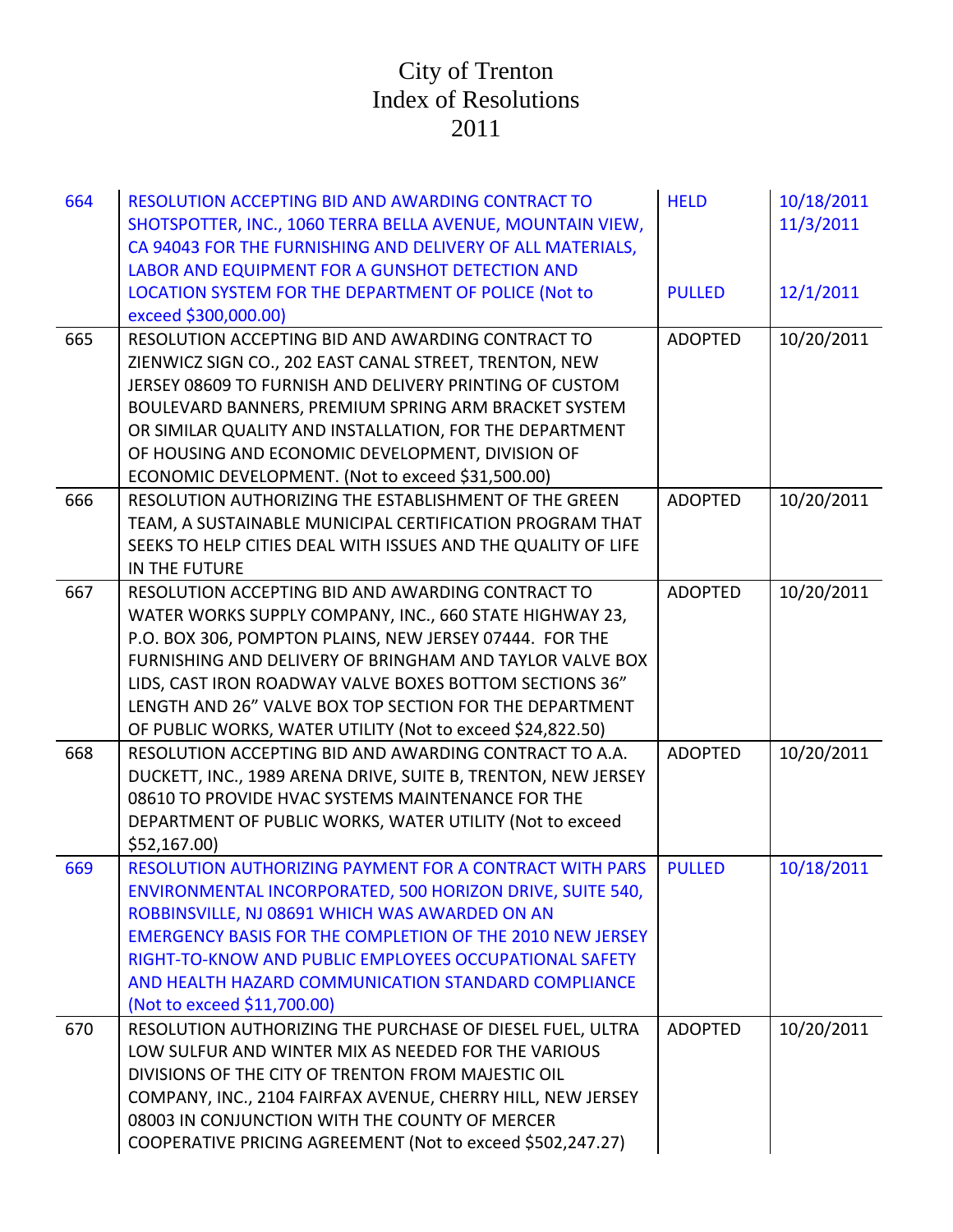| 664 | RESOLUTION ACCEPTING BID AND AWARDING CONTRACT TO<br>SHOTSPOTTER, INC., 1060 TERRA BELLA AVENUE, MOUNTAIN VIEW,<br>CA 94043 FOR THE FURNISHING AND DELIVERY OF ALL MATERIALS,<br>LABOR AND EQUIPMENT FOR A GUNSHOT DETECTION AND                                                                                                                                                                                        | <b>HELD</b>    | 10/18/2011<br>11/3/2011 |
|-----|-------------------------------------------------------------------------------------------------------------------------------------------------------------------------------------------------------------------------------------------------------------------------------------------------------------------------------------------------------------------------------------------------------------------------|----------------|-------------------------|
|     | LOCATION SYSTEM FOR THE DEPARTMENT OF POLICE (Not to<br>exceed \$300,000.00)                                                                                                                                                                                                                                                                                                                                            | <b>PULLED</b>  | 12/1/2011               |
| 665 | RESOLUTION ACCEPTING BID AND AWARDING CONTRACT TO<br>ZIENWICZ SIGN CO., 202 EAST CANAL STREET, TRENTON, NEW<br>JERSEY 08609 TO FURNISH AND DELIVERY PRINTING OF CUSTOM<br>BOULEVARD BANNERS, PREMIUM SPRING ARM BRACKET SYSTEM<br>OR SIMILAR QUALITY AND INSTALLATION, FOR THE DEPARTMENT<br>OF HOUSING AND ECONOMIC DEVELOPMENT, DIVISION OF<br>ECONOMIC DEVELOPMENT. (Not to exceed \$31,500.00)                      | <b>ADOPTED</b> | 10/20/2011              |
| 666 | RESOLUTION AUTHORIZING THE ESTABLISHMENT OF THE GREEN<br>TEAM, A SUSTAINABLE MUNICIPAL CERTIFICATION PROGRAM THAT<br>SEEKS TO HELP CITIES DEAL WITH ISSUES AND THE QUALITY OF LIFE<br>IN THE FUTURE                                                                                                                                                                                                                     | <b>ADOPTED</b> | 10/20/2011              |
| 667 | RESOLUTION ACCEPTING BID AND AWARDING CONTRACT TO<br>WATER WORKS SUPPLY COMPANY, INC., 660 STATE HIGHWAY 23,<br>P.O. BOX 306, POMPTON PLAINS, NEW JERSEY 07444. FOR THE<br>FURNISHING AND DELIVERY OF BRINGHAM AND TAYLOR VALVE BOX<br>LIDS, CAST IRON ROADWAY VALVE BOXES BOTTOM SECTIONS 36"<br>LENGTH AND 26" VALVE BOX TOP SECTION FOR THE DEPARTMENT<br>OF PUBLIC WORKS, WATER UTILITY (Not to exceed \$24,822.50) | <b>ADOPTED</b> | 10/20/2011              |
| 668 | RESOLUTION ACCEPTING BID AND AWARDING CONTRACT TO A.A.<br>DUCKETT, INC., 1989 ARENA DRIVE, SUITE B, TRENTON, NEW JERSEY<br>08610 TO PROVIDE HVAC SYSTEMS MAINTENANCE FOR THE<br>DEPARTMENT OF PUBLIC WORKS, WATER UTILITY (Not to exceed<br>\$52,167.00                                                                                                                                                                 | <b>ADOPTED</b> | 10/20/2011              |
| 669 | RESOLUTION AUTHORIZING PAYMENT FOR A CONTRACT WITH PARS<br>ENVIRONMENTAL INCORPORATED, 500 HORIZON DRIVE, SUITE 540,<br>ROBBINSVILLE, NJ 08691 WHICH WAS AWARDED ON AN<br><b>EMERGENCY BASIS FOR THE COMPLETION OF THE 2010 NEW JERSEY</b><br>RIGHT-TO-KNOW AND PUBLIC EMPLOYEES OCCUPATIONAL SAFETY<br>AND HEALTH HAZARD COMMUNICATION STANDARD COMPLIANCE<br>(Not to exceed \$11,700.00)                              | <b>PULLED</b>  | 10/18/2011              |
| 670 | RESOLUTION AUTHORIZING THE PURCHASE OF DIESEL FUEL, ULTRA<br>LOW SULFUR AND WINTER MIX AS NEEDED FOR THE VARIOUS<br>DIVISIONS OF THE CITY OF TRENTON FROM MAJESTIC OIL<br>COMPANY, INC., 2104 FAIRFAX AVENUE, CHERRY HILL, NEW JERSEY<br>08003 IN CONJUNCTION WITH THE COUNTY OF MERCER<br>COOPERATIVE PRICING AGREEMENT (Not to exceed \$502,247.27)                                                                   | <b>ADOPTED</b> | 10/20/2011              |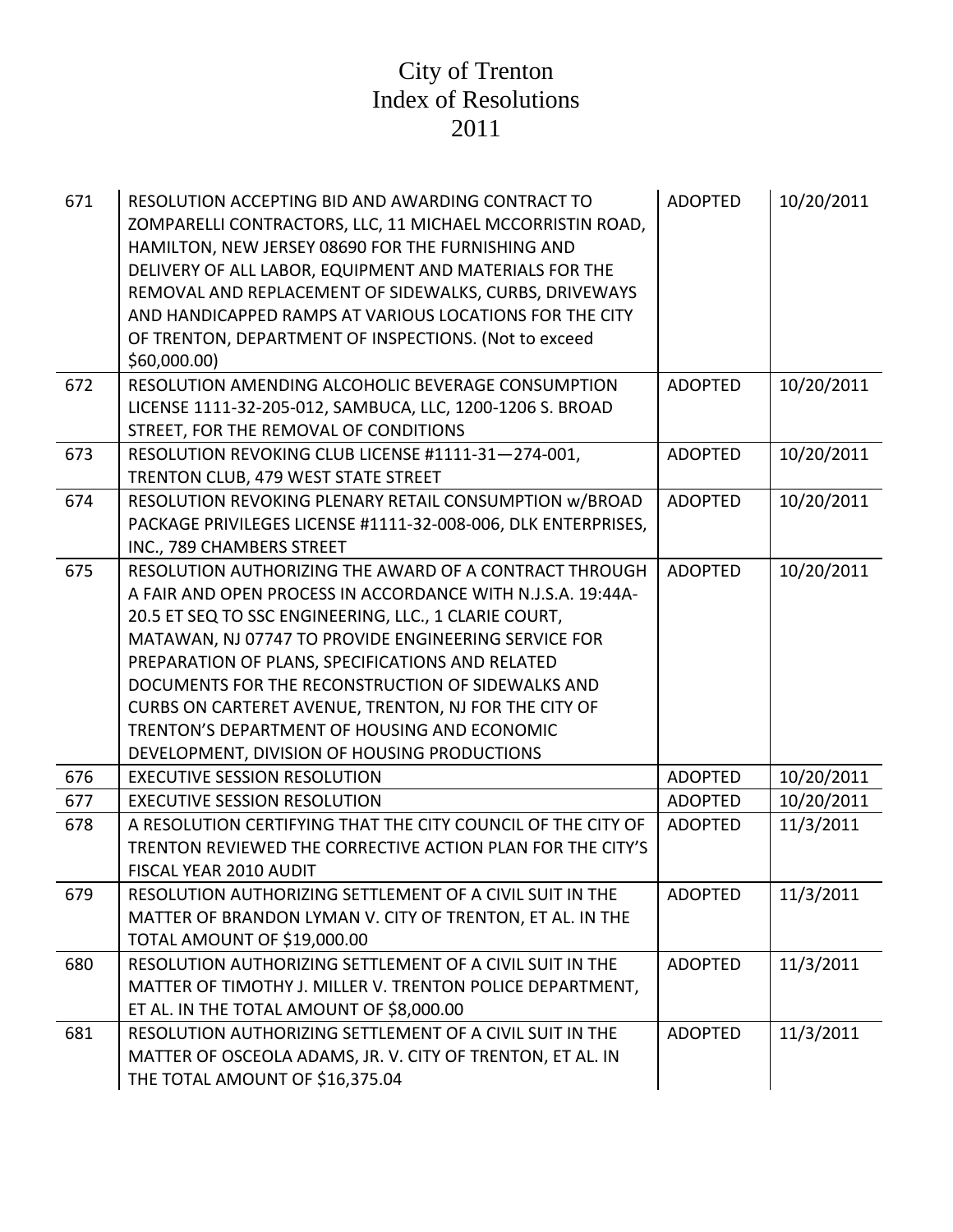| 671 | RESOLUTION ACCEPTING BID AND AWARDING CONTRACT TO<br>ZOMPARELLI CONTRACTORS, LLC, 11 MICHAEL MCCORRISTIN ROAD,<br>HAMILTON, NEW JERSEY 08690 FOR THE FURNISHING AND<br>DELIVERY OF ALL LABOR, EQUIPMENT AND MATERIALS FOR THE<br>REMOVAL AND REPLACEMENT OF SIDEWALKS, CURBS, DRIVEWAYS<br>AND HANDICAPPED RAMPS AT VARIOUS LOCATIONS FOR THE CITY<br>OF TRENTON, DEPARTMENT OF INSPECTIONS. (Not to exceed<br>\$60,000.00]                                                                              | <b>ADOPTED</b> | 10/20/2011 |
|-----|----------------------------------------------------------------------------------------------------------------------------------------------------------------------------------------------------------------------------------------------------------------------------------------------------------------------------------------------------------------------------------------------------------------------------------------------------------------------------------------------------------|----------------|------------|
| 672 | RESOLUTION AMENDING ALCOHOLIC BEVERAGE CONSUMPTION<br>LICENSE 1111-32-205-012, SAMBUCA, LLC, 1200-1206 S. BROAD<br>STREET, FOR THE REMOVAL OF CONDITIONS                                                                                                                                                                                                                                                                                                                                                 | <b>ADOPTED</b> | 10/20/2011 |
| 673 | RESOLUTION REVOKING CLUB LICENSE #1111-31-274-001,<br>TRENTON CLUB, 479 WEST STATE STREET                                                                                                                                                                                                                                                                                                                                                                                                                | <b>ADOPTED</b> | 10/20/2011 |
| 674 | RESOLUTION REVOKING PLENARY RETAIL CONSUMPTION W/BROAD<br>PACKAGE PRIVILEGES LICENSE #1111-32-008-006, DLK ENTERPRISES,<br>INC., 789 CHAMBERS STREET                                                                                                                                                                                                                                                                                                                                                     | <b>ADOPTED</b> | 10/20/2011 |
| 675 | RESOLUTION AUTHORIZING THE AWARD OF A CONTRACT THROUGH<br>A FAIR AND OPEN PROCESS IN ACCORDANCE WITH N.J.S.A. 19:44A-<br>20.5 ET SEQ TO SSC ENGINEERING, LLC., 1 CLARIE COURT,<br>MATAWAN, NJ 07747 TO PROVIDE ENGINEERING SERVICE FOR<br>PREPARATION OF PLANS, SPECIFICATIONS AND RELATED<br>DOCUMENTS FOR THE RECONSTRUCTION OF SIDEWALKS AND<br>CURBS ON CARTERET AVENUE, TRENTON, NJ FOR THE CITY OF<br>TRENTON'S DEPARTMENT OF HOUSING AND ECONOMIC<br>DEVELOPMENT, DIVISION OF HOUSING PRODUCTIONS | <b>ADOPTED</b> | 10/20/2011 |
| 676 | <b>EXECUTIVE SESSION RESOLUTION</b>                                                                                                                                                                                                                                                                                                                                                                                                                                                                      | <b>ADOPTED</b> | 10/20/2011 |
| 677 | <b>EXECUTIVE SESSION RESOLUTION</b>                                                                                                                                                                                                                                                                                                                                                                                                                                                                      | <b>ADOPTED</b> | 10/20/2011 |
| 678 | A RESOLUTION CERTIFYING THAT THE CITY COUNCIL OF THE CITY OF<br>TRENTON REVIEWED THE CORRECTIVE ACTION PLAN FOR THE CITY'S<br>FISCAL YEAR 2010 AUDIT                                                                                                                                                                                                                                                                                                                                                     | <b>ADOPTED</b> | 11/3/2011  |
| 679 | RESOLUTION AUTHORIZING SETTLEMENT OF A CIVIL SUIT IN THE<br>MATTER OF BRANDON LYMAN V. CITY OF TRENTON, ET AL. IN THE<br>TOTAL AMOUNT OF \$19,000.00                                                                                                                                                                                                                                                                                                                                                     | <b>ADOPTED</b> | 11/3/2011  |
| 680 | RESOLUTION AUTHORIZING SETTLEMENT OF A CIVIL SUIT IN THE<br>MATTER OF TIMOTHY J. MILLER V. TRENTON POLICE DEPARTMENT,<br>ET AL. IN THE TOTAL AMOUNT OF \$8,000.00                                                                                                                                                                                                                                                                                                                                        | <b>ADOPTED</b> | 11/3/2011  |
| 681 | RESOLUTION AUTHORIZING SETTLEMENT OF A CIVIL SUIT IN THE<br>MATTER OF OSCEOLA ADAMS, JR. V. CITY OF TRENTON, ET AL. IN<br>THE TOTAL AMOUNT OF \$16,375.04                                                                                                                                                                                                                                                                                                                                                | <b>ADOPTED</b> | 11/3/2011  |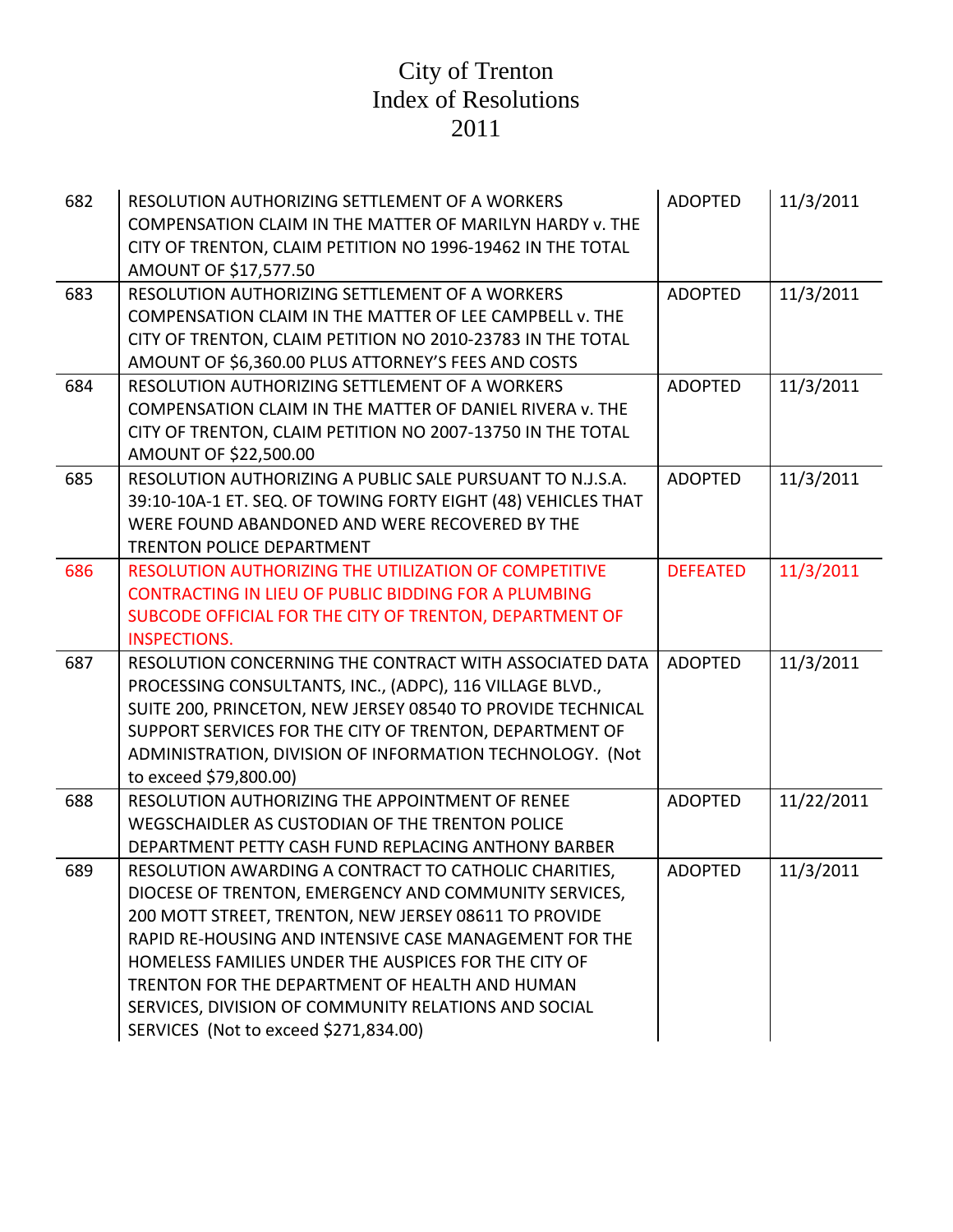| 682 | RESOLUTION AUTHORIZING SETTLEMENT OF A WORKERS<br>COMPENSATION CLAIM IN THE MATTER OF MARILYN HARDY v. THE<br>CITY OF TRENTON, CLAIM PETITION NO 1996-19462 IN THE TOTAL<br>AMOUNT OF \$17,577.50                                                                                                                                                                                                                                            | <b>ADOPTED</b>  | 11/3/2011  |
|-----|----------------------------------------------------------------------------------------------------------------------------------------------------------------------------------------------------------------------------------------------------------------------------------------------------------------------------------------------------------------------------------------------------------------------------------------------|-----------------|------------|
| 683 | RESOLUTION AUTHORIZING SETTLEMENT OF A WORKERS<br>COMPENSATION CLAIM IN THE MATTER OF LEE CAMPBELL v. THE<br>CITY OF TRENTON, CLAIM PETITION NO 2010-23783 IN THE TOTAL<br>AMOUNT OF \$6,360.00 PLUS ATTORNEY'S FEES AND COSTS                                                                                                                                                                                                               | <b>ADOPTED</b>  | 11/3/2011  |
| 684 | RESOLUTION AUTHORIZING SETTLEMENT OF A WORKERS<br>COMPENSATION CLAIM IN THE MATTER OF DANIEL RIVERA v. THE<br>CITY OF TRENTON, CLAIM PETITION NO 2007-13750 IN THE TOTAL<br>AMOUNT OF \$22,500.00                                                                                                                                                                                                                                            | <b>ADOPTED</b>  | 11/3/2011  |
| 685 | RESOLUTION AUTHORIZING A PUBLIC SALE PURSUANT TO N.J.S.A.<br>39:10-10A-1 ET. SEQ. OF TOWING FORTY EIGHT (48) VEHICLES THAT<br>WERE FOUND ABANDONED AND WERE RECOVERED BY THE<br><b>TRENTON POLICE DEPARTMENT</b>                                                                                                                                                                                                                             | <b>ADOPTED</b>  | 11/3/2011  |
| 686 | <b>RESOLUTION AUTHORIZING THE UTILIZATION OF COMPETITIVE</b><br>CONTRACTING IN LIEU OF PUBLIC BIDDING FOR A PLUMBING<br>SUBCODE OFFICIAL FOR THE CITY OF TRENTON, DEPARTMENT OF<br><b>INSPECTIONS.</b>                                                                                                                                                                                                                                       | <b>DEFEATED</b> | 11/3/2011  |
| 687 | RESOLUTION CONCERNING THE CONTRACT WITH ASSOCIATED DATA<br>PROCESSING CONSULTANTS, INC., (ADPC), 116 VILLAGE BLVD.,<br>SUITE 200, PRINCETON, NEW JERSEY 08540 TO PROVIDE TECHNICAL<br>SUPPORT SERVICES FOR THE CITY OF TRENTON, DEPARTMENT OF<br>ADMINISTRATION, DIVISION OF INFORMATION TECHNOLOGY. (Not<br>to exceed \$79,800.00)                                                                                                          | <b>ADOPTED</b>  | 11/3/2011  |
| 688 | RESOLUTION AUTHORIZING THE APPOINTMENT OF RENEE<br>WEGSCHAIDLER AS CUSTODIAN OF THE TRENTON POLICE<br>DEPARTMENT PETTY CASH FUND REPLACING ANTHONY BARBER                                                                                                                                                                                                                                                                                    | <b>ADOPTED</b>  | 11/22/2011 |
| 689 | RESOLUTION AWARDING A CONTRACT TO CATHOLIC CHARITIES,<br>DIOCESE OF TRENTON, EMERGENCY AND COMMUNITY SERVICES,<br>200 MOTT STREET, TRENTON, NEW JERSEY 08611 TO PROVIDE<br>RAPID RE-HOUSING AND INTENSIVE CASE MANAGEMENT FOR THE<br>HOMELESS FAMILIES UNDER THE AUSPICES FOR THE CITY OF<br>TRENTON FOR THE DEPARTMENT OF HEALTH AND HUMAN<br>SERVICES, DIVISION OF COMMUNITY RELATIONS AND SOCIAL<br>SERVICES (Not to exceed \$271,834.00) | <b>ADOPTED</b>  | 11/3/2011  |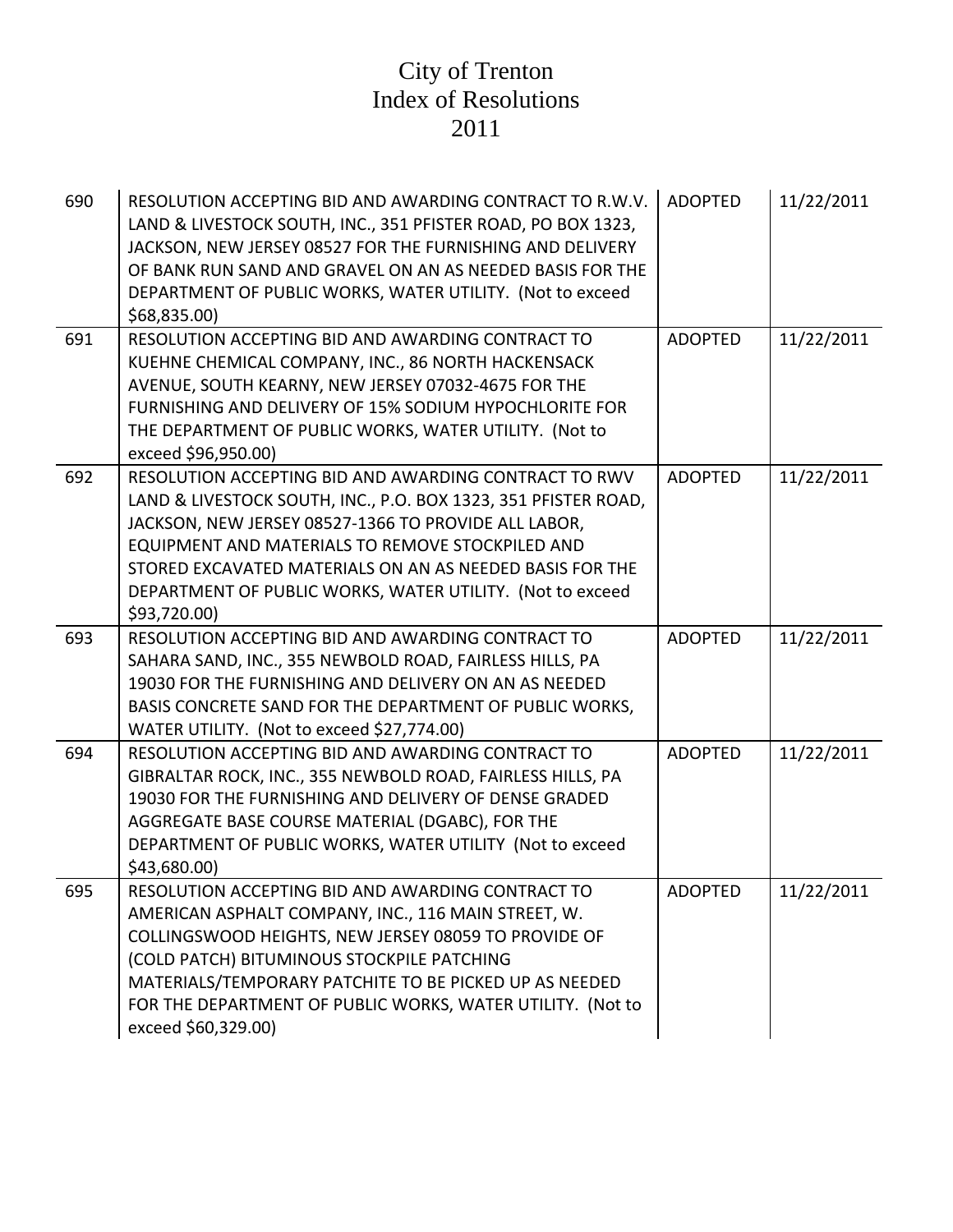| 690 | RESOLUTION ACCEPTING BID AND AWARDING CONTRACT TO R.W.V.<br>LAND & LIVESTOCK SOUTH, INC., 351 PFISTER ROAD, PO BOX 1323,<br>JACKSON, NEW JERSEY 08527 FOR THE FURNISHING AND DELIVERY<br>OF BANK RUN SAND AND GRAVEL ON AN AS NEEDED BASIS FOR THE<br>DEPARTMENT OF PUBLIC WORKS, WATER UTILITY. (Not to exceed<br>\$68,835.00)                                              | <b>ADOPTED</b> | 11/22/2011 |
|-----|------------------------------------------------------------------------------------------------------------------------------------------------------------------------------------------------------------------------------------------------------------------------------------------------------------------------------------------------------------------------------|----------------|------------|
| 691 | RESOLUTION ACCEPTING BID AND AWARDING CONTRACT TO<br>KUEHNE CHEMICAL COMPANY, INC., 86 NORTH HACKENSACK<br>AVENUE, SOUTH KEARNY, NEW JERSEY 07032-4675 FOR THE<br>FURNISHING AND DELIVERY OF 15% SODIUM HYPOCHLORITE FOR<br>THE DEPARTMENT OF PUBLIC WORKS, WATER UTILITY. (Not to<br>exceed \$96,950.00)                                                                    | <b>ADOPTED</b> | 11/22/2011 |
| 692 | RESOLUTION ACCEPTING BID AND AWARDING CONTRACT TO RWV<br>LAND & LIVESTOCK SOUTH, INC., P.O. BOX 1323, 351 PFISTER ROAD,<br>JACKSON, NEW JERSEY 08527-1366 TO PROVIDE ALL LABOR,<br>EQUIPMENT AND MATERIALS TO REMOVE STOCKPILED AND<br>STORED EXCAVATED MATERIALS ON AN AS NEEDED BASIS FOR THE<br>DEPARTMENT OF PUBLIC WORKS, WATER UTILITY. (Not to exceed<br>\$93,720.00) | <b>ADOPTED</b> | 11/22/2011 |
| 693 | RESOLUTION ACCEPTING BID AND AWARDING CONTRACT TO<br>SAHARA SAND, INC., 355 NEWBOLD ROAD, FAIRLESS HILLS, PA<br>19030 FOR THE FURNISHING AND DELIVERY ON AN AS NEEDED<br>BASIS CONCRETE SAND FOR THE DEPARTMENT OF PUBLIC WORKS,<br>WATER UTILITY. (Not to exceed \$27,774.00)                                                                                               | <b>ADOPTED</b> | 11/22/2011 |
| 694 | RESOLUTION ACCEPTING BID AND AWARDING CONTRACT TO<br>GIBRALTAR ROCK, INC., 355 NEWBOLD ROAD, FAIRLESS HILLS, PA<br>19030 FOR THE FURNISHING AND DELIVERY OF DENSE GRADED<br>AGGREGATE BASE COURSE MATERIAL (DGABC), FOR THE<br>DEPARTMENT OF PUBLIC WORKS, WATER UTILITY (Not to exceed<br>\$43,680.00)                                                                      | <b>ADOPTED</b> | 11/22/2011 |
| 695 | RESOLUTION ACCEPTING BID AND AWARDING CONTRACT TO<br>AMERICAN ASPHALT COMPANY, INC., 116 MAIN STREET, W.<br>COLLINGSWOOD HEIGHTS, NEW JERSEY 08059 TO PROVIDE OF<br>(COLD PATCH) BITUMINOUS STOCKPILE PATCHING<br>MATERIALS/TEMPORARY PATCHITE TO BE PICKED UP AS NEEDED<br>FOR THE DEPARTMENT OF PUBLIC WORKS, WATER UTILITY. (Not to<br>exceed \$60,329.00)                | <b>ADOPTED</b> | 11/22/2011 |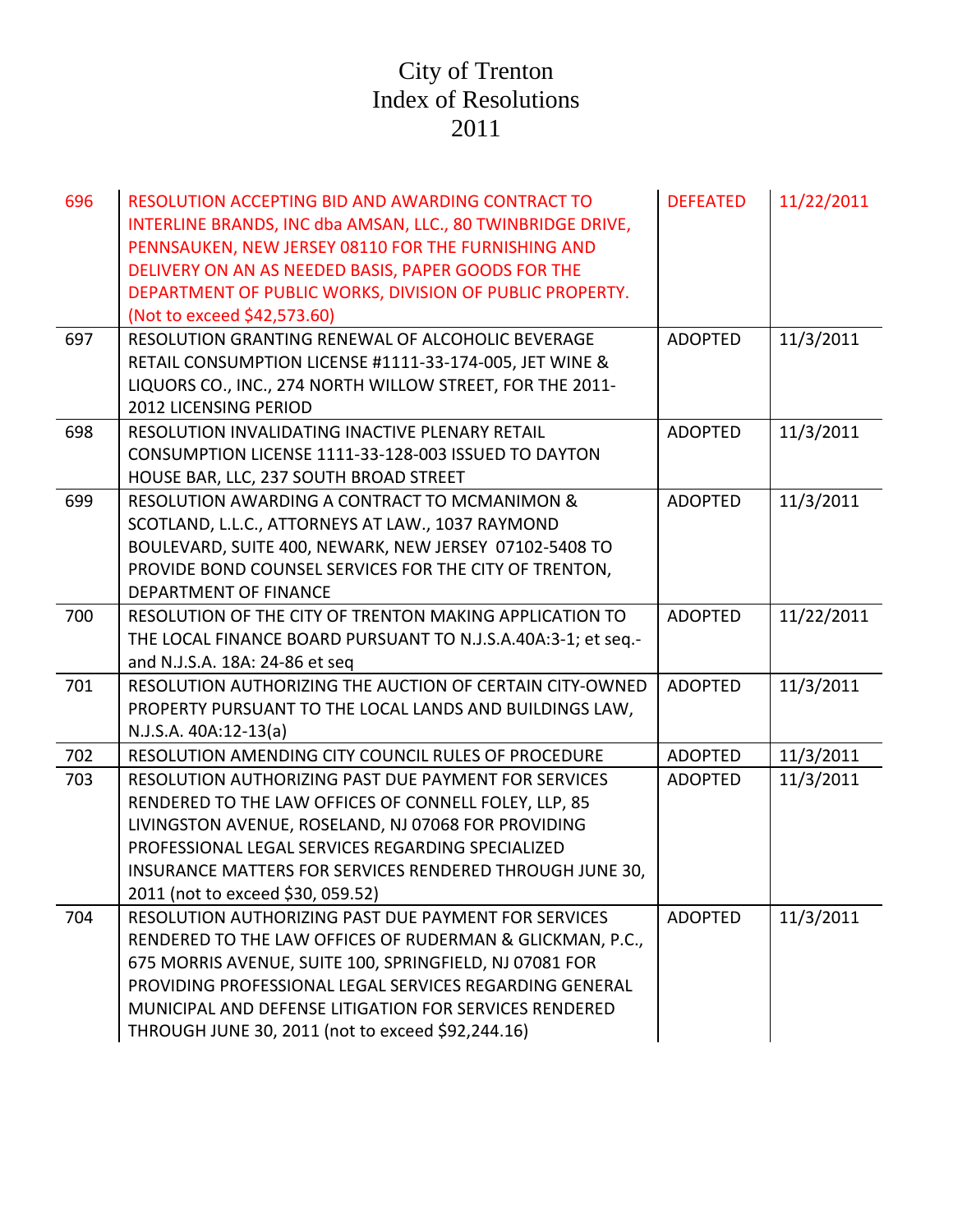| 696 | RESOLUTION ACCEPTING BID AND AWARDING CONTRACT TO<br>INTERLINE BRANDS, INC dba AMSAN, LLC., 80 TWINBRIDGE DRIVE,<br>PENNSAUKEN, NEW JERSEY 08110 FOR THE FURNISHING AND<br>DELIVERY ON AN AS NEEDED BASIS, PAPER GOODS FOR THE<br>DEPARTMENT OF PUBLIC WORKS, DIVISION OF PUBLIC PROPERTY.<br>(Not to exceed \$42,573.60)                              | <b>DEFEATED</b> | 11/22/2011 |
|-----|--------------------------------------------------------------------------------------------------------------------------------------------------------------------------------------------------------------------------------------------------------------------------------------------------------------------------------------------------------|-----------------|------------|
| 697 | RESOLUTION GRANTING RENEWAL OF ALCOHOLIC BEVERAGE<br>RETAIL CONSUMPTION LICENSE #1111-33-174-005, JET WINE &<br>LIQUORS CO., INC., 274 NORTH WILLOW STREET, FOR THE 2011-<br>2012 LICENSING PERIOD                                                                                                                                                     | <b>ADOPTED</b>  | 11/3/2011  |
| 698 | RESOLUTION INVALIDATING INACTIVE PLENARY RETAIL<br>CONSUMPTION LICENSE 1111-33-128-003 ISSUED TO DAYTON<br>HOUSE BAR, LLC, 237 SOUTH BROAD STREET                                                                                                                                                                                                      | <b>ADOPTED</b>  | 11/3/2011  |
| 699 | RESOLUTION AWARDING A CONTRACT TO MCMANIMON &<br>SCOTLAND, L.L.C., ATTORNEYS AT LAW., 1037 RAYMOND<br>BOULEVARD, SUITE 400, NEWARK, NEW JERSEY 07102-5408 TO<br>PROVIDE BOND COUNSEL SERVICES FOR THE CITY OF TRENTON,<br>DEPARTMENT OF FINANCE                                                                                                        | <b>ADOPTED</b>  | 11/3/2011  |
| 700 | RESOLUTION OF THE CITY OF TRENTON MAKING APPLICATION TO<br>THE LOCAL FINANCE BOARD PURSUANT TO N.J.S.A.40A:3-1; et seq.-<br>and N.J.S.A. 18A: 24-86 et seq                                                                                                                                                                                             | <b>ADOPTED</b>  | 11/22/2011 |
| 701 | RESOLUTION AUTHORIZING THE AUCTION OF CERTAIN CITY-OWNED<br>PROPERTY PURSUANT TO THE LOCAL LANDS AND BUILDINGS LAW,<br>N.J.S.A. 40A:12-13(a)                                                                                                                                                                                                           | <b>ADOPTED</b>  | 11/3/2011  |
| 702 | RESOLUTION AMENDING CITY COUNCIL RULES OF PROCEDURE                                                                                                                                                                                                                                                                                                    | <b>ADOPTED</b>  | 11/3/2011  |
| 703 | RESOLUTION AUTHORIZING PAST DUE PAYMENT FOR SERVICES<br>RENDERED TO THE LAW OFFICES OF CONNELL FOLEY, LLP, 85<br>LIVINGSTON AVENUE, ROSELAND, NJ 07068 FOR PROVIDING<br>PROFESSIONAL LEGAL SERVICES REGARDING SPECIALIZED<br>INSURANCE MATTERS FOR SERVICES RENDERED THROUGH JUNE 30,<br>2011 (not to exceed \$30, 059.52)                             | <b>ADOPTED</b>  | 11/3/2011  |
| 704 | RESOLUTION AUTHORIZING PAST DUE PAYMENT FOR SERVICES<br>RENDERED TO THE LAW OFFICES OF RUDERMAN & GLICKMAN, P.C.,<br>675 MORRIS AVENUE, SUITE 100, SPRINGFIELD, NJ 07081 FOR<br>PROVIDING PROFESSIONAL LEGAL SERVICES REGARDING GENERAL<br>MUNICIPAL AND DEFENSE LITIGATION FOR SERVICES RENDERED<br>THROUGH JUNE 30, 2011 (not to exceed \$92,244.16) | <b>ADOPTED</b>  | 11/3/2011  |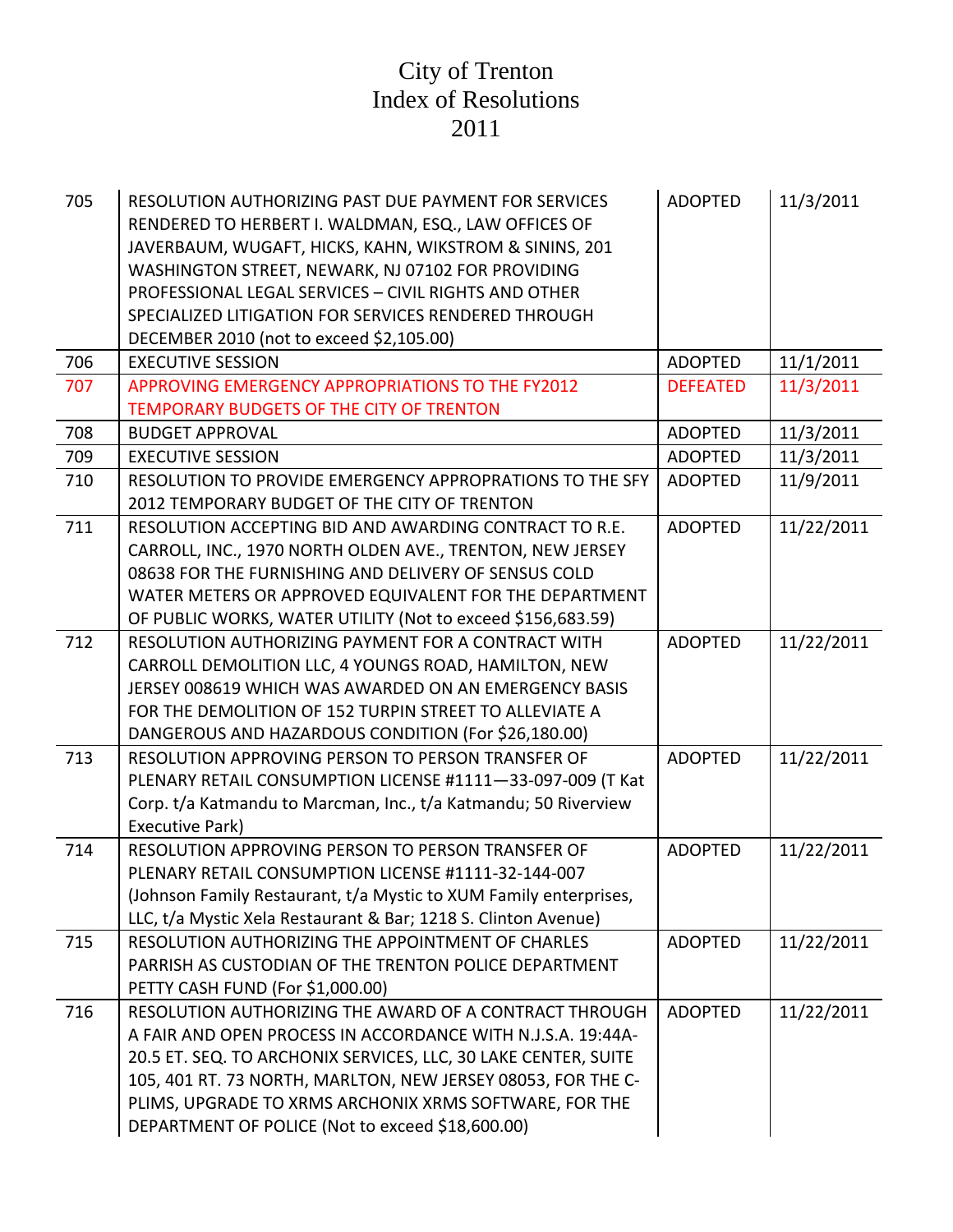| 705 | RESOLUTION AUTHORIZING PAST DUE PAYMENT FOR SERVICES<br>RENDERED TO HERBERT I. WALDMAN, ESQ., LAW OFFICES OF<br>JAVERBAUM, WUGAFT, HICKS, KAHN, WIKSTROM & SININS, 201<br>WASHINGTON STREET, NEWARK, NJ 07102 FOR PROVIDING<br>PROFESSIONAL LEGAL SERVICES - CIVIL RIGHTS AND OTHER<br>SPECIALIZED LITIGATION FOR SERVICES RENDERED THROUGH<br>DECEMBER 2010 (not to exceed \$2,105.00) | <b>ADOPTED</b>  | 11/3/2011  |
|-----|-----------------------------------------------------------------------------------------------------------------------------------------------------------------------------------------------------------------------------------------------------------------------------------------------------------------------------------------------------------------------------------------|-----------------|------------|
| 706 | <b>EXECUTIVE SESSION</b>                                                                                                                                                                                                                                                                                                                                                                | <b>ADOPTED</b>  | 11/1/2011  |
| 707 | APPROVING EMERGENCY APPROPRIATIONS TO THE FY2012                                                                                                                                                                                                                                                                                                                                        | <b>DEFEATED</b> | 11/3/2011  |
|     | TEMPORARY BUDGETS OF THE CITY OF TRENTON                                                                                                                                                                                                                                                                                                                                                |                 |            |
| 708 | <b>BUDGET APPROVAL</b>                                                                                                                                                                                                                                                                                                                                                                  | <b>ADOPTED</b>  | 11/3/2011  |
| 709 | <b>EXECUTIVE SESSION</b>                                                                                                                                                                                                                                                                                                                                                                | <b>ADOPTED</b>  | 11/3/2011  |
| 710 | RESOLUTION TO PROVIDE EMERGENCY APPROPRATIONS TO THE SFY<br>2012 TEMPORARY BUDGET OF THE CITY OF TRENTON                                                                                                                                                                                                                                                                                | <b>ADOPTED</b>  | 11/9/2011  |
| 711 | RESOLUTION ACCEPTING BID AND AWARDING CONTRACT TO R.E.<br>CARROLL, INC., 1970 NORTH OLDEN AVE., TRENTON, NEW JERSEY<br>08638 FOR THE FURNISHING AND DELIVERY OF SENSUS COLD<br>WATER METERS OR APPROVED EQUIVALENT FOR THE DEPARTMENT<br>OF PUBLIC WORKS, WATER UTILITY (Not to exceed \$156,683.59)                                                                                    | <b>ADOPTED</b>  | 11/22/2011 |
| 712 | RESOLUTION AUTHORIZING PAYMENT FOR A CONTRACT WITH<br>CARROLL DEMOLITION LLC, 4 YOUNGS ROAD, HAMILTON, NEW<br>JERSEY 008619 WHICH WAS AWARDED ON AN EMERGENCY BASIS<br>FOR THE DEMOLITION OF 152 TURPIN STREET TO ALLEVIATE A<br>DANGEROUS AND HAZARDOUS CONDITION (For \$26,180.00)                                                                                                    | <b>ADOPTED</b>  | 11/22/2011 |
| 713 | RESOLUTION APPROVING PERSON TO PERSON TRANSFER OF<br>PLENARY RETAIL CONSUMPTION LICENSE #1111-33-097-009 (T Kat<br>Corp. t/a Katmandu to Marcman, Inc., t/a Katmandu; 50 Riverview<br>Executive Park)                                                                                                                                                                                   | <b>ADOPTED</b>  | 11/22/2011 |
| 714 | RESOLUTION APPROVING PERSON TO PERSON TRANSFER OF<br>PLENARY RETAIL CONSUMPTION LICENSE #1111-32-144-007<br>(Johnson Family Restaurant, t/a Mystic to XUM Family enterprises,<br>LLC, t/a Mystic Xela Restaurant & Bar; 1218 S. Clinton Avenue)                                                                                                                                         | <b>ADOPTED</b>  | 11/22/2011 |
| 715 | RESOLUTION AUTHORIZING THE APPOINTMENT OF CHARLES<br>PARRISH AS CUSTODIAN OF THE TRENTON POLICE DEPARTMENT<br>PETTY CASH FUND (For \$1,000.00)                                                                                                                                                                                                                                          | <b>ADOPTED</b>  | 11/22/2011 |
| 716 | RESOLUTION AUTHORIZING THE AWARD OF A CONTRACT THROUGH<br>A FAIR AND OPEN PROCESS IN ACCORDANCE WITH N.J.S.A. 19:44A-<br>20.5 ET. SEQ. TO ARCHONIX SERVICES, LLC, 30 LAKE CENTER, SUITE<br>105, 401 RT. 73 NORTH, MARLTON, NEW JERSEY 08053, FOR THE C-<br>PLIMS, UPGRADE TO XRMS ARCHONIX XRMS SOFTWARE, FOR THE<br>DEPARTMENT OF POLICE (Not to exceed \$18,600.00)                   | <b>ADOPTED</b>  | 11/22/2011 |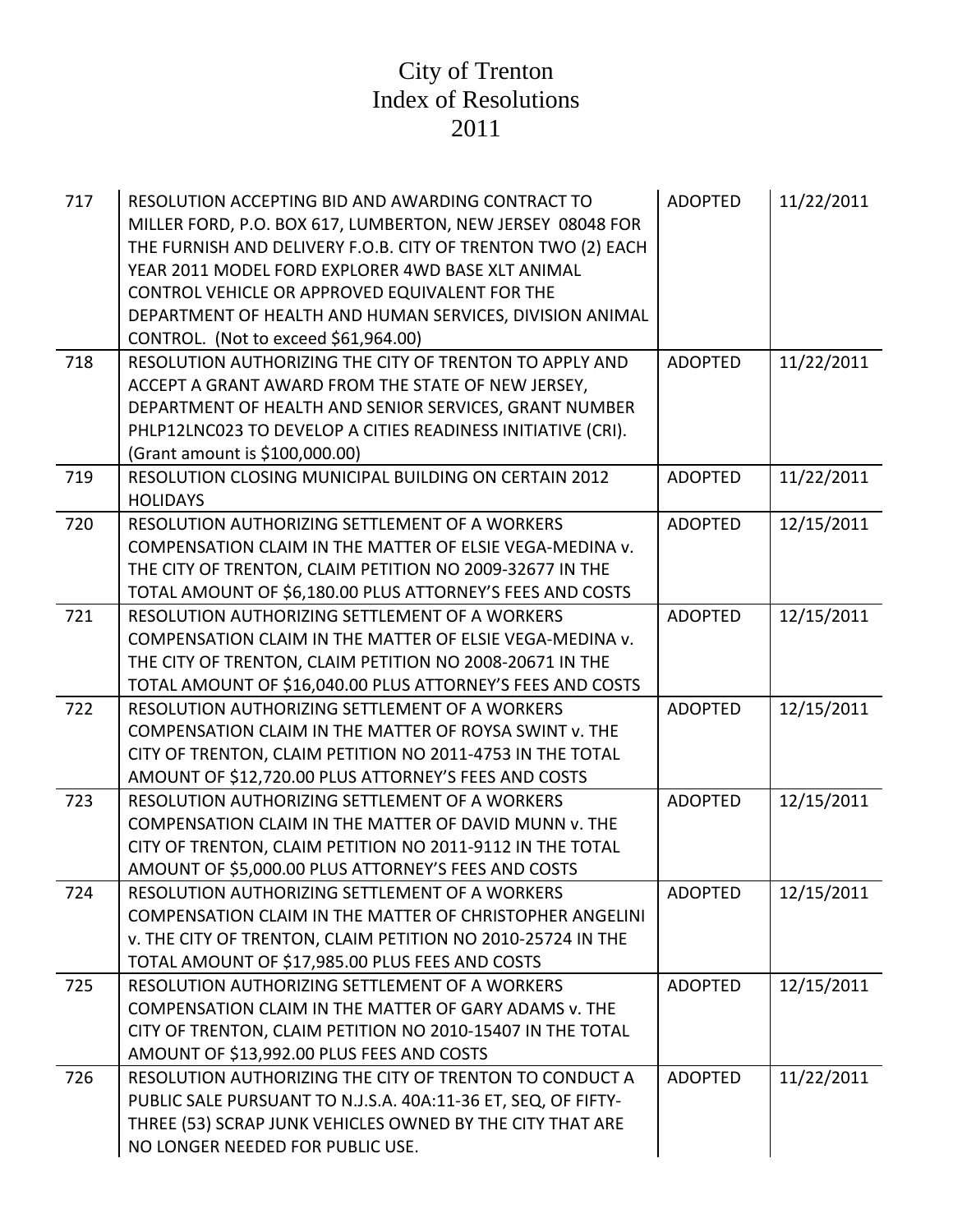| 717 | RESOLUTION ACCEPTING BID AND AWARDING CONTRACT TO<br>MILLER FORD, P.O. BOX 617, LUMBERTON, NEW JERSEY 08048 FOR<br>THE FURNISH AND DELIVERY F.O.B. CITY OF TRENTON TWO (2) EACH<br>YEAR 2011 MODEL FORD EXPLORER 4WD BASE XLT ANIMAL<br>CONTROL VEHICLE OR APPROVED EQUIVALENT FOR THE<br>DEPARTMENT OF HEALTH AND HUMAN SERVICES, DIVISION ANIMAL<br>CONTROL. (Not to exceed \$61,964.00) | <b>ADOPTED</b> | 11/22/2011 |
|-----|--------------------------------------------------------------------------------------------------------------------------------------------------------------------------------------------------------------------------------------------------------------------------------------------------------------------------------------------------------------------------------------------|----------------|------------|
| 718 | RESOLUTION AUTHORIZING THE CITY OF TRENTON TO APPLY AND<br>ACCEPT A GRANT AWARD FROM THE STATE OF NEW JERSEY,                                                                                                                                                                                                                                                                              | <b>ADOPTED</b> | 11/22/2011 |
|     | DEPARTMENT OF HEALTH AND SENIOR SERVICES, GRANT NUMBER                                                                                                                                                                                                                                                                                                                                     |                |            |
|     | PHLP12LNC023 TO DEVELOP A CITIES READINESS INITIATIVE (CRI).<br>(Grant amount is \$100,000.00)                                                                                                                                                                                                                                                                                             |                |            |
| 719 | RESOLUTION CLOSING MUNICIPAL BUILDING ON CERTAIN 2012<br><b>HOLIDAYS</b>                                                                                                                                                                                                                                                                                                                   | <b>ADOPTED</b> | 11/22/2011 |
| 720 | RESOLUTION AUTHORIZING SETTLEMENT OF A WORKERS                                                                                                                                                                                                                                                                                                                                             | <b>ADOPTED</b> | 12/15/2011 |
|     | COMPENSATION CLAIM IN THE MATTER OF ELSIE VEGA-MEDINA v.                                                                                                                                                                                                                                                                                                                                   |                |            |
|     | THE CITY OF TRENTON, CLAIM PETITION NO 2009-32677 IN THE                                                                                                                                                                                                                                                                                                                                   |                |            |
|     | TOTAL AMOUNT OF \$6,180.00 PLUS ATTORNEY'S FEES AND COSTS                                                                                                                                                                                                                                                                                                                                  |                |            |
| 721 | RESOLUTION AUTHORIZING SETTLEMENT OF A WORKERS                                                                                                                                                                                                                                                                                                                                             | <b>ADOPTED</b> | 12/15/2011 |
|     | COMPENSATION CLAIM IN THE MATTER OF ELSIE VEGA-MEDINA v.                                                                                                                                                                                                                                                                                                                                   |                |            |
|     | THE CITY OF TRENTON, CLAIM PETITION NO 2008-20671 IN THE                                                                                                                                                                                                                                                                                                                                   |                |            |
|     | TOTAL AMOUNT OF \$16,040.00 PLUS ATTORNEY'S FEES AND COSTS                                                                                                                                                                                                                                                                                                                                 |                |            |
| 722 | RESOLUTION AUTHORIZING SETTLEMENT OF A WORKERS                                                                                                                                                                                                                                                                                                                                             | <b>ADOPTED</b> | 12/15/2011 |
|     | COMPENSATION CLAIM IN THE MATTER OF ROYSA SWINT v. THE                                                                                                                                                                                                                                                                                                                                     |                |            |
|     | CITY OF TRENTON, CLAIM PETITION NO 2011-4753 IN THE TOTAL                                                                                                                                                                                                                                                                                                                                  |                |            |
| 723 | AMOUNT OF \$12,720.00 PLUS ATTORNEY'S FEES AND COSTS<br>RESOLUTION AUTHORIZING SETTLEMENT OF A WORKERS                                                                                                                                                                                                                                                                                     | <b>ADOPTED</b> |            |
|     | COMPENSATION CLAIM IN THE MATTER OF DAVID MUNN v. THE                                                                                                                                                                                                                                                                                                                                      |                | 12/15/2011 |
|     | CITY OF TRENTON, CLAIM PETITION NO 2011-9112 IN THE TOTAL                                                                                                                                                                                                                                                                                                                                  |                |            |
|     | AMOUNT OF \$5,000.00 PLUS ATTORNEY'S FEES AND COSTS                                                                                                                                                                                                                                                                                                                                        |                |            |
| 724 | RESOLUTION AUTHORIZING SETTLEMENT OF A WORKERS                                                                                                                                                                                                                                                                                                                                             | <b>ADOPTED</b> | 12/15/2011 |
|     | <b>COMPENSATION CLAIM IN THE MATTER OF CHRISTOPHER ANGELINI</b>                                                                                                                                                                                                                                                                                                                            |                |            |
|     | v. THE CITY OF TRENTON, CLAIM PETITION NO 2010-25724 IN THE                                                                                                                                                                                                                                                                                                                                |                |            |
|     | TOTAL AMOUNT OF \$17,985.00 PLUS FEES AND COSTS                                                                                                                                                                                                                                                                                                                                            |                |            |
| 725 | RESOLUTION AUTHORIZING SETTLEMENT OF A WORKERS                                                                                                                                                                                                                                                                                                                                             | <b>ADOPTED</b> | 12/15/2011 |
|     | COMPENSATION CLAIM IN THE MATTER OF GARY ADAMS v. THE                                                                                                                                                                                                                                                                                                                                      |                |            |
|     | CITY OF TRENTON, CLAIM PETITION NO 2010-15407 IN THE TOTAL                                                                                                                                                                                                                                                                                                                                 |                |            |
|     | AMOUNT OF \$13,992.00 PLUS FEES AND COSTS                                                                                                                                                                                                                                                                                                                                                  |                |            |
| 726 | RESOLUTION AUTHORIZING THE CITY OF TRENTON TO CONDUCT A                                                                                                                                                                                                                                                                                                                                    | <b>ADOPTED</b> | 11/22/2011 |
|     | PUBLIC SALE PURSUANT TO N.J.S.A. 40A:11-36 ET, SEQ, OF FIFTY-                                                                                                                                                                                                                                                                                                                              |                |            |
|     | THREE (53) SCRAP JUNK VEHICLES OWNED BY THE CITY THAT ARE                                                                                                                                                                                                                                                                                                                                  |                |            |
|     | NO LONGER NEEDED FOR PUBLIC USE.                                                                                                                                                                                                                                                                                                                                                           |                |            |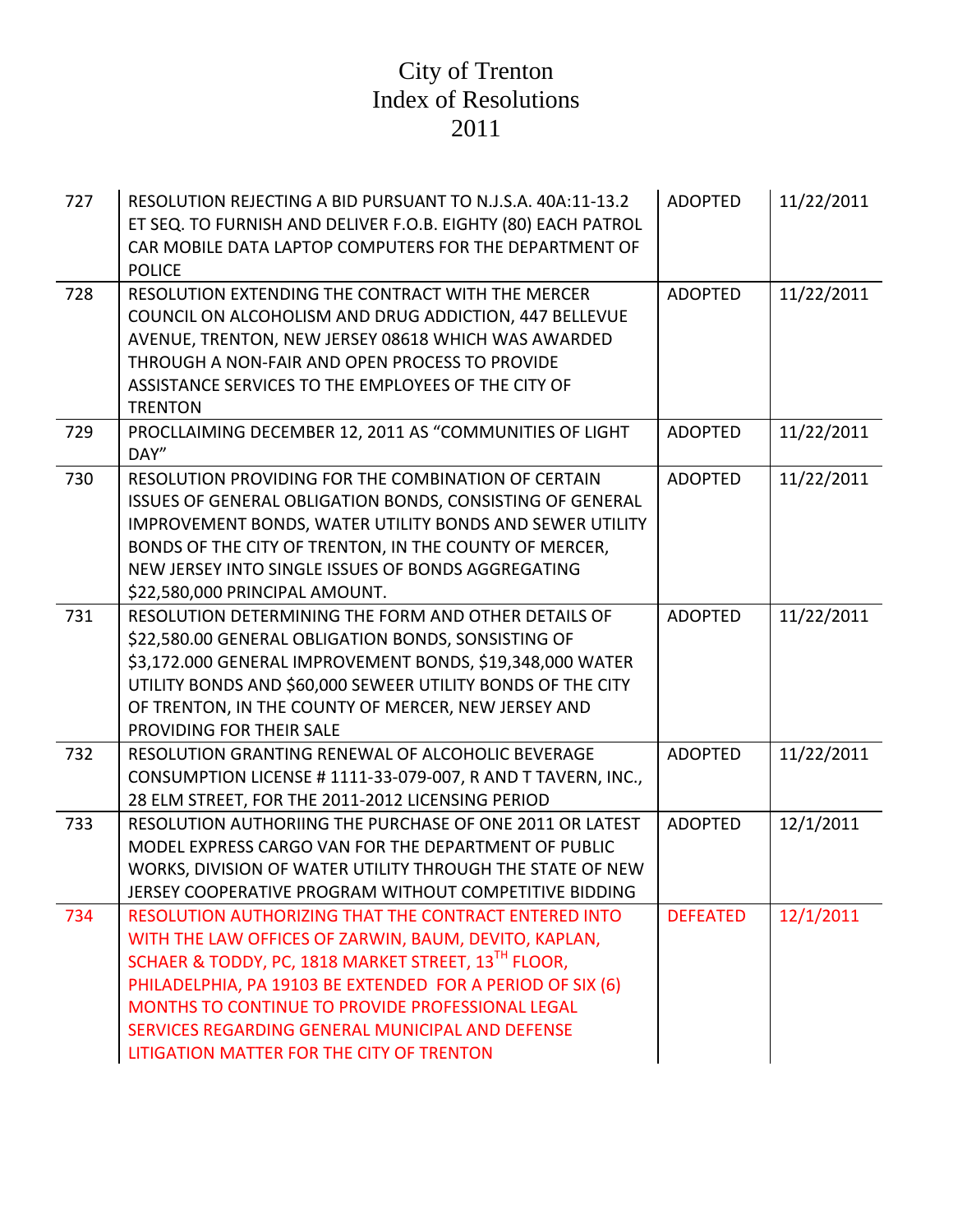| 727 | RESOLUTION REJECTING A BID PURSUANT TO N.J.S.A. 40A:11-13.2<br>ET SEQ. TO FURNISH AND DELIVER F.O.B. EIGHTY (80) EACH PATROL<br>CAR MOBILE DATA LAPTOP COMPUTERS FOR THE DEPARTMENT OF<br><b>POLICE</b>                                                                                                                                                                                  | <b>ADOPTED</b>  | 11/22/2011 |
|-----|------------------------------------------------------------------------------------------------------------------------------------------------------------------------------------------------------------------------------------------------------------------------------------------------------------------------------------------------------------------------------------------|-----------------|------------|
| 728 | RESOLUTION EXTENDING THE CONTRACT WITH THE MERCER<br>COUNCIL ON ALCOHOLISM AND DRUG ADDICTION, 447 BELLEVUE<br>AVENUE, TRENTON, NEW JERSEY 08618 WHICH WAS AWARDED<br>THROUGH A NON-FAIR AND OPEN PROCESS TO PROVIDE<br>ASSISTANCE SERVICES TO THE EMPLOYEES OF THE CITY OF<br><b>TRENTON</b>                                                                                            | <b>ADOPTED</b>  | 11/22/2011 |
| 729 | PROCLLAIMING DECEMBER 12, 2011 AS "COMMUNITIES OF LIGHT<br>DAY"                                                                                                                                                                                                                                                                                                                          | <b>ADOPTED</b>  | 11/22/2011 |
| 730 | RESOLUTION PROVIDING FOR THE COMBINATION OF CERTAIN<br>ISSUES OF GENERAL OBLIGATION BONDS, CONSISTING OF GENERAL<br>IMPROVEMENT BONDS, WATER UTILITY BONDS AND SEWER UTILITY<br>BONDS OF THE CITY OF TRENTON, IN THE COUNTY OF MERCER,<br>NEW JERSEY INTO SINGLE ISSUES OF BONDS AGGREGATING<br>\$22,580,000 PRINCIPAL AMOUNT.                                                           | <b>ADOPTED</b>  | 11/22/2011 |
| 731 | RESOLUTION DETERMINING THE FORM AND OTHER DETAILS OF<br>\$22,580.00 GENERAL OBLIGATION BONDS, SONSISTING OF<br>\$3,172.000 GENERAL IMPROVEMENT BONDS, \$19,348,000 WATER<br>UTILITY BONDS AND \$60,000 SEWEER UTILITY BONDS OF THE CITY<br>OF TRENTON, IN THE COUNTY OF MERCER, NEW JERSEY AND<br>PROVIDING FOR THEIR SALE                                                               | <b>ADOPTED</b>  | 11/22/2011 |
| 732 | RESOLUTION GRANTING RENEWAL OF ALCOHOLIC BEVERAGE<br>CONSUMPTION LICENSE # 1111-33-079-007, R AND T TAVERN, INC.,<br>28 ELM STREET, FOR THE 2011-2012 LICENSING PERIOD                                                                                                                                                                                                                   | <b>ADOPTED</b>  | 11/22/2011 |
| 733 | RESOLUTION AUTHORIING THE PURCHASE OF ONE 2011 OR LATEST<br>MODEL EXPRESS CARGO VAN FOR THE DEPARTMENT OF PUBLIC<br>WORKS, DIVISION OF WATER UTILITY THROUGH THE STATE OF NEW<br>JERSEY COOPERATIVE PROGRAM WITHOUT COMPETITIVE BIDDING                                                                                                                                                  | <b>ADOPTED</b>  | 12/1/2011  |
| 734 | RESOLUTION AUTHORIZING THAT THE CONTRACT ENTERED INTO<br>WITH THE LAW OFFICES OF ZARWIN, BAUM, DEVITO, KAPLAN,<br>SCHAER & TODDY, PC, 1818 MARKET STREET, 13TH FLOOR,<br>PHILADELPHIA, PA 19103 BE EXTENDED FOR A PERIOD OF SIX (6)<br>MONTHS TO CONTINUE TO PROVIDE PROFESSIONAL LEGAL<br>SERVICES REGARDING GENERAL MUNICIPAL AND DEFENSE<br>LITIGATION MATTER FOR THE CITY OF TRENTON | <b>DEFEATED</b> | 12/1/2011  |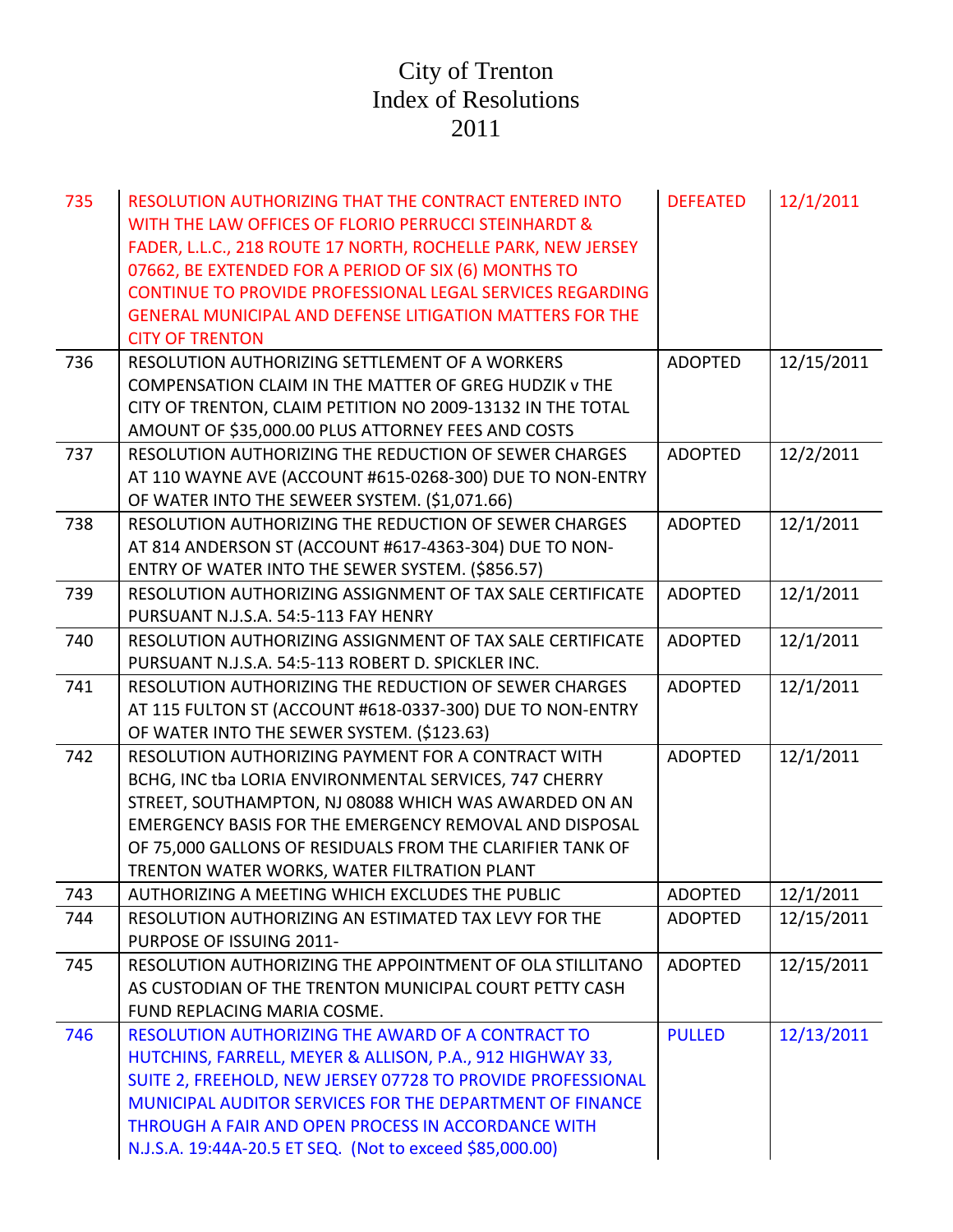| 735 | RESOLUTION AUTHORIZING THAT THE CONTRACT ENTERED INTO<br>WITH THE LAW OFFICES OF FLORIO PERRUCCI STEINHARDT &<br>FADER, L.L.C., 218 ROUTE 17 NORTH, ROCHELLE PARK, NEW JERSEY<br>07662, BE EXTENDED FOR A PERIOD OF SIX (6) MONTHS TO<br>CONTINUE TO PROVIDE PROFESSIONAL LEGAL SERVICES REGARDING<br><b>GENERAL MUNICIPAL AND DEFENSE LITIGATION MATTERS FOR THE</b><br><b>CITY OF TRENTON</b> | <b>DEFEATED</b> | 12/1/2011  |
|-----|-------------------------------------------------------------------------------------------------------------------------------------------------------------------------------------------------------------------------------------------------------------------------------------------------------------------------------------------------------------------------------------------------|-----------------|------------|
| 736 | RESOLUTION AUTHORIZING SETTLEMENT OF A WORKERS<br>COMPENSATION CLAIM IN THE MATTER OF GREG HUDZIK v THE<br>CITY OF TRENTON, CLAIM PETITION NO 2009-13132 IN THE TOTAL<br>AMOUNT OF \$35,000.00 PLUS ATTORNEY FEES AND COSTS                                                                                                                                                                     | <b>ADOPTED</b>  | 12/15/2011 |
| 737 | RESOLUTION AUTHORIZING THE REDUCTION OF SEWER CHARGES<br>AT 110 WAYNE AVE (ACCOUNT #615-0268-300) DUE TO NON-ENTRY<br>OF WATER INTO THE SEWEER SYSTEM. (\$1,071.66)                                                                                                                                                                                                                             | <b>ADOPTED</b>  | 12/2/2011  |
| 738 | RESOLUTION AUTHORIZING THE REDUCTION OF SEWER CHARGES<br>AT 814 ANDERSON ST (ACCOUNT #617-4363-304) DUE TO NON-<br>ENTRY OF WATER INTO THE SEWER SYSTEM. (\$856.57)                                                                                                                                                                                                                             | <b>ADOPTED</b>  | 12/1/2011  |
| 739 | RESOLUTION AUTHORIZING ASSIGNMENT OF TAX SALE CERTIFICATE<br>PURSUANT N.J.S.A. 54:5-113 FAY HENRY                                                                                                                                                                                                                                                                                               | <b>ADOPTED</b>  | 12/1/2011  |
| 740 | RESOLUTION AUTHORIZING ASSIGNMENT OF TAX SALE CERTIFICATE<br>PURSUANT N.J.S.A. 54:5-113 ROBERT D. SPICKLER INC.                                                                                                                                                                                                                                                                                 | <b>ADOPTED</b>  | 12/1/2011  |
| 741 | RESOLUTION AUTHORIZING THE REDUCTION OF SEWER CHARGES<br>AT 115 FULTON ST (ACCOUNT #618-0337-300) DUE TO NON-ENTRY<br>OF WATER INTO THE SEWER SYSTEM. (\$123.63)                                                                                                                                                                                                                                | <b>ADOPTED</b>  | 12/1/2011  |
| 742 | RESOLUTION AUTHORIZING PAYMENT FOR A CONTRACT WITH<br>BCHG, INC tba LORIA ENVIRONMENTAL SERVICES, 747 CHERRY<br>STREET, SOUTHAMPTON, NJ 08088 WHICH WAS AWARDED ON AN<br>EMERGENCY BASIS FOR THE EMERGENCY REMOVAL AND DISPOSAL<br>OF 75,000 GALLONS OF RESIDUALS FROM THE CLARIFIER TANK OF<br>TRENTON WATER WORKS, WATER FILTRATION PLANT                                                     | <b>ADOPTED</b>  | 12/1/2011  |
| 743 | AUTHORIZING A MEETING WHICH EXCLUDES THE PUBLIC                                                                                                                                                                                                                                                                                                                                                 | <b>ADOPTED</b>  | 12/1/2011  |
| 744 | RESOLUTION AUTHORIZING AN ESTIMATED TAX LEVY FOR THE<br>PURPOSE OF ISSUING 2011-                                                                                                                                                                                                                                                                                                                | <b>ADOPTED</b>  | 12/15/2011 |
| 745 | RESOLUTION AUTHORIZING THE APPOINTMENT OF OLA STILLITANO<br>AS CUSTODIAN OF THE TRENTON MUNICIPAL COURT PETTY CASH<br>FUND REPLACING MARIA COSME.                                                                                                                                                                                                                                               | <b>ADOPTED</b>  | 12/15/2011 |
| 746 | RESOLUTION AUTHORIZING THE AWARD OF A CONTRACT TO<br>HUTCHINS, FARRELL, MEYER & ALLISON, P.A., 912 HIGHWAY 33,<br>SUITE 2, FREEHOLD, NEW JERSEY 07728 TO PROVIDE PROFESSIONAL<br>MUNICIPAL AUDITOR SERVICES FOR THE DEPARTMENT OF FINANCE<br>THROUGH A FAIR AND OPEN PROCESS IN ACCORDANCE WITH<br>N.J.S.A. 19:44A-20.5 ET SEQ. (Not to exceed \$85,000.00)                                     | <b>PULLED</b>   | 12/13/2011 |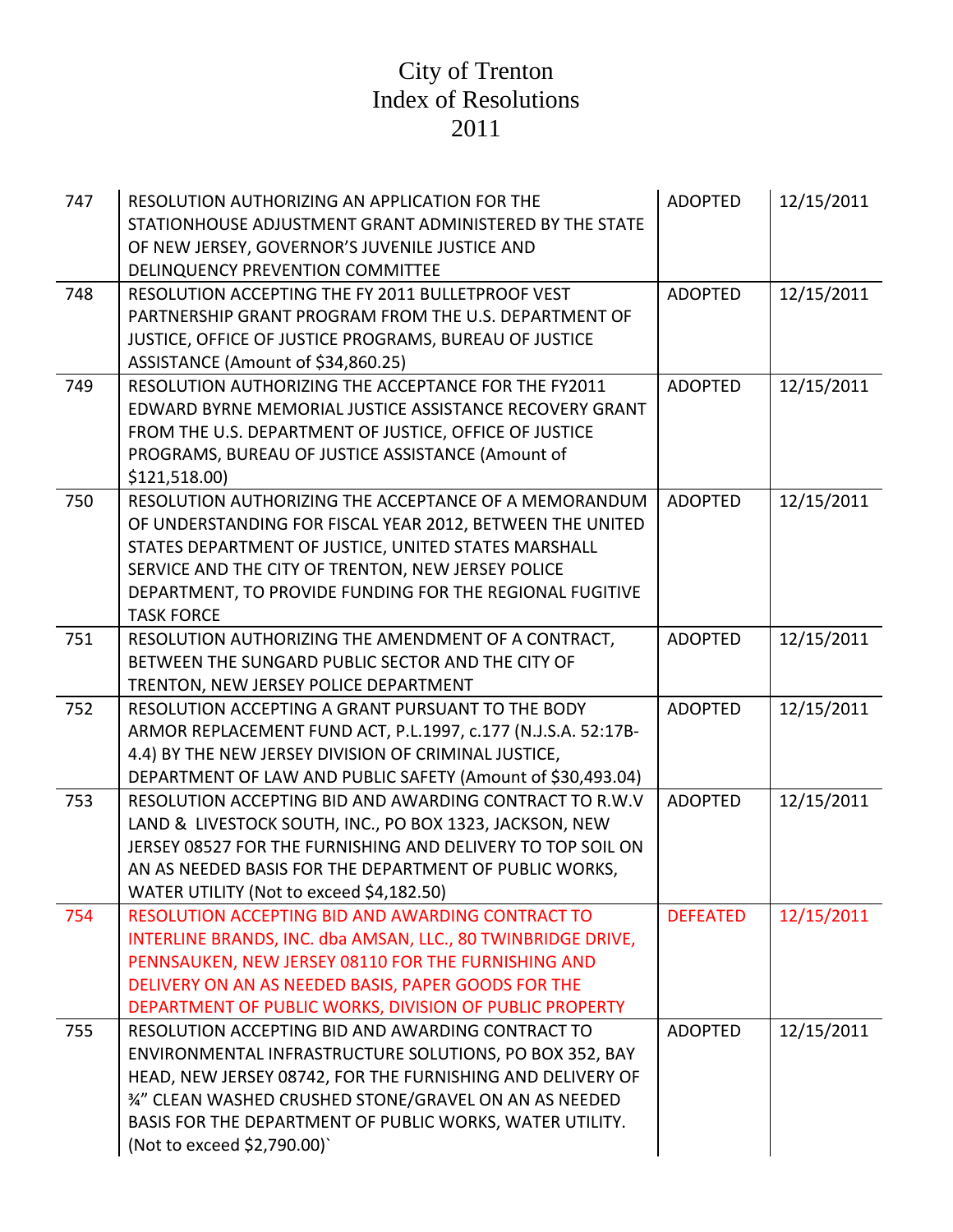| 747 | RESOLUTION AUTHORIZING AN APPLICATION FOR THE<br>STATIONHOUSE ADJUSTMENT GRANT ADMINISTERED BY THE STATE<br>OF NEW JERSEY, GOVERNOR'S JUVENILE JUSTICE AND<br>DELINQUENCY PREVENTION COMMITTEE                                                                                                                                | <b>ADOPTED</b>  | 12/15/2011 |
|-----|-------------------------------------------------------------------------------------------------------------------------------------------------------------------------------------------------------------------------------------------------------------------------------------------------------------------------------|-----------------|------------|
| 748 | RESOLUTION ACCEPTING THE FY 2011 BULLETPROOF VEST<br>PARTNERSHIP GRANT PROGRAM FROM THE U.S. DEPARTMENT OF<br>JUSTICE, OFFICE OF JUSTICE PROGRAMS, BUREAU OF JUSTICE<br>ASSISTANCE (Amount of \$34,860.25)                                                                                                                    | <b>ADOPTED</b>  | 12/15/2011 |
| 749 | RESOLUTION AUTHORIZING THE ACCEPTANCE FOR THE FY2011<br>EDWARD BYRNE MEMORIAL JUSTICE ASSISTANCE RECOVERY GRANT<br>FROM THE U.S. DEPARTMENT OF JUSTICE, OFFICE OF JUSTICE<br>PROGRAMS, BUREAU OF JUSTICE ASSISTANCE (Amount of<br>\$121,518.00)                                                                               | <b>ADOPTED</b>  | 12/15/2011 |
| 750 | RESOLUTION AUTHORIZING THE ACCEPTANCE OF A MEMORANDUM<br>OF UNDERSTANDING FOR FISCAL YEAR 2012, BETWEEN THE UNITED<br>STATES DEPARTMENT OF JUSTICE, UNITED STATES MARSHALL<br>SERVICE AND THE CITY OF TRENTON, NEW JERSEY POLICE<br>DEPARTMENT, TO PROVIDE FUNDING FOR THE REGIONAL FUGITIVE<br><b>TASK FORCE</b>             | <b>ADOPTED</b>  | 12/15/2011 |
| 751 | RESOLUTION AUTHORIZING THE AMENDMENT OF A CONTRACT,<br>BETWEEN THE SUNGARD PUBLIC SECTOR AND THE CITY OF<br>TRENTON, NEW JERSEY POLICE DEPARTMENT                                                                                                                                                                             | <b>ADOPTED</b>  | 12/15/2011 |
| 752 | RESOLUTION ACCEPTING A GRANT PURSUANT TO THE BODY<br>ARMOR REPLACEMENT FUND ACT, P.L.1997, c.177 (N.J.S.A. 52:17B-<br>4.4) BY THE NEW JERSEY DIVISION OF CRIMINAL JUSTICE,<br>DEPARTMENT OF LAW AND PUBLIC SAFETY (Amount of \$30,493.04)                                                                                     | <b>ADOPTED</b>  | 12/15/2011 |
| 753 | RESOLUTION ACCEPTING BID AND AWARDING CONTRACT TO R.W.V<br>LAND & LIVESTOCK SOUTH, INC., PO BOX 1323, JACKSON, NEW<br>JERSEY 08527 FOR THE FURNISHING AND DELIVERY TO TOP SOIL ON<br>AN AS NEEDED BASIS FOR THE DEPARTMENT OF PUBLIC WORKS,<br>WATER UTILITY (Not to exceed \$4,182.50)                                       | <b>ADOPTED</b>  | 12/15/2011 |
| 754 | RESOLUTION ACCEPTING BID AND AWARDING CONTRACT TO<br>INTERLINE BRANDS, INC. dba AMSAN, LLC., 80 TWINBRIDGE DRIVE,<br>PENNSAUKEN, NEW JERSEY 08110 FOR THE FURNISHING AND<br>DELIVERY ON AN AS NEEDED BASIS, PAPER GOODS FOR THE<br>DEPARTMENT OF PUBLIC WORKS, DIVISION OF PUBLIC PROPERTY                                    | <b>DEFEATED</b> | 12/15/2011 |
| 755 | RESOLUTION ACCEPTING BID AND AWARDING CONTRACT TO<br>ENVIRONMENTAL INFRASTRUCTURE SOLUTIONS, PO BOX 352, BAY<br>HEAD, NEW JERSEY 08742, FOR THE FURNISHING AND DELIVERY OF<br>34" CLEAN WASHED CRUSHED STONE/GRAVEL ON AN AS NEEDED<br>BASIS FOR THE DEPARTMENT OF PUBLIC WORKS, WATER UTILITY.<br>(Not to exceed \$2,790.00) | <b>ADOPTED</b>  | 12/15/2011 |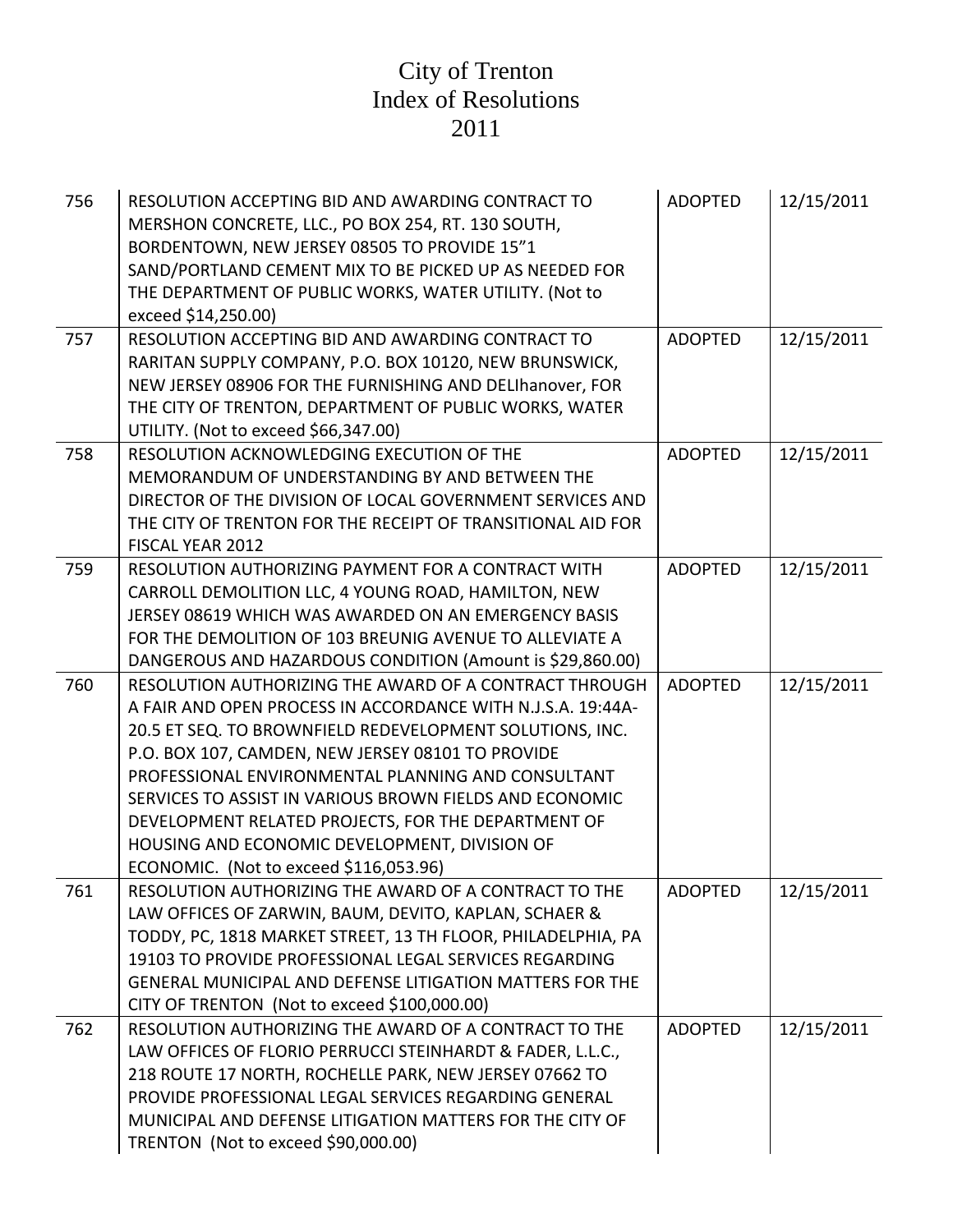| 756 | RESOLUTION ACCEPTING BID AND AWARDING CONTRACT TO<br>MERSHON CONCRETE, LLC., PO BOX 254, RT. 130 SOUTH,<br>BORDENTOWN, NEW JERSEY 08505 TO PROVIDE 15"1<br>SAND/PORTLAND CEMENT MIX TO BE PICKED UP AS NEEDED FOR<br>THE DEPARTMENT OF PUBLIC WORKS, WATER UTILITY. (Not to<br>exceed \$14,250.00)                                                                                                                                                                                                        | <b>ADOPTED</b> | 12/15/2011 |
|-----|-----------------------------------------------------------------------------------------------------------------------------------------------------------------------------------------------------------------------------------------------------------------------------------------------------------------------------------------------------------------------------------------------------------------------------------------------------------------------------------------------------------|----------------|------------|
| 757 | RESOLUTION ACCEPTING BID AND AWARDING CONTRACT TO<br>RARITAN SUPPLY COMPANY, P.O. BOX 10120, NEW BRUNSWICK,<br>NEW JERSEY 08906 FOR THE FURNISHING AND DELIhanover, FOR<br>THE CITY OF TRENTON, DEPARTMENT OF PUBLIC WORKS, WATER<br>UTILITY. (Not to exceed \$66,347.00)                                                                                                                                                                                                                                 | <b>ADOPTED</b> | 12/15/2011 |
| 758 | RESOLUTION ACKNOWLEDGING EXECUTION OF THE<br>MEMORANDUM OF UNDERSTANDING BY AND BETWEEN THE<br>DIRECTOR OF THE DIVISION OF LOCAL GOVERNMENT SERVICES AND<br>THE CITY OF TRENTON FOR THE RECEIPT OF TRANSITIONAL AID FOR<br>FISCAL YEAR 2012                                                                                                                                                                                                                                                               | <b>ADOPTED</b> | 12/15/2011 |
| 759 | RESOLUTION AUTHORIZING PAYMENT FOR A CONTRACT WITH<br>CARROLL DEMOLITION LLC, 4 YOUNG ROAD, HAMILTON, NEW<br>JERSEY 08619 WHICH WAS AWARDED ON AN EMERGENCY BASIS<br>FOR THE DEMOLITION OF 103 BREUNIG AVENUE TO ALLEVIATE A<br>DANGEROUS AND HAZARDOUS CONDITION (Amount is \$29,860.00)                                                                                                                                                                                                                 | <b>ADOPTED</b> | 12/15/2011 |
| 760 | RESOLUTION AUTHORIZING THE AWARD OF A CONTRACT THROUGH<br>A FAIR AND OPEN PROCESS IN ACCORDANCE WITH N.J.S.A. 19:44A-<br>20.5 ET SEQ. TO BROWNFIELD REDEVELOPMENT SOLUTIONS, INC.<br>P.O. BOX 107, CAMDEN, NEW JERSEY 08101 TO PROVIDE<br>PROFESSIONAL ENVIRONMENTAL PLANNING AND CONSULTANT<br>SERVICES TO ASSIST IN VARIOUS BROWN FIELDS AND ECONOMIC<br>DEVELOPMENT RELATED PROJECTS, FOR THE DEPARTMENT OF<br>HOUSING AND ECONOMIC DEVELOPMENT, DIVISION OF<br>ECONOMIC. (Not to exceed \$116,053.96) | <b>ADOPTED</b> | 12/15/2011 |
| 761 | RESOLUTION AUTHORIZING THE AWARD OF A CONTRACT TO THE<br>LAW OFFICES OF ZARWIN, BAUM, DEVITO, KAPLAN, SCHAER &<br>TODDY, PC, 1818 MARKET STREET, 13 TH FLOOR, PHILADELPHIA, PA<br>19103 TO PROVIDE PROFESSIONAL LEGAL SERVICES REGARDING<br>GENERAL MUNICIPAL AND DEFENSE LITIGATION MATTERS FOR THE<br>CITY OF TRENTON (Not to exceed \$100,000.00)                                                                                                                                                      | ADOPTED        | 12/15/2011 |
| 762 | RESOLUTION AUTHORIZING THE AWARD OF A CONTRACT TO THE<br>LAW OFFICES OF FLORIO PERRUCCI STEINHARDT & FADER, L.L.C.,<br>218 ROUTE 17 NORTH, ROCHELLE PARK, NEW JERSEY 07662 TO<br>PROVIDE PROFESSIONAL LEGAL SERVICES REGARDING GENERAL<br>MUNICIPAL AND DEFENSE LITIGATION MATTERS FOR THE CITY OF<br>TRENTON (Not to exceed \$90,000.00)                                                                                                                                                                 | <b>ADOPTED</b> | 12/15/2011 |